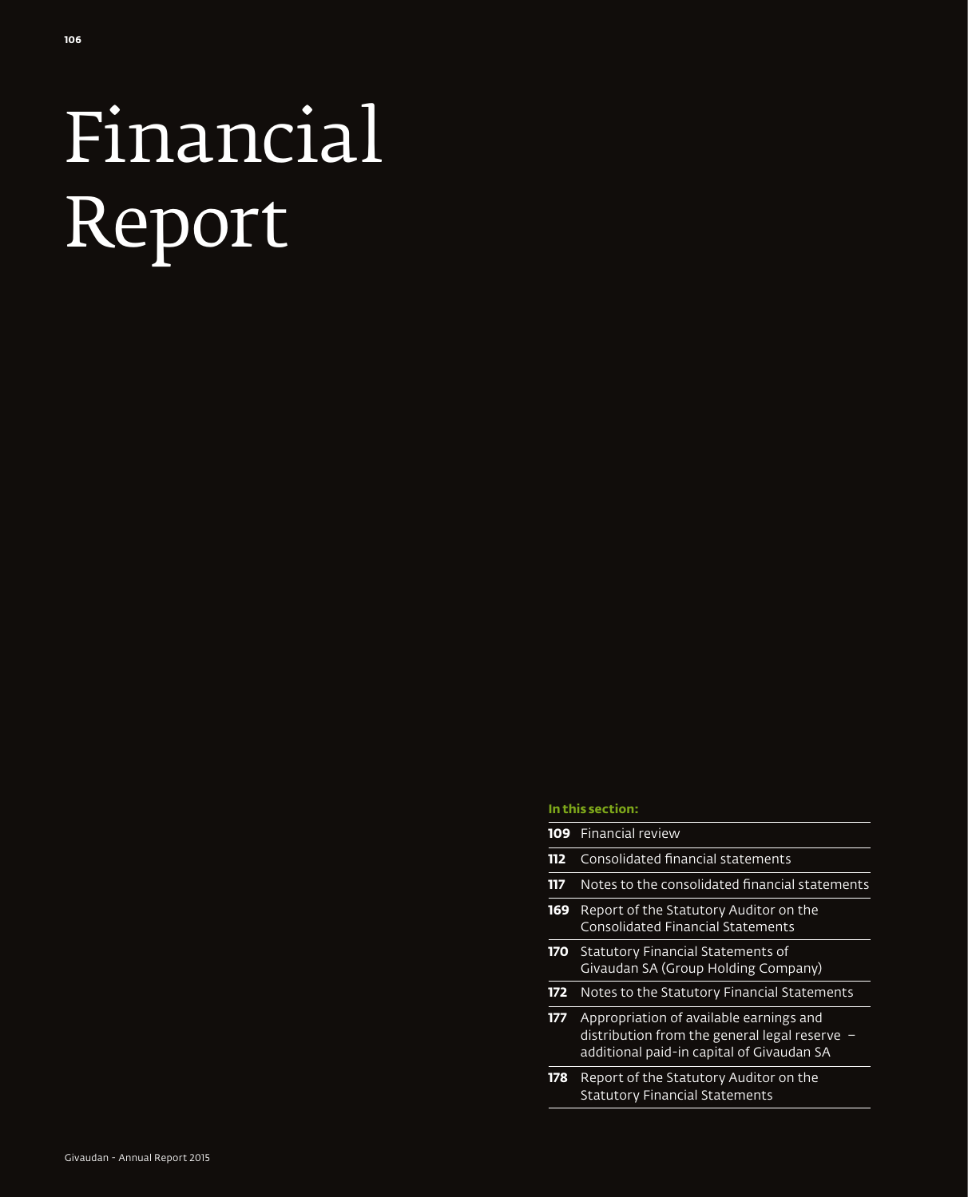# Financial Report

#### **In this section:**

|     | <b>109</b> Financial review                                                                                                           |
|-----|---------------------------------------------------------------------------------------------------------------------------------------|
| 112 | Consolidated financial statements                                                                                                     |
| 117 | Notes to the consolidated financial statements                                                                                        |
| 169 | Report of the Statutory Auditor on the<br><b>Consolidated Financial Statements</b>                                                    |
|     | <b>170</b> Statutory Financial Statements of<br>Givaudan SA (Group Holding Company)                                                   |
| 172 | Notes to the Statutory Financial Statements                                                                                           |
| 177 | Appropriation of available earnings and<br>distribution from the general legal reserve -<br>additional paid-in capital of Givaudan SA |
| 178 | Report of the Statutory Auditor on the<br><b>Statutory Financial Statements</b>                                                       |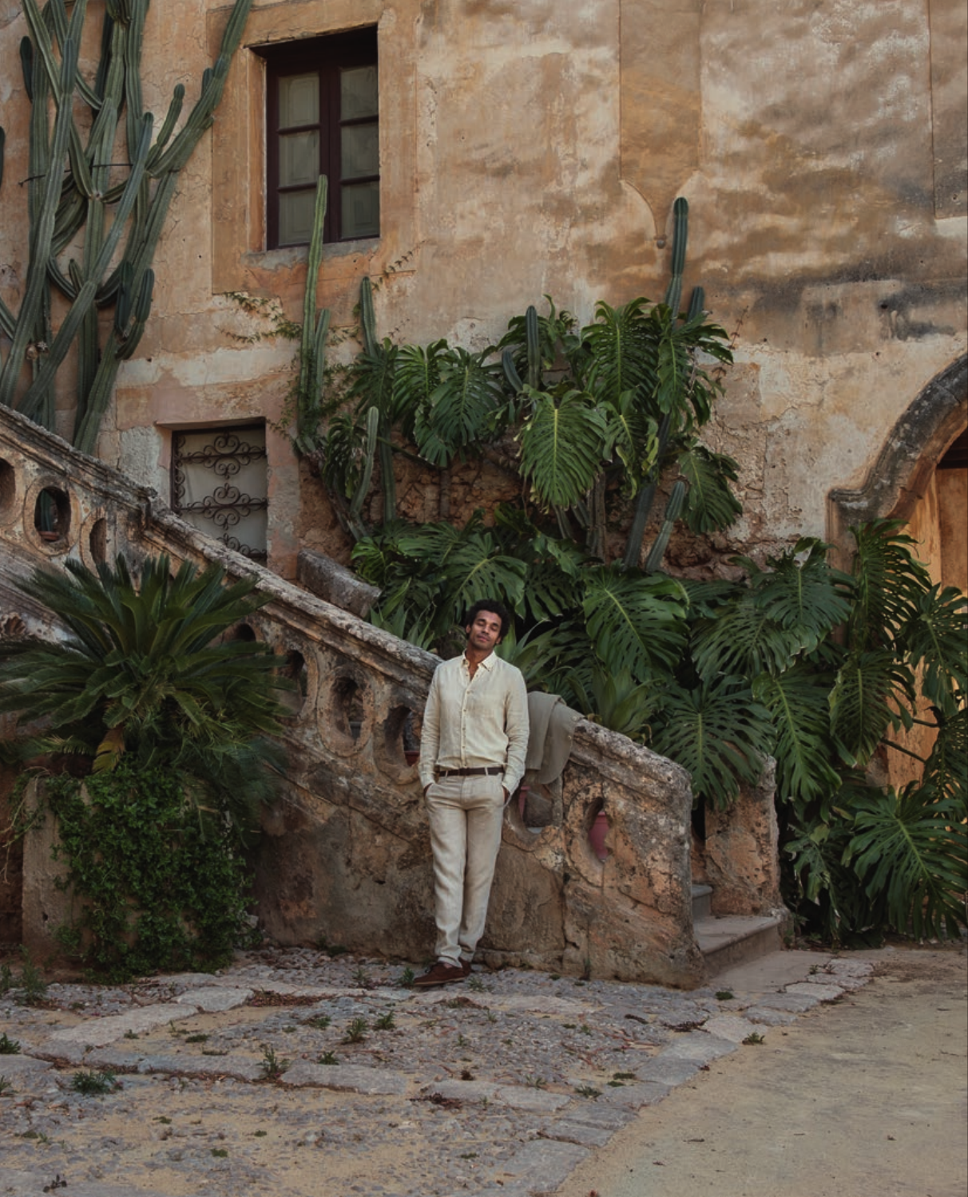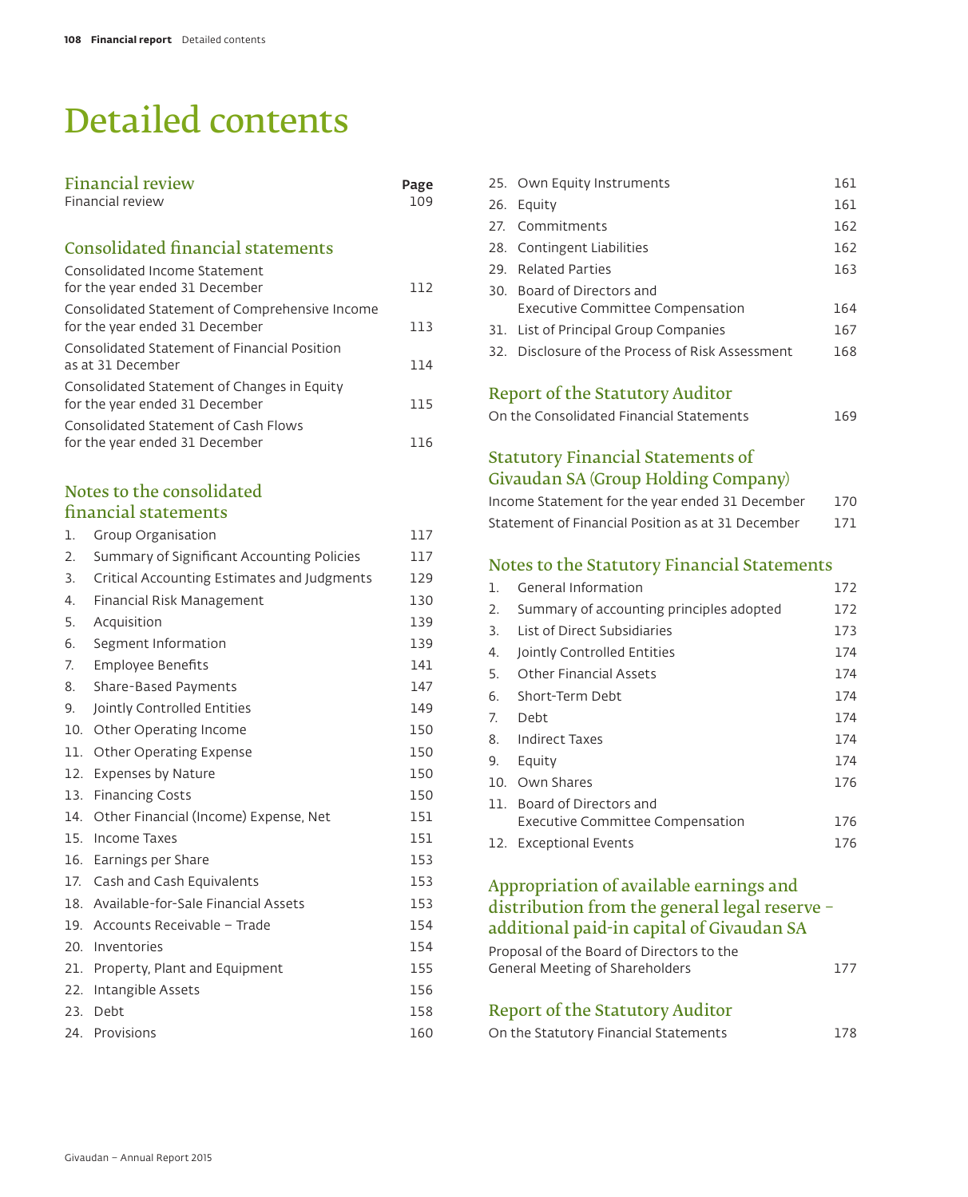# Detailed contents

#### Financial review Page<br>
Financial review Page 209 Financial review

# Consolidated financial statements

| Consolidated Income Statement<br>for the year ended 31 December                  | 112 |
|----------------------------------------------------------------------------------|-----|
| Consolidated Statement of Comprehensive Income<br>for the year ended 31 December | 113 |
| Consolidated Statement of Financial Position<br>as at 31 December                | 114 |
| Consolidated Statement of Changes in Equity<br>for the year ended 31 December    | 115 |
| Consolidated Statement of Cash Flows<br>for the year ended 31 December           | 116 |

# Notes to the consolidated financial statements

| 1.  | Group Organisation                          | 117 |
|-----|---------------------------------------------|-----|
| 2.  | Summary of Significant Accounting Policies  | 117 |
| 3.  | Critical Accounting Estimates and Judgments | 129 |
| 4.  | Financial Risk Management                   | 130 |
| 5.  | Acquisition                                 | 139 |
| 6.  | Segment Information                         | 139 |
| 7.  | <b>Employee Benefits</b>                    | 141 |
| 8.  | Share-Based Payments                        | 147 |
| 9.  | Jointly Controlled Entities                 | 149 |
| 10. | Other Operating Income                      | 150 |
| 11. | Other Operating Expense                     | 150 |
|     | 12. Expenses by Nature                      | 150 |
|     | 13. Financing Costs                         | 150 |
|     | 14. Other Financial (Income) Expense, Net   | 151 |
|     | 15. Income Taxes                            | 151 |
|     | 16. Earnings per Share                      | 153 |
| 17. | Cash and Cash Equivalents                   | 153 |
| 18. | Available-for-Sale Financial Assets         | 153 |
| 19. | Accounts Receivable - Trade                 | 154 |
|     | 20. Inventories                             | 154 |
|     | 21. Property, Plant and Equipment           | 155 |
| 22. | Intangible Assets                           | 156 |
| 23. | Debt                                        | 158 |
|     | 24. Provisions                              | 160 |

|  | 25. Own Equity Instruments                      | 161 |
|--|-------------------------------------------------|-----|
|  | 26. Equity                                      | 161 |
|  | 27 Commitments                                  | 162 |
|  | 28. Contingent Liabilities                      | 162 |
|  | 29 Related Parties                              | 163 |
|  | 30 Board of Directors and                       |     |
|  | <b>Executive Committee Compensation</b>         | 164 |
|  | 31. List of Principal Group Companies           | 167 |
|  | 32 Disclosure of the Process of Risk Assessment | 168 |
|  |                                                 |     |

# Report of the Statutory Auditor

| On the Consolidated Financial Statements | 169 |
|------------------------------------------|-----|
|                                          |     |

# Statutory Financial Statements of Givaudan SA (Group Holding Company)

| Income Statement for the year ended 31 December   | 170 |
|---------------------------------------------------|-----|
| Statement of Financial Position as at 31 December | 171 |

# Notes to the Statutory Financial Statements

| 1.   | General Information                      | 172 |
|------|------------------------------------------|-----|
| 2.   | Summary of accounting principles adopted | 172 |
| 3.   | List of Direct Subsidiaries              | 173 |
| 4.   | Jointly Controlled Entities              | 174 |
| .5.  | Other Financial Assets                   | 174 |
| 6.   | Short-Term Debt                          | 174 |
| 7.   | Debt                                     | 174 |
| 8.   | Indirect Taxes                           | 174 |
| 9.   | Equity                                   | 174 |
| 10 I | Own Shares                               | 176 |
| 11.  | Board of Directors and                   |     |
|      | <b>Executive Committee Compensation</b>  | 176 |
|      | 12. Exceptional Events                   | 176 |

# Appropriation of available earnings and distribution from the general legal reserve – additional paid-in capital of Givaudan SA

| Proposal of the Board of Directors to the |  |  |  |  |
|-------------------------------------------|--|--|--|--|
| General Meeting of Shareholders           |  |  |  |  |
|                                           |  |  |  |  |

# Report of the Statutory Auditor

| On the Statutory Financial Statements<br>178 |  |
|----------------------------------------------|--|
|----------------------------------------------|--|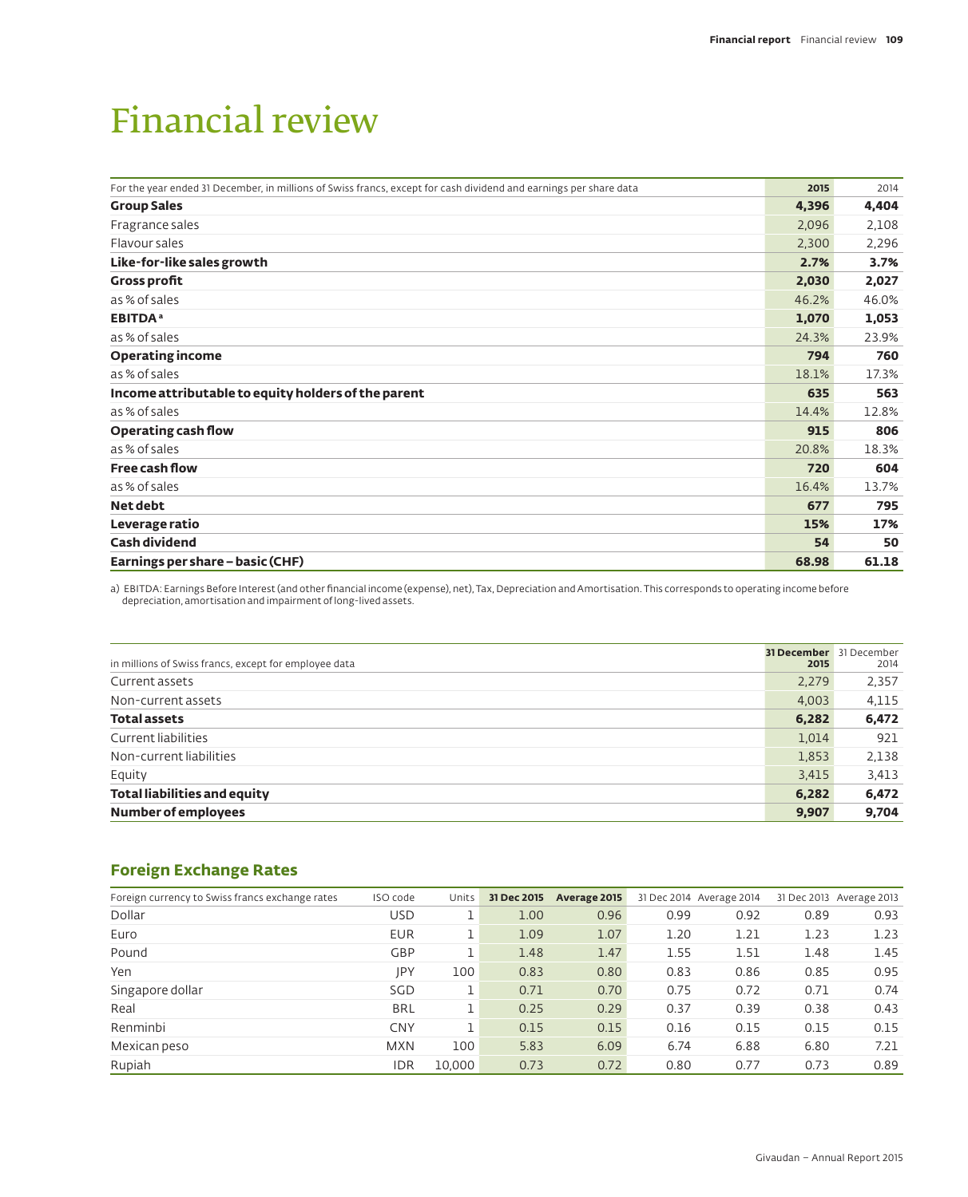# Financial review

| For the year ended 31 December, in millions of Swiss francs, except for cash dividend and earnings per share data | 2015  | 2014  |
|-------------------------------------------------------------------------------------------------------------------|-------|-------|
| <b>Group Sales</b>                                                                                                | 4,396 | 4,404 |
| Fragrance sales                                                                                                   | 2,096 | 2,108 |
| Flavour sales                                                                                                     | 2,300 | 2,296 |
| Like-for-like sales growth                                                                                        | 2.7%  | 3.7%  |
| <b>Gross profit</b>                                                                                               | 2,030 | 2,027 |
| as % of sales                                                                                                     | 46.2% | 46.0% |
| <b>EBITDA</b> <sup>a</sup>                                                                                        | 1,070 | 1,053 |
| as % of sales                                                                                                     | 24.3% | 23.9% |
| <b>Operating income</b>                                                                                           | 794   | 760   |
| as % of sales                                                                                                     | 18.1% | 17.3% |
| Income attributable to equity holders of the parent                                                               | 635   | 563   |
| as % of sales                                                                                                     | 14.4% | 12.8% |
| <b>Operating cash flow</b>                                                                                        | 915   | 806   |
| as % of sales                                                                                                     | 20.8% | 18.3% |
| <b>Free cash flow</b>                                                                                             | 720   | 604   |
| as % of sales                                                                                                     | 16.4% | 13.7% |
| Net debt                                                                                                          | 677   | 795   |
| Leverage ratio                                                                                                    | 15%   | 17%   |
| <b>Cash dividend</b>                                                                                              | 54    | 50    |
| Earnings per share - basic (CHF)                                                                                  | 68.98 | 61.18 |

a) EBITDA: Earnings Before Interest (and other financial income (expense), net), Tax, Depreciation and Amortisation. This corresponds to operating income before<br>depreciation, amortisation and impairment of long-lived asset

| in millions of Swiss francs, except for employee data | <b>31 December</b> 31 December<br>2015 | 2014  |
|-------------------------------------------------------|----------------------------------------|-------|
| Current assets                                        | 2,279                                  | 2,357 |
| Non-current assets                                    | 4,003                                  | 4,115 |
| <b>Total assets</b>                                   | 6,282                                  | 6,472 |
| Current liabilities                                   | 1,014                                  | 921   |
| Non-current liabilities                               | 1,853                                  | 2,138 |
| Equity                                                | 3,415                                  | 3,413 |
| Total liabilities and equity                          | 6,282                                  | 6,472 |
| <b>Number of employees</b>                            | 9,907                                  | 9,704 |

# **Foreign Exchange Rates**

| Foreign currency to Swiss francs exchange rates | ISO code   | Units  | 31 Dec 2015 | Average 2015 |      | 31 Dec 2014 Average 2014 |      | 31 Dec 2013 Average 2013 |
|-------------------------------------------------|------------|--------|-------------|--------------|------|--------------------------|------|--------------------------|
| Dollar                                          | <b>USD</b> |        | 1.00        | 0.96         | 0.99 | 0.92                     | 0.89 | 0.93                     |
| Euro                                            | <b>EUR</b> |        | 1.09        | 1.07         | 1.20 | 1.21                     | 1.23 | 1.23                     |
| Pound                                           | GBP        |        | 1.48        | 1.47         | 1.55 | 1.51                     | 1.48 | 1.45                     |
| Yen                                             | <b>IPY</b> | 100    | 0.83        | 0.80         | 0.83 | 0.86                     | 0.85 | 0.95                     |
| Singapore dollar                                | SGD        | ı      | 0.71        | 0.70         | 0.75 | 0.72                     | 0.71 | 0.74                     |
| Real                                            | <b>BRL</b> |        | 0.25        | 0.29         | 0.37 | 0.39                     | 0.38 | 0.43                     |
| Renminbi                                        | <b>CNY</b> |        | 0.15        | 0.15         | 0.16 | 0.15                     | 0.15 | 0.15                     |
| Mexican peso                                    | <b>MXN</b> | 100    | 5.83        | 6.09         | 6.74 | 6.88                     | 6.80 | 7.21                     |
| Rupiah                                          | <b>IDR</b> | 10.000 | 0.73        | 0.72         | 0.80 | 0.77                     | 0.73 | 0.89                     |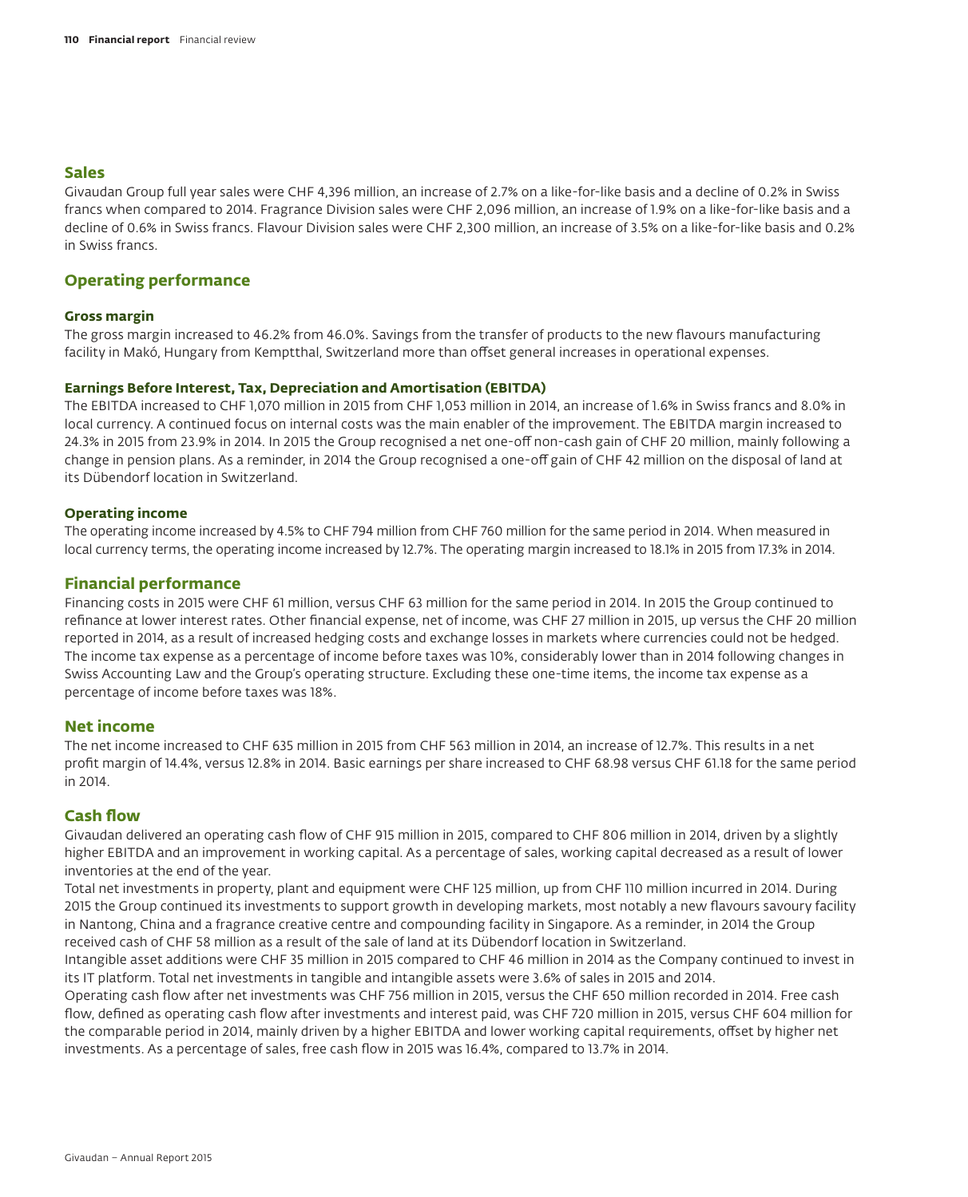#### **Sales**

Givaudan Group full year sales were CHF 4,396 million, an increase of 2.7% on a like-for-like basis and a decline of 0.2% in Swiss francs when compared to 2014. Fragrance Division sales were CHF 2,096 million, an increase of 1.9% on a like-for-like basis and a decline of 0.6% in Swiss francs. Flavour Division sales were CHF 2,300 million, an increase of 3.5% on a like-for-like basis and 0.2% in Swiss francs.

## **Operating performance**

#### **Gross margin**

The gross margin increased to 46.2% from 46.0%. Savings from the transfer of products to the new flavours manufacturing facility in Makó, Hungary from Kemptthal, Switzerland more than offset general increases in operational expenses.

#### **Earnings Before Interest, Tax, Depreciation and Amortisation (EBITDA)**

The EBITDA increased to CHF 1,070 million in 2015 from CHF 1,053 million in 2014, an increase of 1.6% in Swiss francs and 8.0% in local currency. A continued focus on internal costs was the main enabler of the improvement. The EBITDA margin increased to 24.3% in 2015 from 23.9% in 2014. In 2015 the Group recognised a net one-off non-cash gain of CHF 20 million, mainly following a change in pension plans. As a reminder, in 2014 the Group recognised a one-off gain of CHF 42 million on the disposal of land at its Dübendorf location in Switzerland.

#### **Operating income**

The operating income increased by 4.5% to CHF 794 million from CHF 760 million for the same period in 2014. When measured in local currency terms, the operating income increased by 12.7%. The operating margin increased to 18.1% in 2015 from 17.3% in 2014.

#### **Financial performance**

Financing costs in 2015 were CHF 61 million, versus CHF 63 million for the same period in 2014. In 2015 the Group continued to refinance at lower interest rates. Other financial expense, net of income, was CHF 27 million in 2015, up versus the CHF 20 million reported in 2014, as a result of increased hedging costs and exchange losses in markets where currencies could not be hedged. The income tax expense as a percentage of income before taxes was 10%, considerably lower than in 2014 following changes in Swiss Accounting Law and the Group's operating structure. Excluding these one-time items, the income tax expense as a percentage of income before taxes was 18%.

#### **Net income**

The net income increased to CHF 635 million in 2015 from CHF 563 million in 2014, an increase of 12.7%. This results in a net profit margin of 14.4%, versus 12.8% in 2014. Basic earnings per share increased to CHF 68.98 versus CHF 61.18 for the same period in 2014.

#### **Cash flow**

Givaudan delivered an operating cash flow of CHF 915 million in 2015, compared to CHF 806 million in 2014, driven by a slightly higher EBITDA and an improvement in working capital. As a percentage of sales, working capital decreased as a result of lower inventories at the end of the year.

Total net investments in property, plant and equipment were CHF 125 million, up from CHF 110 million incurred in 2014. During 2015 the Group continued its investments to support growth in developing markets, most notably a new flavours savoury facility in Nantong, China and a fragrance creative centre and compounding facility in Singapore. As a reminder, in 2014 the Group received cash of CHF 58 million as a result of the sale of land at its Dübendorf location in Switzerland.

Intangible asset additions were CHF 35 million in 2015 compared to CHF 46 million in 2014 as the Company continued to invest in its IT platform. Total net investments in tangible and intangible assets were 3.6% of sales in 2015 and 2014.

Operating cash flow after net investments was CHF 756 million in 2015, versus the CHF 650 million recorded in 2014. Free cash flow, defined as operating cash flow after investments and interest paid, was CHF 720 million in 2015, versus CHF 604 million for the comparable period in 2014, mainly driven by a higher EBITDA and lower working capital requirements, offset by higher net investments. As a percentage of sales, free cash flow in 2015 was 16.4%, compared to 13.7% in 2014.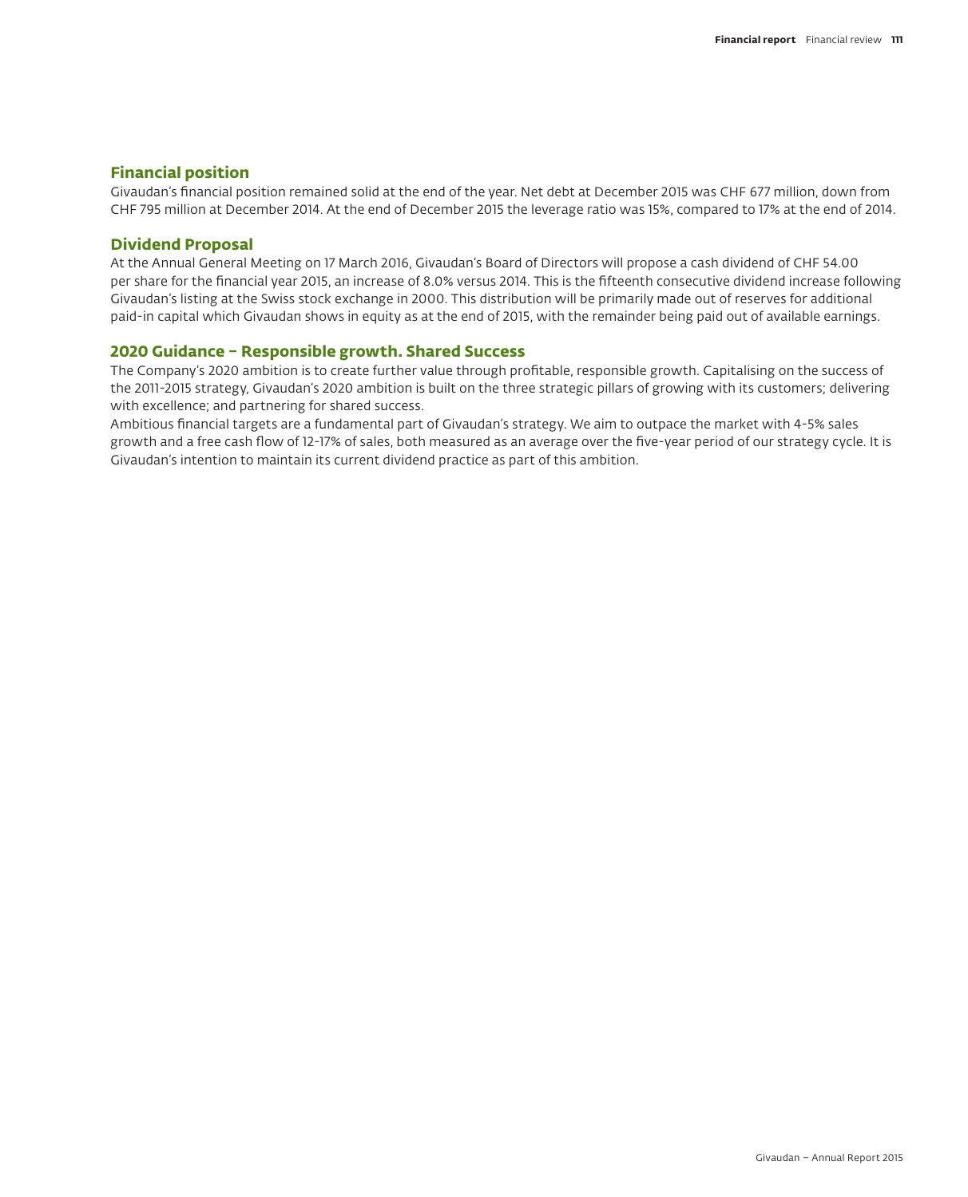#### **Financial position**

Givaudan's financial position remained solid at the end of the year. Net debt at December 2015 was CHF 677 million, down from CHF 795 million at December 2014. At the end of December 2015 the leverage ratio was 15%, compared to 17% at the end of 2014.

#### **Dividend Proposal**

At the Annual General Meeting on 17 March 2016, Givaudan's Board of Directors will propose a cash dividend of CHF 54.00 per share for the financial year 2015, an increase of 8.0% versus 2014. This is the fifteenth consecutive dividend increase following Givaudan's listing at the Swiss stock exchange in 2000. This distribution will be primarily made out of reserves for additional paid-in capital which Givaudan shows in equity as at the end of 2015, with the remainder being paid out of available earnings.

#### **2020 Guidance – Responsible growth. Shared Success**

The Company's 2020 ambition is to create further value through profitable, responsible growth. Capitalising on the success of the 2011-2015 strategy, Givaudan's 2020 ambition is built on the three strategic pillars of growing with its customers; delivering with excellence; and partnering for shared success.

Ambitious financial targets are a fundamental part of Givaudan's strategy. We aim to outpace the market with 4-5% sales growth and a free cash flow of 12-17% of sales, both measured as an average over the five-year period of our strategy cycle. It is Givaudan's intention to maintain its current dividend practice as part of this ambition.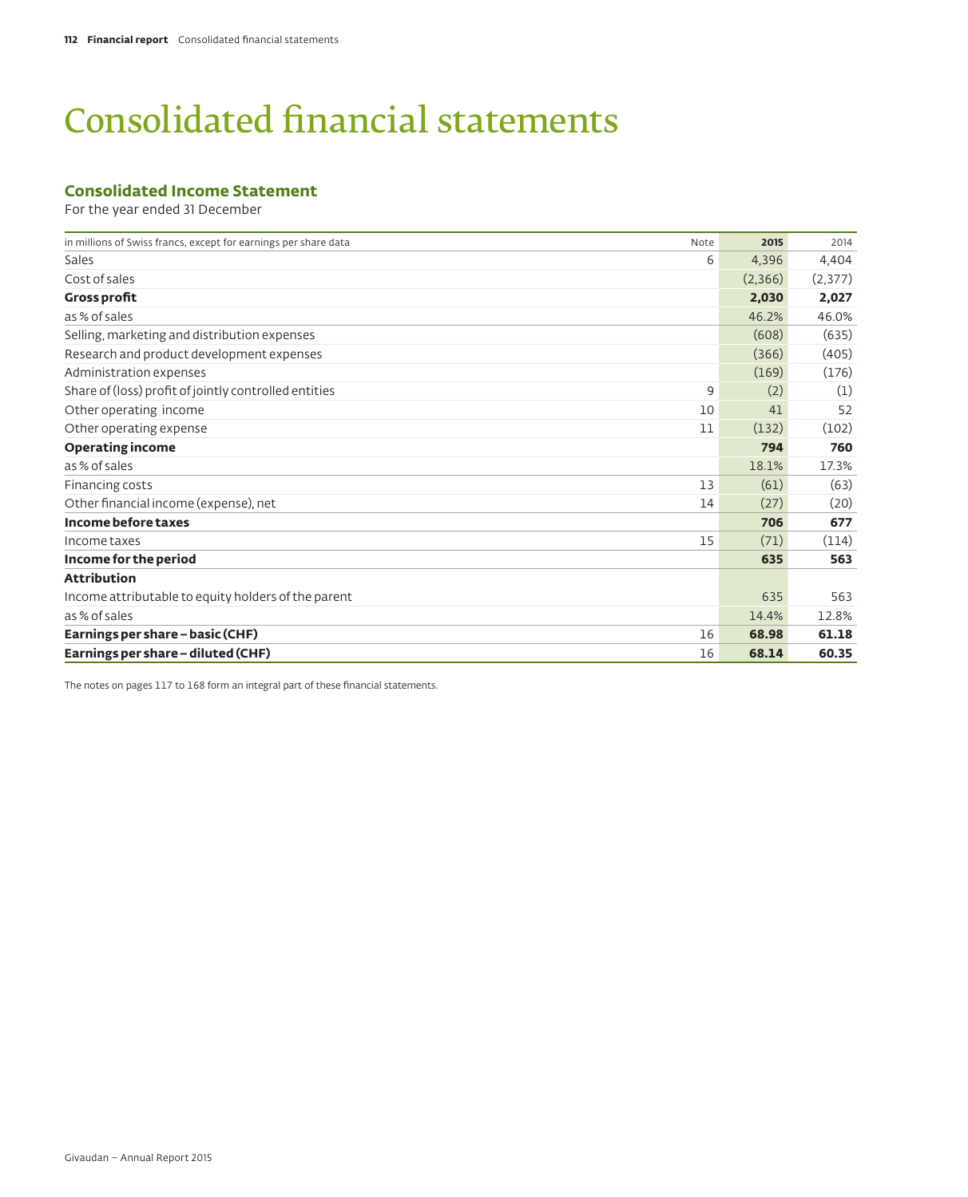# Consolidated financial statements

## **Consolidated Income Statement**

For the year ended 31 December

| in millions of Swiss francs, except for earnings per share data | Note | 2015    | 2014     |
|-----------------------------------------------------------------|------|---------|----------|
| Sales                                                           | 6    | 4,396   | 4,404    |
| Cost of sales                                                   |      | (2,366) | (2, 377) |
| <b>Gross profit</b>                                             |      | 2,030   | 2,027    |
| as % of sales                                                   |      | 46.2%   | 46.0%    |
| Selling, marketing and distribution expenses                    |      | (608)   | (635)    |
| Research and product development expenses                       |      | (366)   | (405)    |
| Administration expenses                                         |      | (169)   | (176)    |
| Share of (loss) profit of jointly controlled entities           | 9    | (2)     | (1)      |
| Other operating income                                          | 10   | 41      | 52       |
| Other operating expense                                         | 11   | (132)   | (102)    |
| <b>Operating income</b>                                         |      | 794     | 760      |
| as % of sales                                                   |      | 18.1%   | 17.3%    |
| Financing costs                                                 | 13   | (61)    | (63)     |
| Other financial income (expense), net                           | 14   | (27)    | (20)     |
| Income before taxes                                             |      | 706     | 677      |
| Income taxes                                                    | 15   | (71)    | (114)    |
| Income for the period                                           |      | 635     | 563      |
| <b>Attribution</b>                                              |      |         |          |
| Income attributable to equity holders of the parent             |      | 635     | 563      |
| as % of sales                                                   |      | 14.4%   | 12.8%    |
| Earnings per share - basic (CHF)                                | 16   | 68.98   | 61.18    |
| Earnings per share - diluted (CHF)                              | 16   | 68.14   | 60.35    |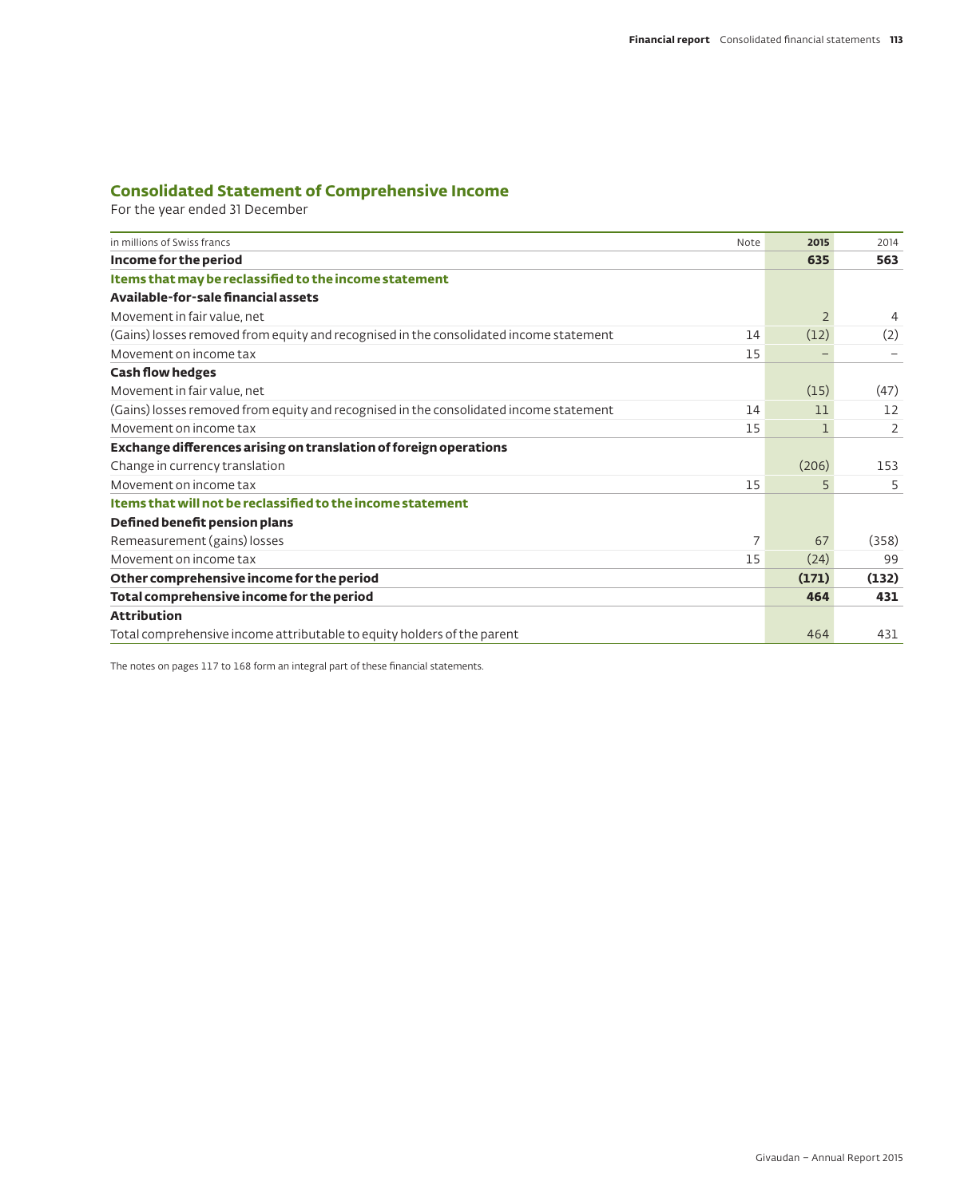# **Consolidated Statement of Comprehensive Income**

For the year ended 31 December

| in millions of Swiss francs                                                            | Note | 2015           | 2014  |
|----------------------------------------------------------------------------------------|------|----------------|-------|
| Income for the period                                                                  |      | 635            | 563   |
| Items that may be reclassified to the income statement                                 |      |                |       |
| Available-for-sale financial assets                                                    |      |                |       |
| Movement in fair value, net                                                            |      | $\overline{2}$ | 4     |
| (Gains) losses removed from equity and recognised in the consolidated income statement | 14   | (12)           | (2)   |
| Movement on income tax                                                                 | 15   |                |       |
| <b>Cash flow hedges</b>                                                                |      |                |       |
| Movement in fair value, net                                                            |      | (15)           | (47)  |
| (Gains) losses removed from equity and recognised in the consolidated income statement | 14   | 11             | 12    |
| Movement on income tax                                                                 | 15   | 1              | 2     |
| Exchange differences arising on translation of foreign operations                      |      |                |       |
| Change in currency translation                                                         |      | (206)          | 153   |
| Movement on income tax                                                                 | 15   | 5              |       |
| Items that will not be reclassified to the income statement                            |      |                |       |
| Defined benefit pension plans                                                          |      |                |       |
| Remeasurement (gains) losses                                                           | 7    | 67             | (358) |
| Movement on income tax                                                                 | 15   | (24)           | 99    |
| Other comprehensive income for the period                                              |      | (171)          | (132) |
| Total comprehensive income for the period                                              |      | 464            | 431   |
| <b>Attribution</b>                                                                     |      |                |       |
| Total comprehensive income attributable to equity holders of the parent                |      | 464            | 431   |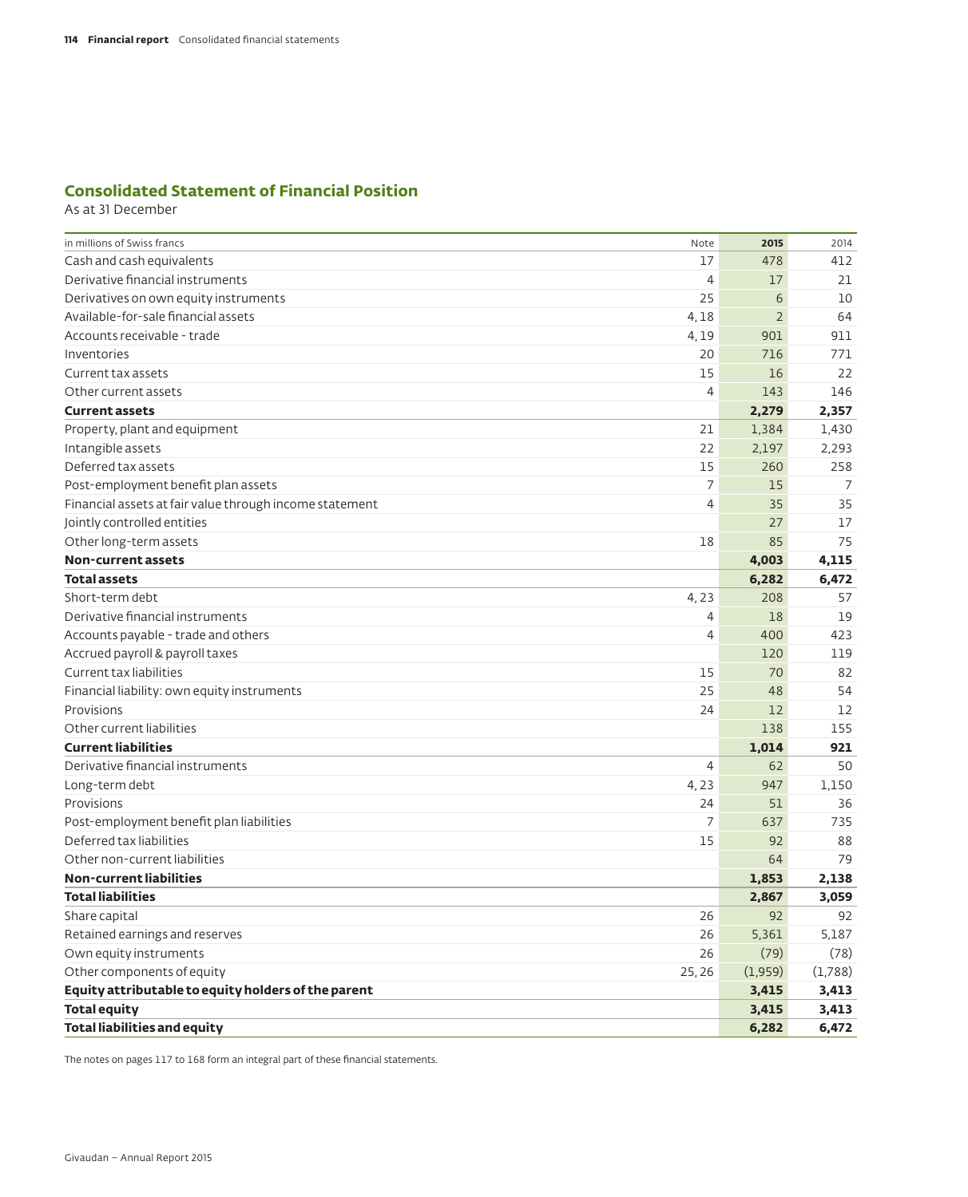# **Consolidated Statement of Financial Position**

As at 31 December

| in millions of Swiss francs<br>Note                          | 2015           | 2014    |
|--------------------------------------------------------------|----------------|---------|
| 17<br>Cash and cash equivalents                              | 478            | 412     |
| Derivative financial instruments<br>4                        | 17             | 21      |
| Derivatives on own equity instruments<br>25                  | 6              | 10      |
| Available-for-sale financial assets<br>4,18                  | $\overline{2}$ | 64      |
| Accounts receivable - trade<br>4,19                          | 901            | 911     |
| 20<br>Inventories                                            | 716            | 771     |
| 15<br>Current tax assets                                     | 16             | 22      |
| $\overline{4}$<br>Other current assets                       | 143            | 146     |
| <b>Current assets</b>                                        | 2,279          | 2,357   |
| 21<br>Property, plant and equipment                          | 1,384          | 1,430   |
| 22<br>Intangible assets                                      | 2,197          | 2,293   |
| Deferred tax assets<br>15                                    | 260            | 258     |
| $\overline{7}$<br>Post-employment benefit plan assets        | 15             | 7       |
| Financial assets at fair value through income statement<br>4 | 35             | 35      |
| Jointly controlled entities                                  | 27             | 17      |
| 18<br>Other long-term assets                                 | 85             | 75      |
| <b>Non-current assets</b>                                    | 4,003          | 4,115   |
| <b>Total assets</b>                                          | 6,282          | 6,472   |
| Short-term debt<br>4,23                                      | 208            | 57      |
| Derivative financial instruments<br>4                        | 18             | 19      |
| 4<br>Accounts payable - trade and others                     | 400            | 423     |
| Accrued payroll & payroll taxes                              | 120            | 119     |
| Current tax liabilities<br>15                                | 70             | 82      |
| 25<br>Financial liability: own equity instruments            | 48             | 54      |
| 24<br>Provisions                                             | 12             | 12      |
| Other current liabilities                                    | 138            | 155     |
| <b>Current liabilities</b>                                   | 1,014          | 921     |
| Derivative financial instruments<br>$\overline{4}$           | 62             | 50      |
| Long-term debt<br>4,23                                       | 947            | 1,150   |
| Provisions<br>24                                             | 51             | 36      |
| $\overline{7}$<br>Post-employment benefit plan liabilities   | 637            | 735     |
| Deferred tax liabilities<br>15                               | 92             | 88      |
| Other non-current liabilities                                | 64             | 79      |
| <b>Non-current liabilities</b>                               | 1,853          | 2,138   |
| <b>Total liabilities</b>                                     | 2,867          | 3,059   |
| 26<br>Share capital                                          | 92             | 92      |
| 26<br>Retained earnings and reserves                         | 5,361          | 5,187   |
| 26<br>Own equity instruments                                 | (79)           | (78)    |
| 25, 26<br>Other components of equity                         | (1,959)        | (1,788) |
| Equity attributable to equity holders of the parent          | 3,415          | 3,413   |
| <b>Total equity</b>                                          | 3,415          | 3,413   |
| <b>Total liabilities and equity</b>                          | 6,282          | 6,472   |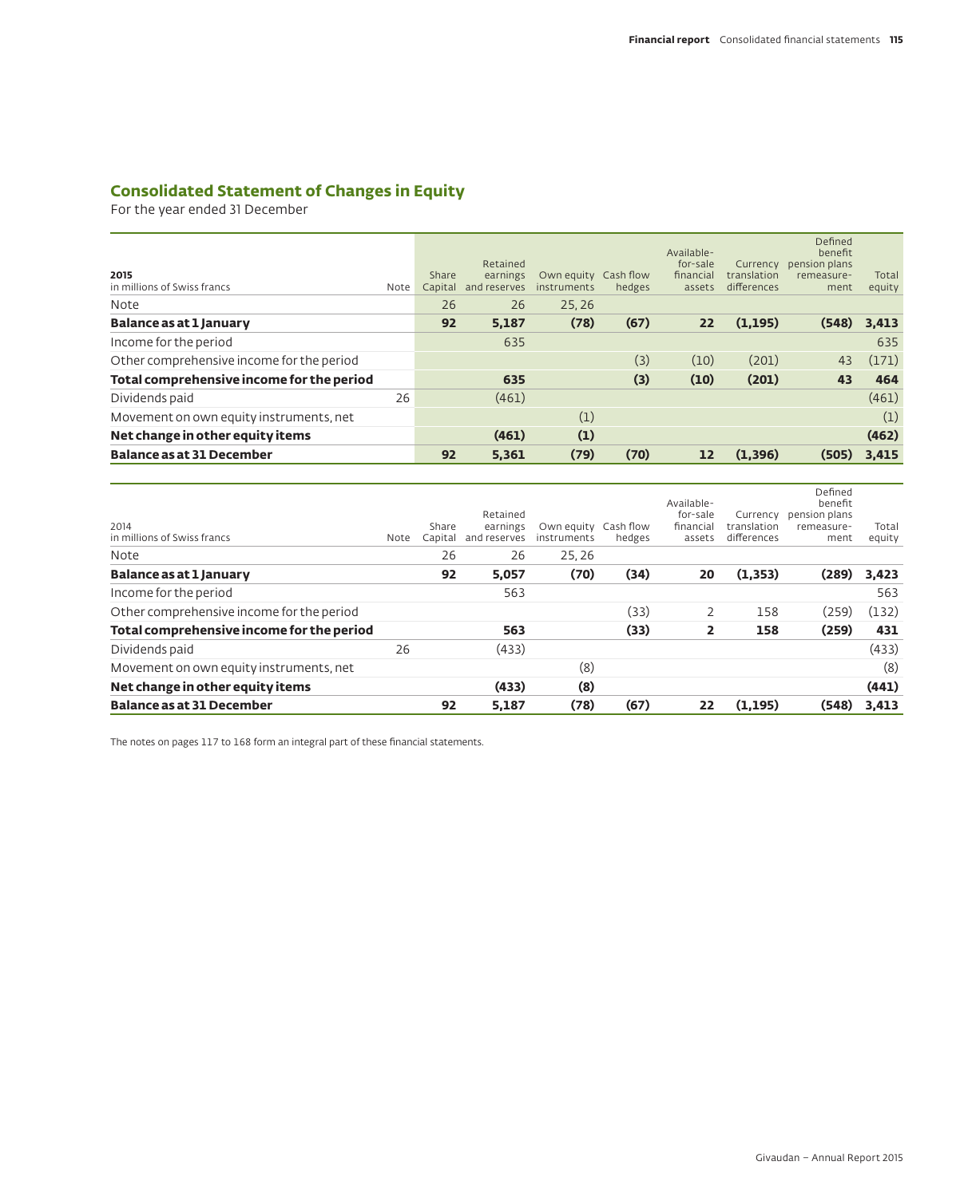# **Consolidated Statement of Changes in Equity**

For the year ended 31 December

| 2015<br>in millions of Swiss francs       | Note | Share<br>Capital | Retained<br>earnings<br>and reserves | Own equity<br>instruments | Cash flow<br>hedges | Available-<br>for-sale<br>financial<br>assets | Currency<br>translation<br>differences | Defined<br>benefit<br>pension plans<br>remeasure-<br>ment | Total<br>equity |
|-------------------------------------------|------|------------------|--------------------------------------|---------------------------|---------------------|-----------------------------------------------|----------------------------------------|-----------------------------------------------------------|-----------------|
| Note                                      |      | 26               | 26                                   | 25, 26                    |                     |                                               |                                        |                                                           |                 |
| Balance as at 1 January                   |      | 92               | 5,187                                | (78)                      | (67)                | 22                                            | (1, 195)                               | (548)                                                     | 3,413           |
| Income for the period                     |      |                  | 635                                  |                           |                     |                                               |                                        |                                                           | 635             |
| Other comprehensive income for the period |      |                  |                                      |                           | (3)                 | (10)                                          | (201)                                  | 43                                                        | (171)           |
| Total comprehensive income for the period |      |                  | 635                                  |                           | (3)                 | (10)                                          | (201)                                  | 43                                                        | 464             |
| Dividends paid                            | 26   |                  | (461)                                |                           |                     |                                               |                                        |                                                           | (461)           |
| Movement on own equity instruments, net   |      |                  |                                      | (1)                       |                     |                                               |                                        |                                                           | (1)             |
| Net change in other equity items          |      |                  | (461)                                | (1)                       |                     |                                               |                                        |                                                           | (462)           |
| <b>Balance as at 31 December</b>          |      | 92               | 5.361                                | (79)                      | (70)                | 12                                            | (1.396)                                | (505)                                                     | 3.415           |

| <b>Balance as at 31 December</b>          |      | 92               | 5.187                                | (78)                      | (67)                | 22                                            | (1, 195)                               | (548)                                                     | 3.413           |
|-------------------------------------------|------|------------------|--------------------------------------|---------------------------|---------------------|-----------------------------------------------|----------------------------------------|-----------------------------------------------------------|-----------------|
| Net change in other equity items          |      |                  | (433)                                | (8)                       |                     |                                               |                                        |                                                           | (441)           |
| Movement on own equity instruments, net   |      |                  |                                      | (8)                       |                     |                                               |                                        |                                                           | (8)             |
| Dividends paid                            | 26   |                  | (433)                                |                           |                     |                                               |                                        |                                                           | (433)           |
| Total comprehensive income for the period |      |                  | 563                                  |                           | (33)                | $\overline{\mathbf{z}}$                       | 158                                    | (259)                                                     | 431             |
| Other comprehensive income for the period |      |                  |                                      |                           | (33)                | $\overline{2}$                                | 158                                    | (259)                                                     | (132)           |
| Income for the period                     |      |                  | 563                                  |                           |                     |                                               |                                        |                                                           | 563             |
| Balance as at 1 January                   |      | 92               | 5,057                                | (70)                      | (34)                | 20                                            | (1, 353)                               | (289)                                                     | 3.423           |
| Note                                      |      | 26               | 26                                   | 25, 26                    |                     |                                               |                                        |                                                           |                 |
| 2014<br>in millions of Swiss francs       | Note | Share<br>Capital | Retained<br>earnings<br>and reserves | Own equity<br>instruments | Cash flow<br>hedges | Available-<br>for-sale<br>financial<br>assets | Currency<br>translation<br>differences | Defined<br>benefit<br>pension plans<br>remeasure-<br>ment | Total<br>equity |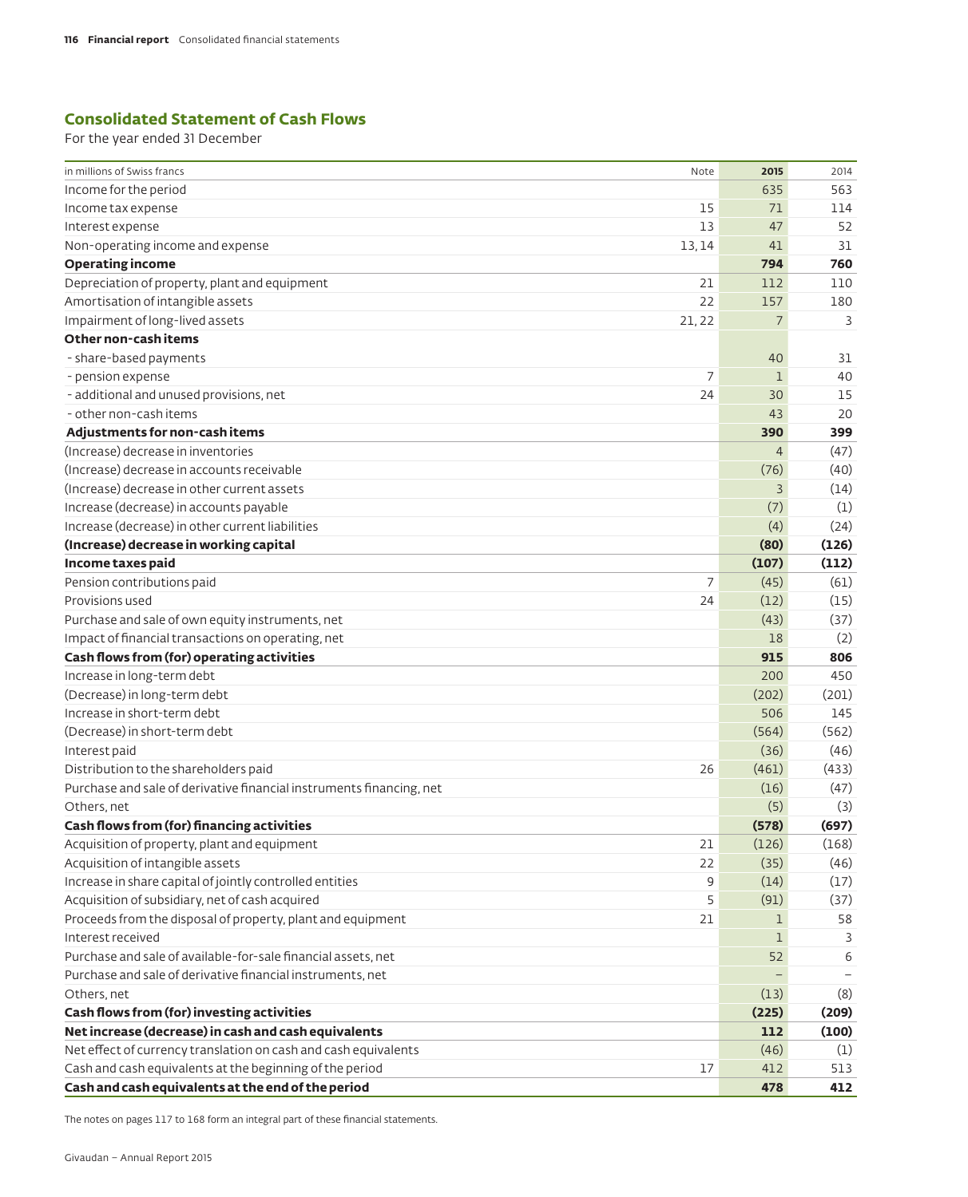# **Consolidated Statement of Cash Flows**

For the year ended 31 December

| in millions of Swiss francs<br>Note                                  | 2015              | 2014  |
|----------------------------------------------------------------------|-------------------|-------|
| Income for the period                                                | 635               | 563   |
| 15<br>Income tax expense                                             | 71                | 114   |
| 13<br>Interest expense                                               | 47                | 52    |
| 13,14<br>Non-operating income and expense                            | 41                | 31    |
| <b>Operating income</b>                                              | 794               | 760   |
| Depreciation of property, plant and equipment<br>21                  | 112               | 110   |
| Amortisation of intangible assets<br>22                              | 157               | 180   |
| Impairment of long-lived assets<br>21,22                             | $\overline{7}$    | 3     |
| Other non-cash items                                                 |                   |       |
| - share-based payments                                               | 40                | 31    |
| 7<br>- pension expense                                               | 1                 | 40    |
| - additional and unused provisions, net<br>24                        | 30                | 15    |
| - other non-cash items                                               | 43                | 20    |
| Adjustments for non-cash items                                       | 390               | 399   |
| (Increase) decrease in inventories                                   | $\overline{4}$    | (47)  |
| (Increase) decrease in accounts receivable                           | (76)              | (40)  |
| (Increase) decrease in other current assets                          | 3                 | (14)  |
| Increase (decrease) in accounts payable                              | (7)               | (1)   |
| Increase (decrease) in other current liabilities                     | (4)               | (24)  |
| (Increase) decrease in working capital                               | (80)              | (126) |
| Income taxes paid                                                    | (107)             | (112) |
| Pension contributions paid<br>7                                      | (45)              | (61)  |
| Provisions used<br>24                                                | (12)              | (15)  |
| Purchase and sale of own equity instruments, net                     | (43)              | (37)  |
| Impact of financial transactions on operating, net                   | 18                | (2)   |
| Cash flows from (for) operating activities                           | 915               | 806   |
| Increase in long-term debt                                           | 200               | 450   |
| (Decrease) in long-term debt                                         | (202)             | (201) |
| Increase in short-term debt                                          | 506               | 145   |
| (Decrease) in short-term debt                                        | (564)             | (562) |
| Interest paid                                                        | (36)              | (46)  |
| Distribution to the shareholders paid<br>26                          | (461)             | (433) |
| Purchase and sale of derivative financial instruments financing, net | (16)              | (47)  |
| Others, net                                                          | (5)               | (3)   |
| Cash flows from (for) financing activities                           | (578)             | (697) |
| Acquisition of property, plant and equipment<br>21                   | (126)             | (168) |
| Acquisition of intangible assets<br>22                               | (35)              | (46)  |
| 9<br>Increase in share capital of jointly controlled entities        | (14)              | (17)  |
| 5<br>Acquisition of subsidiary, net of cash acquired                 | (91)              | (37)  |
| Proceeds from the disposal of property, plant and equipment<br>21    | 1                 | 58    |
| Interest received                                                    | $\mathbf 1$       | 3     |
| Purchase and sale of available-for-sale financial assets, net        | 52                | 6     |
| Purchase and sale of derivative financial instruments, net           | $\qquad \qquad -$ |       |
| Others, net                                                          | (13)              | (8)   |
| Cash flows from (for) investing activities                           | (225)             | (209) |
| Net increase (decrease) in cash and cash equivalents                 | 112               | (100) |
| Net effect of currency translation on cash and cash equivalents      | (46)              | (1)   |
| Cash and cash equivalents at the beginning of the period<br>17       | 412               | 513   |
| Cash and cash equivalents at the end of the period                   | 478               | 412   |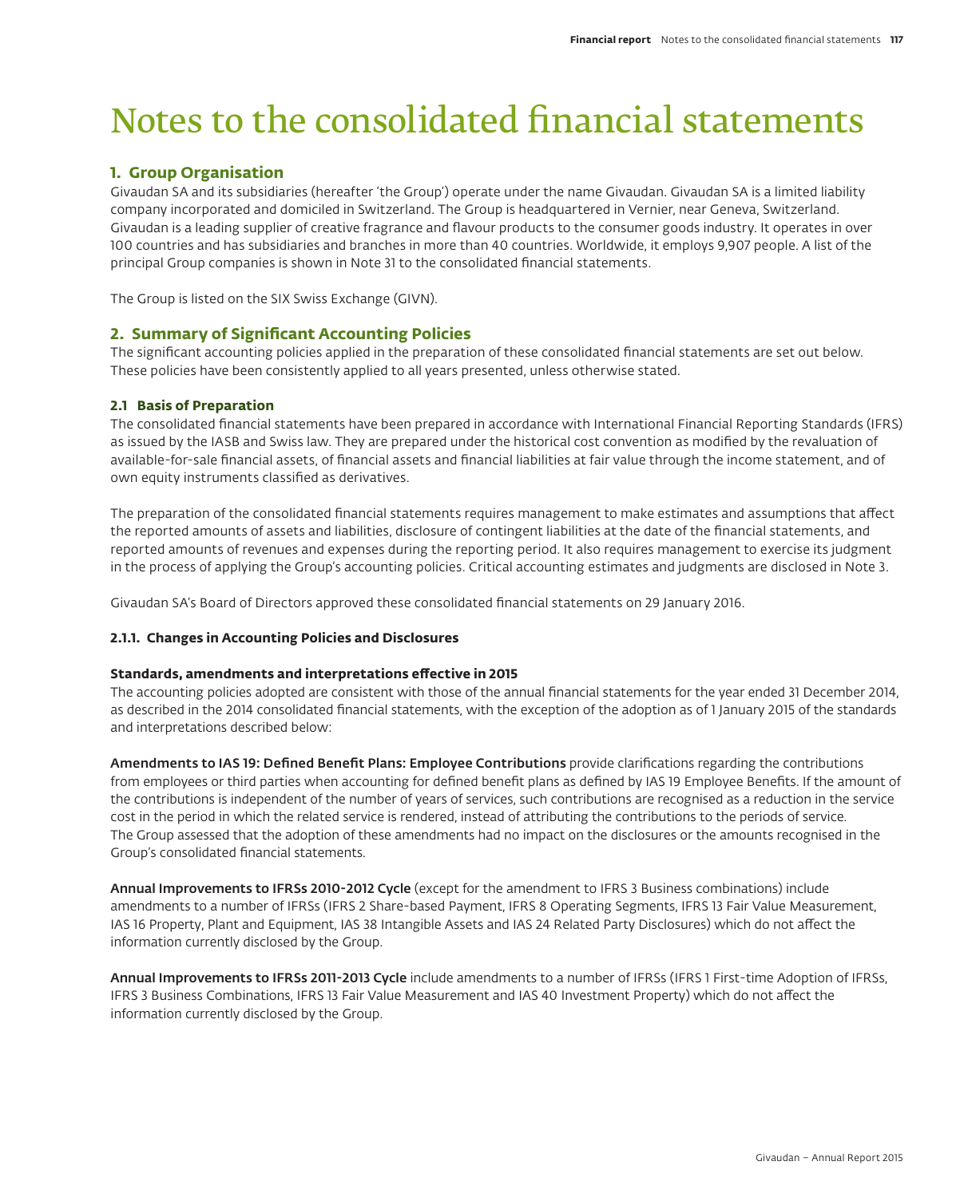# Notes to the consolidated financial statements

#### **1. Group Organisation**

Givaudan SA and its subsidiaries (hereafter 'the Group') operate under the name Givaudan. Givaudan SA is a limited liability company incorporated and domiciled in Switzerland. The Group is headquartered in Vernier, near Geneva, Switzerland. Givaudan is a leading supplier of creative fragrance and flavour products to the consumer goods industry. It operates in over 100 countries and has subsidiaries and branches in more than 40 countries. Worldwide, it employs 9,907 people. A list of the principal Group companies is shown in Note 31 to the consolidated financial statements.

The Group is listed on the SIX Swiss Exchange (GIVN).

#### **2. Summary of Significant Accounting Policies**

The significant accounting policies applied in the preparation of these consolidated financial statements are set out below. These policies have been consistently applied to all years presented, unless otherwise stated.

#### **2.1 Basis of Preparation**

The consolidated financial statements have been prepared in accordance with International Financial Reporting Standards (IFRS) as issued by the IASB and Swiss law. They are prepared under the historical cost convention as modified by the revaluation of available-for-sale financial assets, of financial assets and financial liabilities at fair value through the income statement, and of own equity instruments classified as derivatives.

The preparation of the consolidated financial statements requires management to make estimates and assumptions that affect the reported amounts of assets and liabilities, disclosure of contingent liabilities at the date of the financial statements, and reported amounts of revenues and expenses during the reporting period. It also requires management to exercise its judgment in the process of applying the Group's accounting policies. Critical accounting estimates and judgments are disclosed in Note 3.

Givaudan SA's Board of Directors approved these consolidated financial statements on 29 January 2016.

#### **2.1.1. Changes in Accounting Policies and Disclosures**

#### **Standards, amendments and interpretations effective in 2015**

The accounting policies adopted are consistent with those of the annual financial statements for the year ended 31 December 2014, as described in the 2014 consolidated financial statements, with the exception of the adoption as of 1 January 2015 of the standards and interpretations described below:

Amendments to IAS 19: Defined Benefit Plans: Employee Contributions provide clarifications regarding the contributions from employees or third parties when accounting for defined benefit plans as defined by IAS 19 Employee Benefits. If the amount of the contributions is independent of the number of years of services, such contributions are recognised as a reduction in the service cost in the period in which the related service is rendered, instead of attributing the contributions to the periods of service. The Group assessed that the adoption of these amendments had no impact on the disclosures or the amounts recognised in the Group's consolidated financial statements.

Annual Improvements to IFRSs 2010-2012 Cycle (except for the amendment to IFRS 3 Business combinations) include amendments to a number of IFRSs (IFRS 2 Share-based Payment, IFRS 8 Operating Segments, IFRS 13 Fair Value Measurement, IAS 16 Property, Plant and Equipment, IAS 38 Intangible Assets and IAS 24 Related Party Disclosures) which do not affect the information currently disclosed by the Group.

Annual Improvements to IFRSs 2011-2013 Cycle include amendments to a number of IFRSs (IFRS 1 First-time Adoption of IFRSs, IFRS 3 Business Combinations, IFRS 13 Fair Value Measurement and IAS 40 Investment Property) which do not affect the information currently disclosed by the Group.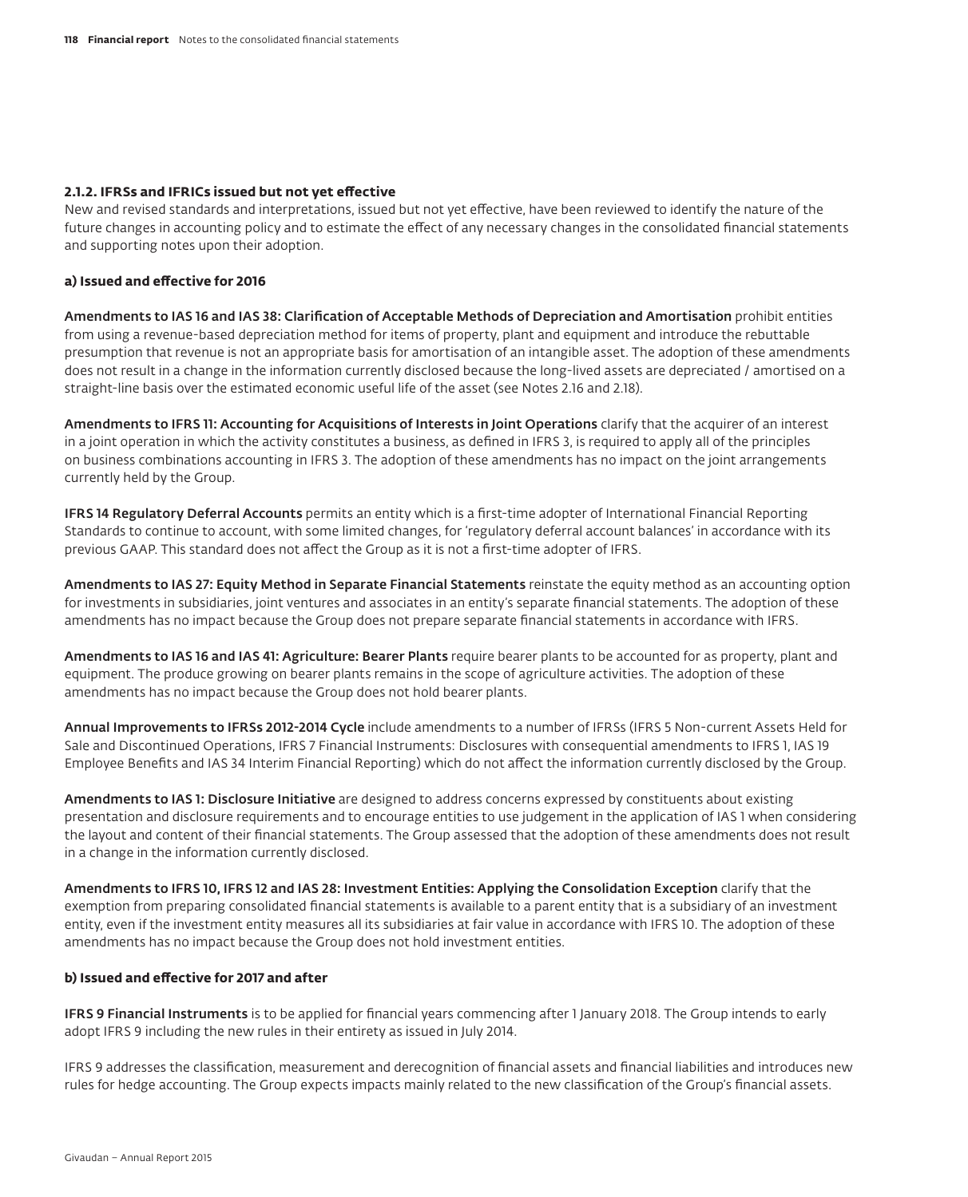#### **2.1.2. IFRSs and IFRICs issued but not yet effective**

New and revised standards and interpretations, issued but not yet effective, have been reviewed to identify the nature of the future changes in accounting policy and to estimate the effect of any necessary changes in the consolidated financial statements and supporting notes upon their adoption.

#### **a) Issued and effective for 2016**

Amendments to IAS 16 and IAS 38: Clarification of Acceptable Methods of Depreciation and Amortisation prohibit entities from using a revenue-based depreciation method for items of property, plant and equipment and introduce the rebuttable presumption that revenue is not an appropriate basis for amortisation of an intangible asset. The adoption of these amendments does not result in a change in the information currently disclosed because the long-lived assets are depreciated / amortised on a straight-line basis over the estimated economic useful life of the asset (see Notes 2.16 and 2.18).

Amendments to IFRS 11: Accounting for Acquisitions of Interests in Joint Operations clarify that the acquirer of an interest in a joint operation in which the activity constitutes a business, as defined in IFRS 3, is required to apply all of the principles on business combinations accounting in IFRS 3. The adoption of these amendments has no impact on the joint arrangements currently held by the Group.

IFRS 14 Regulatory Deferral Accounts permits an entity which is a first-time adopter of International Financial Reporting Standards to continue to account, with some limited changes, for 'regulatory deferral account balances' in accordance with its previous GAAP. This standard does not affect the Group as it is not a first-time adopter of IFRS.

Amendments to IAS 27: Equity Method in Separate Financial Statements reinstate the equity method as an accounting option for investments in subsidiaries, joint ventures and associates in an entity's separate financial statements. The adoption of these amendments has no impact because the Group does not prepare separate financial statements in accordance with IFRS.

Amendments to IAS 16 and IAS 41: Agriculture: Bearer Plants require bearer plants to be accounted for as property, plant and equipment. The produce growing on bearer plants remains in the scope of agriculture activities. The adoption of these amendments has no impact because the Group does not hold bearer plants.

Annual Improvements to IFRSs 2012-2014 Cycle include amendments to a number of IFRSs (IFRS 5 Non-current Assets Held for Sale and Discontinued Operations, IFRS 7 Financial Instruments: Disclosures with consequential amendments to IFRS 1, IAS 19 Employee Benefits and IAS 34 Interim Financial Reporting) which do not affect the information currently disclosed by the Group.

Amendments to IAS 1: Disclosure Initiative are designed to address concerns expressed by constituents about existing presentation and disclosure requirements and to encourage entities to use judgement in the application of IAS 1 when considering the layout and content of their financial statements. The Group assessed that the adoption of these amendments does not result in a change in the information currently disclosed.

Amendments to IFRS 10, IFRS 12 and IAS 28: Investment Entities: Applying the Consolidation Exception clarify that the exemption from preparing consolidated financial statements is available to a parent entity that is a subsidiary of an investment entity, even if the investment entity measures all its subsidiaries at fair value in accordance with IFRS 10. The adoption of these amendments has no impact because the Group does not hold investment entities.

#### **b) Issued and effective for 2017 and after**

IFRS 9 Financial Instruments is to be applied for financial years commencing after 1 January 2018. The Group intends to early adopt IFRS 9 including the new rules in their entirety as issued in July 2014.

IFRS 9 addresses the classification, measurement and derecognition of financial assets and financial liabilities and introduces new rules for hedge accounting. The Group expects impacts mainly related to the new classification of the Group's financial assets.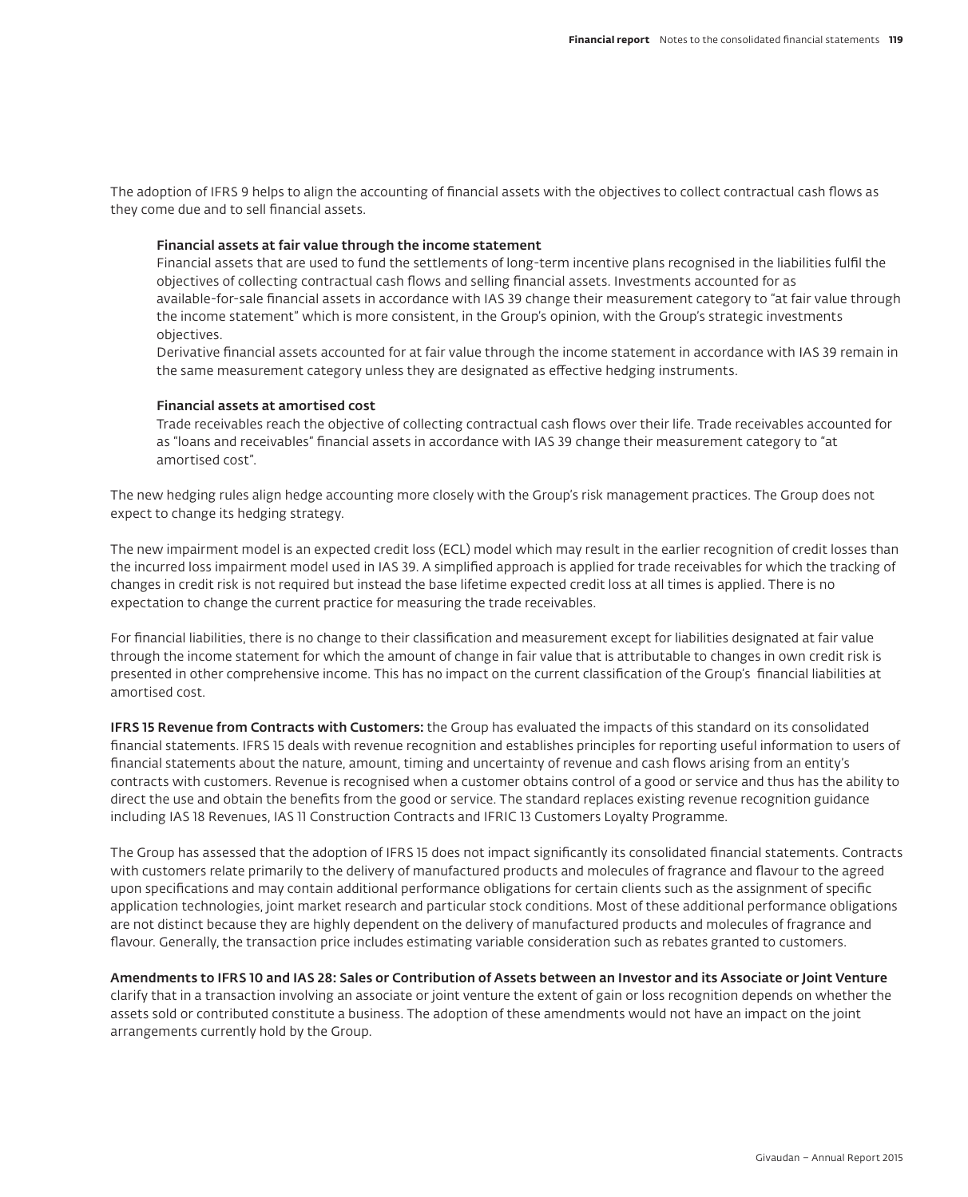The adoption of IFRS 9 helps to align the accounting of financial assets with the objectives to collect contractual cash flows as they come due and to sell financial assets.

#### Financial assets at fair value through the income statement

Financial assets that are used to fund the settlements of long-term incentive plans recognised in the liabilities fulfil the objectives of collecting contractual cash flows and selling financial assets. Investments accounted for as available-for-sale financial assets in accordance with IAS 39 change their measurement category to "at fair value through the income statement" which is more consistent, in the Group's opinion, with the Group's strategic investments objectives.

Derivative financial assets accounted for at fair value through the income statement in accordance with IAS 39 remain in the same measurement category unless they are designated as effective hedging instruments.

#### Financial assets at amortised cost

Trade receivables reach the objective of collecting contractual cash flows over their life. Trade receivables accounted for as "loans and receivables" financial assets in accordance with IAS 39 change their measurement category to "at amortised cost".

The new hedging rules align hedge accounting more closely with the Group's risk management practices. The Group does not expect to change its hedging strategy.

The new impairment model is an expected credit loss (ECL) model which may result in the earlier recognition of credit losses than the incurred loss impairment model used in IAS 39. A simplified approach is applied for trade receivables for which the tracking of changes in credit risk is not required but instead the base lifetime expected credit loss at all times is applied. There is no expectation to change the current practice for measuring the trade receivables.

For financial liabilities, there is no change to their classification and measurement except for liabilities designated at fair value through the income statement for which the amount of change in fair value that is attributable to changes in own credit risk is presented in other comprehensive income. This has no impact on the current classification of the Group's financial liabilities at amortised cost.

IFRS 15 Revenue from Contracts with Customers: the Group has evaluated the impacts of this standard on its consolidated financial statements. IFRS 15 deals with revenue recognition and establishes principles for reporting useful information to users of financial statements about the nature, amount, timing and uncertainty of revenue and cash flows arising from an entity's contracts with customers. Revenue is recognised when a customer obtains control of a good or service and thus has the ability to direct the use and obtain the benefits from the good or service. The standard replaces existing revenue recognition guidance including IAS 18 Revenues, IAS 11 Construction Contracts and IFRIC 13 Customers Loyalty Programme.

The Group has assessed that the adoption of IFRS 15 does not impact significantly its consolidated financial statements. Contracts with customers relate primarily to the delivery of manufactured products and molecules of fragrance and flavour to the agreed upon specifications and may contain additional performance obligations for certain clients such as the assignment of specific application technologies, joint market research and particular stock conditions. Most of these additional performance obligations are not distinct because they are highly dependent on the delivery of manufactured products and molecules of fragrance and flavour. Generally, the transaction price includes estimating variable consideration such as rebates granted to customers.

Amendments to IFRS 10 and IAS 28: Sales or Contribution of Assets between an Investor and its Associate or Joint Venture clarify that in a transaction involving an associate or joint venture the extent of gain or loss recognition depends on whether the assets sold or contributed constitute a business. The adoption of these amendments would not have an impact on the joint arrangements currently hold by the Group.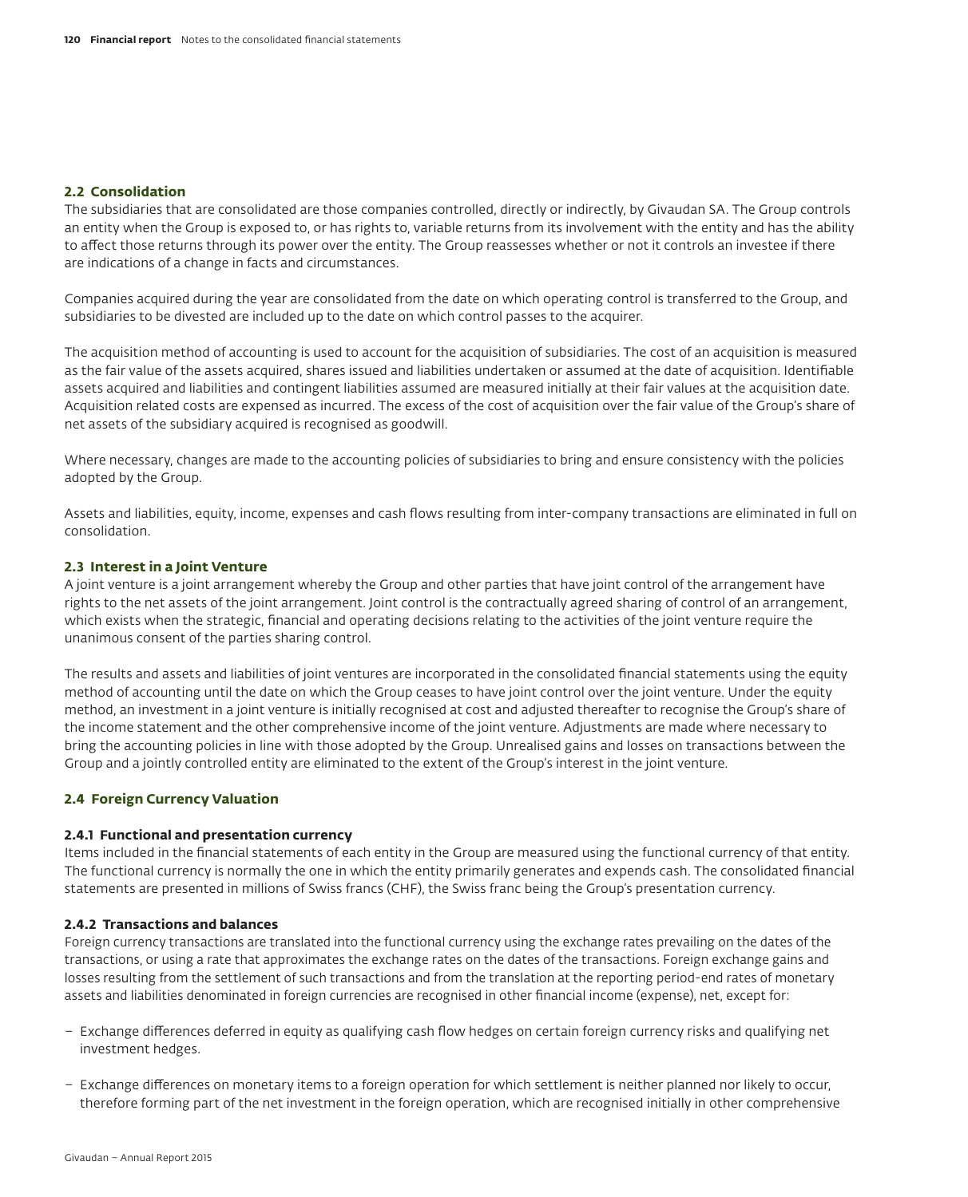#### **2.2 Consolidation**

The subsidiaries that are consolidated are those companies controlled, directly or indirectly, by Givaudan SA. The Group controls an entity when the Group is exposed to, or has rights to, variable returns from its involvement with the entity and has the ability to affect those returns through its power over the entity. The Group reassesses whether or not it controls an investee if there are indications of a change in facts and circumstances.

Companies acquired during the year are consolidated from the date on which operating control is transferred to the Group, and subsidiaries to be divested are included up to the date on which control passes to the acquirer.

The acquisition method of accounting is used to account for the acquisition of subsidiaries. The cost of an acquisition is measured as the fair value of the assets acquired, shares issued and liabilities undertaken or assumed at the date of acquisition. Identifiable assets acquired and liabilities and contingent liabilities assumed are measured initially at their fair values at the acquisition date. Acquisition related costs are expensed as incurred. The excess of the cost of acquisition over the fair value of the Group's share of net assets of the subsidiary acquired is recognised as goodwill.

Where necessary, changes are made to the accounting policies of subsidiaries to bring and ensure consistency with the policies adopted by the Group.

Assets and liabilities, equity, income, expenses and cash flows resulting from inter-company transactions are eliminated in full on consolidation.

#### **2.3 Interest in a Joint Venture**

A joint venture is a joint arrangement whereby the Group and other parties that have joint control of the arrangement have rights to the net assets of the joint arrangement. Joint control is the contractually agreed sharing of control of an arrangement, which exists when the strategic, financial and operating decisions relating to the activities of the joint venture require the unanimous consent of the parties sharing control.

The results and assets and liabilities of joint ventures are incorporated in the consolidated financial statements using the equity method of accounting until the date on which the Group ceases to have joint control over the joint venture. Under the equity method, an investment in a joint venture is initially recognised at cost and adjusted thereafter to recognise the Group's share of the income statement and the other comprehensive income of the joint venture. Adjustments are made where necessary to bring the accounting policies in line with those adopted by the Group. Unrealised gains and losses on transactions between the Group and a jointly controlled entity are eliminated to the extent of the Group's interest in the joint venture.

#### **2.4 Foreign Currency Valuation**

#### **2.4.1 Functional and presentation currency**

Items included in the financial statements of each entity in the Group are measured using the functional currency of that entity. The functional currency is normally the one in which the entity primarily generates and expends cash. The consolidated financial statements are presented in millions of Swiss francs (CHF), the Swiss franc being the Group's presentation currency.

#### **2.4.2 Transactions and balances**

Foreign currency transactions are translated into the functional currency using the exchange rates prevailing on the dates of the transactions, or using a rate that approximates the exchange rates on the dates of the transactions. Foreign exchange gains and losses resulting from the settlement of such transactions and from the translation at the reporting period-end rates of monetary assets and liabilities denominated in foreign currencies are recognised in other financial income (expense), net, except for:

- Exchange differences deferred in equity as qualifying cash flow hedges on certain foreign currency risks and qualifying net investment hedges.
- Exchange differences on monetary items to a foreign operation for which settlement is neither planned nor likely to occur, therefore forming part of the net investment in the foreign operation, which are recognised initially in other comprehensive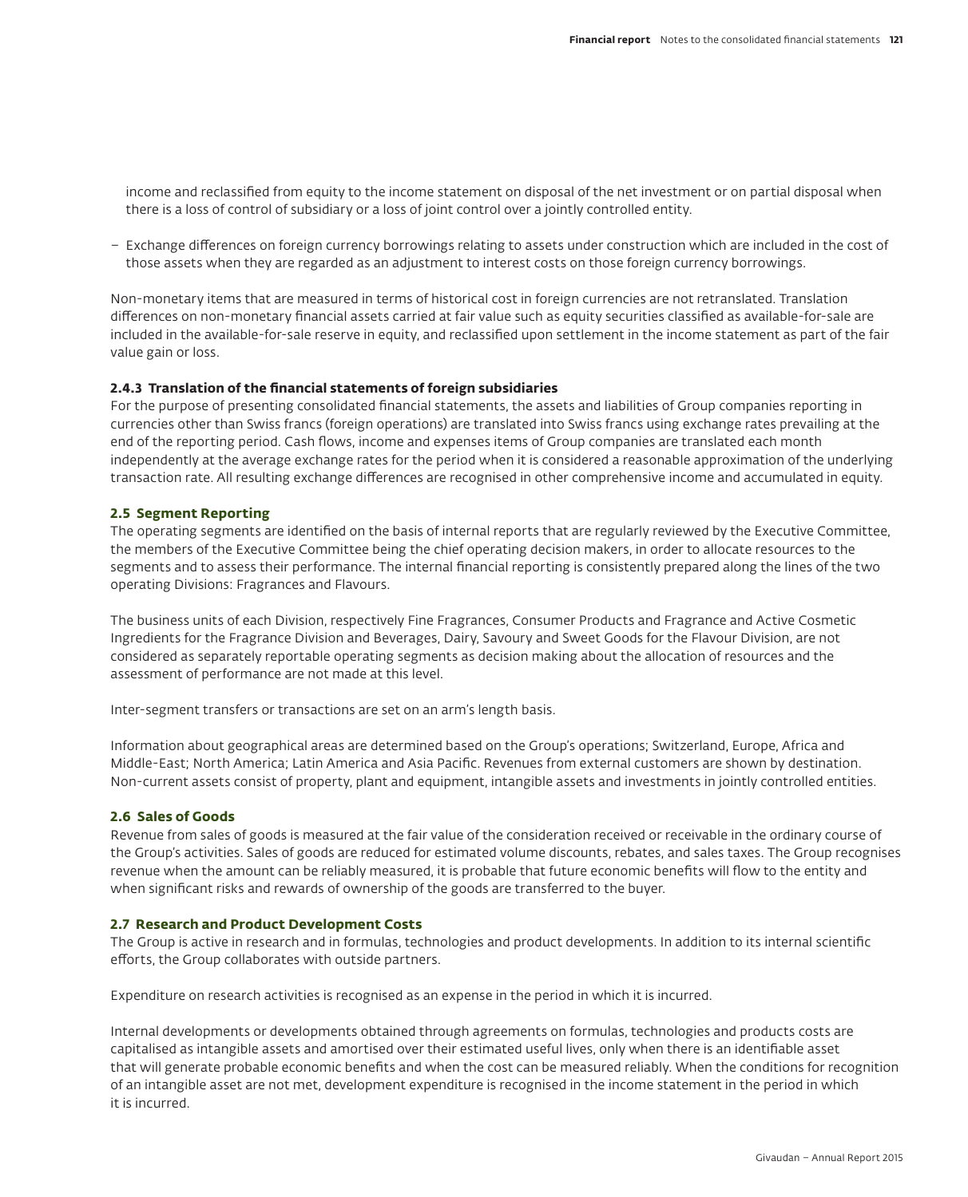income and reclassified from equity to the income statement on disposal of the net investment or on partial disposal when there is a loss of control of subsidiary or a loss of joint control over a jointly controlled entity.

– Exchange differences on foreign currency borrowings relating to assets under construction which are included in the cost of those assets when they are regarded as an adjustment to interest costs on those foreign currency borrowings.

Non-monetary items that are measured in terms of historical cost in foreign currencies are not retranslated. Translation differences on non-monetary financial assets carried at fair value such as equity securities classified as available-for-sale are included in the available-for-sale reserve in equity, and reclassified upon settlement in the income statement as part of the fair value gain or loss.

#### **2.4.3 Translation of the financial statements of foreign subsidiaries**

For the purpose of presenting consolidated financial statements, the assets and liabilities of Group companies reporting in currencies other than Swiss francs (foreign operations) are translated into Swiss francs using exchange rates prevailing at the end of the reporting period. Cash flows, income and expenses items of Group companies are translated each month independently at the average exchange rates for the period when it is considered a reasonable approximation of the underlying transaction rate. All resulting exchange differences are recognised in other comprehensive income and accumulated in equity.

#### **2.5 Segment Reporting**

The operating segments are identified on the basis of internal reports that are regularly reviewed by the Executive Committee, the members of the Executive Committee being the chief operating decision makers, in order to allocate resources to the segments and to assess their performance. The internal financial reporting is consistently prepared along the lines of the two operating Divisions: Fragrances and Flavours.

The business units of each Division, respectively Fine Fragrances, Consumer Products and Fragrance and Active Cosmetic Ingredients for the Fragrance Division and Beverages, Dairy, Savoury and Sweet Goods for the Flavour Division, are not considered as separately reportable operating segments as decision making about the allocation of resources and the assessment of performance are not made at this level.

Inter-segment transfers or transactions are set on an arm's length basis.

Information about geographical areas are determined based on the Group's operations; Switzerland, Europe, Africa and Middle-East; North America; Latin America and Asia Pacific. Revenues from external customers are shown by destination. Non-current assets consist of property, plant and equipment, intangible assets and investments in jointly controlled entities.

#### **2.6 Sales of Goods**

Revenue from sales of goods is measured at the fair value of the consideration received or receivable in the ordinary course of the Group's activities. Sales of goods are reduced for estimated volume discounts, rebates, and sales taxes. The Group recognises revenue when the amount can be reliably measured, it is probable that future economic benefits will flow to the entity and when significant risks and rewards of ownership of the goods are transferred to the buyer.

#### **2.7 Research and Product Development Costs**

The Group is active in research and in formulas, technologies and product developments. In addition to its internal scientific efforts, the Group collaborates with outside partners.

Expenditure on research activities is recognised as an expense in the period in which it is incurred.

Internal developments or developments obtained through agreements on formulas, technologies and products costs are capitalised as intangible assets and amortised over their estimated useful lives, only when there is an identifiable asset that will generate probable economic benefits and when the cost can be measured reliably. When the conditions for recognition of an intangible asset are not met, development expenditure is recognised in the income statement in the period in which it is incurred.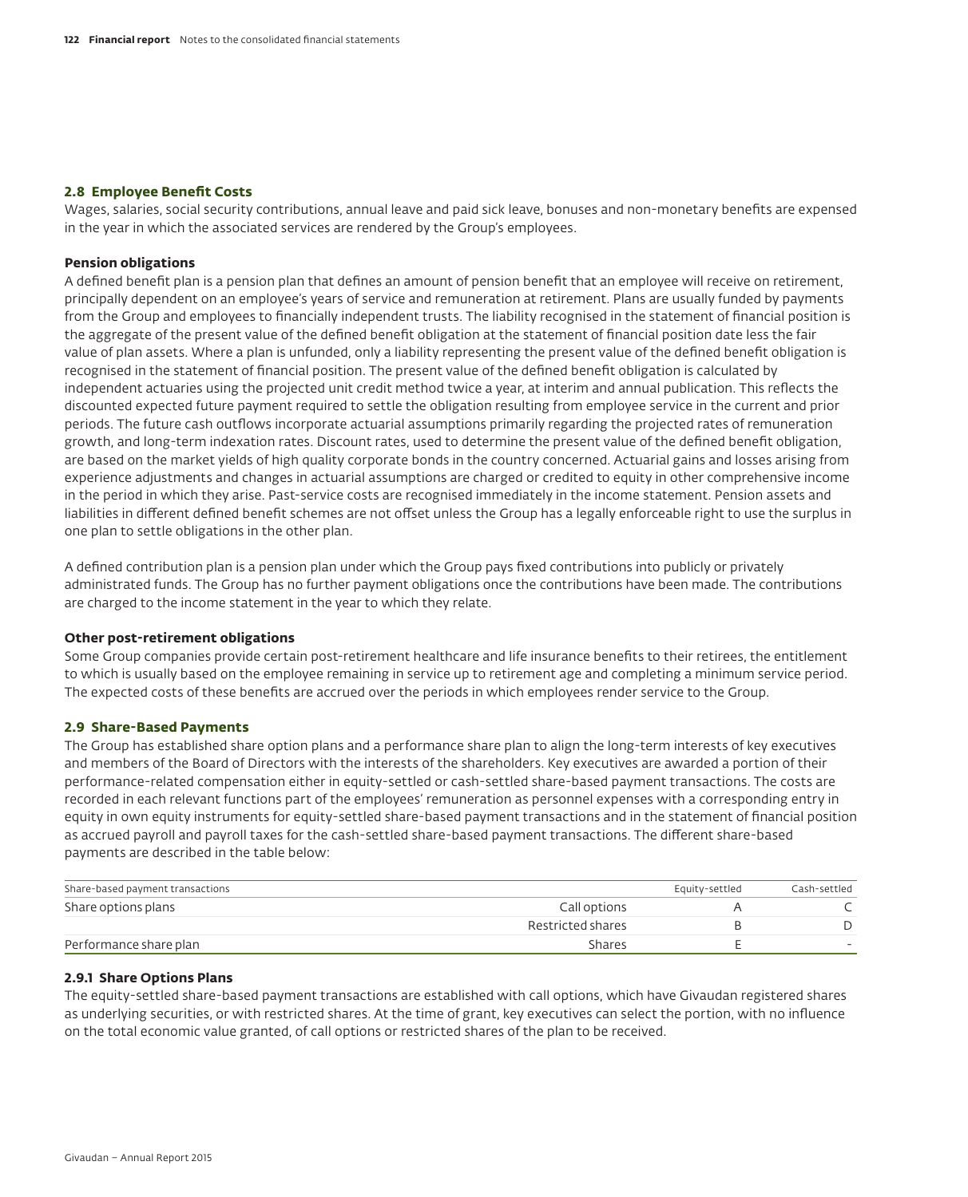#### **2.8 Employee Benefit Costs**

Wages, salaries, social security contributions, annual leave and paid sick leave, bonuses and non-monetary benefits are expensed in the year in which the associated services are rendered by the Group's employees.

#### **Pension obligations**

A defined benefit plan is a pension plan that defines an amount of pension benefit that an employee will receive on retirement, principally dependent on an employee's years of service and remuneration at retirement. Plans are usually funded by payments from the Group and employees to financially independent trusts. The liability recognised in the statement of financial position is the aggregate of the present value of the defined benefit obligation at the statement of financial position date less the fair value of plan assets. Where a plan is unfunded, only a liability representing the present value of the defined benefit obligation is recognised in the statement of financial position. The present value of the defined benefit obligation is calculated by independent actuaries using the projected unit credit method twice a year, at interim and annual publication. This reflects the discounted expected future payment required to settle the obligation resulting from employee service in the current and prior periods. The future cash outflows incorporate actuarial assumptions primarily regarding the projected rates of remuneration growth, and long-term indexation rates. Discount rates, used to determine the present value of the defined benefit obligation, are based on the market yields of high quality corporate bonds in the country concerned. Actuarial gains and losses arising from experience adjustments and changes in actuarial assumptions are charged or credited to equity in other comprehensive income in the period in which they arise. Past-service costs are recognised immediately in the income statement. Pension assets and liabilities in different defined benefit schemes are not offset unless the Group has a legally enforceable right to use the surplus in one plan to settle obligations in the other plan.

A defined contribution plan is a pension plan under which the Group pays fixed contributions into publicly or privately administrated funds. The Group has no further payment obligations once the contributions have been made. The contributions are charged to the income statement in the year to which they relate.

#### **Other post-retirement obligations**

Some Group companies provide certain post-retirement healthcare and life insurance benefits to their retirees, the entitlement to which is usually based on the employee remaining in service up to retirement age and completing a minimum service period. The expected costs of these benefits are accrued over the periods in which employees render service to the Group.

#### **2.9 Share-Based Payments**

The Group has established share option plans and a performance share plan to align the long-term interests of key executives and members of the Board of Directors with the interests of the shareholders. Key executives are awarded a portion of their performance-related compensation either in equity-settled or cash-settled share-based payment transactions. The costs are recorded in each relevant functions part of the employees' remuneration as personnel expenses with a corresponding entry in equity in own equity instruments for equity-settled share-based payment transactions and in the statement of financial position as accrued payroll and payroll taxes for the cash-settled share-based payment transactions. The different share-based payments are described in the table below:

| Share-based payment transactions |                   | Equity-settled | Cash-settled |
|----------------------------------|-------------------|----------------|--------------|
| Share options plans              | Call options      |                |              |
|                                  | Restricted shares |                |              |
| Performance share plan           | Shares            |                |              |

#### **2.9.1 Share Options Plans**

The equity-settled share-based payment transactions are established with call options, which have Givaudan registered shares as underlying securities, or with restricted shares. At the time of grant, key executives can select the portion, with no influence on the total economic value granted, of call options or restricted shares of the plan to be received.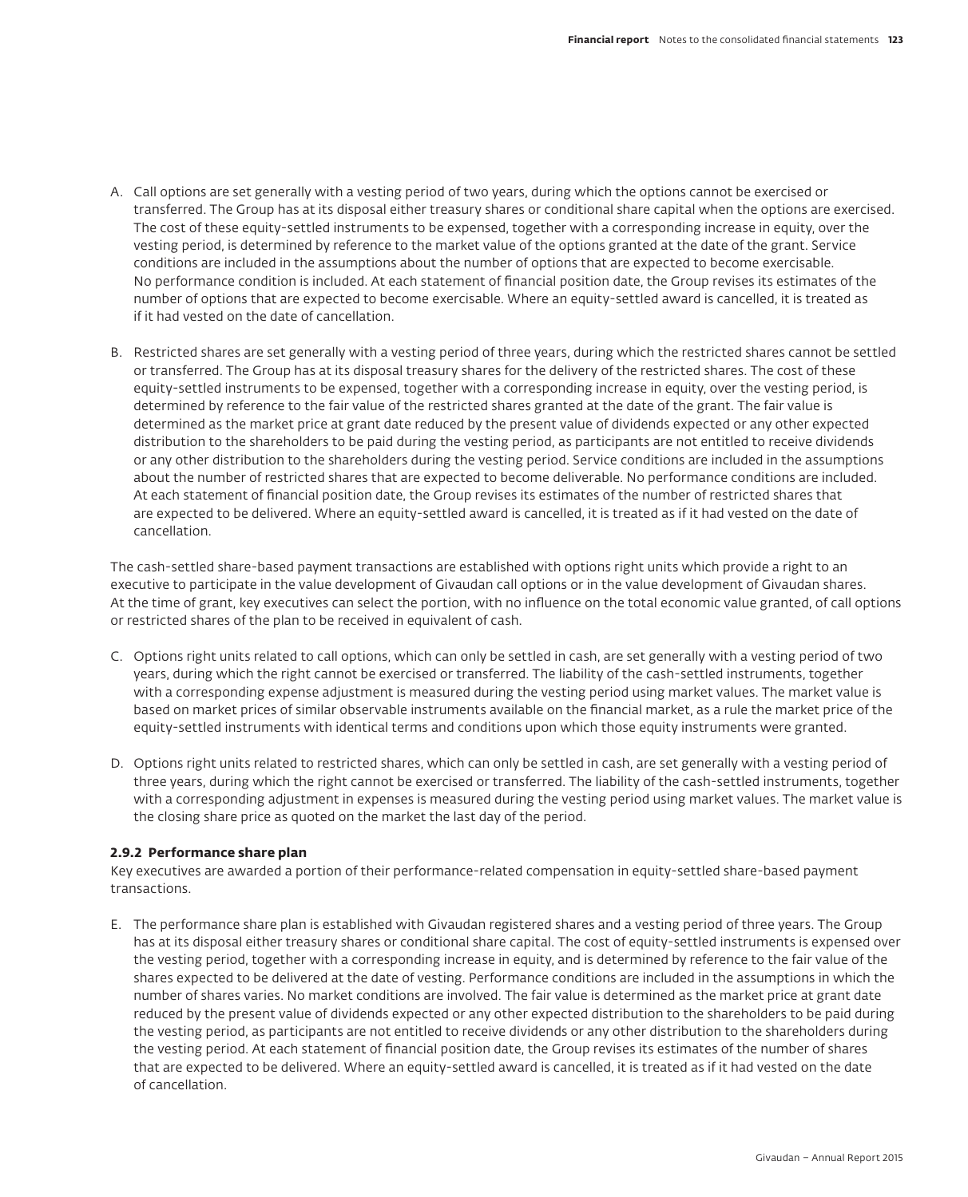- A. Call options are set generally with a vesting period of two years, during which the options cannot be exercised or transferred. The Group has at its disposal either treasury shares or conditional share capital when the options are exercised. The cost of these equity-settled instruments to be expensed, together with a corresponding increase in equity, over the vesting period, is determined by reference to the market value of the options granted at the date of the grant. Service conditions are included in the assumptions about the number of options that are expected to become exercisable. No performance condition is included. At each statement of financial position date, the Group revises its estimates of the number of options that are expected to become exercisable. Where an equity-settled award is cancelled, it is treated as if it had vested on the date of cancellation.
- B. Restricted shares are set generally with a vesting period of three years, during which the restricted shares cannot be settled or transferred. The Group has at its disposal treasury shares for the delivery of the restricted shares. The cost of these equity-settled instruments to be expensed, together with a corresponding increase in equity, over the vesting period, is determined by reference to the fair value of the restricted shares granted at the date of the grant. The fair value is determined as the market price at grant date reduced by the present value of dividends expected or any other expected distribution to the shareholders to be paid during the vesting period, as participants are not entitled to receive dividends or any other distribution to the shareholders during the vesting period. Service conditions are included in the assumptions about the number of restricted shares that are expected to become deliverable. No performance conditions are included. At each statement of financial position date, the Group revises its estimates of the number of restricted shares that are expected to be delivered. Where an equity-settled award is cancelled, it is treated as if it had vested on the date of cancellation.

The cash-settled share-based payment transactions are established with options right units which provide a right to an executive to participate in the value development of Givaudan call options or in the value development of Givaudan shares. At the time of grant, key executives can select the portion, with no influence on the total economic value granted, of call options or restricted shares of the plan to be received in equivalent of cash.

- C. Options right units related to call options, which can only be settled in cash, are set generally with a vesting period of two years, during which the right cannot be exercised or transferred. The liability of the cash-settled instruments, together with a corresponding expense adjustment is measured during the vesting period using market values. The market value is based on market prices of similar observable instruments available on the financial market, as a rule the market price of the equity-settled instruments with identical terms and conditions upon which those equity instruments were granted.
- D. Options right units related to restricted shares, which can only be settled in cash, are set generally with a vesting period of three years, during which the right cannot be exercised or transferred. The liability of the cash-settled instruments, together with a corresponding adjustment in expenses is measured during the vesting period using market values. The market value is the closing share price as quoted on the market the last day of the period.

#### **2.9.2 Performance share plan**

Key executives are awarded a portion of their performance-related compensation in equity-settled share-based payment transactions.

E. The performance share plan is established with Givaudan registered shares and a vesting period of three years. The Group has at its disposal either treasury shares or conditional share capital. The cost of equity-settled instruments is expensed over the vesting period, together with a corresponding increase in equity, and is determined by reference to the fair value of the shares expected to be delivered at the date of vesting. Performance conditions are included in the assumptions in which the number of shares varies. No market conditions are involved. The fair value is determined as the market price at grant date reduced by the present value of dividends expected or any other expected distribution to the shareholders to be paid during the vesting period, as participants are not entitled to receive dividends or any other distribution to the shareholders during the vesting period. At each statement of financial position date, the Group revises its estimates of the number of shares that are expected to be delivered. Where an equity-settled award is cancelled, it is treated as if it had vested on the date of cancellation.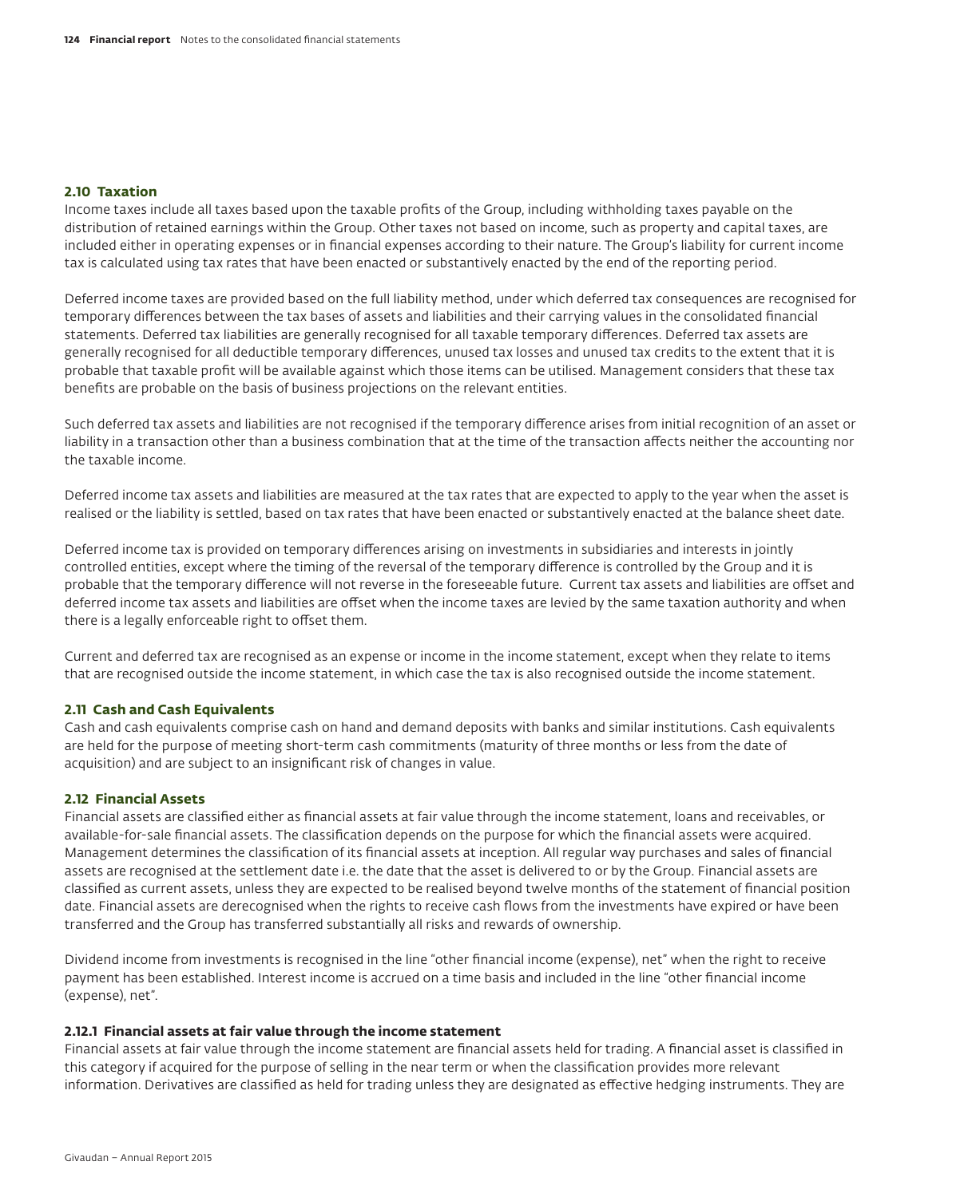#### **2.10 Taxation**

Income taxes include all taxes based upon the taxable profits of the Group, including withholding taxes payable on the distribution of retained earnings within the Group. Other taxes not based on income, such as property and capital taxes, are included either in operating expenses or in financial expenses according to their nature. The Group's liability for current income tax is calculated using tax rates that have been enacted or substantively enacted by the end of the reporting period.

Deferred income taxes are provided based on the full liability method, under which deferred tax consequences are recognised for temporary differences between the tax bases of assets and liabilities and their carrying values in the consolidated financial statements. Deferred tax liabilities are generally recognised for all taxable temporary differences. Deferred tax assets are generally recognised for all deductible temporary differences, unused tax losses and unused tax credits to the extent that it is probable that taxable profit will be available against which those items can be utilised. Management considers that these tax benefits are probable on the basis of business projections on the relevant entities.

Such deferred tax assets and liabilities are not recognised if the temporary difference arises from initial recognition of an asset or liability in a transaction other than a business combination that at the time of the transaction affects neither the accounting nor the taxable income.

Deferred income tax assets and liabilities are measured at the tax rates that are expected to apply to the year when the asset is realised or the liability is settled, based on tax rates that have been enacted or substantively enacted at the balance sheet date.

Deferred income tax is provided on temporary differences arising on investments in subsidiaries and interests in jointly controlled entities, except where the timing of the reversal of the temporary difference is controlled by the Group and it is probable that the temporary difference will not reverse in the foreseeable future. Current tax assets and liabilities are offset and deferred income tax assets and liabilities are offset when the income taxes are levied by the same taxation authority and when there is a legally enforceable right to offset them.

Current and deferred tax are recognised as an expense or income in the income statement, except when they relate to items that are recognised outside the income statement, in which case the tax is also recognised outside the income statement.

#### **2.11 Cash and Cash Equivalents**

Cash and cash equivalents comprise cash on hand and demand deposits with banks and similar institutions. Cash equivalents are held for the purpose of meeting short-term cash commitments (maturity of three months or less from the date of acquisition) and are subject to an insignificant risk of changes in value.

#### **2.12 Financial Assets**

Financial assets are classified either as financial assets at fair value through the income statement, loans and receivables, or available-for-sale financial assets. The classification depends on the purpose for which the financial assets were acquired. Management determines the classification of its financial assets at inception. All regular way purchases and sales of financial assets are recognised at the settlement date i.e. the date that the asset is delivered to or by the Group. Financial assets are classified as current assets, unless they are expected to be realised beyond twelve months of the statement of financial position date. Financial assets are derecognised when the rights to receive cash flows from the investments have expired or have been transferred and the Group has transferred substantially all risks and rewards of ownership.

Dividend income from investments is recognised in the line "other financial income (expense), net" when the right to receive payment has been established. Interest income is accrued on a time basis and included in the line "other financial income (expense), net".

#### **2.12.1 Financial assets at fair value through the income statement**

Financial assets at fair value through the income statement are financial assets held for trading. A financial asset is classified in this category if acquired for the purpose of selling in the near term or when the classification provides more relevant information. Derivatives are classified as held for trading unless they are designated as effective hedging instruments. They are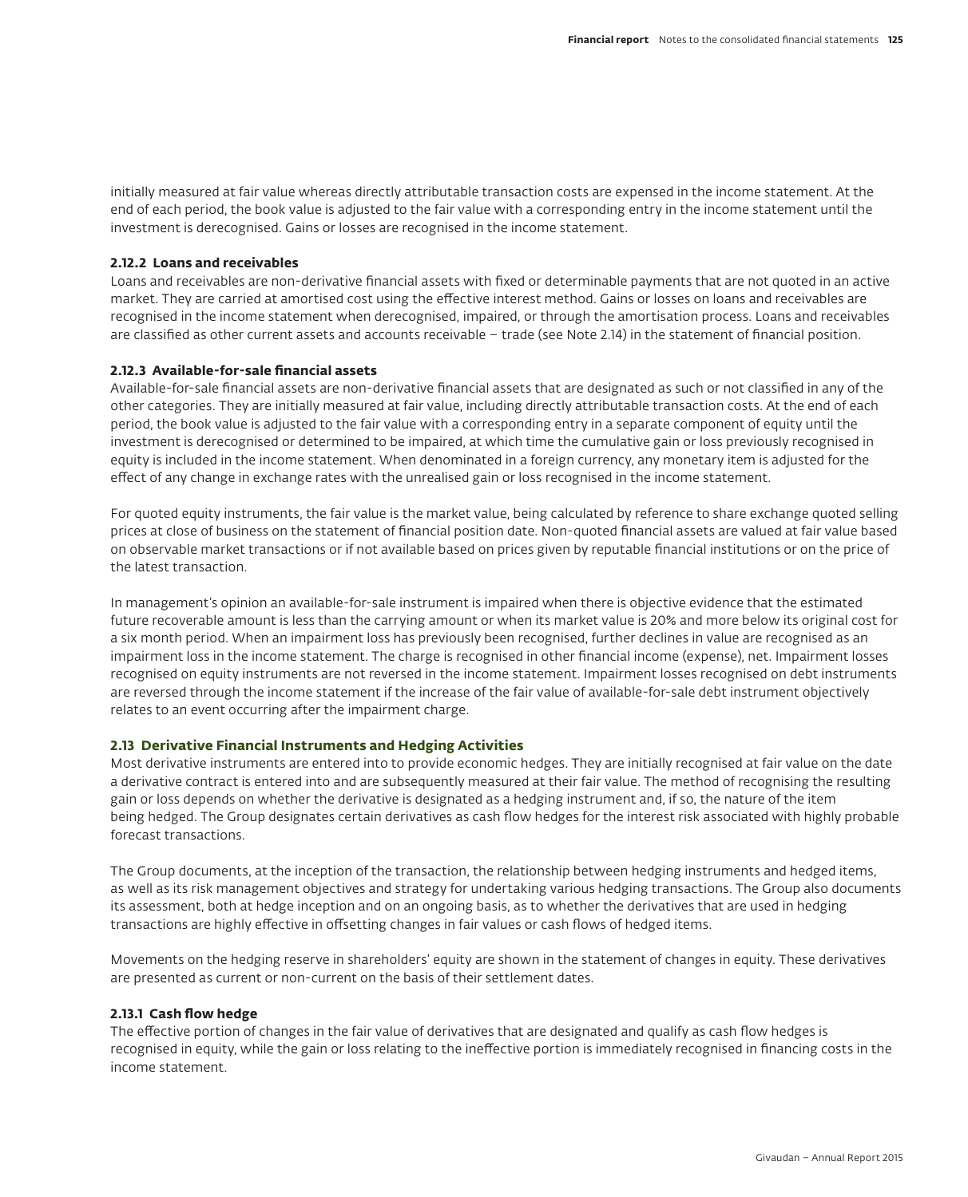initially measured at fair value whereas directly attributable transaction costs are expensed in the income statement. At the end of each period, the book value is adjusted to the fair value with a corresponding entry in the income statement until the investment is derecognised. Gains or losses are recognised in the income statement.

#### **2.12.2 Loans and receivables**

Loans and receivables are non-derivative financial assets with fixed or determinable payments that are not quoted in an active market. They are carried at amortised cost using the effective interest method. Gains or losses on loans and receivables are recognised in the income statement when derecognised, impaired, or through the amortisation process. Loans and receivables are classified as other current assets and accounts receivable – trade (see Note 2.14) in the statement of financial position.

#### **2.12.3 Available-for-sale financial assets**

Available-for-sale financial assets are non-derivative financial assets that are designated as such or not classified in any of the other categories. They are initially measured at fair value, including directly attributable transaction costs. At the end of each period, the book value is adjusted to the fair value with a corresponding entry in a separate component of equity until the investment is derecognised or determined to be impaired, at which time the cumulative gain or loss previously recognised in equity is included in the income statement. When denominated in a foreign currency, any monetary item is adjusted for the effect of any change in exchange rates with the unrealised gain or loss recognised in the income statement.

For quoted equity instruments, the fair value is the market value, being calculated by reference to share exchange quoted selling prices at close of business on the statement of financial position date. Non-quoted financial assets are valued at fair value based on observable market transactions or if not available based on prices given by reputable financial institutions or on the price of the latest transaction.

In management's opinion an available-for-sale instrument is impaired when there is objective evidence that the estimated future recoverable amount is less than the carrying amount or when its market value is 20% and more below its original cost for a six month period. When an impairment loss has previously been recognised, further declines in value are recognised as an impairment loss in the income statement. The charge is recognised in other financial income (expense), net. Impairment losses recognised on equity instruments are not reversed in the income statement. Impairment losses recognised on debt instruments are reversed through the income statement if the increase of the fair value of available-for-sale debt instrument objectively relates to an event occurring after the impairment charge.

#### **2.13 Derivative Financial Instruments and Hedging Activities**

Most derivative instruments are entered into to provide economic hedges. They are initially recognised at fair value on the date a derivative contract is entered into and are subsequently measured at their fair value. The method of recognising the resulting gain or loss depends on whether the derivative is designated as a hedging instrument and, if so, the nature of the item being hedged. The Group designates certain derivatives as cash flow hedges for the interest risk associated with highly probable forecast transactions.

The Group documents, at the inception of the transaction, the relationship between hedging instruments and hedged items, as well as its risk management objectives and strategy for undertaking various hedging transactions. The Group also documents its assessment, both at hedge inception and on an ongoing basis, as to whether the derivatives that are used in hedging transactions are highly effective in offsetting changes in fair values or cash flows of hedged items.

Movements on the hedging reserve in shareholders' equity are shown in the statement of changes in equity. These derivatives are presented as current or non-current on the basis of their settlement dates.

#### **2.13.1 Cash flow hedge**

The effective portion of changes in the fair value of derivatives that are designated and qualify as cash flow hedges is recognised in equity, while the gain or loss relating to the ineffective portion is immediately recognised in financing costs in the income statement.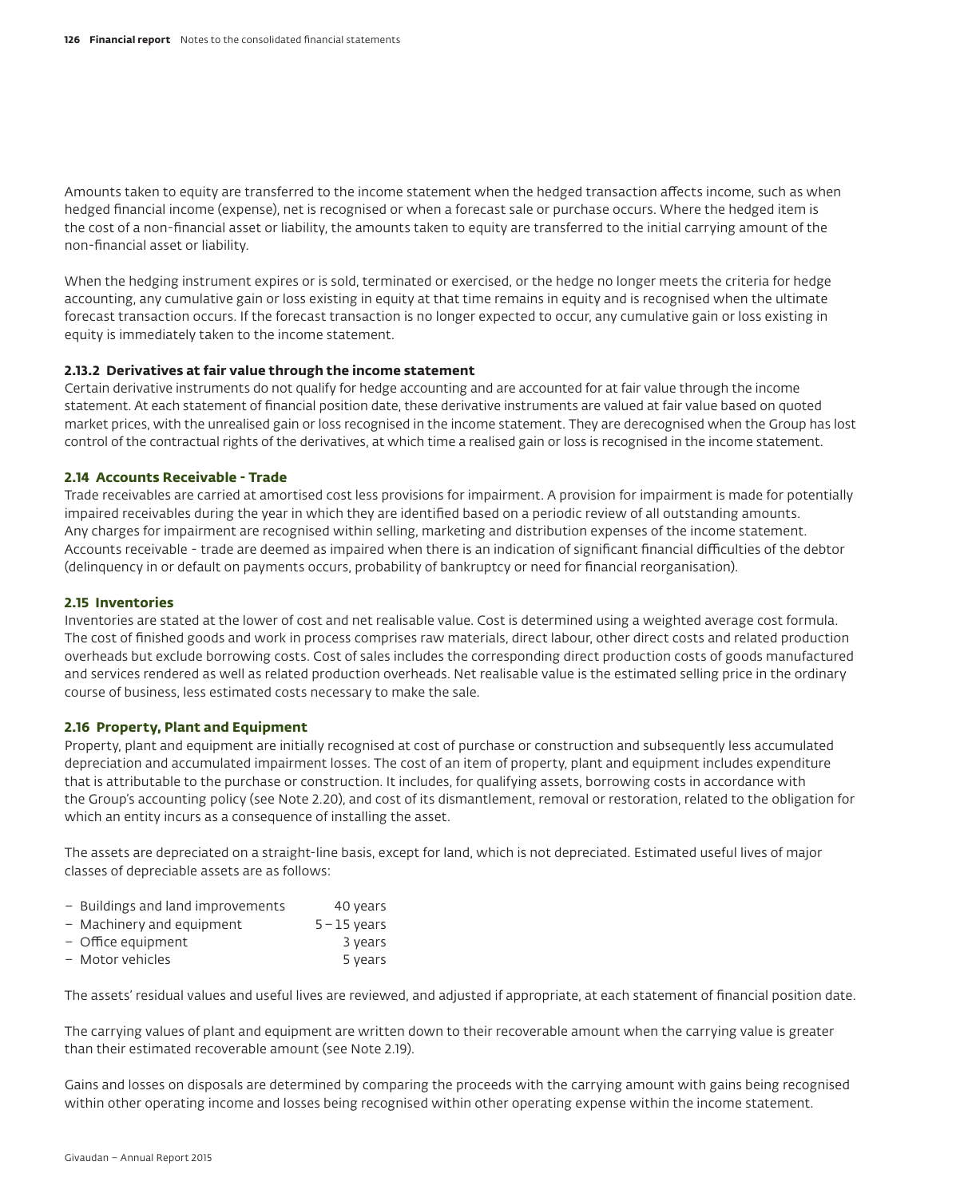Amounts taken to equity are transferred to the income statement when the hedged transaction affects income, such as when hedged financial income (expense), net is recognised or when a forecast sale or purchase occurs. Where the hedged item is the cost of a non-financial asset or liability, the amounts taken to equity are transferred to the initial carrying amount of the non-financial asset or liability.

When the hedging instrument expires or is sold, terminated or exercised, or the hedge no longer meets the criteria for hedge accounting, any cumulative gain or loss existing in equity at that time remains in equity and is recognised when the ultimate forecast transaction occurs. If the forecast transaction is no longer expected to occur, any cumulative gain or loss existing in equity is immediately taken to the income statement.

#### **2.13.2 Derivatives at fair value through the income statement**

Certain derivative instruments do not qualify for hedge accounting and are accounted for at fair value through the income statement. At each statement of financial position date, these derivative instruments are valued at fair value based on quoted market prices, with the unrealised gain or loss recognised in the income statement. They are derecognised when the Group has lost control of the contractual rights of the derivatives, at which time a realised gain or loss is recognised in the income statement.

#### **2.14 Accounts Receivable - Trade**

Trade receivables are carried at amortised cost less provisions for impairment. A provision for impairment is made for potentially impaired receivables during the year in which they are identified based on a periodic review of all outstanding amounts. Any charges for impairment are recognised within selling, marketing and distribution expenses of the income statement. Accounts receivable - trade are deemed as impaired when there is an indication of significant financial difficulties of the debtor (delinquency in or default on payments occurs, probability of bankruptcy or need for financial reorganisation).

#### **2.15 Inventories**

Inventories are stated at the lower of cost and net realisable value. Cost is determined using a weighted average cost formula. The cost of finished goods and work in process comprises raw materials, direct labour, other direct costs and related production overheads but exclude borrowing costs. Cost of sales includes the corresponding direct production costs of goods manufactured and services rendered as well as related production overheads. Net realisable value is the estimated selling price in the ordinary course of business, less estimated costs necessary to make the sale.

#### **2.16 Property, Plant and Equipment**

Property, plant and equipment are initially recognised at cost of purchase or construction and subsequently less accumulated depreciation and accumulated impairment losses. The cost of an item of property, plant and equipment includes expenditure that is attributable to the purchase or construction. It includes, for qualifying assets, borrowing costs in accordance with the Group's accounting policy (see Note 2.20), and cost of its dismantlement, removal or restoration, related to the obligation for which an entity incurs as a consequence of installing the asset.

The assets are depreciated on a straight-line basis, except for land, which is not depreciated. Estimated useful lives of major classes of depreciable assets are as follows:

| - Buildings and land improvements | 40 years       |
|-----------------------------------|----------------|
| - Machinery and equipment         | $5 - 15$ years |
|                                   |                |

– Office equipment 3 years – Motor vehicles 6 years

The assets' residual values and useful lives are reviewed, and adjusted if appropriate, at each statement of financial position date.

The carrying values of plant and equipment are written down to their recoverable amount when the carrying value is greater than their estimated recoverable amount (see Note 2.19).

Gains and losses on disposals are determined by comparing the proceeds with the carrying amount with gains being recognised within other operating income and losses being recognised within other operating expense within the income statement.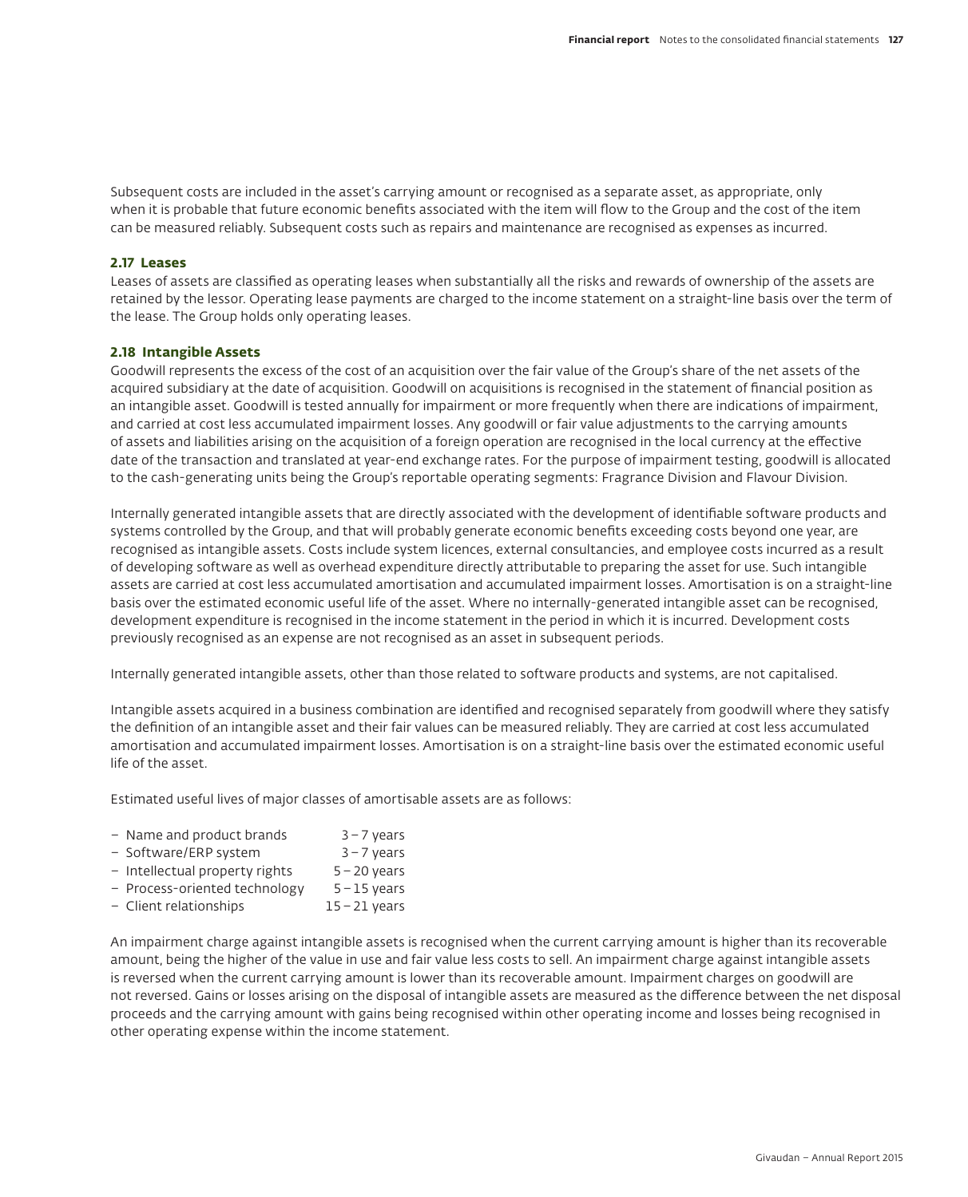Subsequent costs are included in the asset's carrying amount or recognised as a separate asset, as appropriate, only when it is probable that future economic benefits associated with the item will flow to the Group and the cost of the item can be measured reliably. Subsequent costs such as repairs and maintenance are recognised as expenses as incurred.

#### **2.17 Leases**

Leases of assets are classified as operating leases when substantially all the risks and rewards of ownership of the assets are retained by the lessor. Operating lease payments are charged to the income statement on a straight-line basis over the term of the lease. The Group holds only operating leases.

#### **2.18 Intangible Assets**

Goodwill represents the excess of the cost of an acquisition over the fair value of the Group's share of the net assets of the acquired subsidiary at the date of acquisition. Goodwill on acquisitions is recognised in the statement of financial position as an intangible asset. Goodwill is tested annually for impairment or more frequently when there are indications of impairment, and carried at cost less accumulated impairment losses. Any goodwill or fair value adjustments to the carrying amounts of assets and liabilities arising on the acquisition of a foreign operation are recognised in the local currency at the effective date of the transaction and translated at year-end exchange rates. For the purpose of impairment testing, goodwill is allocated to the cash-generating units being the Group's reportable operating segments: Fragrance Division and Flavour Division.

Internally generated intangible assets that are directly associated with the development of identifiable software products and systems controlled by the Group, and that will probably generate economic benefits exceeding costs beyond one year, are recognised as intangible assets. Costs include system licences, external consultancies, and employee costs incurred as a result of developing software as well as overhead expenditure directly attributable to preparing the asset for use. Such intangible assets are carried at cost less accumulated amortisation and accumulated impairment losses. Amortisation is on a straight-line basis over the estimated economic useful life of the asset. Where no internally-generated intangible asset can be recognised, development expenditure is recognised in the income statement in the period in which it is incurred. Development costs previously recognised as an expense are not recognised as an asset in subsequent periods.

Internally generated intangible assets, other than those related to software products and systems, are not capitalised.

Intangible assets acquired in a business combination are identified and recognised separately from goodwill where they satisfy the definition of an intangible asset and their fair values can be measured reliably. They are carried at cost less accumulated amortisation and accumulated impairment losses. Amortisation is on a straight-line basis over the estimated economic useful life of the asset.

Estimated useful lives of major classes of amortisable assets are as follows:

|  |  |  | - Name and product brands |  |  | $3 - 7$ years |
|--|--|--|---------------------------|--|--|---------------|
|--|--|--|---------------------------|--|--|---------------|

- Software/ERP system 3–7 years
- Intellectual property rights 5–20 years
- Process-oriented technology 5–15 years
- Client relationships 15–21 years

An impairment charge against intangible assets is recognised when the current carrying amount is higher than its recoverable amount, being the higher of the value in use and fair value less costs to sell. An impairment charge against intangible assets is reversed when the current carrying amount is lower than its recoverable amount. Impairment charges on goodwill are not reversed. Gains or losses arising on the disposal of intangible assets are measured as the difference between the net disposal proceeds and the carrying amount with gains being recognised within other operating income and losses being recognised in other operating expense within the income statement.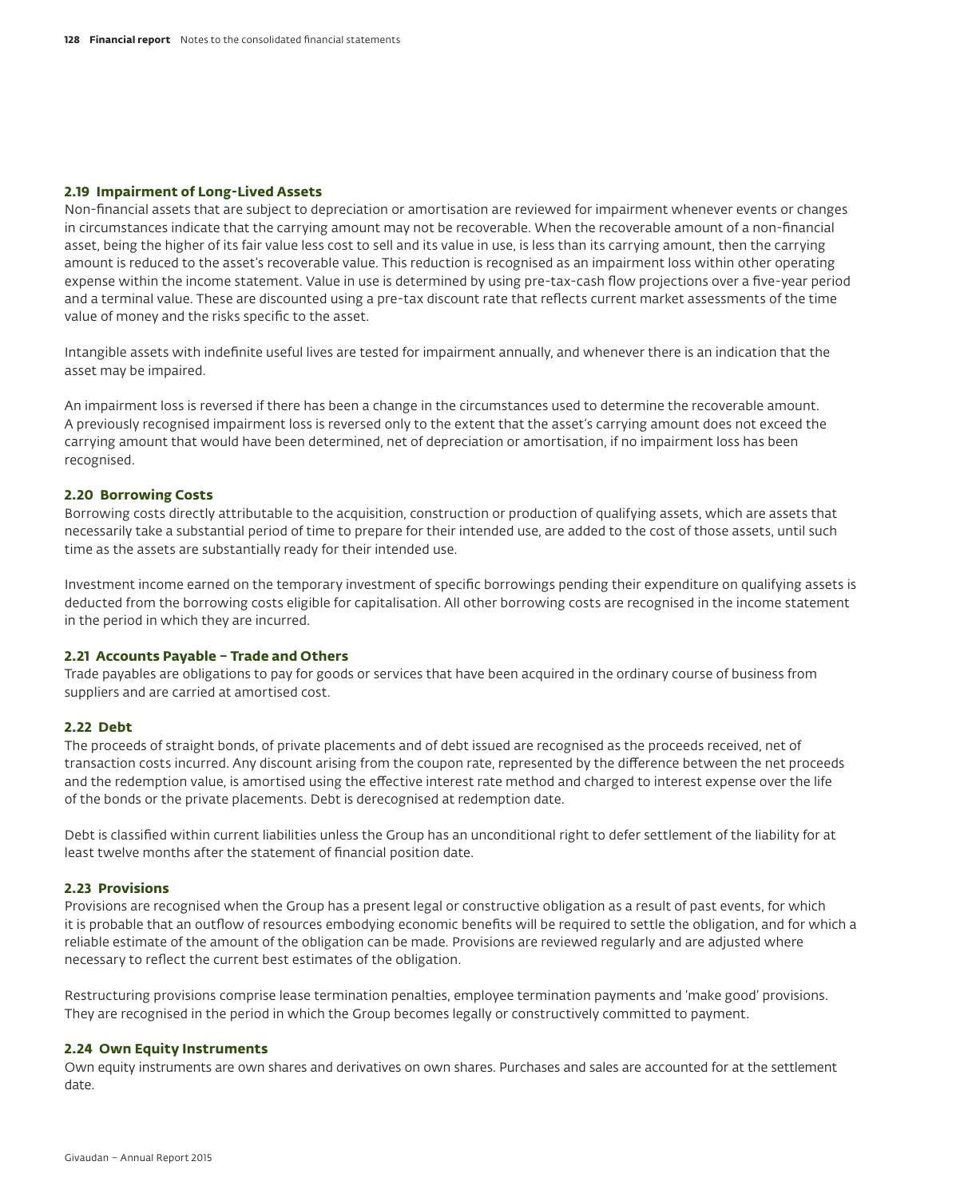#### **2.19 Impairment of Long-Lived Assets**

Non-financial assets that are subject to depreciation or amortisation are reviewed for impairment whenever events or changes in circumstances indicate that the carrying amount may not be recoverable. When the recoverable amount of a non-financial asset, being the higher of its fair value less cost to sell and its value in use, is less than its carrying amount, then the carrying amount is reduced to the asset's recoverable value. This reduction is recognised as an impairment loss within other operating expense within the income statement. Value in use is determined by using pre-tax-cash flow projections over a five-year period and a terminal value. These are discounted using a pre-tax discount rate that reflects current market assessments of the time value of money and the risks specific to the asset.

Intangible assets with indefinite useful lives are tested for impairment annually, and whenever there is an indication that the asset may be impaired.

An impairment loss is reversed if there has been a change in the circumstances used to determine the recoverable amount. A previously recognised impairment loss is reversed only to the extent that the asset's carrying amount does not exceed the carrying amount that would have been determined, net of depreciation or amortisation, if no impairment loss has been recognised.

#### **2.20 Borrowing Costs**

Borrowing costs directly attributable to the acquisition, construction or production of qualifying assets, which are assets that necessarily take a substantial period of time to prepare for their intended use, are added to the cost of those assets, until such time as the assets are substantially ready for their intended use.

Investment income earned on the temporary investment of specific borrowings pending their expenditure on qualifying assets is deducted from the borrowing costs eligible for capitalisation. All other borrowing costs are recognised in the income statement in the period in which they are incurred.

#### **2.21 Accounts Payable – Trade and Others**

Trade payables are obligations to pay for goods or services that have been acquired in the ordinary course of business from suppliers and are carried at amortised cost.

#### **2.22 Debt**

The proceeds of straight bonds, of private placements and of debt issued are recognised as the proceeds received, net of transaction costs incurred. Any discount arising from the coupon rate, represented by the difference between the net proceeds and the redemption value, is amortised using the effective interest rate method and charged to interest expense over the life of the bonds or the private placements. Debt is derecognised at redemption date.

Debt is classified within current liabilities unless the Group has an unconditional right to defer settlement of the liability for at least twelve months after the statement of financial position date.

#### **2.23 Provisions**

Provisions are recognised when the Group has a present legal or constructive obligation as a result of past events, for which it is probable that an outflow of resources embodying economic benefits will be required to settle the obligation, and for which a reliable estimate of the amount of the obligation can be made. Provisions are reviewed regularly and are adjusted where necessary to reflect the current best estimates of the obligation.

Restructuring provisions comprise lease termination penalties, employee termination payments and 'make good' provisions. They are recognised in the period in which the Group becomes legally or constructively committed to payment.

#### **2.24 Own Equity Instruments**

Own equity instruments are own shares and derivatives on own shares. Purchases and sales are accounted for at the settlement date.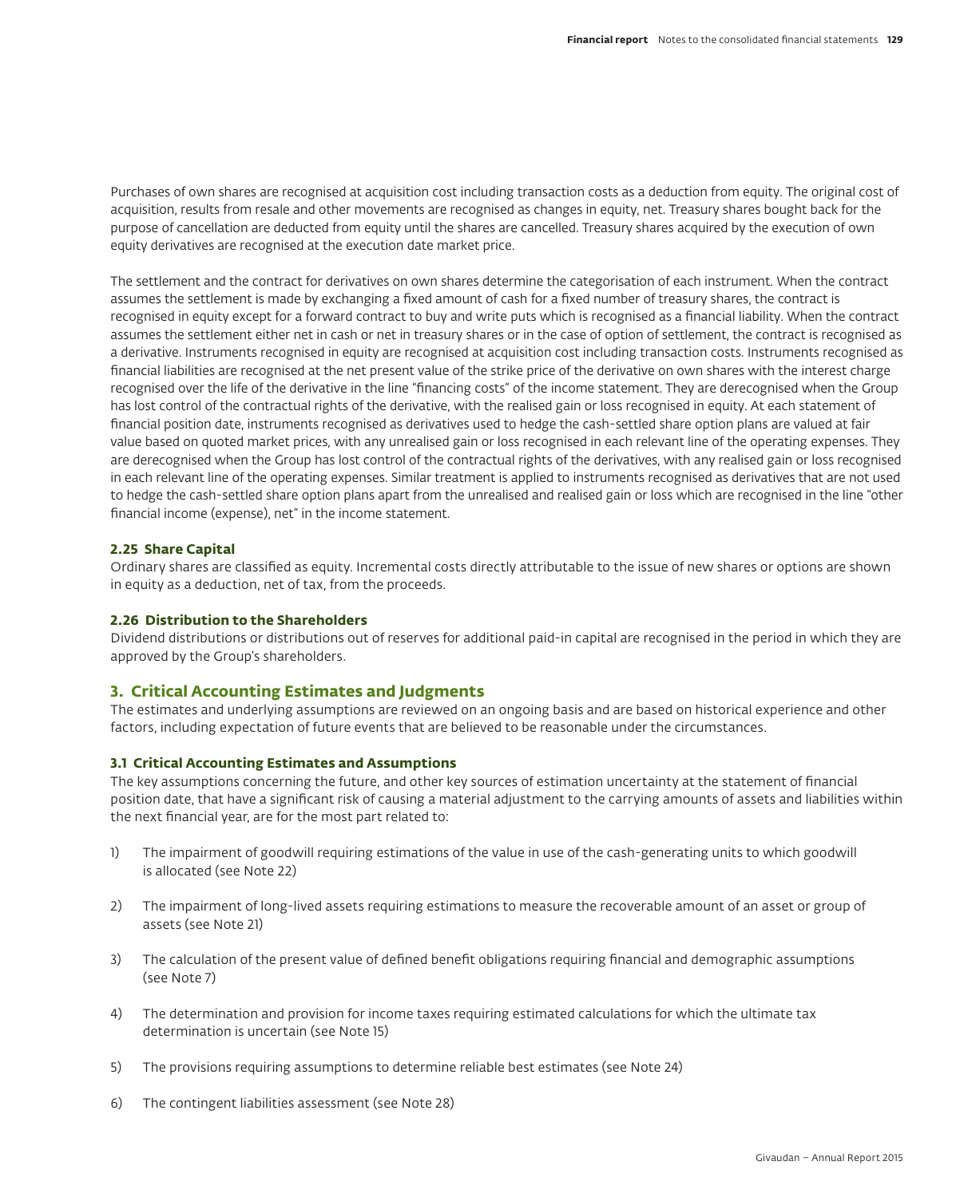Purchases of own shares are recognised at acquisition cost including transaction costs as a deduction from equity. The original cost of acquisition, results from resale and other movements are recognised as changes in equity, net. Treasury shares bought back for the purpose of cancellation are deducted from equity until the shares are cancelled. Treasury shares acquired by the execution of own equity derivatives are recognised at the execution date market price.

The settlement and the contract for derivatives on own shares determine the categorisation of each instrument. When the contract assumes the settlement is made by exchanging a fixed amount of cash for a fixed number of treasury shares, the contract is recognised in equity except for a forward contract to buy and write puts which is recognised as a financial liability. When the contract assumes the settlement either net in cash or net in treasury shares or in the case of option of settlement, the contract is recognised as a derivative. Instruments recognised in equity are recognised at acquisition cost including transaction costs. Instruments recognised as financial liabilities are recognised at the net present value of the strike price of the derivative on own shares with the interest charge recognised over the life of the derivative in the line "financing costs" of the income statement. They are derecognised when the Group has lost control of the contractual rights of the derivative, with the realised gain or loss recognised in equity. At each statement of financial position date, instruments recognised as derivatives used to hedge the cash-settled share option plans are valued at fair value based on quoted market prices, with any unrealised gain or loss recognised in each relevant line of the operating expenses. They are derecognised when the Group has lost control of the contractual rights of the derivatives, with any realised gain or loss recognised in each relevant line of the operating expenses. Similar treatment is applied to instruments recognised as derivatives that are not used to hedge the cash-settled share option plans apart from the unrealised and realised gain or loss which are recognised in the line "other financial income (expense), net" in the income statement.

#### **2.25 Share Capital**

Ordinary shares are classified as equity. Incremental costs directly attributable to the issue of new shares or options are shown in equity as a deduction, net of tax, from the proceeds.

#### **2.26 Distribution to the Shareholders**

Dividend distributions or distributions out of reserves for additional paid-in capital are recognised in the period in which they are approved by the Group's shareholders.

#### **3. Critical Accounting Estimates and Judgments**

The estimates and underlying assumptions are reviewed on an ongoing basis and are based on historical experience and other factors, including expectation of future events that are believed to be reasonable under the circumstances.

#### **3.1 Critical Accounting Estimates and Assumptions**

The key assumptions concerning the future, and other key sources of estimation uncertainty at the statement of financial position date, that have a significant risk of causing a material adjustment to the carrying amounts of assets and liabilities within the next financial year, are for the most part related to:

- 1) The impairment of goodwill requiring estimations of the value in use of the cash-generating units to which goodwill is allocated (see Note 22)
- 2) The impairment of long-lived assets requiring estimations to measure the recoverable amount of an asset or group of assets (see Note 21)
- 3) The calculation of the present value of defined benefit obligations requiring financial and demographic assumptions (see Note 7)
- 4) The determination and provision for income taxes requiring estimated calculations for which the ultimate tax determination is uncertain (see Note 15)
- 5) The provisions requiring assumptions to determine reliable best estimates (see Note 24)
- 6) The contingent liabilities assessment (see Note 28)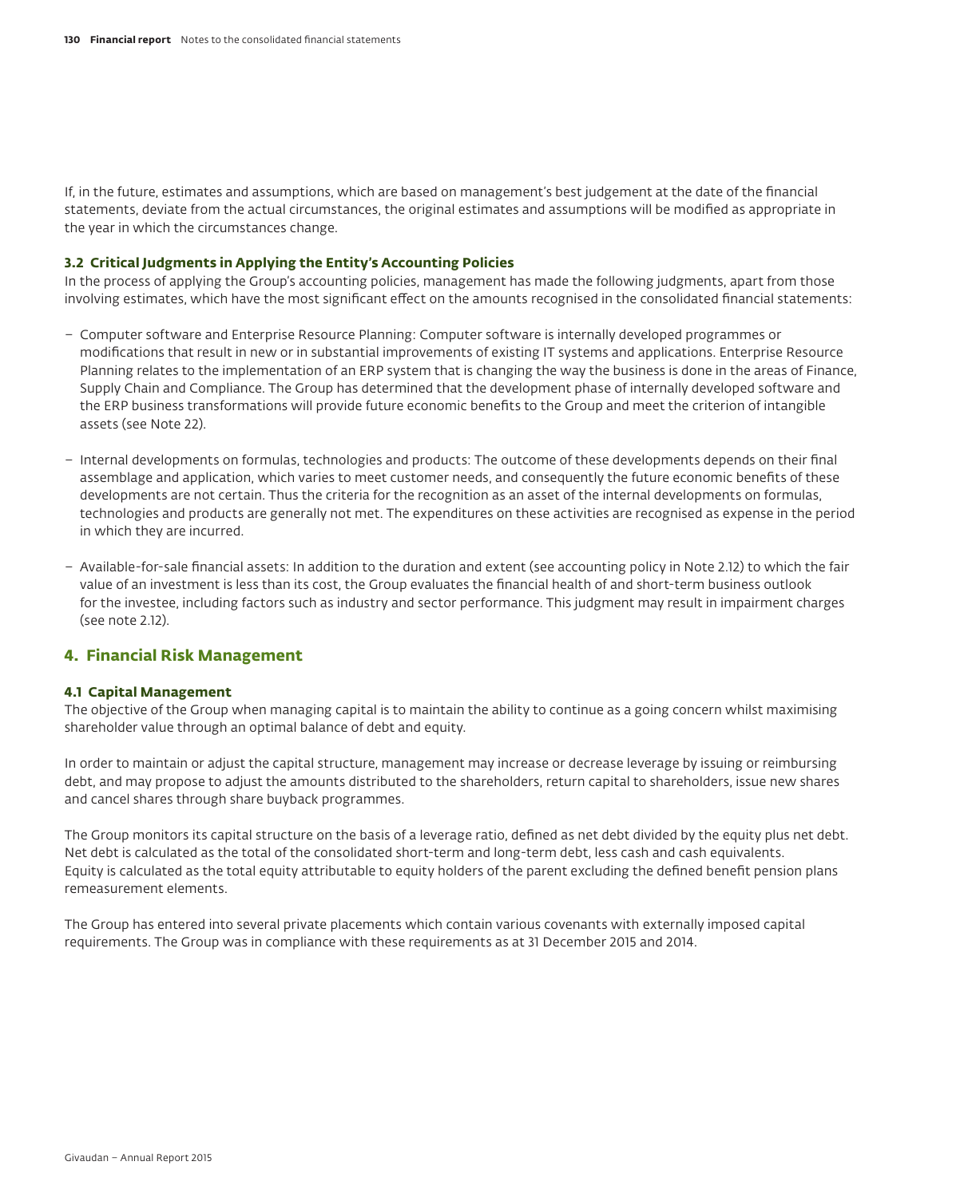If, in the future, estimates and assumptions, which are based on management's best judgement at the date of the financial statements, deviate from the actual circumstances, the original estimates and assumptions will be modified as appropriate in the year in which the circumstances change.

#### **3.2 Critical Judgments in Applying the Entity's Accounting Policies**

In the process of applying the Group's accounting policies, management has made the following judgments, apart from those involving estimates, which have the most significant effect on the amounts recognised in the consolidated financial statements:

- Computer software and Enterprise Resource Planning: Computer software is internally developed programmes or modifications that result in new or in substantial improvements of existing IT systems and applications. Enterprise Resource Planning relates to the implementation of an ERP system that is changing the way the business is done in the areas of Finance, Supply Chain and Compliance. The Group has determined that the development phase of internally developed software and the ERP business transformations will provide future economic benefits to the Group and meet the criterion of intangible assets (see Note 22).
- Internal developments on formulas, technologies and products: The outcome of these developments depends on their final assemblage and application, which varies to meet customer needs, and consequently the future economic benefits of these developments are not certain. Thus the criteria for the recognition as an asset of the internal developments on formulas, technologies and products are generally not met. The expenditures on these activities are recognised as expense in the period in which they are incurred.
- Available-for-sale financial assets: In addition to the duration and extent (see accounting policy in Note 2.12) to which the fair value of an investment is less than its cost, the Group evaluates the financial health of and short-term business outlook for the investee, including factors such as industry and sector performance. This judgment may result in impairment charges (see note 2.12).

#### **4. Financial Risk Management**

#### **4.1 Capital Management**

The objective of the Group when managing capital is to maintain the ability to continue as a going concern whilst maximising shareholder value through an optimal balance of debt and equity.

In order to maintain or adjust the capital structure, management may increase or decrease leverage by issuing or reimbursing debt, and may propose to adjust the amounts distributed to the shareholders, return capital to shareholders, issue new shares and cancel shares through share buyback programmes.

The Group monitors its capital structure on the basis of a leverage ratio, defined as net debt divided by the equity plus net debt. Net debt is calculated as the total of the consolidated short-term and long-term debt, less cash and cash equivalents. Equity is calculated as the total equity attributable to equity holders of the parent excluding the defined benefit pension plans remeasurement elements.

The Group has entered into several private placements which contain various covenants with externally imposed capital requirements. The Group was in compliance with these requirements as at 31 December 2015 and 2014.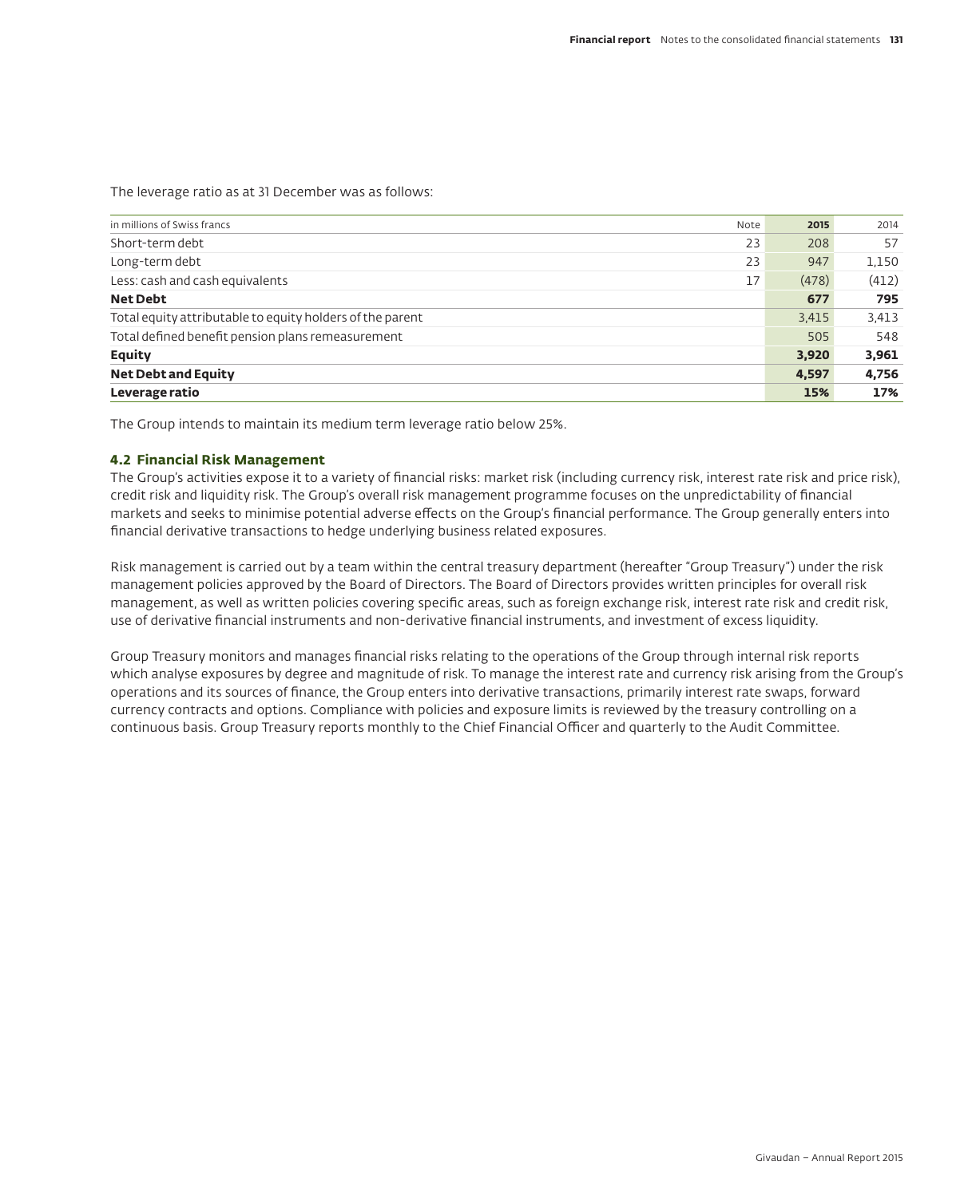The leverage ratio as at 31 December was as follows:

| in millions of Swiss francs<br>Note                       | 2015        | 2014  |
|-----------------------------------------------------------|-------------|-------|
| Short-term debt                                           | 23<br>208   | 57    |
| Long-term debt                                            | 23<br>947   | 1,150 |
| Less: cash and cash equivalents                           | (478)<br>17 | (412) |
| <b>Net Debt</b>                                           | 677         | 795   |
| Total equity attributable to equity holders of the parent | 3,415       | 3,413 |
| Total defined benefit pension plans remeasurement         | 505         | 548   |
| Equity                                                    | 3,920       | 3,961 |
| <b>Net Debt and Equity</b>                                | 4,597       | 4,756 |
| Leverage ratio                                            | 15%         | 17%   |

The Group intends to maintain its medium term leverage ratio below 25%.

#### **4.2 Financial Risk Management**

The Group's activities expose it to a variety of financial risks: market risk (including currency risk, interest rate risk and price risk), credit risk and liquidity risk. The Group's overall risk management programme focuses on the unpredictability of financial markets and seeks to minimise potential adverse effects on the Group's financial performance. The Group generally enters into financial derivative transactions to hedge underlying business related exposures.

Risk management is carried out by a team within the central treasury department (hereafter "Group Treasury") under the risk management policies approved by the Board of Directors. The Board of Directors provides written principles for overall risk management, as well as written policies covering specific areas, such as foreign exchange risk, interest rate risk and credit risk, use of derivative financial instruments and non-derivative financial instruments, and investment of excess liquidity.

Group Treasury monitors and manages financial risks relating to the operations of the Group through internal risk reports which analyse exposures by degree and magnitude of risk. To manage the interest rate and currency risk arising from the Group's operations and its sources of finance, the Group enters into derivative transactions, primarily interest rate swaps, forward currency contracts and options. Compliance with policies and exposure limits is reviewed by the treasury controlling on a continuous basis. Group Treasury reports monthly to the Chief Financial Officer and quarterly to the Audit Committee.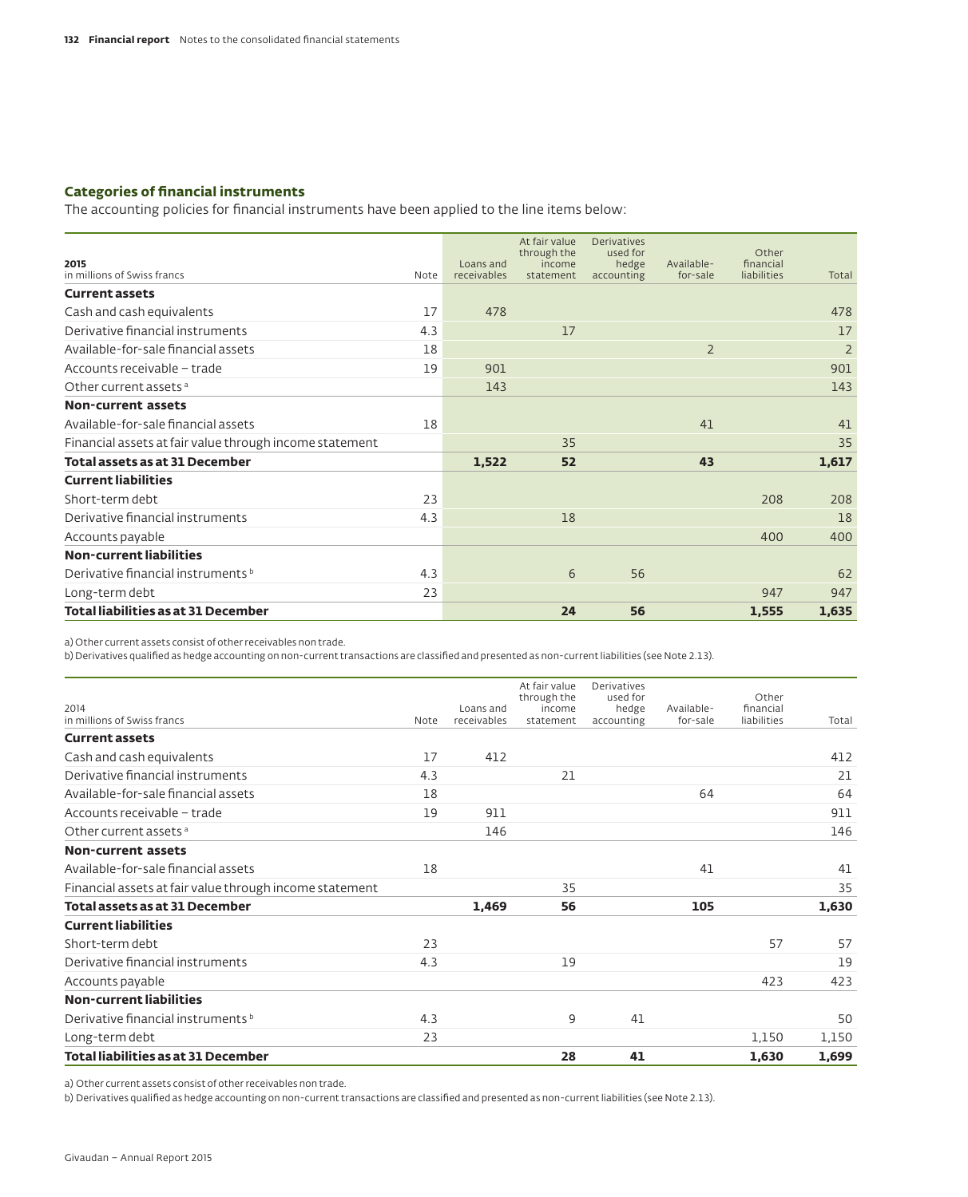#### **Categories of financial instruments**

The accounting policies for financial instruments have been applied to the line items below:

| 2015                                                    |      |                          | At fair value<br>through the | <b>Derivatives</b><br>used for |                        | Other<br>financial |                |
|---------------------------------------------------------|------|--------------------------|------------------------------|--------------------------------|------------------------|--------------------|----------------|
| in millions of Swiss francs                             | Note | Loans and<br>receivables | income<br>statement          | hedge<br>accounting            | Available-<br>for-sale | liabilities        | Total          |
| <b>Current assets</b>                                   |      |                          |                              |                                |                        |                    |                |
| Cash and cash equivalents                               | 17   | 478                      |                              |                                |                        |                    | 478            |
| Derivative financial instruments                        | 4.3  |                          | 17                           |                                |                        |                    | 17             |
| Available-for-sale financial assets                     | 18   |                          |                              |                                | $\overline{2}$         |                    | $\overline{2}$ |
| Accounts receivable - trade                             | 19   | 901                      |                              |                                |                        |                    | 901            |
| Other current assets <sup>a</sup>                       |      | 143                      |                              |                                |                        |                    | 143            |
| <b>Non-current assets</b>                               |      |                          |                              |                                |                        |                    |                |
| Available-for-sale financial assets                     | 18   |                          |                              |                                | 41                     |                    | 41             |
| Financial assets at fair value through income statement |      |                          | 35                           |                                |                        |                    | 35             |
| Total assets as at 31 December                          |      | 1,522                    | 52                           |                                | 43                     |                    | 1,617          |
| <b>Current liabilities</b>                              |      |                          |                              |                                |                        |                    |                |
| Short-term debt                                         | 23   |                          |                              |                                |                        | 208                | 208            |
| Derivative financial instruments                        | 4.3  |                          | 18                           |                                |                        |                    | 18             |
| Accounts payable                                        |      |                          |                              |                                |                        | 400                | 400            |
| <b>Non-current liabilities</b>                          |      |                          |                              |                                |                        |                    |                |
| Derivative financial instruments b                      | 4.3  |                          | 6                            | 56                             |                        |                    | 62             |
| Long-term debt                                          | 23   |                          |                              |                                |                        | 947                | 947            |
| <b>Total liabilities as at 31 December</b>              |      |                          | 24                           | 56                             |                        | 1,555              | 1,635          |

a) Other current assets consist of other receivables non trade.

b) Derivatives qualified as hedge accounting on non-current transactions are classified and presented as non-current liabilities (see Note 2.13).

| At fair value<br><b>Derivatives</b><br>through the<br>used for<br>Other<br>2014<br>financial<br>hedge<br>Available-<br>Loans and<br>income<br>in millions of Swiss francs<br>receivables<br>for-sale<br>liabilities<br>Note<br>accounting<br>statement<br>Cash and cash equivalents<br>17<br>412<br>Derivative financial instruments<br>4.3<br>21<br>Available-for-sale financial assets<br>18<br>64<br>Accounts receivable - trade<br>19<br>911<br>146<br>Other current assets a<br><b>Non-current assets</b><br>Available-for-sale financial assets<br>18<br>41<br>Financial assets at fair value through income statement<br>35<br>1,469<br>56<br>105<br>Short-term debt<br>23<br>57<br>19<br>4.3<br>423<br><b>Non-current liabilities</b><br>Derivative financial instruments <sup>b</sup><br>4.3<br>9<br>41<br>23<br>Long-term debt<br>1,150<br>28<br>41<br>1,630 |  |  |  |       |
|------------------------------------------------------------------------------------------------------------------------------------------------------------------------------------------------------------------------------------------------------------------------------------------------------------------------------------------------------------------------------------------------------------------------------------------------------------------------------------------------------------------------------------------------------------------------------------------------------------------------------------------------------------------------------------------------------------------------------------------------------------------------------------------------------------------------------------------------------------------------|--|--|--|-------|
| <b>Current assets</b><br><b>Total assets as at 31 December</b><br><b>Current liabilities</b><br>Derivative financial instruments<br>Accounts payable<br><b>Total liabilities as at 31 December</b>                                                                                                                                                                                                                                                                                                                                                                                                                                                                                                                                                                                                                                                                     |  |  |  |       |
|                                                                                                                                                                                                                                                                                                                                                                                                                                                                                                                                                                                                                                                                                                                                                                                                                                                                        |  |  |  |       |
|                                                                                                                                                                                                                                                                                                                                                                                                                                                                                                                                                                                                                                                                                                                                                                                                                                                                        |  |  |  | Total |
|                                                                                                                                                                                                                                                                                                                                                                                                                                                                                                                                                                                                                                                                                                                                                                                                                                                                        |  |  |  |       |
|                                                                                                                                                                                                                                                                                                                                                                                                                                                                                                                                                                                                                                                                                                                                                                                                                                                                        |  |  |  | 412   |
|                                                                                                                                                                                                                                                                                                                                                                                                                                                                                                                                                                                                                                                                                                                                                                                                                                                                        |  |  |  | 21    |
|                                                                                                                                                                                                                                                                                                                                                                                                                                                                                                                                                                                                                                                                                                                                                                                                                                                                        |  |  |  | 64    |
|                                                                                                                                                                                                                                                                                                                                                                                                                                                                                                                                                                                                                                                                                                                                                                                                                                                                        |  |  |  | 911   |
|                                                                                                                                                                                                                                                                                                                                                                                                                                                                                                                                                                                                                                                                                                                                                                                                                                                                        |  |  |  | 146   |
|                                                                                                                                                                                                                                                                                                                                                                                                                                                                                                                                                                                                                                                                                                                                                                                                                                                                        |  |  |  |       |
|                                                                                                                                                                                                                                                                                                                                                                                                                                                                                                                                                                                                                                                                                                                                                                                                                                                                        |  |  |  | 41    |
|                                                                                                                                                                                                                                                                                                                                                                                                                                                                                                                                                                                                                                                                                                                                                                                                                                                                        |  |  |  | 35    |
|                                                                                                                                                                                                                                                                                                                                                                                                                                                                                                                                                                                                                                                                                                                                                                                                                                                                        |  |  |  | 1,630 |
|                                                                                                                                                                                                                                                                                                                                                                                                                                                                                                                                                                                                                                                                                                                                                                                                                                                                        |  |  |  |       |
|                                                                                                                                                                                                                                                                                                                                                                                                                                                                                                                                                                                                                                                                                                                                                                                                                                                                        |  |  |  | 57    |
|                                                                                                                                                                                                                                                                                                                                                                                                                                                                                                                                                                                                                                                                                                                                                                                                                                                                        |  |  |  | 19    |
|                                                                                                                                                                                                                                                                                                                                                                                                                                                                                                                                                                                                                                                                                                                                                                                                                                                                        |  |  |  | 423   |
|                                                                                                                                                                                                                                                                                                                                                                                                                                                                                                                                                                                                                                                                                                                                                                                                                                                                        |  |  |  |       |
|                                                                                                                                                                                                                                                                                                                                                                                                                                                                                                                                                                                                                                                                                                                                                                                                                                                                        |  |  |  | 50    |
|                                                                                                                                                                                                                                                                                                                                                                                                                                                                                                                                                                                                                                                                                                                                                                                                                                                                        |  |  |  | 1,150 |
|                                                                                                                                                                                                                                                                                                                                                                                                                                                                                                                                                                                                                                                                                                                                                                                                                                                                        |  |  |  | 1,699 |

a) Other current assets consist of other receivables non trade.

b) Derivatives qualified as hedge accounting on non-current transactions are classified and presented as non-current liabilities (see Note 2.13).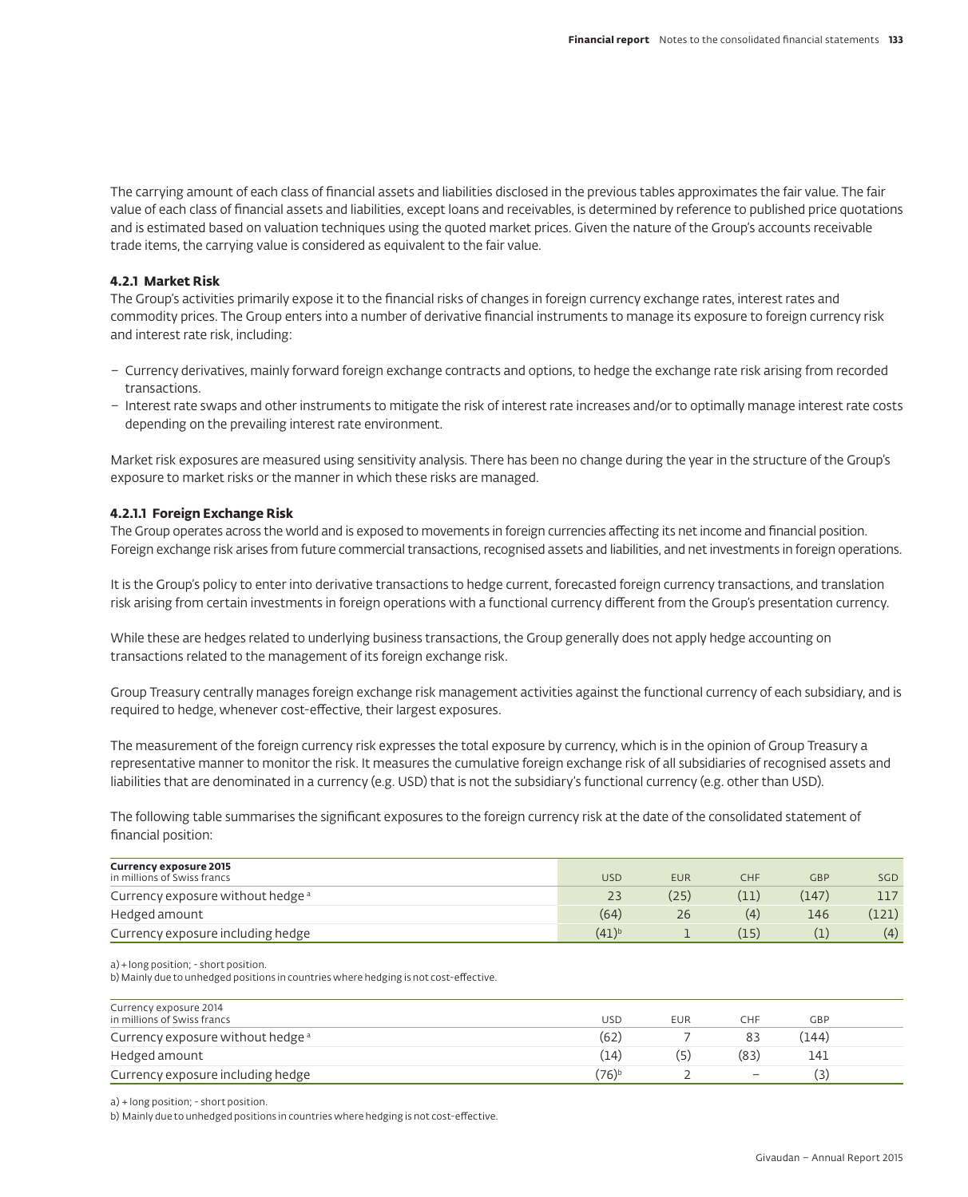The carrying amount of each class of financial assets and liabilities disclosed in the previous tables approximates the fair value. The fair value of each class of financial assets and liabilities, except loans and receivables, is determined by reference to published price quotations and is estimated based on valuation techniques using the quoted market prices. Given the nature of the Group's accounts receivable trade items, the carrying value is considered as equivalent to the fair value.

#### **4.2.1 Market Risk**

The Group's activities primarily expose it to the financial risks of changes in foreign currency exchange rates, interest rates and commodity prices. The Group enters into a number of derivative financial instruments to manage its exposure to foreign currency risk and interest rate risk, including:

- Currency derivatives, mainly forward foreign exchange contracts and options, to hedge the exchange rate risk arising from recorded transactions.
- Interest rate swaps and other instruments to mitigate the risk of interest rate increases and/or to optimally manage interest rate costs depending on the prevailing interest rate environment.

Market risk exposures are measured using sensitivity analysis. There has been no change during the year in the structure of the Group's exposure to market risks or the manner in which these risks are managed.

#### **4.2.1.1 Foreign Exchange Risk**

The Group operates across the world and is exposed to movements in foreign currencies affecting its net income and financial position. Foreign exchange risk arises from future commercial transactions, recognised assets and liabilities, and net investments in foreign operations.

It is the Group's policy to enter into derivative transactions to hedge current, forecasted foreign currency transactions, and translation risk arising from certain investments in foreign operations with a functional currency different from the Group's presentation currency.

While these are hedges related to underlying business transactions, the Group generally does not apply hedge accounting on transactions related to the management of its foreign exchange risk.

Group Treasury centrally manages foreign exchange risk management activities against the functional currency of each subsidiary, and is required to hedge, whenever cost-effective, their largest exposures.

The measurement of the foreign currency risk expresses the total exposure by currency, which is in the opinion of Group Treasury a representative manner to monitor the risk. It measures the cumulative foreign exchange risk of all subsidiaries of recognised assets and liabilities that are denominated in a currency (e.g. USD) that is not the subsidiary's functional currency (e.g. other than USD).

The following table summarises the significant exposures to the foreign currency risk at the date of the consolidated statement of financial position:

| <b>Currency exposure 2015</b><br>in millions of Swiss francs | USD        | <b>EUR</b> | <b>CHF</b> | <b>GBP</b> | <b>SGD</b> |
|--------------------------------------------------------------|------------|------------|------------|------------|------------|
| Currency exposure without hedge <sup>a</sup>                 |            | 25         | Ί1         | 147        |            |
| Hedged amount                                                | (64)       | 26         | (4)        | 146        |            |
| Currency exposure including hedge                            | $(41)^{b}$ |            |            |            | (4)        |

a) + long position; - short position.

b) Mainly due to unhedged positions in countries where hedging is not cost-effective.

| Currency exposure 2014<br>in millions of Swiss francs | USD      | <b>EUR</b> | CHF                             | <b>GBP</b> |  |
|-------------------------------------------------------|----------|------------|---------------------------------|------------|--|
| Currency exposure without hedge <sup>a</sup>          | (62)     |            | 83                              | (144)      |  |
| Hedged amount                                         | '14)     |            | (83)                            | 141        |  |
| Currency exposure including hedge                     | $(76)^b$ |            | $\hspace{0.1in} \hspace{0.1in}$ |            |  |

a) + long position; - short position.

b) Mainly due to unhedged positions in countries where hedging is not cost-effective.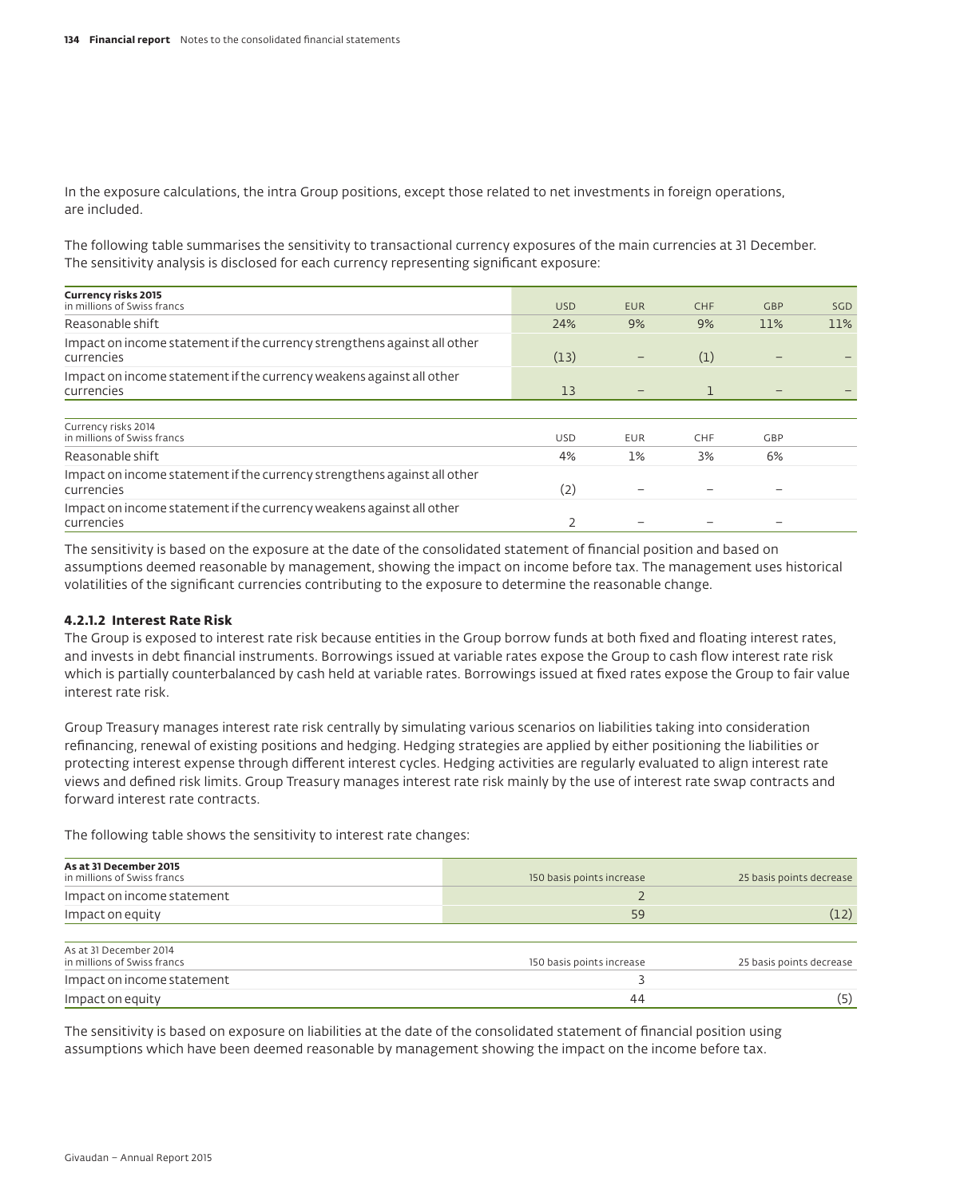In the exposure calculations, the intra Group positions, except those related to net investments in foreign operations, are included.

The following table summarises the sensitivity to transactional currency exposures of the main currencies at 31 December. The sensitivity analysis is disclosed for each currency representing significant exposure:

| <b>Currency risks 2015</b><br>in millions of Swiss francs                              | <b>USD</b> | <b>EUR</b>               | <b>CHF</b> | <b>GBP</b> | <b>SGD</b> |
|----------------------------------------------------------------------------------------|------------|--------------------------|------------|------------|------------|
| Reasonable shift                                                                       | 24%        | 9%                       | 9%         | 11%        | 11%        |
| Impact on income statement if the currency strengthens against all other<br>currencies | (13)       | $\qquad \qquad -$        | (1)        |            |            |
| Impact on income statement if the currency weakens against all other<br>currencies     | 13         | $\overline{\phantom{0}}$ |            |            |            |
| Currency risks 2014<br>in millions of Swiss francs                                     | <b>USD</b> | <b>EUR</b>               | CHF        | GBP        |            |
| Reasonable shift                                                                       | 4%         | $1\%$                    | 3%         | 6%         |            |
| Impact on income statement if the currency strengthens against all other<br>currencies | (2)        |                          |            |            |            |
| Impact on income statement if the currency weakens against all other<br>currencies     |            |                          |            |            |            |

The sensitivity is based on the exposure at the date of the consolidated statement of financial position and based on assumptions deemed reasonable by management, showing the impact on income before tax. The management uses historical volatilities of the significant currencies contributing to the exposure to determine the reasonable change.

#### **4.2.1.2 Interest Rate Risk**

The Group is exposed to interest rate risk because entities in the Group borrow funds at both fixed and floating interest rates, and invests in debt financial instruments. Borrowings issued at variable rates expose the Group to cash flow interest rate risk which is partially counterbalanced by cash held at variable rates. Borrowings issued at fixed rates expose the Group to fair value interest rate risk.

Group Treasury manages interest rate risk centrally by simulating various scenarios on liabilities taking into consideration refinancing, renewal of existing positions and hedging. Hedging strategies are applied by either positioning the liabilities or protecting interest expense through different interest cycles. Hedging activities are regularly evaluated to align interest rate views and defined risk limits. Group Treasury manages interest rate risk mainly by the use of interest rate swap contracts and forward interest rate contracts.

The following table shows the sensitivity to interest rate changes:

| As at 31 December 2015<br>in millions of Swiss francs | 150 basis points increase | 25 basis points decrease |
|-------------------------------------------------------|---------------------------|--------------------------|
| Impact on income statement                            |                           |                          |
| Impact on equity                                      | 59                        | (12)                     |
|                                                       |                           |                          |
| As at 31 December 2014<br>in millions of Swiss francs | 150 basis points increase | 25 basis points decrease |
| Impact on income statement                            |                           |                          |
| Impact on equity                                      | 44                        | (5)                      |

The sensitivity is based on exposure on liabilities at the date of the consolidated statement of financial position using assumptions which have been deemed reasonable by management showing the impact on the income before tax.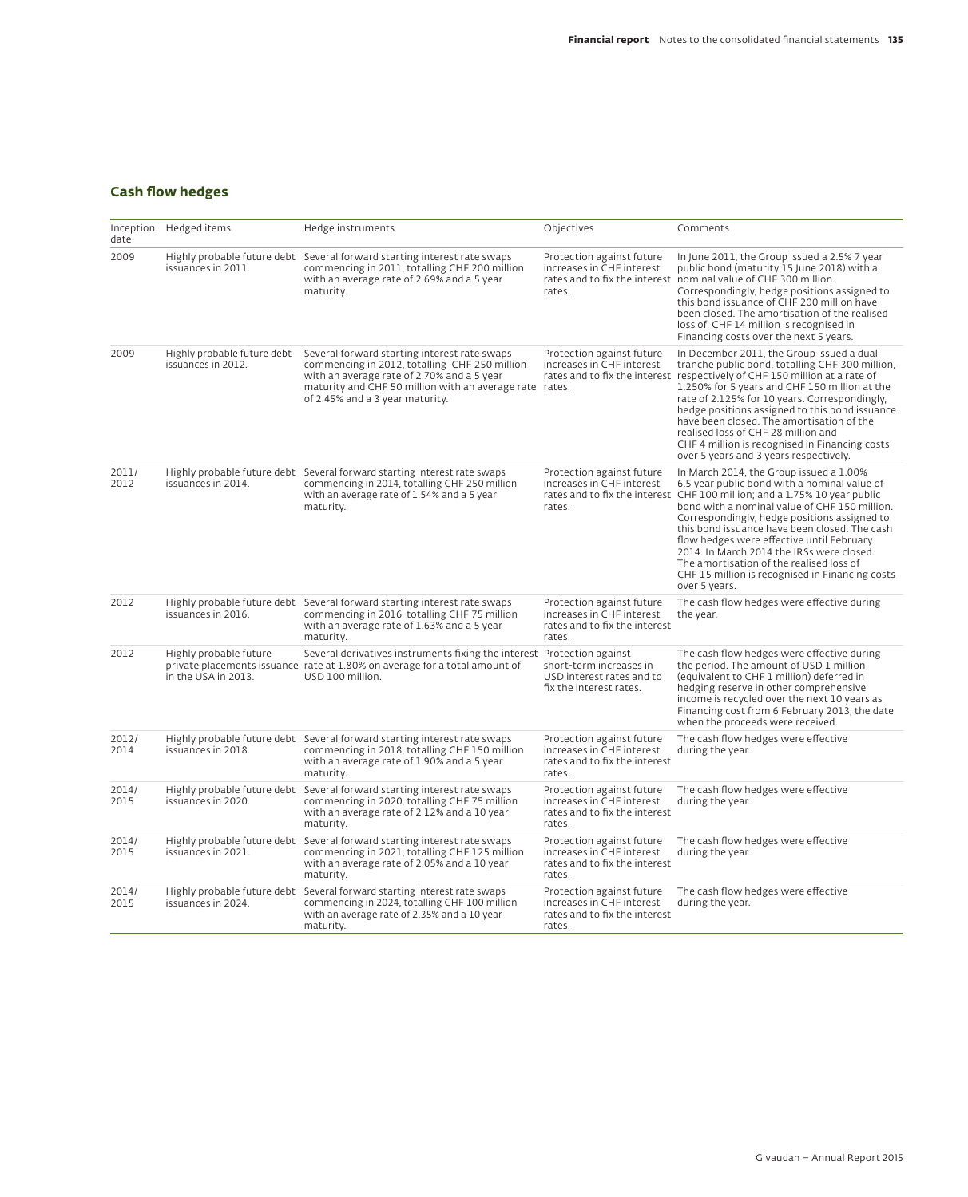## **Cash flow hedges**

| date          | Inception Hedged items                            | Hedge instruments                                                                                                                                                                                                                         | Objectives                                                                                        | Comments                                                                                                                                                                                                                                                                                                                                                                                                                                                                                                                         |
|---------------|---------------------------------------------------|-------------------------------------------------------------------------------------------------------------------------------------------------------------------------------------------------------------------------------------------|---------------------------------------------------------------------------------------------------|----------------------------------------------------------------------------------------------------------------------------------------------------------------------------------------------------------------------------------------------------------------------------------------------------------------------------------------------------------------------------------------------------------------------------------------------------------------------------------------------------------------------------------|
| 2009          | issuances in 2011.                                | Highly probable future debt Several forward starting interest rate swaps<br>commencing in 2011, totalling CHF 200 million<br>with an average rate of 2.69% and a 5 year<br>maturity.                                                      | Protection against future<br>increases in CHF interest<br>rates.                                  | In June 2011, the Group issued a 2.5% 7 year<br>public bond (maturity 15 June 2018) with a<br>rates and to fix the interest nominal value of CHF 300 million.<br>Correspondingly, hedge positions assigned to<br>this bond issuance of CHF 200 million have<br>been closed. The amortisation of the realised<br>loss of CHF 14 million is recognised in<br>Financing costs over the next 5 years.                                                                                                                                |
| 2009          | Highly probable future debt<br>issuances in 2012. | Several forward starting interest rate swaps<br>commencing in 2012, totalling CHF 250 million<br>with an average rate of 2.70% and a 5 year<br>maturity and CHF 50 million with an average rate rates.<br>of 2.45% and a 3 year maturity. | Protection against future<br>increases in CHF interest<br>rates and to fix the interest           | In December 2011, the Group issued a dual<br>tranche public bond, totalling CHF 300 million,<br>respectively of CHF 150 million at a rate of<br>1.250% for 5 years and CHF 150 million at the<br>rate of 2.125% for 10 years. Correspondingly,<br>hedge positions assigned to this bond issuance<br>have been closed. The amortisation of the<br>realised loss of CHF 28 million and<br>CHF 4 million is recognised in Financing costs<br>over 5 years and 3 years respectively.                                                 |
| 2011/<br>2012 | issuances in 2014.                                | Highly probable future debt Several forward starting interest rate swaps<br>commencing in 2014, totalling CHF 250 million<br>with an average rate of 1.54% and a 5 year<br>maturity.                                                      | Protection against future<br>increases in CHF interest<br>rates.                                  | In March 2014, the Group issued a 1.00%<br>6.5 year public bond with a nominal value of<br>rates and to fix the interest CHF 100 million; and a 1.75% 10 year public<br>bond with a nominal value of CHF 150 million.<br>Correspondingly, hedge positions assigned to<br>this bond issuance have been closed. The cash<br>flow hedges were effective until February<br>2014. In March 2014 the IRSs were closed.<br>The amortisation of the realised loss of<br>CHF 15 million is recognised in Financing costs<br>over 5 years. |
| 2012          | issuances in 2016.                                | Highly probable future debt Several forward starting interest rate swaps<br>commencing in 2016, totalling CHF 75 million<br>with an average rate of 1.63% and a 5 year<br>maturity.                                                       | Protection against future<br>increases in CHF interest<br>rates and to fix the interest<br>rates. | The cash flow hedges were effective during<br>the year.                                                                                                                                                                                                                                                                                                                                                                                                                                                                          |
| 2012          | Highly probable future<br>in the USA in 2013.     | Several derivatives instruments fixing the interest Protection against<br>private placements issuance rate at 1.80% on average for a total amount of<br>USD 100 million.                                                                  | short-term increases in<br>USD interest rates and to<br>fix the interest rates.                   | The cash flow hedges were effective during<br>the period. The amount of USD 1 million<br>(equivalent to CHF 1 million) deferred in<br>hedging reserve in other comprehensive<br>income is recycled over the next 10 years as<br>Financing cost from 6 February 2013, the date<br>when the proceeds were received.                                                                                                                                                                                                                |
| 2012/<br>2014 | issuances in 2018.                                | Highly probable future debt Several forward starting interest rate swaps<br>commencing in 2018, totalling CHF 150 million<br>with an average rate of 1.90% and a 5 year<br>maturity.                                                      | Protection against future<br>increases in CHF interest<br>rates and to fix the interest<br>rates. | The cash flow hedges were effective<br>during the year.                                                                                                                                                                                                                                                                                                                                                                                                                                                                          |
| 2014/<br>2015 | issuances in 2020.                                | Highly probable future debt Several forward starting interest rate swaps<br>commencing in 2020, totalling CHF 75 million<br>with an average rate of 2.12% and a 10 year<br>maturity.                                                      | Protection against future<br>increases in CHF interest<br>rates and to fix the interest<br>rates. | The cash flow hedges were effective<br>during the year.                                                                                                                                                                                                                                                                                                                                                                                                                                                                          |
| 2014/<br>2015 | Highly probable future debt<br>issuances in 2021. | Several forward starting interest rate swaps<br>commencing in 2021, totalling CHF 125 million<br>with an average rate of 2.05% and a 10 year<br>maturity.                                                                                 | Protection against future<br>increases in CHF interest<br>rates and to fix the interest<br>rates. | The cash flow hedges were effective<br>during the year.                                                                                                                                                                                                                                                                                                                                                                                                                                                                          |
| 2014/<br>2015 | issuances in 2024.                                | Highly probable future debt Several forward starting interest rate swaps<br>commencing in 2024, totalling CHF 100 million<br>with an average rate of 2.35% and a 10 year<br>maturity.                                                     | Protection against future<br>increases in CHF interest<br>rates and to fix the interest<br>rates. | The cash flow hedges were effective<br>during the year.                                                                                                                                                                                                                                                                                                                                                                                                                                                                          |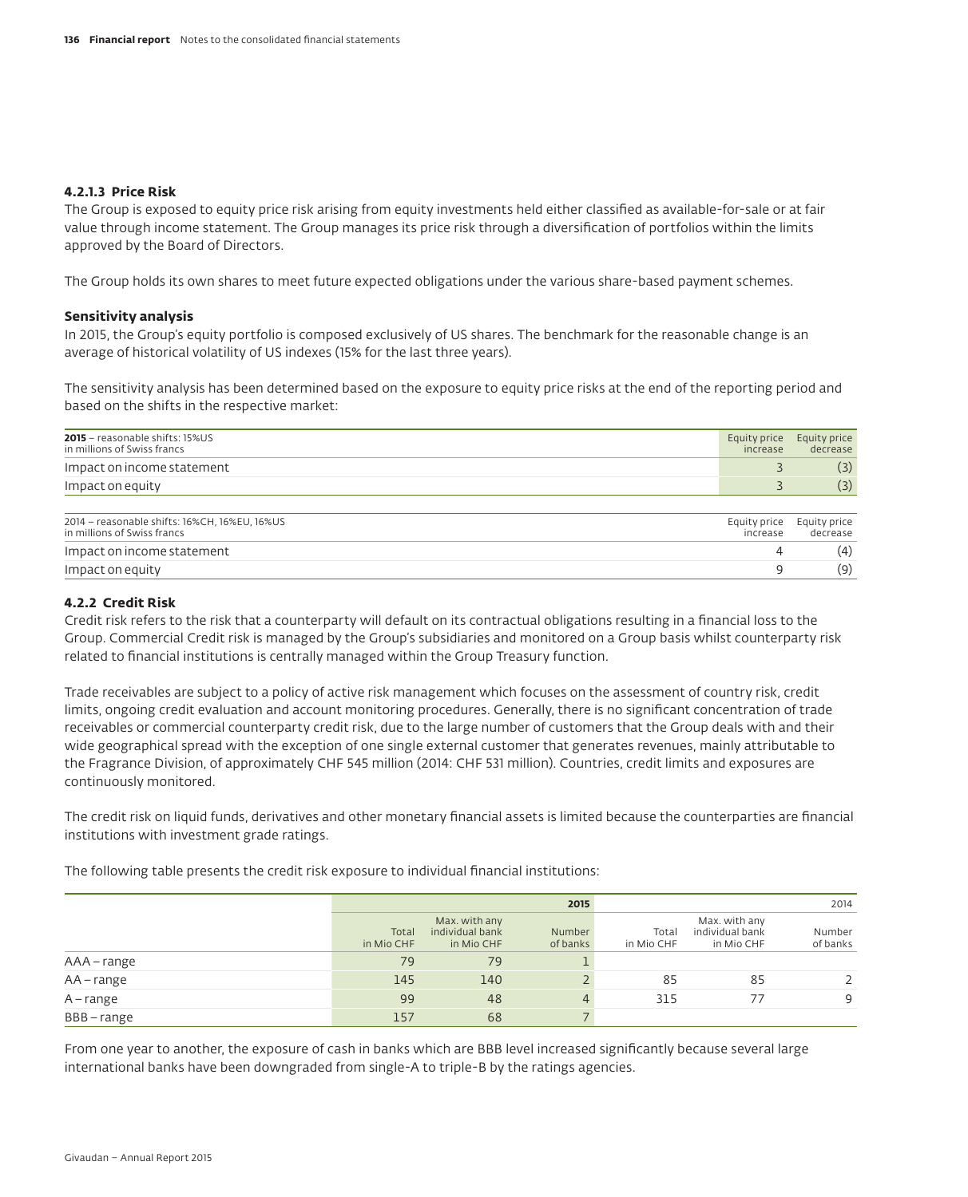#### **4.2.1.3 Price Risk**

The Group is exposed to equity price risk arising from equity investments held either classified as available-for-sale or at fair value through income statement. The Group manages its price risk through a diversification of portfolios within the limits approved by the Board of Directors.

The Group holds its own shares to meet future expected obligations under the various share-based payment schemes.

#### **Sensitivity analysis**

In 2015, the Group's equity portfolio is composed exclusively of US shares. The benchmark for the reasonable change is an average of historical volatility of US indexes (15% for the last three years).

The sensitivity analysis has been determined based on the exposure to equity price risks at the end of the reporting period and based on the shifts in the respective market:

| 2015 - reasonable shifts: 15%US<br>in millions of Swiss francs | Equity price<br>increase | Equity price<br>decrease |
|----------------------------------------------------------------|--------------------------|--------------------------|
| Impact on income statement                                     |                          |                          |
| Impact on equity                                               |                          |                          |

| 2014 - reasonable shifts: 16%CH, 16%EU, 16%US<br>in millions of Swiss francs | Equity price<br>increase | Equity price<br>decrease |
|------------------------------------------------------------------------------|--------------------------|--------------------------|
| Impact on income statement                                                   |                          |                          |
| Impact on equity                                                             |                          |                          |

#### **4.2.2 Credit Risk**

Credit risk refers to the risk that a counterparty will default on its contractual obligations resulting in a financial loss to the Group. Commercial Credit risk is managed by the Group's subsidiaries and monitored on a Group basis whilst counterparty risk related to financial institutions is centrally managed within the Group Treasury function.

Trade receivables are subject to a policy of active risk management which focuses on the assessment of country risk, credit limits, ongoing credit evaluation and account monitoring procedures. Generally, there is no significant concentration of trade receivables or commercial counterparty credit risk, due to the large number of customers that the Group deals with and their wide geographical spread with the exception of one single external customer that generates revenues, mainly attributable to the Fragrance Division, of approximately CHF 545 million (2014: CHF 531 million). Countries, credit limits and exposures are continuously monitored.

The credit risk on liquid funds, derivatives and other monetary financial assets is limited because the counterparties are financial institutions with investment grade ratings.

The following table presents the credit risk exposure to individual financial institutions:

|              |                     |                                                | 2015               |                     |                                                | 2014               |
|--------------|---------------------|------------------------------------------------|--------------------|---------------------|------------------------------------------------|--------------------|
|              | Total<br>in Mio CHF | Max. with any<br>individual bank<br>in Mio CHF | Number<br>of banks | Total<br>in Mio CHF | Max. with any<br>individual bank<br>in Mio CHF | Number<br>of banks |
| AAA – range  | 79                  | 79                                             |                    |                     |                                                |                    |
| $AA$ – range | 145                 | 140                                            |                    | 85                  | 85                                             |                    |
| A-range      | 99                  | 48                                             | 4                  | 315                 | 77                                             | $\mathsf{q}$       |
| BBB-range    | 157                 | 68                                             |                    |                     |                                                |                    |

From one year to another, the exposure of cash in banks which are BBB level increased significantly because several large international banks have been downgraded from single-A to triple-B by the ratings agencies.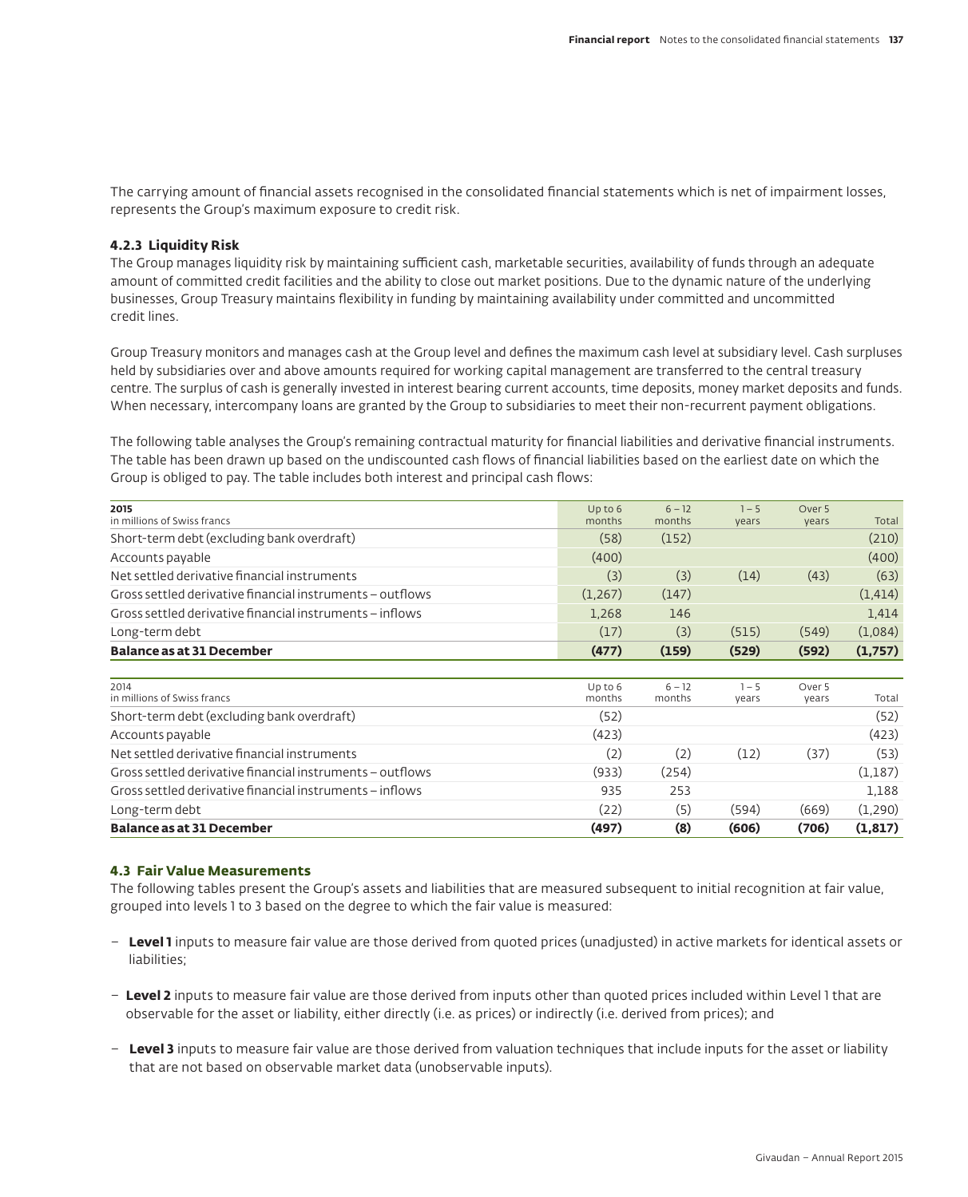The carrying amount of financial assets recognised in the consolidated financial statements which is net of impairment losses, represents the Group's maximum exposure to credit risk.

#### **4.2.3 Liquidity Risk**

The Group manages liquidity risk by maintaining sufficient cash, marketable securities, availability of funds through an adequate amount of committed credit facilities and the ability to close out market positions. Due to the dynamic nature of the underlying businesses, Group Treasury maintains flexibility in funding by maintaining availability under committed and uncommitted credit lines.

Group Treasury monitors and manages cash at the Group level and defines the maximum cash level at subsidiary level. Cash surpluses held by subsidiaries over and above amounts required for working capital management are transferred to the central treasury centre. The surplus of cash is generally invested in interest bearing current accounts, time deposits, money market deposits and funds. When necessary, intercompany loans are granted by the Group to subsidiaries to meet their non-recurrent payment obligations.

The following table analyses the Group's remaining contractual maturity for financial liabilities and derivative financial instruments. The table has been drawn up based on the undiscounted cash flows of financial liabilities based on the earliest date on which the Group is obliged to pay. The table includes both interest and principal cash flows:

| 2015<br>in millions of Swiss francs                       | $Up$ to $6$<br>months | $6 - 12$<br>months | $1 - 5$<br>vears | Over 5<br>vears | Total    |
|-----------------------------------------------------------|-----------------------|--------------------|------------------|-----------------|----------|
| Short-term debt (excluding bank overdraft)                | (58)                  | (152)              |                  |                 | (210)    |
| Accounts payable                                          | (400)                 |                    |                  |                 | (400)    |
| Net settled derivative financial instruments              | (3)                   | (3)                | (14)             | (43)            | (63)     |
| Gross settled derivative financial instruments - outflows | (1,267)               | (147)              |                  |                 | (1,414)  |
| Gross settled derivative financial instruments - inflows  | 1,268                 | 146                |                  |                 | 1,414    |
| Long-term debt                                            | (17)                  | (3)                | (515)            | (549)           | (1,084)  |
| <b>Balance as at 31 December</b>                          | (477)                 | (159)              | (529)            | (592)           | (1,757)  |
|                                                           |                       |                    |                  |                 |          |
| 2014<br>in millions of Swiss francs                       | $Up$ to $6$<br>months | $6 - 12$<br>months | $1 - 5$<br>vears | Over 5<br>vears | Total    |
| Short-term debt (excluding bank overdraft)                | (52)                  |                    |                  |                 | (52)     |
| Accounts payable                                          | (423)                 |                    |                  |                 | (423)    |
| Net settled derivative financial instruments              | (2)                   | (2)                | (12)             | (37)            | (53)     |
| Gross settled derivative financial instruments - outflows | (933)                 | (254)              |                  |                 | (1,187)  |
| Gross settled derivative financial instruments – inflows  | 935                   | 253                |                  |                 | 1,188    |
| Long-term debt                                            | (22)                  | (5)                | (594)            | (669)           | (1,290)  |
| <b>Balance as at 31 December</b>                          | (497)                 | (8)                | (606)            | (706)           | (1, 817) |

#### **4.3 Fair Value Measurements**

The following tables present the Group's assets and liabilities that are measured subsequent to initial recognition at fair value, grouped into levels 1 to 3 based on the degree to which the fair value is measured:

- – **Level 1** inputs to measure fair value are those derived from quoted prices (unadjusted) in active markets for identical assets or liabilities;
- **Level 2** inputs to measure fair value are those derived from inputs other than quoted prices included within Level 1 that are observable for the asset or liability, either directly (i.e. as prices) or indirectly (i.e. derived from prices); and
- **Level 3** inputs to measure fair value are those derived from valuation techniques that include inputs for the asset or liability that are not based on observable market data (unobservable inputs).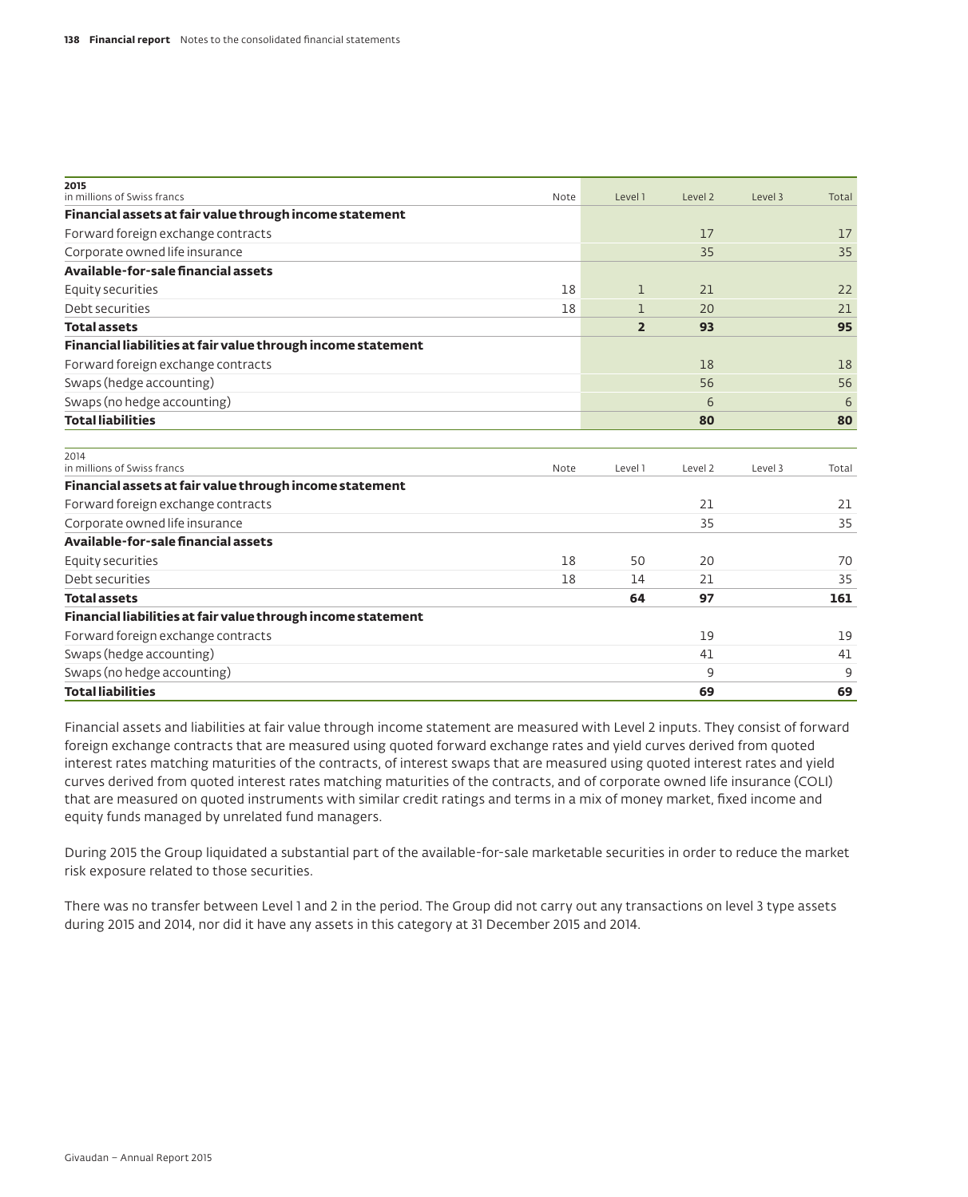| 2015<br>in millions of Swiss francs<br>Note                  | Level 1        | Level 2 | Level 3 | Total |
|--------------------------------------------------------------|----------------|---------|---------|-------|
| Financial assets at fair value through income statement      |                |         |         |       |
| Forward foreign exchange contracts                           |                | 17      |         | 17    |
| Corporate owned life insurance                               |                | 35      |         | 35    |
| Available-for-sale financial assets                          |                |         |         |       |
| 18<br>Equity securities                                      | 1              | 21      |         | 22    |
| Debt securities<br>18                                        | ı              | 20      |         | 21    |
| <b>Total assets</b>                                          | $\overline{2}$ | 93      |         | 95    |
| Financial liabilities at fair value through income statement |                |         |         |       |
| Forward foreign exchange contracts                           |                | 18      |         | 18    |
| Swaps (hedge accounting)                                     |                | 56      |         | 56    |
| Swaps (no hedge accounting)                                  |                | 6       |         | 6     |
| <b>Total liabilities</b>                                     |                | 80      |         | 80    |
| 2014<br>in millions of Swiss francs<br>Note                  | Level 1        | Level 2 | Level 3 | Total |
| Financial assets at fair value through income statement      |                |         |         |       |
| Forward foreign exchange contracts                           |                | 21      |         | 21    |
| Corporate owned life insurance                               |                | 35      |         | 35    |
| Available-for-sale financial assets                          |                |         |         |       |
| 18<br>Equity securities                                      | 50             | 20      |         | 70    |
| Debt securities<br>18                                        | 14             | 21      |         | 35    |
| <b>Total assets</b>                                          | 64             | 97      |         | 161   |
| Financial liabilities at fair value through income statement |                |         |         |       |
| Forward foreign exchange contracts                           |                | 19      |         | 19    |
| Swaps (hedge accounting)                                     |                | 41      |         | 41    |
| Swaps (no hedge accounting)                                  |                | 9       |         | 9     |
| <b>Total liabilities</b>                                     |                | 69      |         | 69    |

Financial assets and liabilities at fair value through income statement are measured with Level 2 inputs. They consist of forward foreign exchange contracts that are measured using quoted forward exchange rates and yield curves derived from quoted interest rates matching maturities of the contracts, of interest swaps that are measured using quoted interest rates and yield curves derived from quoted interest rates matching maturities of the contracts, and of corporate owned life insurance (COLI) that are measured on quoted instruments with similar credit ratings and terms in a mix of money market, fixed income and equity funds managed by unrelated fund managers.

During 2015 the Group liquidated a substantial part of the available-for-sale marketable securities in order to reduce the market risk exposure related to those securities.

There was no transfer between Level 1 and 2 in the period. The Group did not carry out any transactions on level 3 type assets during 2015 and 2014, nor did it have any assets in this category at 31 December 2015 and 2014.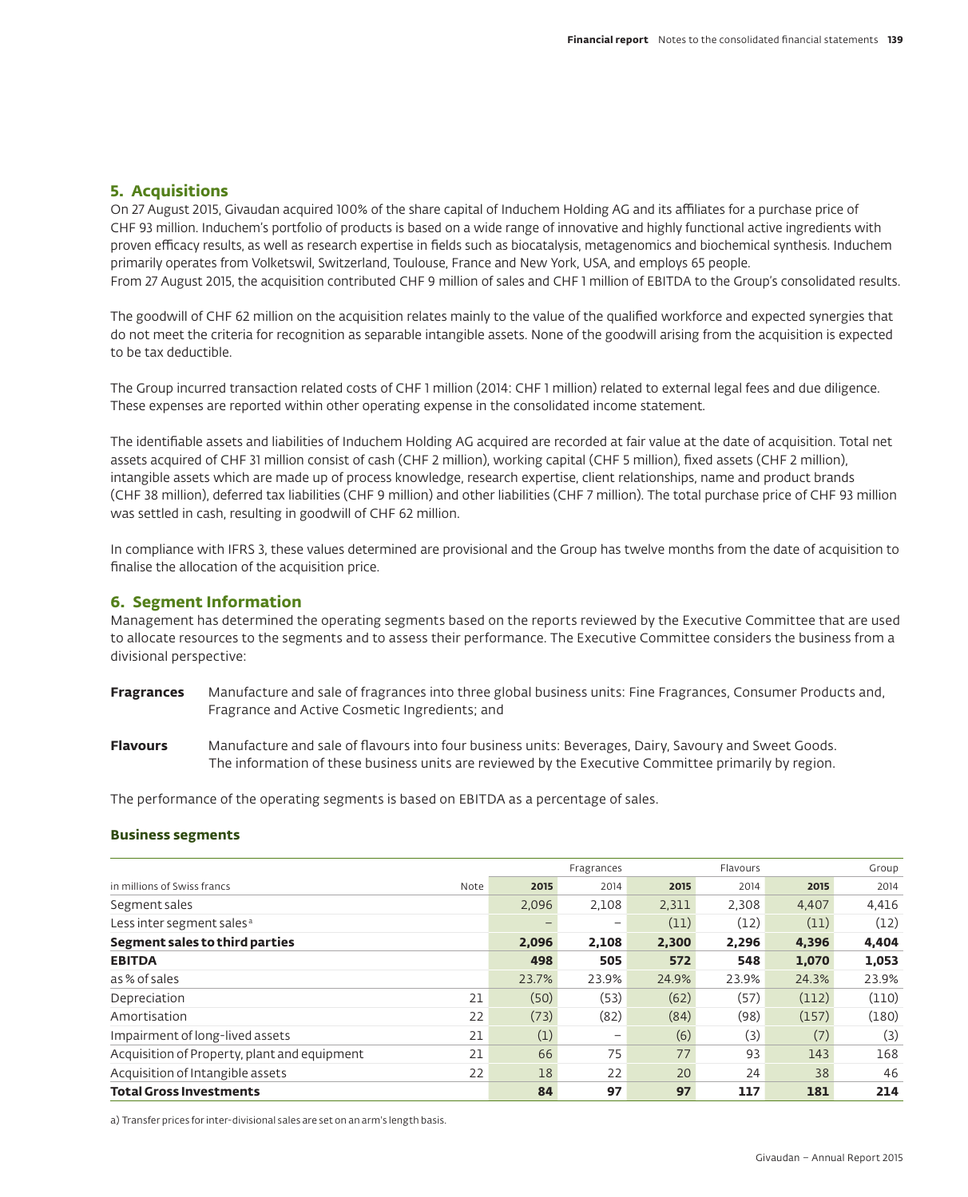#### **5. Acquisitions**

On 27 August 2015, Givaudan acquired 100% of the share capital of Induchem Holding AG and its affiliates for a purchase price of CHF 93 million. Induchem's portfolio of products is based on a wide range of innovative and highly functional active ingredients with proven efficacy results, as well as research expertise in fields such as biocatalysis, metagenomics and biochemical synthesis. Induchem primarily operates from Volketswil, Switzerland, Toulouse, France and New York, USA, and employs 65 people. From 27 August 2015, the acquisition contributed CHF 9 million of sales and CHF 1 million of EBITDA to the Group's consolidated results.

The goodwill of CHF 62 million on the acquisition relates mainly to the value of the qualified workforce and expected synergies that do not meet the criteria for recognition as separable intangible assets. None of the goodwill arising from the acquisition is expected to be tax deductible.

The Group incurred transaction related costs of CHF 1 million (2014: CHF 1 million) related to external legal fees and due diligence. These expenses are reported within other operating expense in the consolidated income statement.

The identifiable assets and liabilities of Induchem Holding AG acquired are recorded at fair value at the date of acquisition. Total net assets acquired of CHF 31 million consist of cash (CHF 2 million), working capital (CHF 5 million), fixed assets (CHF 2 million), intangible assets which are made up of process knowledge, research expertise, client relationships, name and product brands (CHF 38 million), deferred tax liabilities (CHF 9 million) and other liabilities (CHF 7 million). The total purchase price of CHF 93 million was settled in cash, resulting in goodwill of CHF 62 million.

In compliance with IFRS 3, these values determined are provisional and the Group has twelve months from the date of acquisition to finalise the allocation of the acquisition price.

#### **6. Segment Information**

Management has determined the operating segments based on the reports reviewed by the Executive Committee that are used to allocate resources to the segments and to assess their performance. The Executive Committee considers the business from a divisional perspective:

- **Fragrances** Manufacture and sale of fragrances into three global business units: Fine Fragrances, Consumer Products and, Fragrance and Active Cosmetic Ingredients; and
- **Flavours** Manufacture and sale of flavours into four business units: Beverages, Dairy, Savoury and Sweet Goods. The information of these business units are reviewed by the Executive Committee primarily by region.

The performance of the operating segments is based on EBITDA as a percentage of sales.

#### **Business segments**

|                                                    | Fragrances |       |       | Flavours |       | Group |  |
|----------------------------------------------------|------------|-------|-------|----------|-------|-------|--|
| in millions of Swiss francs<br>Note                | 2015       | 2014  | 2015  | 2014     | 2015  | 2014  |  |
| Segment sales                                      | 2,096      | 2,108 | 2,311 | 2,308    | 4,407 | 4,416 |  |
| Less inter segment sales <sup>a</sup>              |            |       | (11)  | (12)     | (11)  | (12)  |  |
| Segment sales to third parties                     | 2,096      | 2,108 | 2,300 | 2.296    | 4,396 | 4,404 |  |
| <b>EBITDA</b>                                      | 498        | 505   | 572   | 548      | 1,070 | 1,053 |  |
| as % of sales                                      | 23.7%      | 23.9% | 24.9% | 23.9%    | 24.3% | 23.9% |  |
| Depreciation<br>21                                 | (50)       | (53)  | (62)  | (57)     | (112) | (110) |  |
| 22<br>Amortisation                                 | (73)       | (82)  | (84)  | (98)     | (157) | (180) |  |
| Impairment of long-lived assets<br>21              | (1)        | -     | (6)   | (3)      | (7)   | (3)   |  |
| Acquisition of Property, plant and equipment<br>21 | 66         | 75    | 77    | 93       | 143   | 168   |  |
| Acquisition of Intangible assets<br>22             | 18         | 22    | 20    | 24       | 38    | 46    |  |
| <b>Total Gross Investments</b>                     | 84         | 97    | 97    | 117      | 181   | 214   |  |

a) Transfer prices for inter-divisional sales are set on an arm's length basis.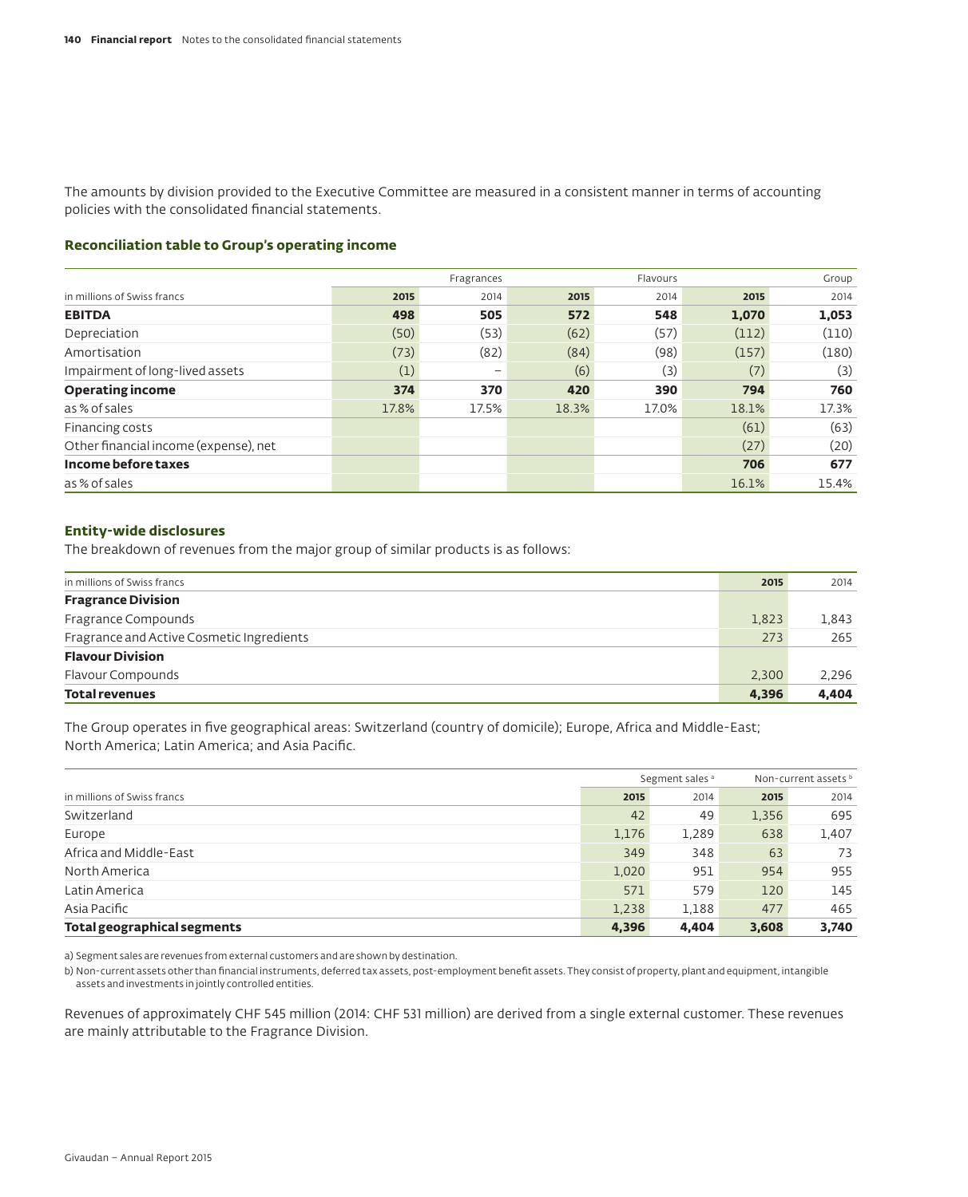The amounts by division provided to the Executive Committee are measured in a consistent manner in terms of accounting policies with the consolidated financial statements.

#### **Reconciliation table to Group's operating income**

|                                       |       | Fragrances               |       | Flavours |       | Group |
|---------------------------------------|-------|--------------------------|-------|----------|-------|-------|
| in millions of Swiss francs           | 2015  | 2014                     | 2015  | 2014     | 2015  | 2014  |
| <b>EBITDA</b>                         | 498   | 505                      | 572   | 548      | 1,070 | 1,053 |
| Depreciation                          | (50)  | (53)                     | (62)  | (57)     | (112) | (110) |
| Amortisation                          | (73)  | (82)                     | (84)  | (98)     | (157) | (180) |
| Impairment of long-lived assets       | (1)   | $\overline{\phantom{0}}$ | (6)   | (3)      | (7)   | (3)   |
| <b>Operating income</b>               | 374   | 370                      | 420   | 390      | 794   | 760   |
| as % of sales                         | 17.8% | 17.5%                    | 18.3% | 17.0%    | 18.1% | 17.3% |
| Financing costs                       |       |                          |       |          | (61)  | (63)  |
| Other financial income (expense), net |       |                          |       |          | (27)  | (20)  |
| Income before taxes                   |       |                          |       |          | 706   | 677   |
| as % of sales                         |       |                          |       |          | 16.1% | 15.4% |

#### **Entity-wide disclosures**

The breakdown of revenues from the major group of similar products is as follows:

| in millions of Swiss francs               | 2015  | 2014  |
|-------------------------------------------|-------|-------|
|                                           |       |       |
| <b>Fragrance Division</b>                 |       |       |
| Fragrance Compounds                       | 1,823 | 1,843 |
| Fragrance and Active Cosmetic Ingredients | 273   | 265   |
| <b>Flavour Division</b>                   |       |       |
| Flavour Compounds                         | 2.300 | 2.296 |
| <b>Total revenues</b>                     | 4,396 | 4.404 |

The Group operates in five geographical areas: Switzerland (country of domicile); Europe, Africa and Middle-East; North America; Latin America; and Asia Pacific.

|                             | Segment sales a |       | Non-current assets b |       |
|-----------------------------|-----------------|-------|----------------------|-------|
| in millions of Swiss francs | 2015            | 2014  | 2015                 | 2014  |
| Switzerland                 | 42              | 49    | 1,356                | 695   |
| Europe                      | 1,176           | 1,289 | 638                  | 1,407 |
| Africa and Middle-East      | 349             | 348   | 63                   | 73    |
| North America               | 1,020           | 951   | 954                  | 955   |
| Latin America               | 571             | 579   | 120                  | 145   |
| Asia Pacific                | 1,238           | 1,188 | 477                  | 465   |
| Total geographical segments | 4,396           | 4.404 | 3,608                | 3,740 |

a) Segment sales are revenues from external customers and are shown by destination.

b) Non-current assets other than financial instruments, deferred tax assets, post-employment benefit assets. They consist of property, plant and equipment, intangible assets and investments in jointly controlled entities.

Revenues of approximately CHF 545 million (2014: CHF 531 million) are derived from a single external customer. These revenues are mainly attributable to the Fragrance Division.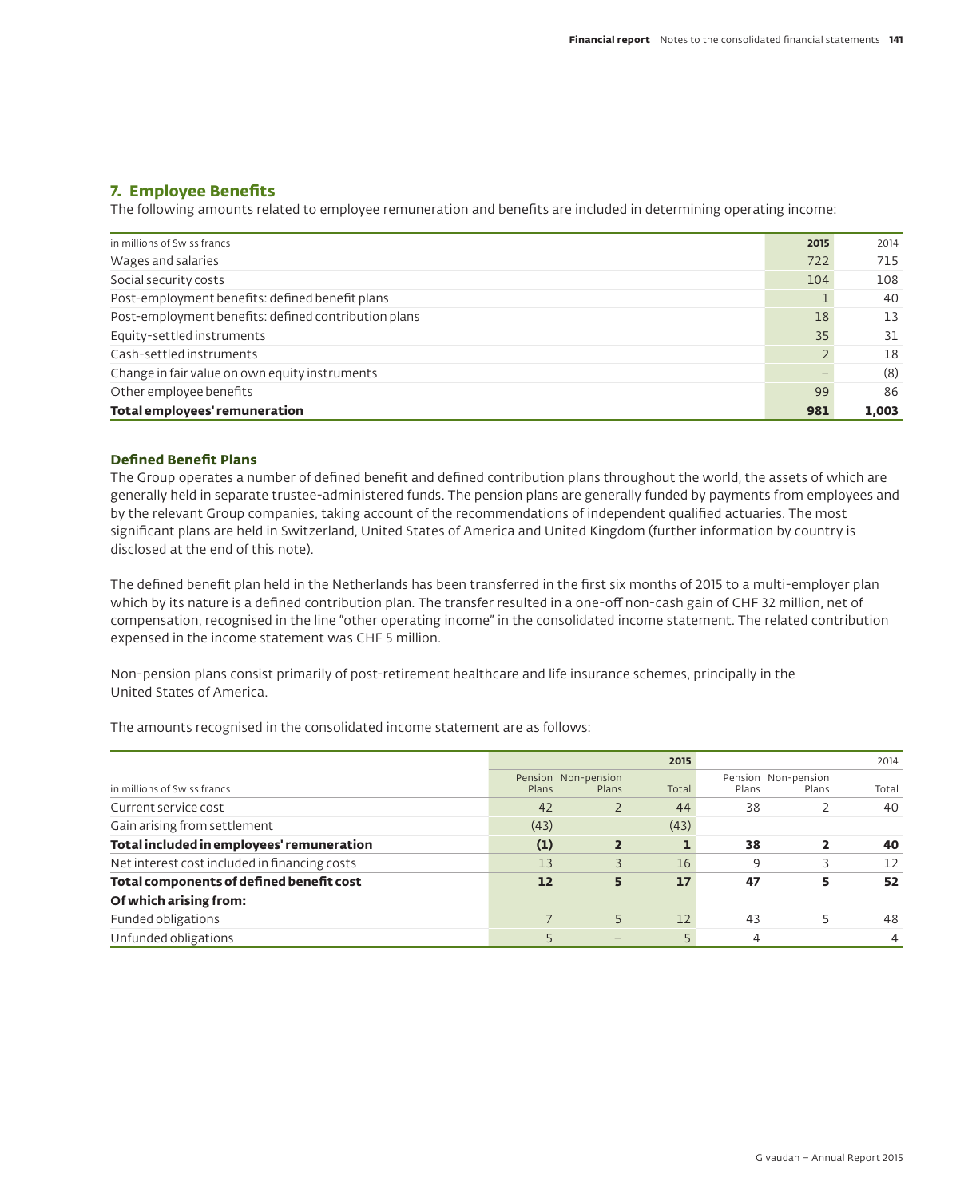### **7. Employee Benefits**

The following amounts related to employee remuneration and benefits are included in determining operating income:

| in millions of Swiss francs                          | 2015 | 2014  |
|------------------------------------------------------|------|-------|
| Wages and salaries                                   | 722  | 715   |
| Social security costs                                | 104  | 108   |
| Post-employment benefits: defined benefit plans      |      | 40    |
| Post-employment benefits: defined contribution plans | 18   | 13    |
| Equity-settled instruments                           | 35   | 31    |
| Cash-settled instruments                             |      | 18    |
| Change in fair value on own equity instruments       |      | (8)   |
| Other employee benefits                              | 99   | 86    |
| <b>Total employees' remuneration</b>                 | 981  | 1.003 |

#### **Defined Benefit Plans**

The Group operates a number of defined benefit and defined contribution plans throughout the world, the assets of which are generally held in separate trustee-administered funds. The pension plans are generally funded by payments from employees and by the relevant Group companies, taking account of the recommendations of independent qualified actuaries. The most significant plans are held in Switzerland, United States of America and United Kingdom (further information by country is disclosed at the end of this note).

The defined benefit plan held in the Netherlands has been transferred in the first six months of 2015 to a multi-employer plan which by its nature is a defined contribution plan. The transfer resulted in a one-off non-cash gain of CHF 32 million, net of compensation, recognised in the line "other operating income" in the consolidated income statement. The related contribution expensed in the income statement was CHF 5 million.

Non-pension plans consist primarily of post-retirement healthcare and life insurance schemes, principally in the United States of America.

The amounts recognised in the consolidated income statement are as follows:

|                                               | 2015                |                |                     |       | 2014  |       |
|-----------------------------------------------|---------------------|----------------|---------------------|-------|-------|-------|
|                                               | Pension Non-pension |                | Pension Non-pension |       |       |       |
| in millions of Swiss francs                   | Plans               | Plans          | Total               | Plans | Plans | Total |
| Current service cost                          | 42                  | $\overline{2}$ | 44                  | 38    |       | 40    |
| Gain arising from settlement                  | (43)                |                | (43)                |       |       |       |
| Total included in employees' remuneration     | (1)                 | $\overline{2}$ | ı                   | 38    |       | 40    |
| Net interest cost included in financing costs | 13                  |                | 16                  | 9     |       | 12    |
| Total components of defined benefit cost      | 12                  | 5              | 17                  | 47    | 5     | 52    |
| Of which arising from:                        |                     |                |                     |       |       |       |
| Funded obligations                            |                     | 5              | 12                  | 43    | 5     | 48    |
| Unfunded obligations                          |                     |                | 5                   | 4     |       | 4     |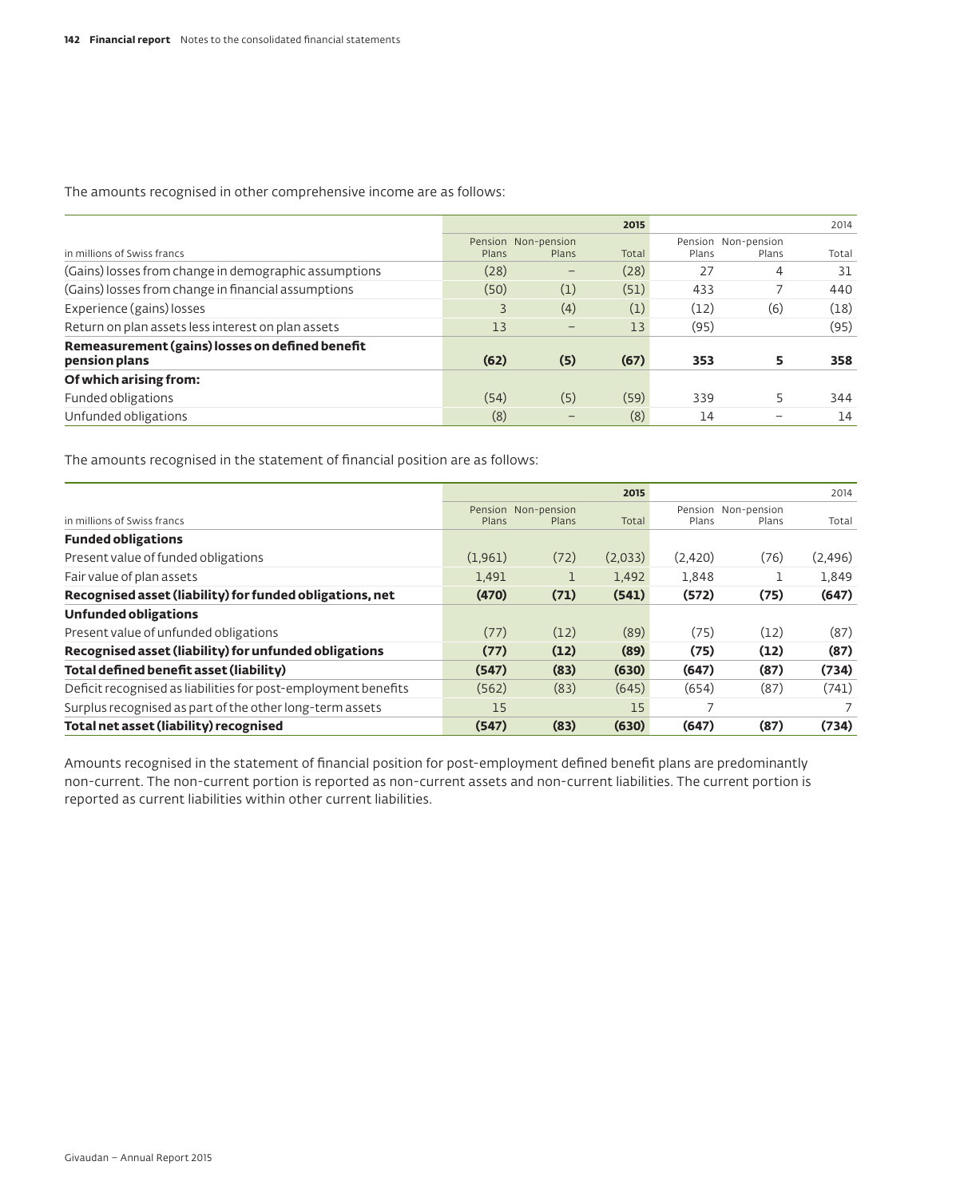The amounts recognised in other comprehensive income are as follows:

|                                                                  |       |                              | 2015  |       |                              | 2014  |
|------------------------------------------------------------------|-------|------------------------------|-------|-------|------------------------------|-------|
| in millions of Swiss francs                                      | Plans | Pension Non-pension<br>Plans | Total | Plans | Pension Non-pension<br>Plans | Total |
| (Gains) losses from change in demographic assumptions            | (28)  |                              | (28)  | 27    | 4                            | 31    |
| (Gains) losses from change in financial assumptions              | (50)  | (1)                          | (51)  | 433   |                              | 440   |
| Experience (gains) losses                                        | 3     | (4)                          | (1)   | (12)  | (6)                          | (18)  |
| Return on plan assets less interest on plan assets               | 13    |                              | 13    | (95)  |                              | (95)  |
| Remeasurement (gains) losses on defined benefit<br>pension plans | (62)  | (5)                          | (67)  | 353   | 5                            | 358   |
| Of which arising from:                                           |       |                              |       |       |                              |       |
| Funded obligations                                               | (54)  | (5)                          | (59)  | 339   |                              | 344   |
| Unfunded obligations                                             | (8)   |                              | (8)   | 14    |                              | 14    |

The amounts recognised in the statement of financial position are as follows:

|                                                                |         |                              | 2015    |         |                              | 2014     |
|----------------------------------------------------------------|---------|------------------------------|---------|---------|------------------------------|----------|
| in millions of Swiss francs                                    | Plans   | Pension Non-pension<br>Plans | Total   | Plans   | Pension Non-pension<br>Plans | Total    |
| <b>Funded obligations</b>                                      |         |                              |         |         |                              |          |
| Present value of funded obligations                            | (1,961) | (72)                         | (2,033) | (2,420) | (76)                         | (2, 496) |
| Fair value of plan assets                                      | 1.491   |                              | 1,492   | 1,848   |                              | 1,849    |
| Recognised asset (liability) for funded obligations, net       | (470)   | (71)                         | (541)   | (572)   | (75)                         | (647)    |
| Unfunded obligations                                           |         |                              |         |         |                              |          |
| Present value of unfunded obligations                          | (77)    | (12)                         | (89)    | (75)    | (12)                         | (87)     |
| Recognised asset (liability) for unfunded obligations          | (77)    | (12)                         | (89)    | (75)    | (12)                         | (87)     |
| Total defined benefit asset (liability)                        | (547)   | (83)                         | (630)   | (647)   | (87)                         | (734)    |
| Deficit recognised as liabilities for post-employment benefits | (562)   | (83)                         | (645)   | (654)   | (87)                         | (741)    |
| Surplus recognised as part of the other long-term assets       | 15      |                              | 15      |         |                              |          |
| Total net asset (liability) recognised                         | (547)   | (83)                         | (630)   | (647)   | (87)                         | (734)    |

Amounts recognised in the statement of financial position for post-employment defined benefit plans are predominantly non-current. The non-current portion is reported as non-current assets and non-current liabilities. The current portion is reported as current liabilities within other current liabilities.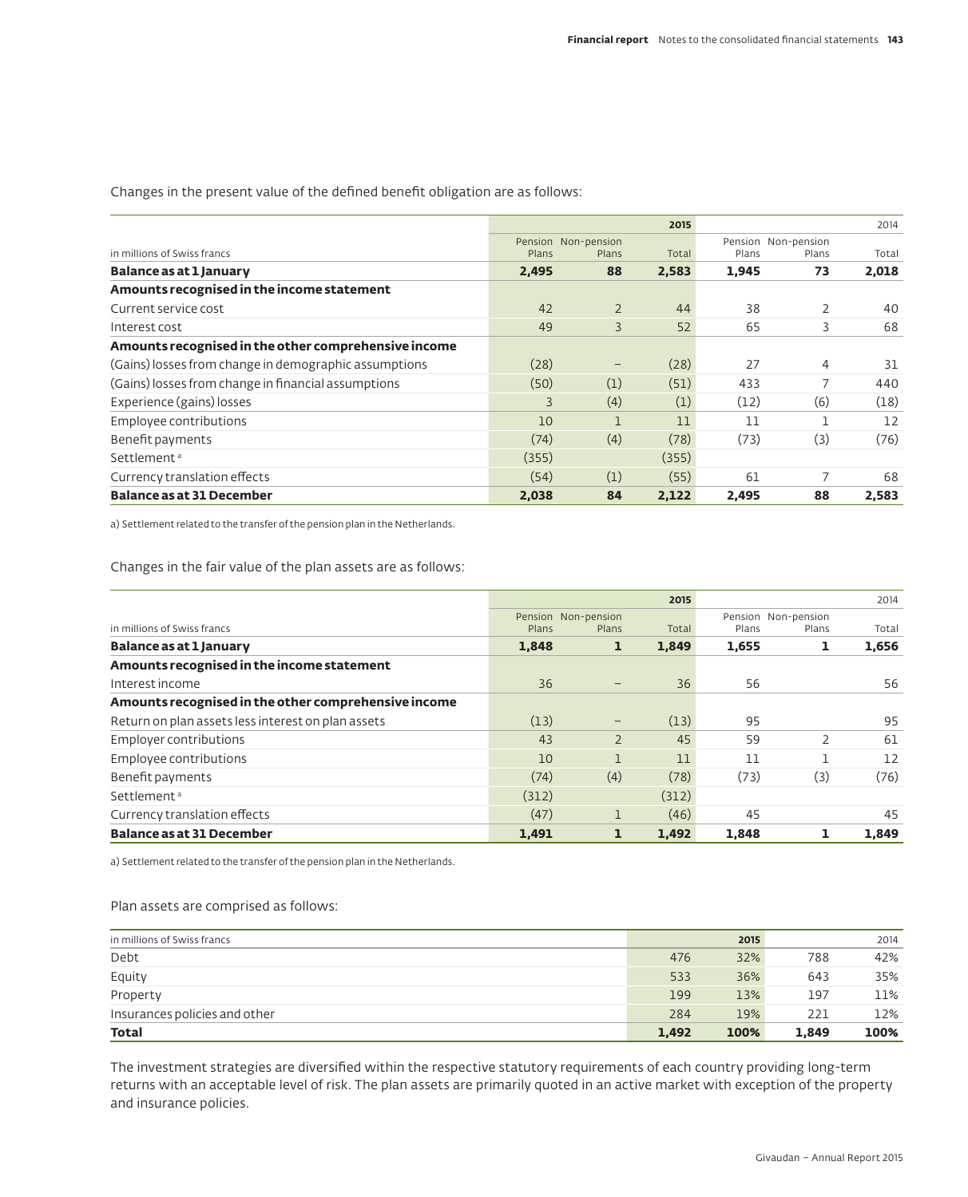Changes in the present value of the defined benefit obligation are as follows:

|                                                       |                |                              | 2015  |       |                              | 2014  |
|-------------------------------------------------------|----------------|------------------------------|-------|-------|------------------------------|-------|
| in millions of Swiss francs                           | Plans          | Pension Non-pension<br>Plans | Total | Plans | Pension Non-pension<br>Plans | Total |
| Balance as at 1 January                               | 2,495          | 88                           | 2,583 | 1.945 | 73                           | 2,018 |
| Amounts recognised in the income statement            |                |                              |       |       |                              |       |
| Current service cost                                  | 42             | $\overline{2}$               | 44    | 38    | $\overline{2}$               | 40    |
| Interest cost                                         | 49             | $\overline{3}$               | 52    | 65    | 3                            | 68    |
| Amounts recognised in the other comprehensive income  |                |                              |       |       |                              |       |
| (Gains) losses from change in demographic assumptions | (28)           |                              | (28)  | 27    | 4                            | 31    |
| (Gains) losses from change in financial assumptions   | (50)           | (1)                          | (51)  | 433   | 7                            | 440   |
| Experience (gains) losses                             | $\overline{3}$ | (4)                          | (1)   | (12)  | (6)                          | (18)  |
| Employee contributions                                | 10             |                              | 11    | 11    |                              | 12    |
| Benefit payments                                      | (74)           | (4)                          | (78)  | (73)  | (3)                          | (76)  |
| Settlement <sup>a</sup>                               | (355)          |                              | (355) |       |                              |       |
| Currency translation effects                          | (54)           | (1)                          | (55)  | 61    | 7                            | 68    |
| <b>Balance as at 31 December</b>                      | 2.038          | 84                           | 2.122 | 2.495 | 88                           | 2,583 |

a) Settlement related to the transfer of the pension plan in the Netherlands.

Changes in the fair value of the plan assets are as follows:

|                                                      |       |                              | 2015  |       |                              | 2014  |
|------------------------------------------------------|-------|------------------------------|-------|-------|------------------------------|-------|
| in millions of Swiss francs                          | Plans | Pension Non-pension<br>Plans | Total | Plans | Pension Non-pension<br>Plans | Total |
| Balance as at 1 January                              | 1,848 | ı                            | 1.849 | 1,655 | ı                            | 1,656 |
| Amounts recognised in the income statement           |       |                              |       |       |                              |       |
| Interest income                                      | 36    |                              | 36    | 56    |                              | 56    |
| Amounts recognised in the other comprehensive income |       |                              |       |       |                              |       |
| Return on plan assets less interest on plan assets   | (13)  | -                            | (13)  | 95    |                              | 95    |
| Employer contributions                               | 43    | $\overline{2}$               | 45    | 59    | 2                            | 61    |
| Employee contributions                               | 10    |                              | 11    | 11    |                              | 12    |
| Benefit payments                                     | (74)  | (4)                          | (78)  | (73)  | (3)                          | (76)  |
| Settlement <sup>a</sup>                              | (312) |                              | (312) |       |                              |       |
| Currency translation effects                         | (47)  | 1                            | (46)  | 45    |                              | 45    |
| <b>Balance as at 31 December</b>                     | 1.491 | ı                            | 1.492 | 1.848 |                              | 1.849 |

a) Settlement related to the transfer of the pension plan in the Netherlands.

Plan assets are comprised as follows:

| in millions of Swiss francs   |       | 2015 |       | 2014 |
|-------------------------------|-------|------|-------|------|
| Debt                          | 476   | 32%  | 788   | 42%  |
| Equity                        | 533   | 36%  | 643   | 35%  |
| Property                      | 199   | 13%  | 197   | 11%  |
| Insurances policies and other | 284   | 19%  | 221   | 12%  |
| <b>Total</b>                  | 1,492 | 100% | 1.849 | 100% |

The investment strategies are diversified within the respective statutory requirements of each country providing long-term returns with an acceptable level of risk. The plan assets are primarily quoted in an active market with exception of the property and insurance policies.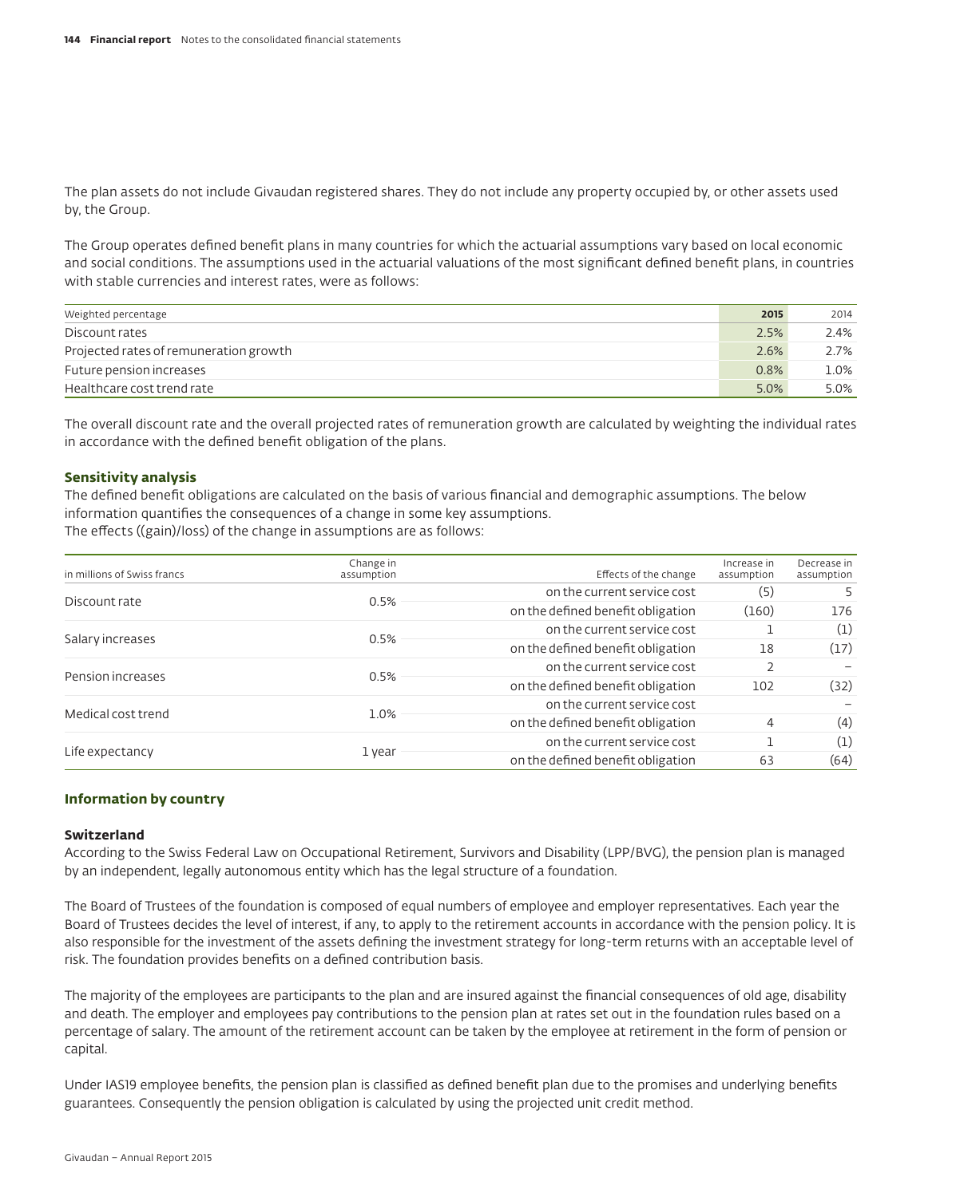The plan assets do not include Givaudan registered shares. They do not include any property occupied by, or other assets used by, the Group.

The Group operates defined benefit plans in many countries for which the actuarial assumptions vary based on local economic and social conditions. The assumptions used in the actuarial valuations of the most significant defined benefit plans, in countries with stable currencies and interest rates, were as follows:

| Weighted percentage                    | 2015 | 2014    |
|----------------------------------------|------|---------|
| Discount rates                         | 2.5% | 2.4%    |
| Projected rates of remuneration growth | 2.6% | 2.7%    |
| Future pension increases               | 0.8% | $1.0\%$ |
| Healthcare cost trend rate             | 5.0% | 5.0%    |

The overall discount rate and the overall projected rates of remuneration growth are calculated by weighting the individual rates in accordance with the defined benefit obligation of the plans.

#### **Sensitivity analysis**

The defined benefit obligations are calculated on the basis of various financial and demographic assumptions. The below information quantifies the consequences of a change in some key assumptions. The effects ((gain)/loss) of the change in assumptions are as follows:

| in millions of Swiss francs | Change in<br>assumption | Effects of the change             | Increase in<br>assumption | Decrease in<br>assumption |
|-----------------------------|-------------------------|-----------------------------------|---------------------------|---------------------------|
|                             |                         | on the current service cost       | (5)                       | 5                         |
| Discount rate               | 0.5%                    | on the defined benefit obligation | (160)                     | 176                       |
| Salary increases            | 0.5%                    | on the current service cost       |                           | (1)                       |
|                             |                         | on the defined benefit obligation | 18                        | (17)                      |
| Pension increases           | 0.5%                    | on the current service cost       |                           |                           |
|                             |                         | on the defined benefit obligation | 102                       | (32)                      |
|                             |                         | on the current service cost       |                           |                           |
| Medical cost trend          | 1.0%                    | on the defined benefit obligation | 4                         | (4)                       |
| Life expectancy             |                         | on the current service cost       |                           | (1)                       |
|                             | 1 year                  | on the defined benefit obligation | 63                        | (64)                      |

#### **Information by country**

#### **Switzerland**

According to the Swiss Federal Law on Occupational Retirement, Survivors and Disability (LPP/BVG), the pension plan is managed by an independent, legally autonomous entity which has the legal structure of a foundation.

The Board of Trustees of the foundation is composed of equal numbers of employee and employer representatives. Each year the Board of Trustees decides the level of interest, if any, to apply to the retirement accounts in accordance with the pension policy. It is also responsible for the investment of the assets defining the investment strategy for long-term returns with an acceptable level of risk. The foundation provides benefits on a defined contribution basis.

The majority of the employees are participants to the plan and are insured against the financial consequences of old age, disability and death. The employer and employees pay contributions to the pension plan at rates set out in the foundation rules based on a percentage of salary. The amount of the retirement account can be taken by the employee at retirement in the form of pension or capital.

Under IAS19 employee benefits, the pension plan is classified as defined benefit plan due to the promises and underlying benefits guarantees. Consequently the pension obligation is calculated by using the projected unit credit method.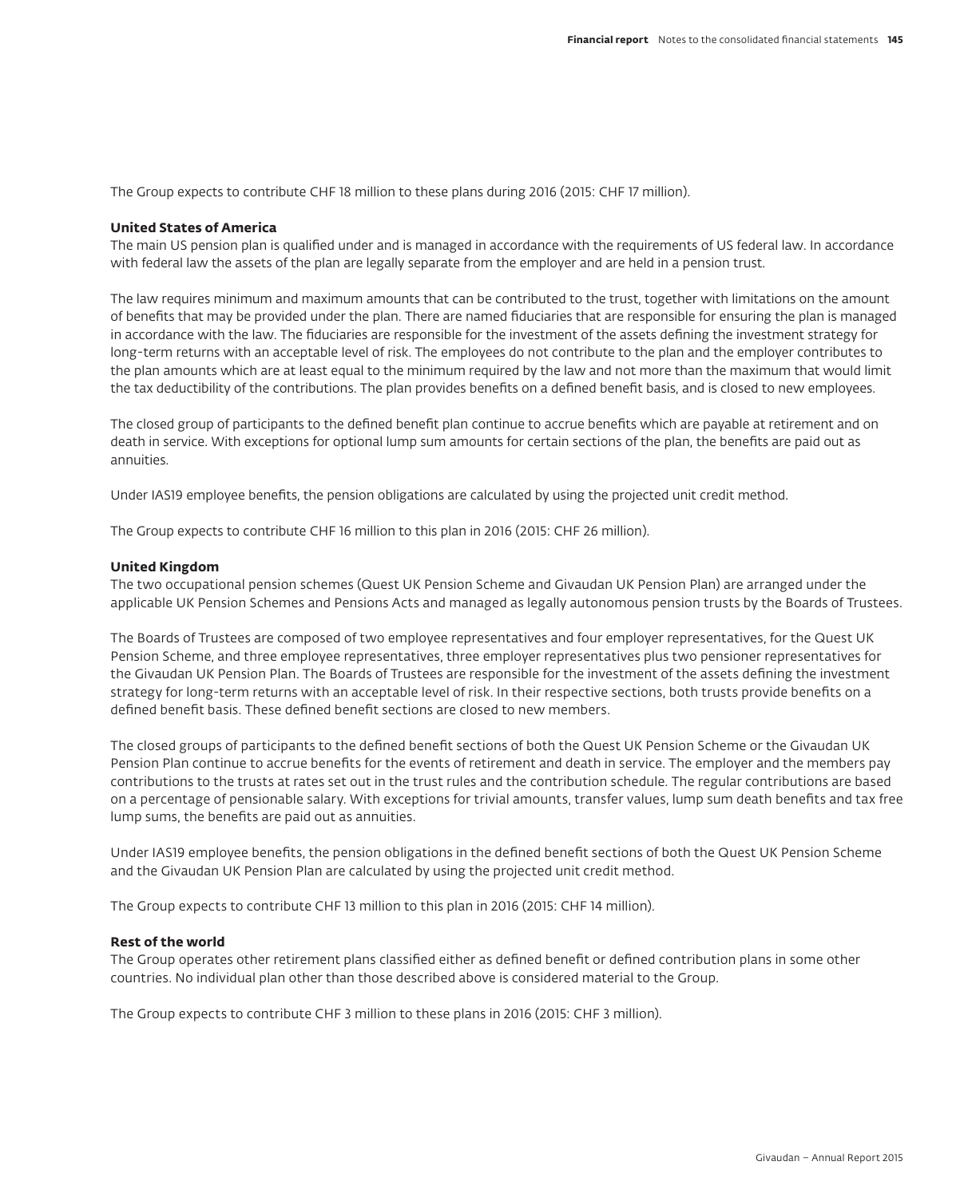The Group expects to contribute CHF 18 million to these plans during 2016 (2015: CHF 17 million).

#### **United States of America**

The main US pension plan is qualified under and is managed in accordance with the requirements of US federal law. In accordance with federal law the assets of the plan are legally separate from the employer and are held in a pension trust.

The law requires minimum and maximum amounts that can be contributed to the trust, together with limitations on the amount of benefits that may be provided under the plan. There are named fiduciaries that are responsible for ensuring the plan is managed in accordance with the law. The fiduciaries are responsible for the investment of the assets defining the investment strategy for long-term returns with an acceptable level of risk. The employees do not contribute to the plan and the employer contributes to the plan amounts which are at least equal to the minimum required by the law and not more than the maximum that would limit the tax deductibility of the contributions. The plan provides benefits on a defined benefit basis, and is closed to new employees.

The closed group of participants to the defined benefit plan continue to accrue benefits which are payable at retirement and on death in service. With exceptions for optional lump sum amounts for certain sections of the plan, the benefits are paid out as annuities.

Under IAS19 employee benefits, the pension obligations are calculated by using the projected unit credit method.

The Group expects to contribute CHF 16 million to this plan in 2016 (2015: CHF 26 million).

#### **United Kingdom**

The two occupational pension schemes (Quest UK Pension Scheme and Givaudan UK Pension Plan) are arranged under the applicable UK Pension Schemes and Pensions Acts and managed as legally autonomous pension trusts by the Boards of Trustees.

The Boards of Trustees are composed of two employee representatives and four employer representatives, for the Quest UK Pension Scheme, and three employee representatives, three employer representatives plus two pensioner representatives for the Givaudan UK Pension Plan. The Boards of Trustees are responsible for the investment of the assets defining the investment strategy for long-term returns with an acceptable level of risk. In their respective sections, both trusts provide benefits on a defined benefit basis. These defined benefit sections are closed to new members.

The closed groups of participants to the defined benefit sections of both the Quest UK Pension Scheme or the Givaudan UK Pension Plan continue to accrue benefits for the events of retirement and death in service. The employer and the members pay contributions to the trusts at rates set out in the trust rules and the contribution schedule. The regular contributions are based on a percentage of pensionable salary. With exceptions for trivial amounts, transfer values, lump sum death benefits and tax free lump sums, the benefits are paid out as annuities.

Under IAS19 employee benefits, the pension obligations in the defined benefit sections of both the Quest UK Pension Scheme and the Givaudan UK Pension Plan are calculated by using the projected unit credit method.

The Group expects to contribute CHF 13 million to this plan in 2016 (2015: CHF 14 million).

#### **Rest of the world**

The Group operates other retirement plans classified either as defined benefit or defined contribution plans in some other countries. No individual plan other than those described above is considered material to the Group.

The Group expects to contribute CHF 3 million to these plans in 2016 (2015: CHF 3 million).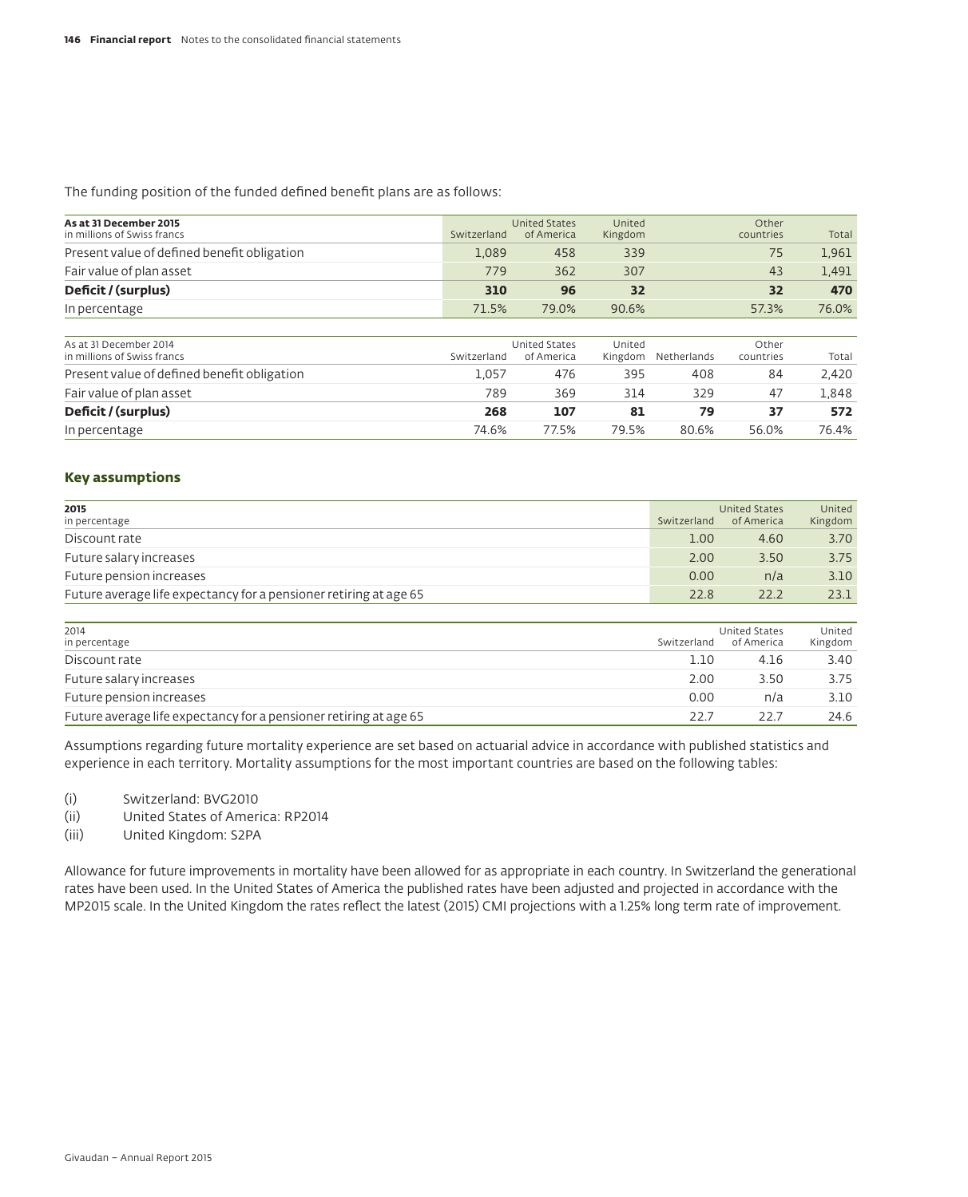The funding position of the funded defined benefit plans are as follows:

| As at 31 December 2015<br>in millions of Swiss francs | Switzerland | <b>United States</b><br>of America | United<br>Kingdom |             | Other<br>countries | Total |
|-------------------------------------------------------|-------------|------------------------------------|-------------------|-------------|--------------------|-------|
| Present value of defined benefit obligation           | 1,089       | 458                                | 339               |             | 75                 | 1,961 |
| Fair value of plan asset                              | 779         | 362                                | 307               |             | 43                 | 1,491 |
| Deficit / (surplus)                                   | 310         | 96                                 | 32                |             | 32                 | 470   |
| In percentage                                         | 71.5%       | 79.0%                              | 90.6%             |             | 57.3%              | 76.0% |
|                                                       |             |                                    |                   |             |                    |       |
| As at 31 December 2014<br>in millions of Swiss francs | Switzerland | United States<br>of America        | United<br>Kingdom | Netherlands | Other<br>countries | Total |
| Present value of defined benefit obligation           | 1.057       | 476                                | 395               | 408         | 84                 | 2,420 |
| Fair value of plan asset                              | 789         | 369                                | 314               | 329         | 47                 | 1,848 |
| Deficit / (surplus)                                   | 268         | 107                                | 81                | 79          | 37                 | 572   |
| In percentage                                         | 74.6%       | 77.5%                              | 79.5%             | 80.6%       | 56.0%              | 76.4% |

#### **Key assumptions**

| 2015<br>in percentage                                             | Switzerland | United States<br>of America | United<br>Kingdom |
|-------------------------------------------------------------------|-------------|-----------------------------|-------------------|
| Discount rate                                                     | 1.00        | 4.60                        | 3.70              |
| Future salary increases                                           | 2.00        | 3.50                        | 3.75              |
| Future pension increases                                          | 0.00        | n/a                         | 3.10              |
| Future average life expectancy for a pensioner retiring at age 65 | 22.8        | 22.2                        | 23.1              |
|                                                                   |             |                             |                   |
| 2014<br>in percentage                                             | Switzerland | United States<br>of America | United<br>Kingdom |
| Discount rate                                                     | 1.10        | 4.16                        | 3.40              |
| Future salary increases                                           | 2.00        | 3.50                        | 3.75              |
| Future pension increases                                          | 0.00        | n/a                         | 3.10              |
| Future average life expectancy for a pensioner retiring at age 65 | 22.7        | 22.7                        | 24.6              |

Assumptions regarding future mortality experience are set based on actuarial advice in accordance with published statistics and experience in each territory. Mortality assumptions for the most important countries are based on the following tables:

(i) Switzerland: BVG2010

(ii) United States of America: RP2014

(iii) United Kingdom: S2PA

Allowance for future improvements in mortality have been allowed for as appropriate in each country. In Switzerland the generational rates have been used. In the United States of America the published rates have been adjusted and projected in accordance with the MP2015 scale. In the United Kingdom the rates reflect the latest (2015) CMI projections with a 1.25% long term rate of improvement.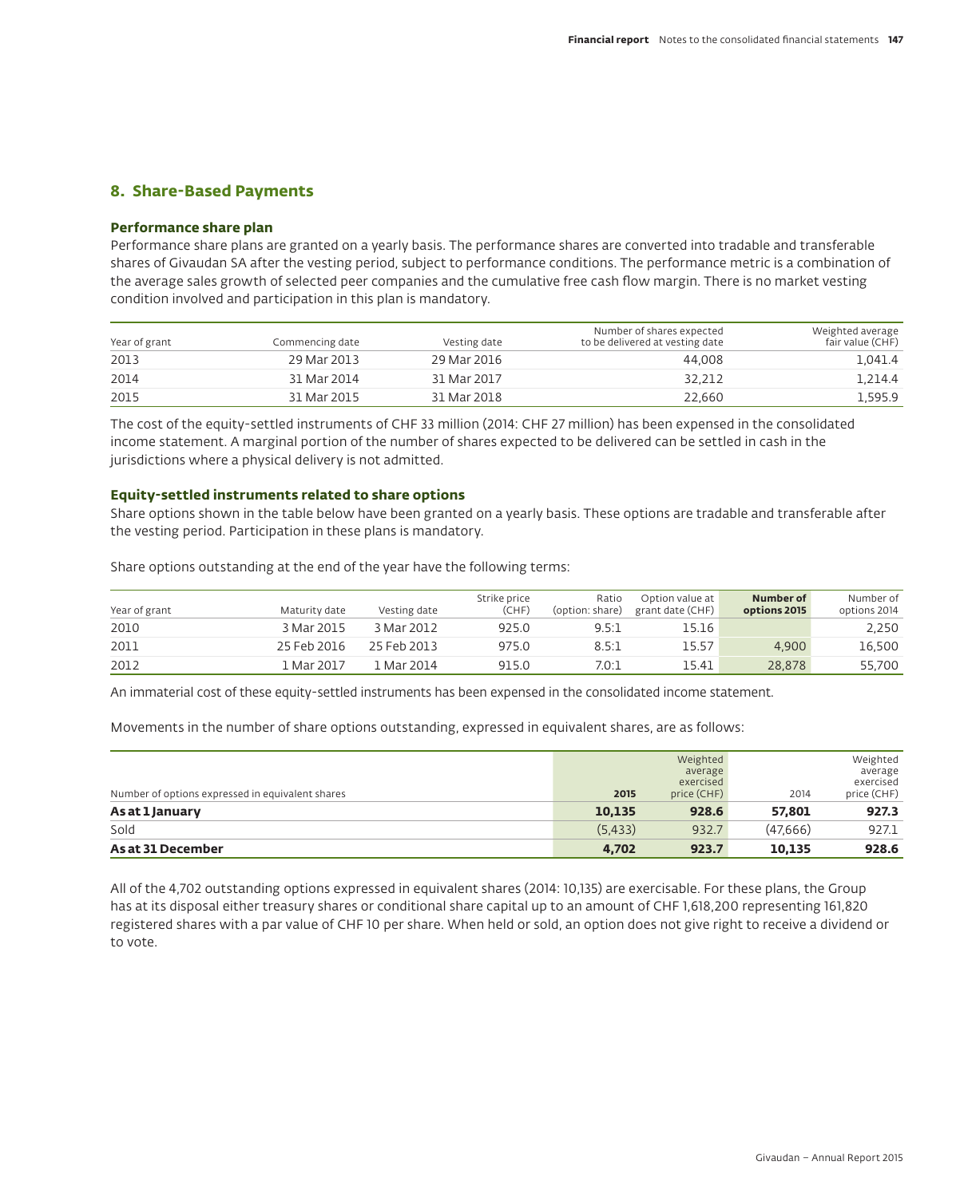# **8. Share-Based Payments**

#### **Performance share plan**

Performance share plans are granted on a yearly basis. The performance shares are converted into tradable and transferable shares of Givaudan SA after the vesting period, subject to performance conditions. The performance metric is a combination of the average sales growth of selected peer companies and the cumulative free cash flow margin. There is no market vesting condition involved and participation in this plan is mandatory.

| Year of grant | Commencing date | Vesting date | Number of shares expected<br>to be delivered at vesting date | Weighted average<br>fair value (CHF) |
|---------------|-----------------|--------------|--------------------------------------------------------------|--------------------------------------|
| 2013          | 29 Mar 2013     | 29 Mar 2016  | 44.008                                                       | 1,041.4                              |
| 2014          | 31 Mar 2014     | 31 Mar 2017  | 32.212                                                       | 1.214.4                              |
| 2015          | 31 Mar 2015     | 31 Mar 2018  | 22.660                                                       | 1,595.9                              |

The cost of the equity-settled instruments of CHF 33 million (2014: CHF 27 million) has been expensed in the consolidated income statement. A marginal portion of the number of shares expected to be delivered can be settled in cash in the jurisdictions where a physical delivery is not admitted.

#### **Equity-settled instruments related to share options**

Share options shown in the table below have been granted on a yearly basis. These options are tradable and transferable after the vesting period. Participation in these plans is mandatory.

Year of grant **Maturity date** Vesting date Strike price  $(CHF)$ Ratio (option: share) Option value at grant date (CHF) **Number of options 2015** Number of options 2014 2010 3 Mar 2015 3 Mar 2012 925.0 9.5:1 15.16 2,250 2011 25 Feb 2016 25 Feb 2013 975.0 8.5:1 15.57 4,900 16,500 2012 1 Mar 2017 1 Mar 2014 915.0 7.0:1 15.41 28,878 55,700

Share options outstanding at the end of the year have the following terms:

An immaterial cost of these equity-settled instruments has been expensed in the consolidated income statement.

Movements in the number of share options outstanding, expressed in equivalent shares, are as follows:

| Number of options expressed in equivalent shares | 2015     | Weighted<br>average<br>exercised<br>price (CHF) | 2014     | Weighted<br>average<br>exercised<br>price (CHF) |
|--------------------------------------------------|----------|-------------------------------------------------|----------|-------------------------------------------------|
| As at 1 January                                  | 10.135   | 928.6                                           | 57.801   | 927.3                                           |
| Sold                                             | (5, 433) | 932.7                                           | (47.666) | 927.1                                           |
| As at 31 December                                | 4,702    | 923.7                                           | 10.135   | 928.6                                           |

All of the 4,702 outstanding options expressed in equivalent shares (2014: 10,135) are exercisable. For these plans, the Group has at its disposal either treasury shares or conditional share capital up to an amount of CHF 1,618,200 representing 161,820 registered shares with a par value of CHF 10 per share. When held or sold, an option does not give right to receive a dividend or to vote.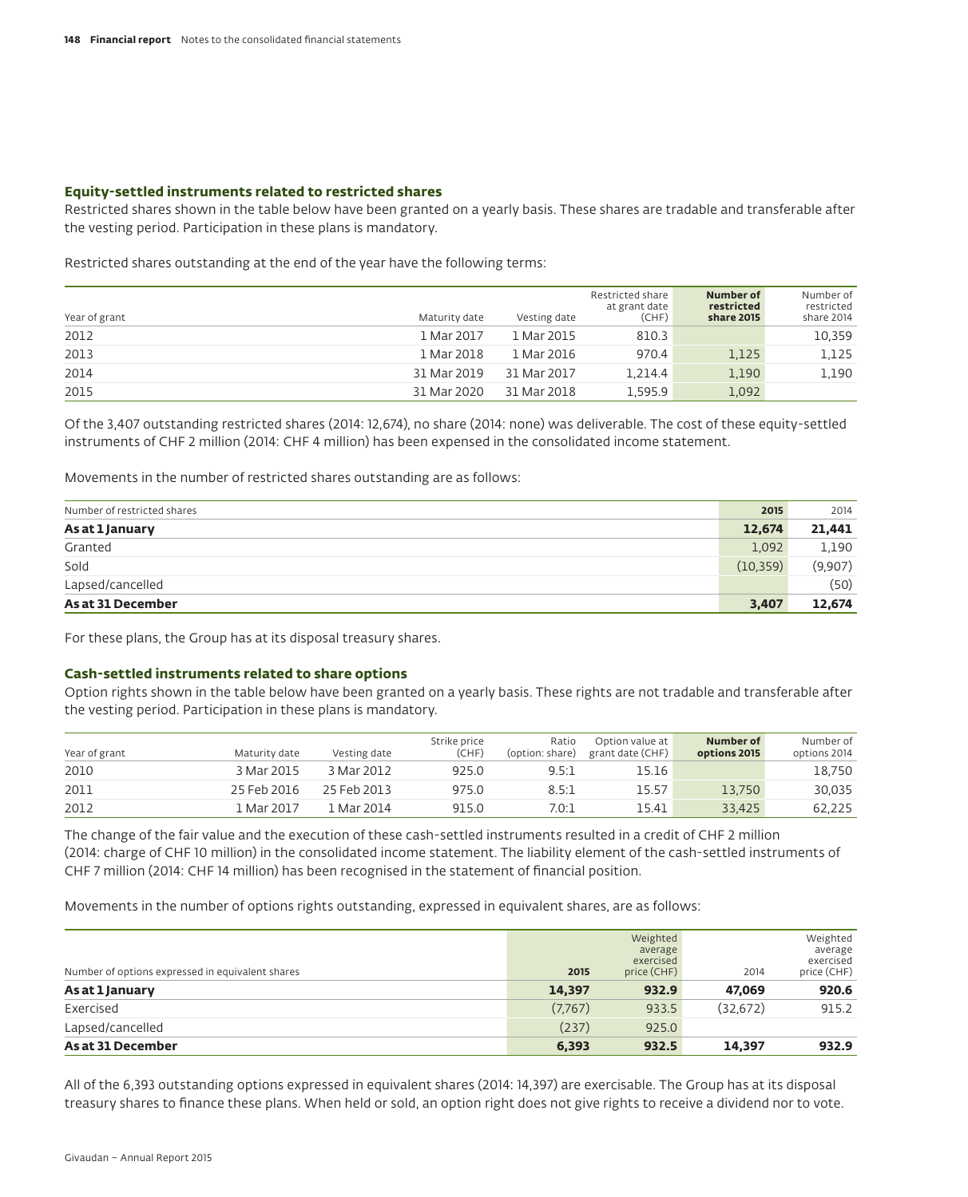#### **Equity-settled instruments related to restricted shares**

Restricted shares shown in the table below have been granted on a yearly basis. These shares are tradable and transferable after the vesting period. Participation in these plans is mandatory.

Restricted shares outstanding at the end of the year have the following terms:

| Year of grant | Maturity date | Vesting date | Restricted share<br>at grant date<br>(CHF) | Number of<br>restricted<br>share 2015 | Number of<br>restricted<br>share 2014 |
|---------------|---------------|--------------|--------------------------------------------|---------------------------------------|---------------------------------------|
| 2012          | 1 Mar 2017    | 1 Mar 2015   | 810.3                                      |                                       | 10,359                                |
| 2013          | 1 Mar 2018    | 1 Mar 2016   | 970.4                                      | 1,125                                 | 1,125                                 |
| 2014          | 31 Mar 2019   | 31 Mar 2017  | 1.214.4                                    | 1,190                                 | 1,190                                 |
| 2015          | 31 Mar 2020   | 31 Mar 2018  | 1.595.9                                    | 1,092                                 |                                       |

Of the 3,407 outstanding restricted shares (2014: 12,674), no share (2014: none) was deliverable. The cost of these equity-settled instruments of CHF 2 million (2014: CHF 4 million) has been expensed in the consolidated income statement.

Movements in the number of restricted shares outstanding are as follows:

| Number of restricted shares | 2015      | 2014    |
|-----------------------------|-----------|---------|
| As at 1 January             | 12,674    | 21,441  |
| Granted                     | 1,092     | 1,190   |
| Sold                        | (10, 359) | (9,907) |
| Lapsed/cancelled            |           | (50)    |
| As at 31 December           | 3,407     | 12,674  |

For these plans, the Group has at its disposal treasury shares.

# **Cash-settled instruments related to share options**

Option rights shown in the table below have been granted on a yearly basis. These rights are not tradable and transferable after the vesting period. Participation in these plans is mandatory.

| Year of grant | Maturity date | Vesting date | Strike price<br>(CHF) | Ratio<br>(option: share) | Option value at<br>grant date (CHF) | Number of<br>options 2015 | Number of<br>options 2014 |
|---------------|---------------|--------------|-----------------------|--------------------------|-------------------------------------|---------------------------|---------------------------|
| 2010          | 3 Mar 2015    | 3 Mar 2012   | 925.0                 | 9.5:1                    | 15.16                               |                           | 18.750                    |
| 2011          | 25 Feb 2016   | 25 Feb 2013  | 975.0                 | 8.5:1                    | 15.57                               | 13.750                    | 30.035                    |
| 2012          | L Mar 2017    | 1 Mar 2014   | 915.0                 | 7.0:1                    | 15.41                               | 33.425                    | 62,225                    |

The change of the fair value and the execution of these cash-settled instruments resulted in a credit of CHF 2 million (2014: charge of CHF 10 million) in the consolidated income statement. The liability element of the cash-settled instruments of CHF 7 million (2014: CHF 14 million) has been recognised in the statement of financial position.

Movements in the number of options rights outstanding, expressed in equivalent shares, are as follows:

| Number of options expressed in equivalent shares | 2015    | Weighted<br>average<br>exercised<br>price (CHF) | 2014     | Weighted<br>average<br>exercised<br>price (CHF) |
|--------------------------------------------------|---------|-------------------------------------------------|----------|-------------------------------------------------|
| As at 1 January                                  | 14.397  | 932.9                                           | 47.069   | 920.6                                           |
| Exercised                                        | (7,767) | 933.5                                           | (32,672) | 915.2                                           |
| Lapsed/cancelled                                 | (237)   | 925.0                                           |          |                                                 |
| As at 31 December                                | 6,393   | 932.5                                           | 14.397   | 932.9                                           |

All of the 6,393 outstanding options expressed in equivalent shares (2014: 14,397) are exercisable. The Group has at its disposal treasury shares to finance these plans. When held or sold, an option right does not give rights to receive a dividend nor to vote.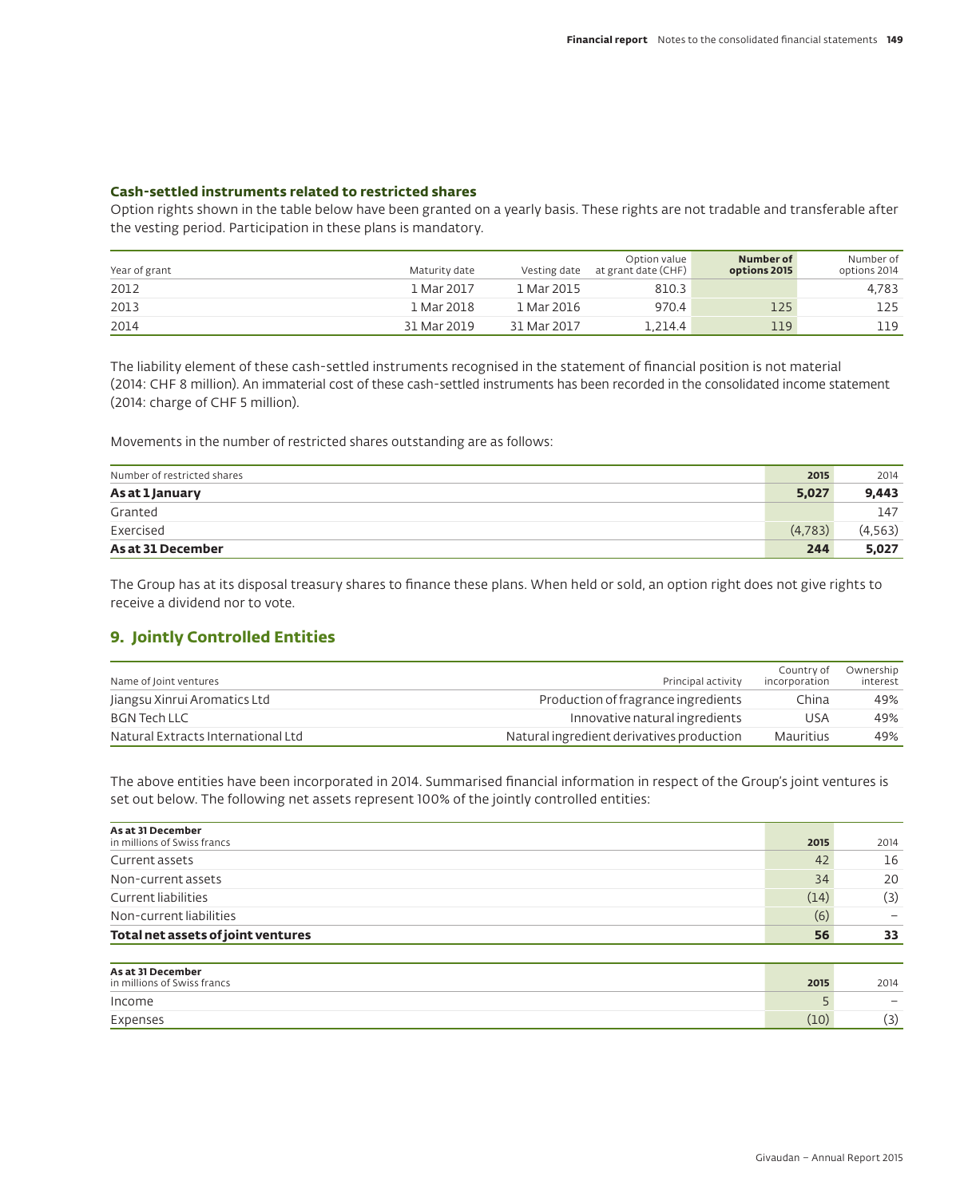# **Cash-settled instruments related to restricted shares**

Option rights shown in the table below have been granted on a yearly basis. These rights are not tradable and transferable after the vesting period. Participation in these plans is mandatory.

| Year of grant | Maturity date | Vesting date | Option value<br>at grant date (CHF) | Number of<br>options 2015 | Number of<br>options 2014 |
|---------------|---------------|--------------|-------------------------------------|---------------------------|---------------------------|
| 2012          | 1 Mar 2017    | 1 Mar 2015   | 810.3                               |                           | 4.783                     |
| 2013          | 1 Mar 2018    | 1 Mar 2016   | 970.4                               | 125                       | 125                       |
| 2014          | 31 Mar 2019   | 31 Mar 2017  | 1.214.4                             | 119                       | 119                       |

The liability element of these cash-settled instruments recognised in the statement of financial position is not material (2014: CHF 8 million). An immaterial cost of these cash-settled instruments has been recorded in the consolidated income statement (2014: charge of CHF 5 million).

Movements in the number of restricted shares outstanding are as follows:

| Number of restricted shares | 2015    | 2014     |
|-----------------------------|---------|----------|
| As at 1 January             | 5,027   | 9,443    |
| Granted                     |         | 147      |
| Exercised                   | (4,783) | (4, 563) |
| As at 31 December           | 244     | 5,027    |

The Group has at its disposal treasury shares to finance these plans. When held or sold, an option right does not give rights to receive a dividend nor to vote.

# **9. Jointly Controlled Entities**

| Name of Joint ventures             | Principal activity                        | Country of<br>incorporation | Ownership<br>interest |
|------------------------------------|-------------------------------------------|-----------------------------|-----------------------|
| Jiangsu Xinrui Aromatics Ltd       | Production of fragrance ingredients       | China                       | 49%                   |
| BGN Tech LLC                       | Innovative natural ingredients            | USA                         | 49%                   |
| Natural Extracts International Ltd | Natural ingredient derivatives production | Mauritius                   | 49%                   |

The above entities have been incorporated in 2014. Summarised financial information in respect of the Group's joint ventures is set out below. The following net assets represent 100% of the jointly controlled entities:

| As at 31 December<br>in millions of Swiss francs | 2015 | 2014 |
|--------------------------------------------------|------|------|
| Current assets                                   | 42   | 16   |
| Non-current assets                               | 34   | 20   |
| Current liabilities                              | (14) | (3)  |
| Non-current liabilities                          | (6)  |      |
| Total net assets of joint ventures               | 56   | 33   |
|                                                  |      |      |
| As at 31 December<br>in millions of Swiss francs | 2015 | 2014 |
| Income                                           |      |      |
| Expenses                                         | (10) | (3)  |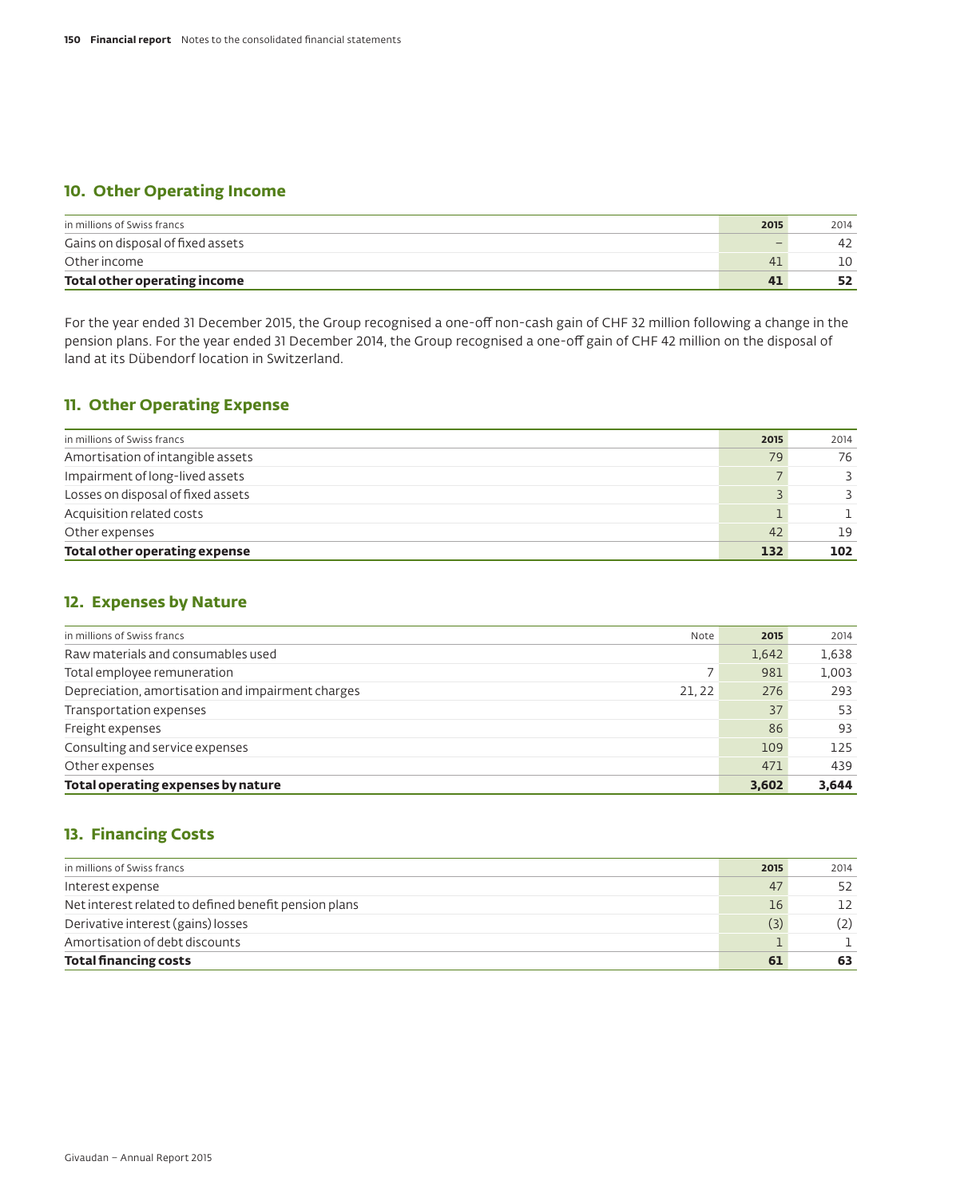# **10. Other Operating Income**

| in millions of Swiss francs       | 2015 | 2014 |
|-----------------------------------|------|------|
| Gains on disposal of fixed assets |      | 42   |
| Other income                      | 41   |      |
| Total other operating income      |      |      |

For the year ended 31 December 2015, the Group recognised a one-off non-cash gain of CHF 32 million following a change in the pension plans. For the year ended 31 December 2014, the Group recognised a one-off gain of CHF 42 million on the disposal of land at its Dübendorf location in Switzerland.

# **11. Other Operating Expense**

| in millions of Swiss francs        | 2015 | 2014 |
|------------------------------------|------|------|
| Amortisation of intangible assets  | 79   | 76   |
| Impairment of long-lived assets    |      |      |
| Losses on disposal of fixed assets |      |      |
| Acquisition related costs          |      |      |
| Other expenses                     | 42   | 19   |
| Total other operating expense      | 132  | 102  |

# **12. Expenses by Nature**

| in millions of Swiss francs<br>Note                        | 2015  | 2014  |
|------------------------------------------------------------|-------|-------|
| Raw materials and consumables used                         | 1,642 | 1,638 |
| Total employee remuneration                                | 981   | 1.003 |
| Depreciation, amortisation and impairment charges<br>21.22 | 276   | 293   |
| Transportation expenses                                    | 37    | 53    |
| Freight expenses                                           | 86    | 93    |
| Consulting and service expenses                            | 109   | 125   |
| Other expenses                                             | 471   | 439   |
| Total operating expenses by nature                         | 3,602 | 3,644 |

# **13. Financing Costs**

| in millions of Swiss francs                           | 2015 | 2014 |
|-------------------------------------------------------|------|------|
| Interest expense                                      | 47   | 52   |
| Net interest related to defined benefit pension plans | 16   | 12   |
| Derivative interest (gains) losses                    | (3)  | (2)  |
| Amortisation of debt discounts                        |      |      |
| <b>Total financing costs</b>                          | 61   | 63   |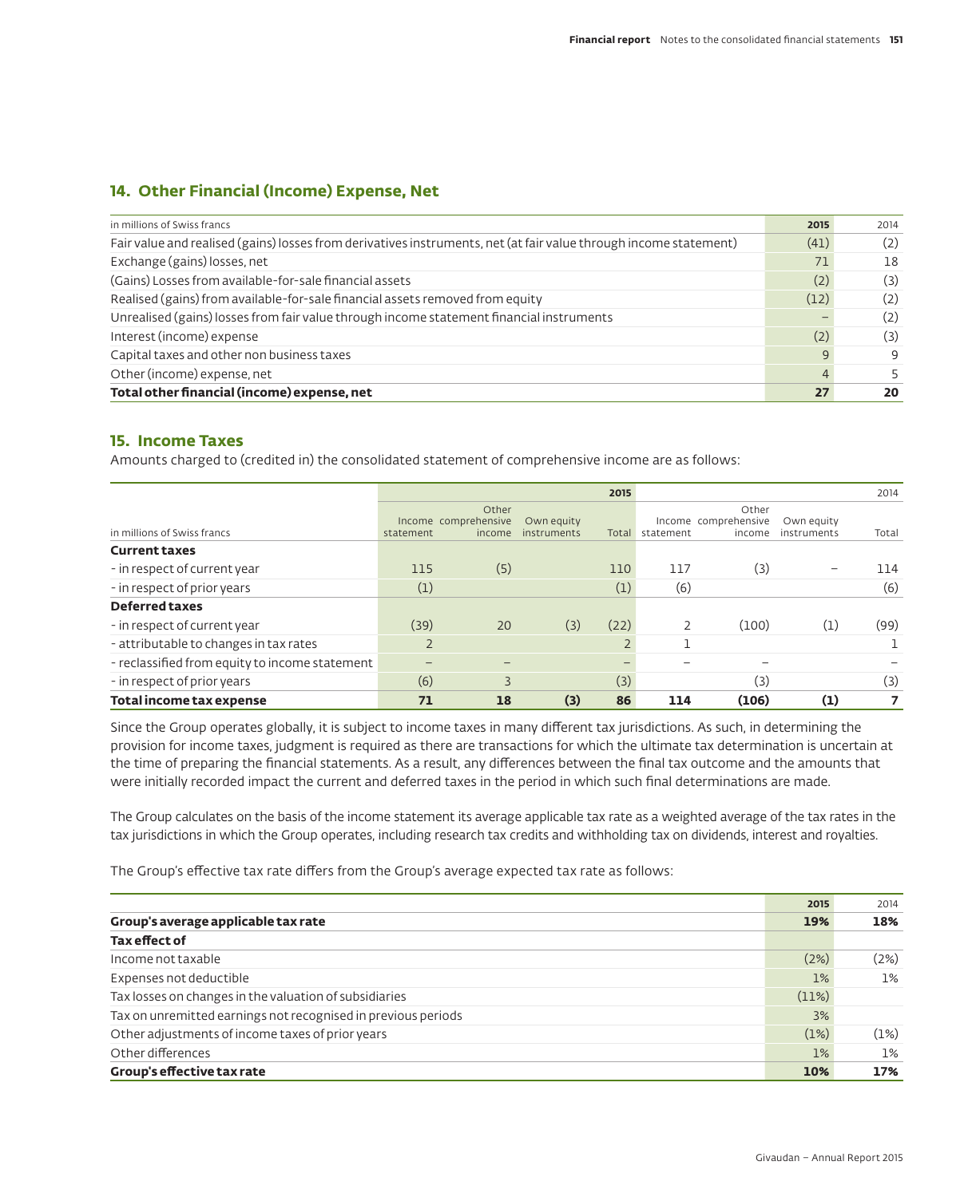# **14. Other Financial (Income) Expense, Net**

| in millions of Swiss francs                                                                                       | 2015           | 2014 |
|-------------------------------------------------------------------------------------------------------------------|----------------|------|
| Fair value and realised (gains) losses from derivatives instruments, net (at fair value through income statement) | (41)           | (2)  |
| Exchange (gains) losses, net                                                                                      | 71             | 18   |
| (Gains) Losses from available-for-sale financial assets                                                           | (2)            | (3)  |
| Realised (gains) from available-for-sale financial assets removed from equity                                     | (12)           | (2)  |
| Unrealised (gains) losses from fair value through income statement financial instruments                          |                | (2)  |
| Interest (income) expense                                                                                         | (2)            | (3)  |
| Capital taxes and other non business taxes                                                                        | 9              | 9    |
| Other (income) expense, net                                                                                       | $\overline{4}$ | 5    |
| Total other financial (income) expense, net                                                                       | 27             | 20   |

# **15. Income Taxes**

Amounts charged to (credited in) the consolidated statement of comprehensive income are as follows:

|                                                |                |                                         |                           | 2015  |           |                                         |                           | 2014  |
|------------------------------------------------|----------------|-----------------------------------------|---------------------------|-------|-----------|-----------------------------------------|---------------------------|-------|
| in millions of Swiss francs                    | statement      | Other<br>Income comprehensive<br>income | Own equity<br>instruments | Total | statement | Other<br>Income comprehensive<br>income | Own equity<br>instruments | Total |
| <b>Current taxes</b>                           |                |                                         |                           |       |           |                                         |                           |       |
| - in respect of current year                   | 115            | (5)                                     |                           | 110   | 117       | (3)                                     |                           | 114   |
| - in respect of prior years                    | (1)            |                                         |                           | (1)   | (6)       |                                         |                           | (6)   |
| <b>Deferred taxes</b>                          |                |                                         |                           |       |           |                                         |                           |       |
| - in respect of current year                   | (39)           | 20                                      | (3)                       | (22)  | 2         | (100)                                   | (1)                       | (99)  |
| - attributable to changes in tax rates         | $\overline{2}$ |                                         |                           |       |           |                                         |                           |       |
| - reclassified from equity to income statement |                | $\overline{\phantom{a}}$                |                           |       |           |                                         |                           |       |
| - in respect of prior years                    | (6)            | 3                                       |                           | (3)   |           | (3)                                     |                           | (3)   |
| Total income tax expense                       | 71             | 18                                      | (3)                       | 86    | 114       | (106)                                   | (1)                       |       |

Since the Group operates globally, it is subject to income taxes in many different tax jurisdictions. As such, in determining the provision for income taxes, judgment is required as there are transactions for which the ultimate tax determination is uncertain at the time of preparing the financial statements. As a result, any differences between the final tax outcome and the amounts that were initially recorded impact the current and deferred taxes in the period in which such final determinations are made.

The Group calculates on the basis of the income statement its average applicable tax rate as a weighted average of the tax rates in the tax jurisdictions in which the Group operates, including research tax credits and withholding tax on dividends, interest and royalties.

The Group's effective tax rate differs from the Group's average expected tax rate as follows:

|                                                               | 2015  | 2014  |
|---------------------------------------------------------------|-------|-------|
| Group's average applicable tax rate                           | 19%   | 18%   |
| Tax effect of                                                 |       |       |
| Income not taxable                                            | (2%)  | (2%)  |
| Expenses not deductible                                       | $1\%$ | 1%    |
| Tax losses on changes in the valuation of subsidiaries        | (11%) |       |
| Tax on unremitted earnings not recognised in previous periods | 3%    |       |
| Other adjustments of income taxes of prior years              | (1%)  | (1%)  |
| Other differences                                             | $1\%$ | $1\%$ |
| Group's effective tax rate                                    | 10%   | 17%   |
|                                                               |       |       |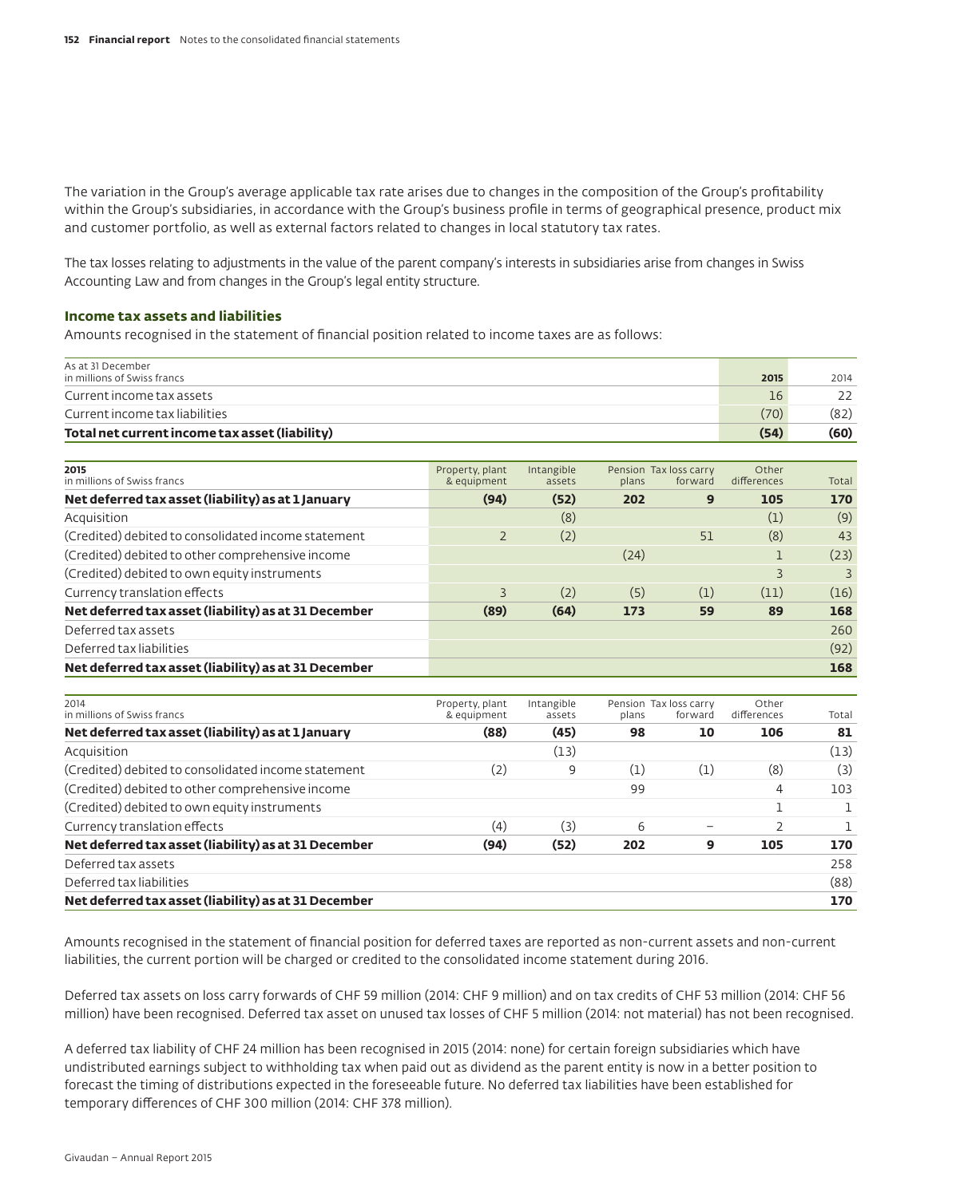The variation in the Group's average applicable tax rate arises due to changes in the composition of the Group's profitability within the Group's subsidiaries, in accordance with the Group's business profile in terms of geographical presence, product mix and customer portfolio, as well as external factors related to changes in local statutory tax rates.

The tax losses relating to adjustments in the value of the parent company's interests in subsidiaries arise from changes in Swiss Accounting Law and from changes in the Group's legal entity structure.

# **Income tax assets and liabilities**

Amounts recognised in the statement of financial position related to income taxes are as follows:

| As at 31 December<br>in millions of Swiss francs | 2015            | 2014 |
|--------------------------------------------------|-----------------|------|
| Current income tax assets                        | 16 <sup>7</sup> |      |
| Current income tax liabilities                   | (70)            | (82) |
| Total net current income tax asset (liability)   | (54)            | (60) |

| 2015<br>in millions of Swiss francs                  | Property, plant<br>& equipment | Intangible<br>assets | plans | Pension Tax loss carry<br>forward | Other<br>differences | Total        |
|------------------------------------------------------|--------------------------------|----------------------|-------|-----------------------------------|----------------------|--------------|
| Net deferred tax asset (liability) as at 1 January   | (94)                           | (52)                 | 202   | 9                                 | 105                  | 170          |
| Acquisition                                          |                                | (8)                  |       |                                   | (1)                  | (9)          |
| (Credited) debited to consolidated income statement  |                                | (2)                  |       | 51                                | (8)                  | 43           |
| (Credited) debited to other comprehensive income     |                                |                      | (24)  |                                   | ᆠ                    | (23)         |
| (Credited) debited to own equity instruments         |                                |                      |       |                                   | 3                    | $\mathbf{3}$ |
| Currency translation effects                         | ζ                              | (2)                  | (5)   | (1)                               | (11)                 | (16)         |
| Net deferred tax asset (liability) as at 31 December | (89)                           | (64)                 | 173   | 59                                | 89                   | 168          |
| Deferred tax assets                                  |                                |                      |       |                                   |                      | 260          |
| Deferred tax liabilities                             |                                |                      |       |                                   |                      | (92)         |
| Net deferred tax asset (liability) as at 31 December |                                |                      |       |                                   |                      | 168          |

| 2014<br>in millions of Swiss francs                  | Property, plant<br>& equipment | Intangible<br>assets | plans | Pension Tax loss carry<br>forward | Other<br>differences | Total |
|------------------------------------------------------|--------------------------------|----------------------|-------|-----------------------------------|----------------------|-------|
| Net deferred tax asset (liability) as at 1 January   | (88)                           | (45)                 | 98    | 10                                | 106                  | 81    |
| Acquisition                                          |                                | (13)                 |       |                                   |                      | (13)  |
| (Credited) debited to consolidated income statement  | (2)                            | 9                    | (1)   | (1)                               | (8)                  | (3)   |
| (Credited) debited to other comprehensive income     |                                |                      | 99    |                                   | 4                    | 103   |
| (Credited) debited to own equity instruments         |                                |                      |       |                                   |                      |       |
| Currency translation effects                         | (4)                            | (3)                  | 6     | -                                 | $\mathcal{P}$        |       |
| Net deferred tax asset (liability) as at 31 December | (94)                           | (52)                 | 202   | 9                                 | 105                  | 170   |
| Deferred tax assets                                  |                                |                      |       |                                   |                      | 258   |
| Deferred tax liabilities                             |                                |                      |       |                                   |                      | (88)  |
| Net deferred tax asset (liability) as at 31 December |                                |                      |       |                                   |                      | 170   |

Amounts recognised in the statement of financial position for deferred taxes are reported as non-current assets and non-current liabilities, the current portion will be charged or credited to the consolidated income statement during 2016.

Deferred tax assets on loss carry forwards of CHF 59 million (2014: CHF 9 million) and on tax credits of CHF 53 million (2014: CHF 56 million) have been recognised. Deferred tax asset on unused tax losses of CHF 5 million (2014: not material) has not been recognised.

A deferred tax liability of CHF 24 million has been recognised in 2015 (2014: none) for certain foreign subsidiaries which have undistributed earnings subject to withholding tax when paid out as dividend as the parent entity is now in a better position to forecast the timing of distributions expected in the foreseeable future. No deferred tax liabilities have been established for temporary differences of CHF 300 million (2014: CHF 378 million).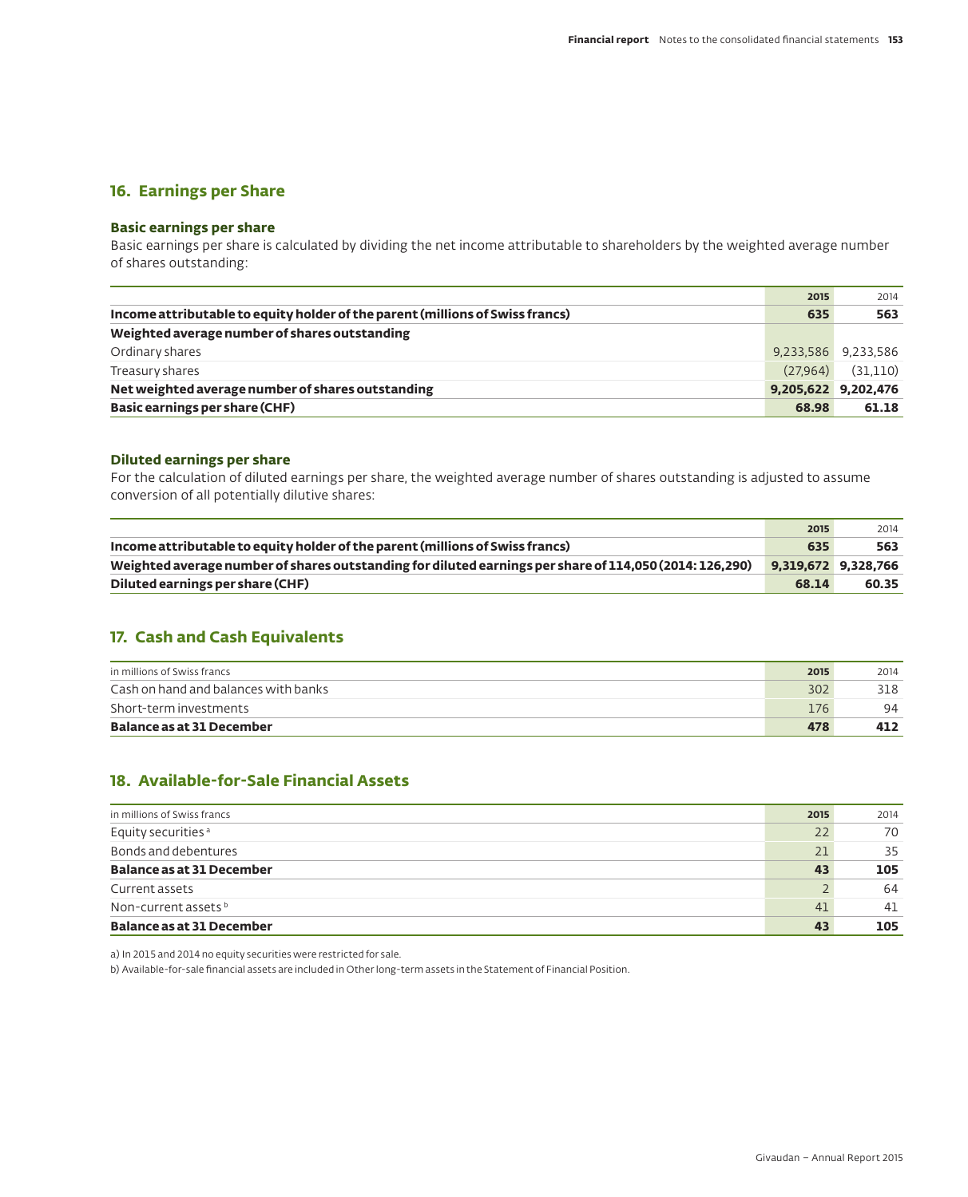# **16. Earnings per Share**

#### **Basic earnings per share**

Basic earnings per share is calculated by dividing the net income attributable to shareholders by the weighted average number of shares outstanding:

| Net weighted average number of shares outstanding<br>Basic earnings per share (CHF) | 68.98    | 9,205,622 9,202,476<br>61.18 |
|-------------------------------------------------------------------------------------|----------|------------------------------|
| Treasury shares                                                                     | (27.964) | (31,110)                     |
| Ordinary shares                                                                     |          | 9,233,586 9,233,586          |
| Weighted average number of shares outstanding                                       |          |                              |
| Income attributable to equity holder of the parent (millions of Swiss francs)       | 635      | 563                          |
|                                                                                     | 2015     | 2014                         |

# **Diluted earnings per share**

For the calculation of diluted earnings per share, the weighted average number of shares outstanding is adjusted to assume conversion of all potentially dilutive shares:

|                                                                                                         | 2015                | 2014  |
|---------------------------------------------------------------------------------------------------------|---------------------|-------|
| Income attributable to equity holder of the parent (millions of Swiss francs)                           | 635                 | 563   |
| Weighted average number of shares outstanding for diluted earnings per share of 114,050 (2014: 126,290) | 9,319,672 9,328,766 |       |
| Diluted earnings per share (CHF)                                                                        | 68.14               | 60.35 |

# **17. Cash and Cash Equivalents**

| in millions of Swiss francs          | 2015 | 2014 |
|--------------------------------------|------|------|
| Cash on hand and balances with banks | 302  | 318  |
| Short-term investments               | 176  | 94   |
| Balance as at 31 December            | 478  |      |

# **18. Available-for-Sale Financial Assets**

| in millions of Swiss francs      | 2015 | 2014 |
|----------------------------------|------|------|
| Equity securities <sup>a</sup>   | 22   | 70   |
| Bonds and debentures             | 21   | 35   |
| <b>Balance as at 31 December</b> | 43   | 105  |
| Current assets                   |      | 64   |
| Non-current assets b             | 41   | 41   |
| <b>Balance as at 31 December</b> | 43   | 105  |

a) In 2015 and 2014 no equity securities were restricted for sale.

b) Available-for-sale financial assets are included in Other long-term assets in the Statement of Financial Position.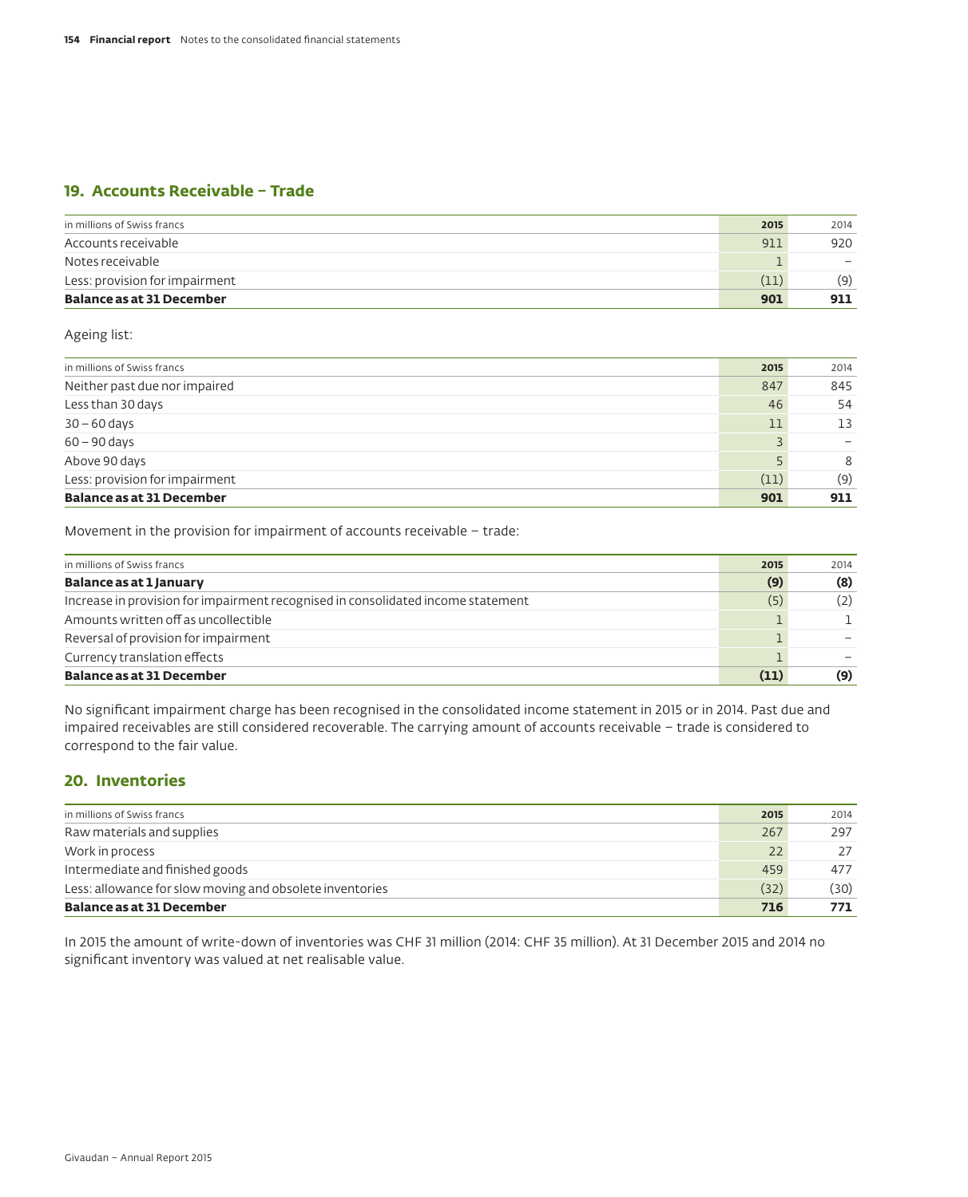# **19. Accounts Receivable – Trade**

| in millions of Swiss francs    | 2015 | 2014 |
|--------------------------------|------|------|
| Accounts receivable            | 911  | 920  |
| Notes receivable               |      |      |
| Less: provision for impairment | (11  | (9)  |
| Balance as at 31 December      | 901  | 911  |

#### Ageing list:

| in millions of Swiss francs    | 2015 | 2014 |
|--------------------------------|------|------|
| Neither past due nor impaired  | 847  | 845  |
| Less than 30 days              | 46   | 54   |
| $30 - 60$ days                 | 11   | 13   |
| $60 - 90$ days                 |      |      |
| Above 90 days                  |      | 8    |
| Less: provision for impairment | (11) | (9)  |
| Balance as at 31 December      | 901  | 911  |

Movement in the provision for impairment of accounts receivable – trade:

| in millions of Swiss francs                                                      | 2015 | 2014 |
|----------------------------------------------------------------------------------|------|------|
| Balance as at 1 January                                                          | (9)  | (8)  |
| Increase in provision for impairment recognised in consolidated income statement | (5)  | (2)  |
| Amounts written off as uncollectible                                             |      |      |
| Reversal of provision for impairment                                             |      |      |
| Currency translation effects                                                     |      |      |
| <b>Balance as at 31 December</b>                                                 | (11) | (9)  |

No significant impairment charge has been recognised in the consolidated income statement in 2015 or in 2014. Past due and impaired receivables are still considered recoverable. The carrying amount of accounts receivable – trade is considered to correspond to the fair value.

# **20. Inventories**

| in millions of Swiss francs                              | 2015 | 2014 |
|----------------------------------------------------------|------|------|
| Raw materials and supplies                               | 267  | 297  |
| Work in process                                          | 22   |      |
| Intermediate and finished goods                          | 459  | 477  |
| Less: allowance for slow moving and obsolete inventories | (32) | (30) |
| <b>Balance as at 31 December</b>                         | 716  | 771  |

In 2015 the amount of write-down of inventories was CHF 31 million (2014: CHF 35 million). At 31 December 2015 and 2014 no significant inventory was valued at net realisable value.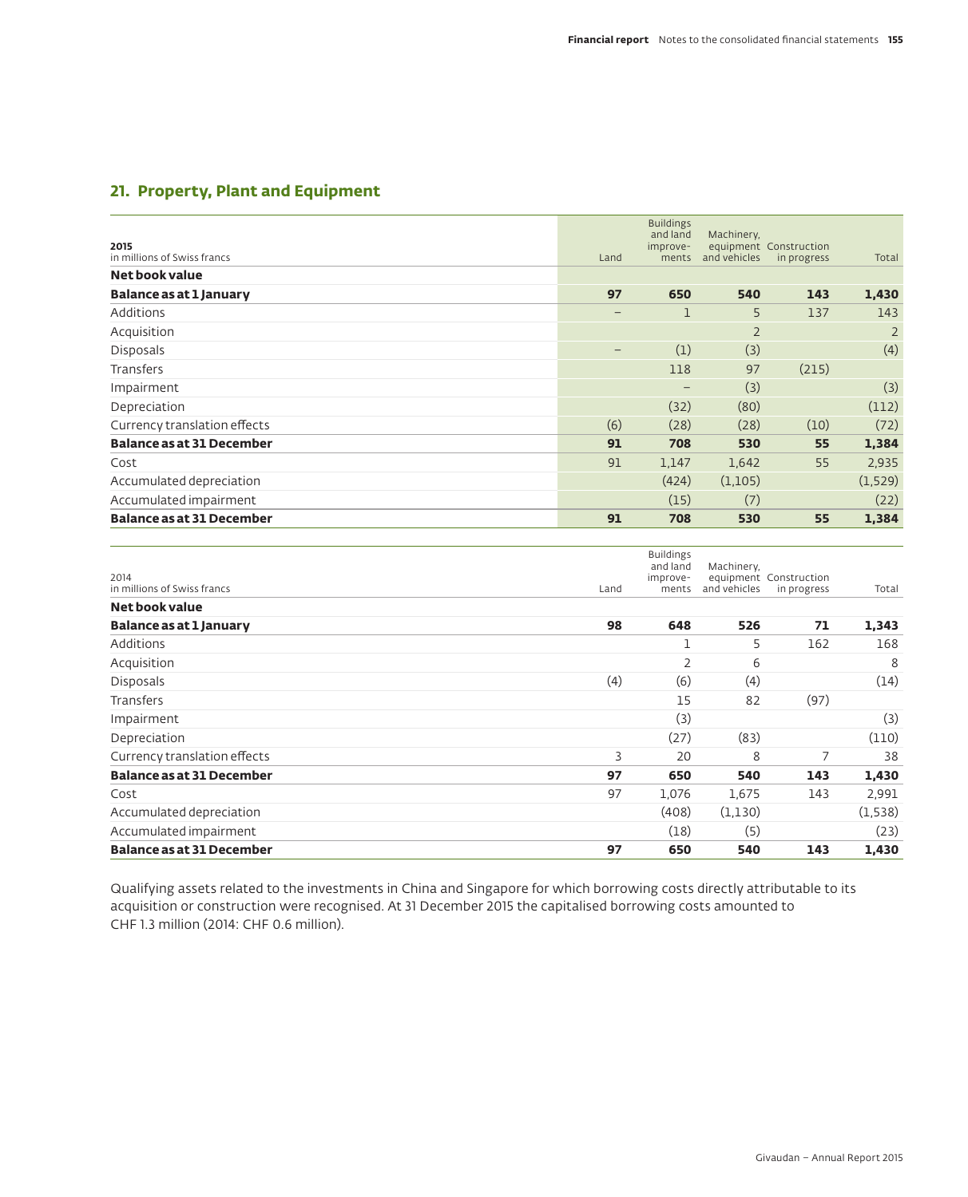# **21. Property, Plant and Equipment**

| 2015<br>in millions of Swiss francs | Land | <b>Buildings</b><br>and land<br>improve-<br>ments | Machinery,<br>and vehicles | equipment Construction<br>in progress | Total          |
|-------------------------------------|------|---------------------------------------------------|----------------------------|---------------------------------------|----------------|
| Net book value                      |      |                                                   |                            |                                       |                |
| Balance as at 1 January             | 97   | 650                                               | 540                        | 143                                   | 1,430          |
| Additions                           |      | 1                                                 | 5                          | 137                                   | 143            |
| Acquisition                         |      |                                                   | $\overline{2}$             |                                       | $\overline{2}$ |
| <b>Disposals</b>                    |      | (1)                                               | (3)                        |                                       | (4)            |
| <b>Transfers</b>                    |      | 118                                               | 97                         | (215)                                 |                |
| Impairment                          |      | $\qquad \qquad -$                                 | (3)                        |                                       | (3)            |
| Depreciation                        |      | (32)                                              | (80)                       |                                       | (112)          |
| Currency translation effects        | (6)  | (28)                                              | (28)                       | (10)                                  | (72)           |
| <b>Balance as at 31 December</b>    | 91   | 708                                               | 530                        | 55                                    | 1,384          |
| Cost                                | 91   | 1,147                                             | 1,642                      | 55                                    | 2,935          |
| Accumulated depreciation            |      | (424)                                             | (1,105)                    |                                       | (1, 529)       |
| Accumulated impairment              |      | (15)                                              | (7)                        |                                       | (22)           |
| <b>Balance as at 31 December</b>    | 91   | 708                                               | 530                        | 55                                    | 1,384          |

| 2014<br>in millions of Swiss francs | Land | <b>Buildings</b><br>and land<br>improve-<br>ments | Machinery,<br>and vehicles | equipment Construction<br>in progress | Total   |
|-------------------------------------|------|---------------------------------------------------|----------------------------|---------------------------------------|---------|
| Net book value                      |      |                                                   |                            |                                       |         |
| Balance as at 1 January             | 98   | 648                                               | 526                        | 71                                    | 1,343   |
| Additions                           |      | 1                                                 | 5                          | 162                                   | 168     |
| Acquisition                         |      | $\overline{2}$                                    | 6                          |                                       | 8       |
| <b>Disposals</b>                    | (4)  | (6)                                               | (4)                        |                                       | (14)    |
| <b>Transfers</b>                    |      | 15                                                | 82                         | (97)                                  |         |
| Impairment                          |      | (3)                                               |                            |                                       | (3)     |
| Depreciation                        |      | (27)                                              | (83)                       |                                       | (110)   |
| Currency translation effects        | 3    | 20                                                | 8                          | 7                                     | 38      |
| <b>Balance as at 31 December</b>    | 97   | 650                                               | 540                        | 143                                   | 1,430   |
| Cost                                | 97   | 1,076                                             | 1,675                      | 143                                   | 2,991   |
| Accumulated depreciation            |      | (408)                                             | (1,130)                    |                                       | (1,538) |
| Accumulated impairment              |      | (18)                                              | (5)                        |                                       | (23)    |
| <b>Balance as at 31 December</b>    | 97   | 650                                               | 540                        | 143                                   | 1,430   |

Qualifying assets related to the investments in China and Singapore for which borrowing costs directly attributable to its acquisition or construction were recognised. At 31 December 2015 the capitalised borrowing costs amounted to CHF 1.3 million (2014: CHF 0.6 million).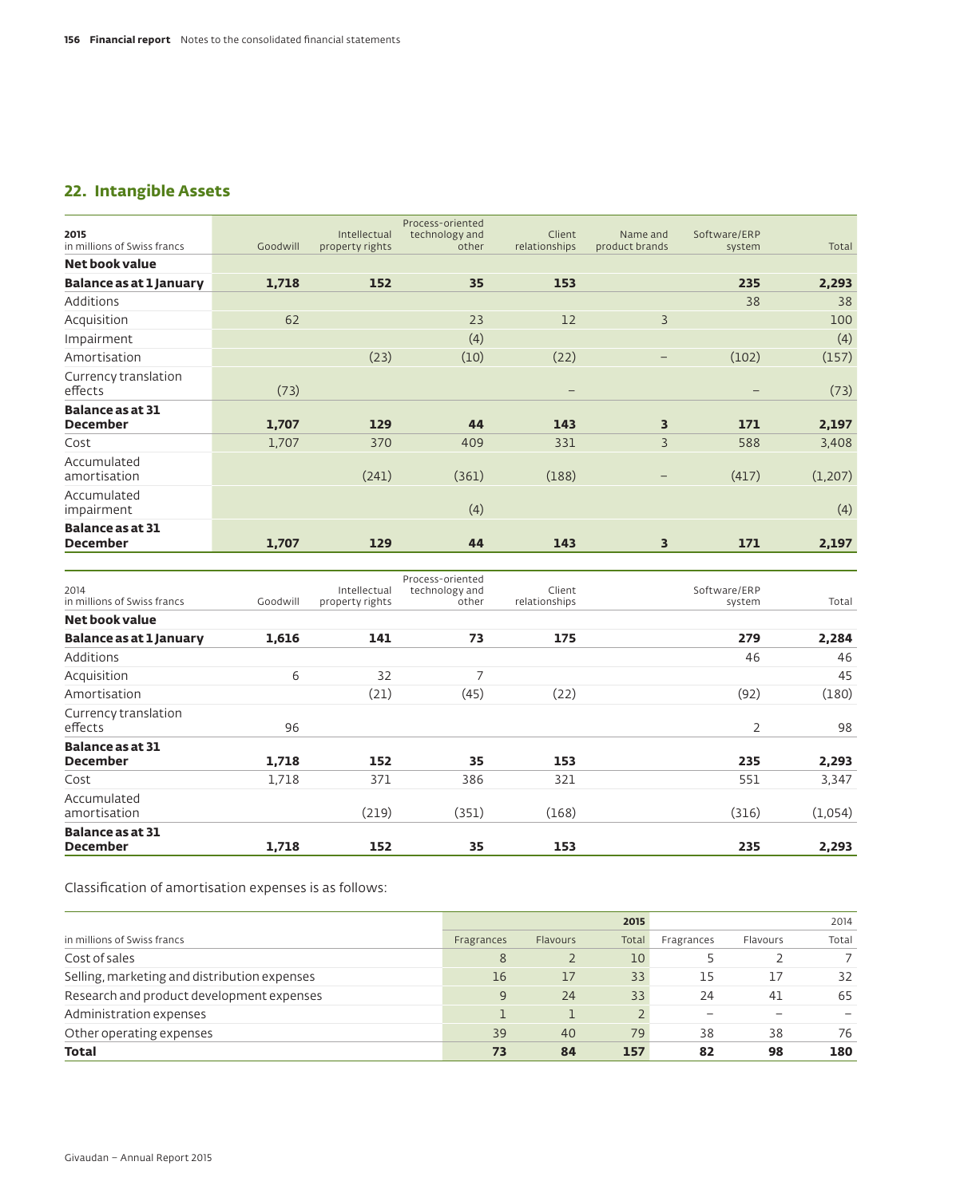# **22. Intangible Assets**

| 2015                            |          | Intellectual    | Process-oriented<br>technology and | Client                   | Name and                | Software/ERP |         |
|---------------------------------|----------|-----------------|------------------------------------|--------------------------|-------------------------|--------------|---------|
| in millions of Swiss francs     | Goodwill | property rights | other                              | relationships            | product brands          | system       | Total   |
| Net book value                  |          |                 |                                    |                          |                         |              |         |
| Balance as at 1 January         | 1,718    | 152             | 35                                 | 153                      |                         | 235          | 2,293   |
| Additions                       |          |                 |                                    |                          |                         | 38           | 38      |
| Acquisition                     | 62       |                 | 23                                 | 12                       | $\overline{3}$          |              | 100     |
| Impairment                      |          |                 | (4)                                |                          |                         |              | (4)     |
| Amortisation                    |          | (23)            | (10)                               | (22)                     | $\qquad \qquad -$       | (102)        | (157)   |
| Currency translation<br>effects | (73)     |                 |                                    | $\overline{\phantom{a}}$ |                         | -            | (73)    |
| Balance as at 31                |          |                 |                                    |                          |                         |              |         |
| <b>December</b>                 | 1,707    | 129             | 44                                 | 143                      | $\overline{\mathbf{3}}$ | 171          | 2,197   |
| Cost                            | 1,707    | 370             | 409                                | 331                      | $\overline{3}$          | 588          | 3,408   |
| Accumulated<br>amortisation     |          | (241)           | (361)                              | (188)                    | $\qquad \qquad -$       | (417)        | (1,207) |
| Accumulated<br>impairment       |          |                 | (4)                                |                          |                         |              | (4)     |
| Balance as at 31                |          |                 |                                    |                          |                         |              |         |
| <b>December</b>                 | 1,707    | 129             | 44                                 | 143                      | $\overline{\mathbf{3}}$ | 171          | 2,197   |
|                                 |          |                 |                                    |                          |                         |              |         |

| Balance as at 31<br><b>December</b> | 1,718    | 152                             | 35                                          | 153                     | 235                    | 2,293   |
|-------------------------------------|----------|---------------------------------|---------------------------------------------|-------------------------|------------------------|---------|
| Accumulated<br>amortisation         |          | (219)                           | (351)                                       | (168)                   | (316)                  | (1,054) |
| Cost                                | 1,718    | 371                             | 386                                         | 321                     | 551                    | 3,347   |
| Balance as at 31<br><b>December</b> | 1,718    | 152                             | 35                                          | 153                     | 235                    | 2,293   |
| Currency translation<br>effects     | 96       |                                 |                                             |                         | 2                      | 98      |
| Amortisation                        |          | (21)                            | (45)                                        | (22)                    | (92)                   | (180)   |
| Acquisition                         | 6        | 32                              | 7                                           |                         |                        | 45      |
| Additions                           |          |                                 |                                             |                         | 46                     | 46      |
| Balance as at 1 January             | 1,616    | 141                             | 73                                          | 175                     | 279                    | 2,284   |
| Net book value                      |          |                                 |                                             |                         |                        |         |
| 2014<br>in millions of Swiss francs | Goodwill | Intellectual<br>property rights | Process-oriented<br>technology and<br>other | Client<br>relationships | Software/ERP<br>system | Total   |

Classification of amortisation expenses is as follows:

|                                              |            |          | 2015  |            |          | 2014  |
|----------------------------------------------|------------|----------|-------|------------|----------|-------|
| in millions of Swiss francs                  | Fragrances | Flavours | Total | Fragrances | Flavours | Total |
| Cost of sales                                | 8          |          | 10    |            |          |       |
| Selling, marketing and distribution expenses | 16         | 17       | 33    | 15         | 17       | 32    |
| Research and product development expenses    | 9          | 24       | 33    | 24         | 41       | 65    |
| Administration expenses                      |            |          |       |            |          |       |
| Other operating expenses                     | 39         | 40       | 79    | 38         | 38       | 76    |
| Total                                        | 73         | 84       | 157   | 82         | 98       | 180   |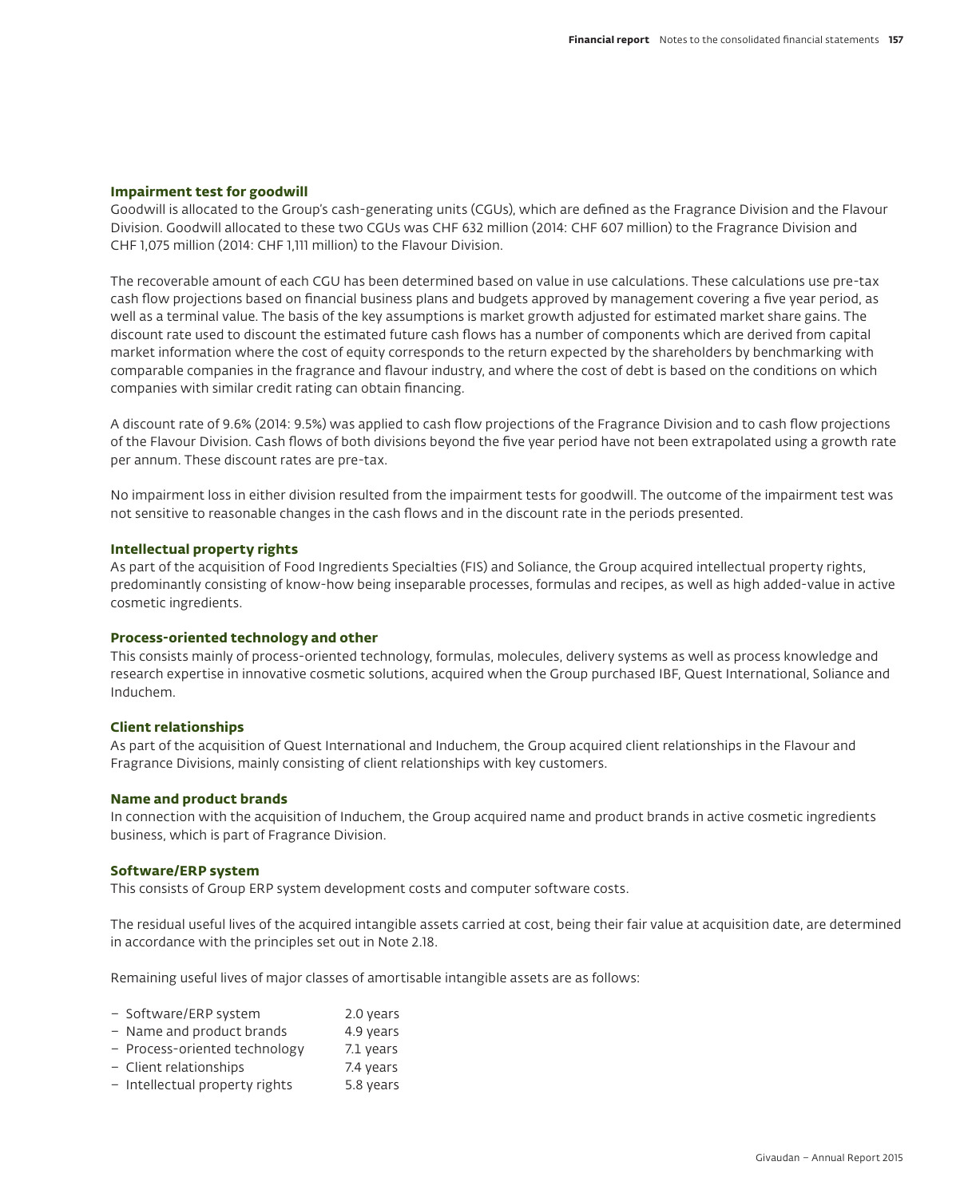#### **Impairment test for goodwill**

Goodwill is allocated to the Group's cash-generating units (CGUs), which are defined as the Fragrance Division and the Flavour Division. Goodwill allocated to these two CGUs was CHF 632 million (2014: CHF 607 million) to the Fragrance Division and CHF 1,075 million (2014: CHF 1,111 million) to the Flavour Division.

The recoverable amount of each CGU has been determined based on value in use calculations. These calculations use pre-tax cash flow projections based on financial business plans and budgets approved by management covering a five year period, as well as a terminal value. The basis of the key assumptions is market growth adjusted for estimated market share gains. The discount rate used to discount the estimated future cash flows has a number of components which are derived from capital market information where the cost of equity corresponds to the return expected by the shareholders by benchmarking with comparable companies in the fragrance and flavour industry, and where the cost of debt is based on the conditions on which companies with similar credit rating can obtain financing.

A discount rate of 9.6% (2014: 9.5%) was applied to cash flow projections of the Fragrance Division and to cash flow projections of the Flavour Division. Cash flows of both divisions beyond the five year period have not been extrapolated using a growth rate per annum. These discount rates are pre-tax.

No impairment loss in either division resulted from the impairment tests for goodwill. The outcome of the impairment test was not sensitive to reasonable changes in the cash flows and in the discount rate in the periods presented.

#### **Intellectual property rights**

As part of the acquisition of Food Ingredients Specialties (FIS) and Soliance, the Group acquired intellectual property rights, predominantly consisting of know-how being inseparable processes, formulas and recipes, as well as high added-value in active cosmetic ingredients.

#### **Process-oriented technology and other**

This consists mainly of process-oriented technology, formulas, molecules, delivery systems as well as process knowledge and research expertise in innovative cosmetic solutions, acquired when the Group purchased IBF, Quest International, Soliance and Induchem.

#### **Client relationships**

As part of the acquisition of Quest International and Induchem, the Group acquired client relationships in the Flavour and Fragrance Divisions, mainly consisting of client relationships with key customers.

#### **Name and product brands**

In connection with the acquisition of Induchem, the Group acquired name and product brands in active cosmetic ingredients business, which is part of Fragrance Division.

#### **Software/ERP system**

This consists of Group ERP system development costs and computer software costs.

The residual useful lives of the acquired intangible assets carried at cost, being their fair value at acquisition date, are determined in accordance with the principles set out in Note 2.18.

Remaining useful lives of major classes of amortisable intangible assets are as follows:

| - Software/ERP system         | 2.0 years |
|-------------------------------|-----------|
| - Name and product brands     | 4.9 years |
| - Process-oriented technology | 7.1 years |

- Client relationships 7.4 years
- Intellectual property rights 5.8 years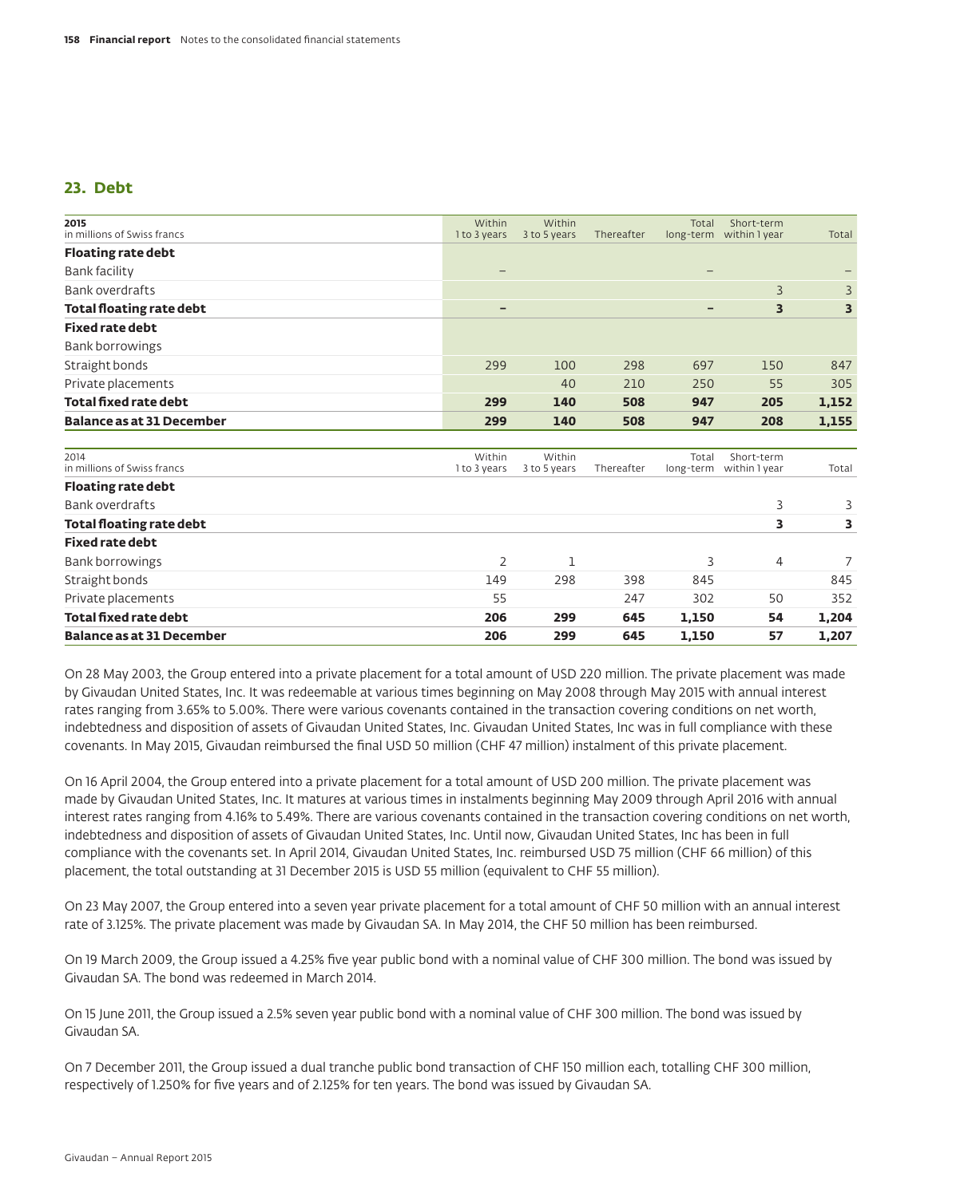# **23. Debt**

| 2015                             | Within            | Within       |            | Total                    | Short-term              |       |
|----------------------------------|-------------------|--------------|------------|--------------------------|-------------------------|-------|
| in millions of Swiss francs      | 1 to 3 years      | 3 to 5 years | Thereafter |                          | long-term within 1 year | Total |
| <b>Floating rate debt</b>        |                   |              |            |                          |                         |       |
| Bank facility                    |                   |              |            |                          |                         |       |
| Bank overdrafts                  |                   |              |            |                          | 3                       | 3     |
| <b>Total floating rate debt</b>  | $\qquad \qquad -$ |              |            | $\overline{\phantom{0}}$ | $\overline{\mathbf{3}}$ | 3     |
| <b>Fixed rate debt</b>           |                   |              |            |                          |                         |       |
| <b>Bank borrowings</b>           |                   |              |            |                          |                         |       |
| Straight bonds                   | 299               | 100          | 298        | 697                      | 150                     | 847   |
| Private placements               |                   | 40           | 210        | 250                      | 55                      | 305   |
| <b>Total fixed rate debt</b>     | 299               | 140          | 508        | 947                      | 205                     | 1,152 |
| <b>Balance as at 31 December</b> | 299               | 140          | 508        | 947                      | 208                     | 1,155 |
|                                  |                   |              |            |                          |                         |       |
| 2014                             | Within            | Within       |            | Total                    | Short-term              |       |
| in millions of Swiss francs      | 1 to 3 years      | 3 to 5 years | Thereafter |                          | long-term within 1 year | Total |
| <b>Floating rate debt</b>        |                   |              |            |                          |                         |       |
| Bank overdrafts                  |                   |              |            |                          | 3                       | 3     |
| <b>Total floating rate debt</b>  |                   |              |            |                          | 3                       | 3     |
| <b>Fixed rate debt</b>           |                   |              |            |                          |                         |       |
| <b>Bank borrowings</b>           | $\overline{2}$    | 1            |            | 3                        | 4                       | 7     |
| Straight bonds                   | 149               | 298          | 398        | 845                      |                         | 845   |
| Private placements               | 55                |              | 247        | 302                      | 50                      | 352   |
| <b>Total fixed rate debt</b>     | 206               | 299          | 645        | 1,150                    | 54                      | 1,204 |
| <b>Balance as at 31 December</b> | 206               | 299          | 645        | 1.150                    | 57                      | 1,207 |

On 28 May 2003, the Group entered into a private placement for a total amount of USD 220 million. The private placement was made by Givaudan United States, Inc. It was redeemable at various times beginning on May 2008 through May 2015 with annual interest rates ranging from 3.65% to 5.00%. There were various covenants contained in the transaction covering conditions on net worth, indebtedness and disposition of assets of Givaudan United States, Inc. Givaudan United States, Inc was in full compliance with these covenants. In May 2015, Givaudan reimbursed the final USD 50 million (CHF 47 million) instalment of this private placement.

On 16 April 2004, the Group entered into a private placement for a total amount of USD 200 million. The private placement was made by Givaudan United States, Inc. It matures at various times in instalments beginning May 2009 through April 2016 with annual interest rates ranging from 4.16% to 5.49%. There are various covenants contained in the transaction covering conditions on net worth, indebtedness and disposition of assets of Givaudan United States, Inc. Until now, Givaudan United States, Inc has been in full compliance with the covenants set. In April 2014, Givaudan United States, Inc. reimbursed USD 75 million (CHF 66 million) of this placement, the total outstanding at 31 December 2015 is USD 55 million (equivalent to CHF 55 million).

On 23 May 2007, the Group entered into a seven year private placement for a total amount of CHF 50 million with an annual interest rate of 3.125%. The private placement was made by Givaudan SA. In May 2014, the CHF 50 million has been reimbursed.

On 19 March 2009, the Group issued a 4.25% five year public bond with a nominal value of CHF 300 million. The bond was issued by Givaudan SA. The bond was redeemed in March 2014.

On 15 June 2011, the Group issued a 2.5% seven year public bond with a nominal value of CHF 300 million. The bond was issued by Givaudan SA.

On 7 December 2011, the Group issued a dual tranche public bond transaction of CHF 150 million each, totalling CHF 300 million, respectively of 1.250% for five years and of 2.125% for ten years. The bond was issued by Givaudan SA.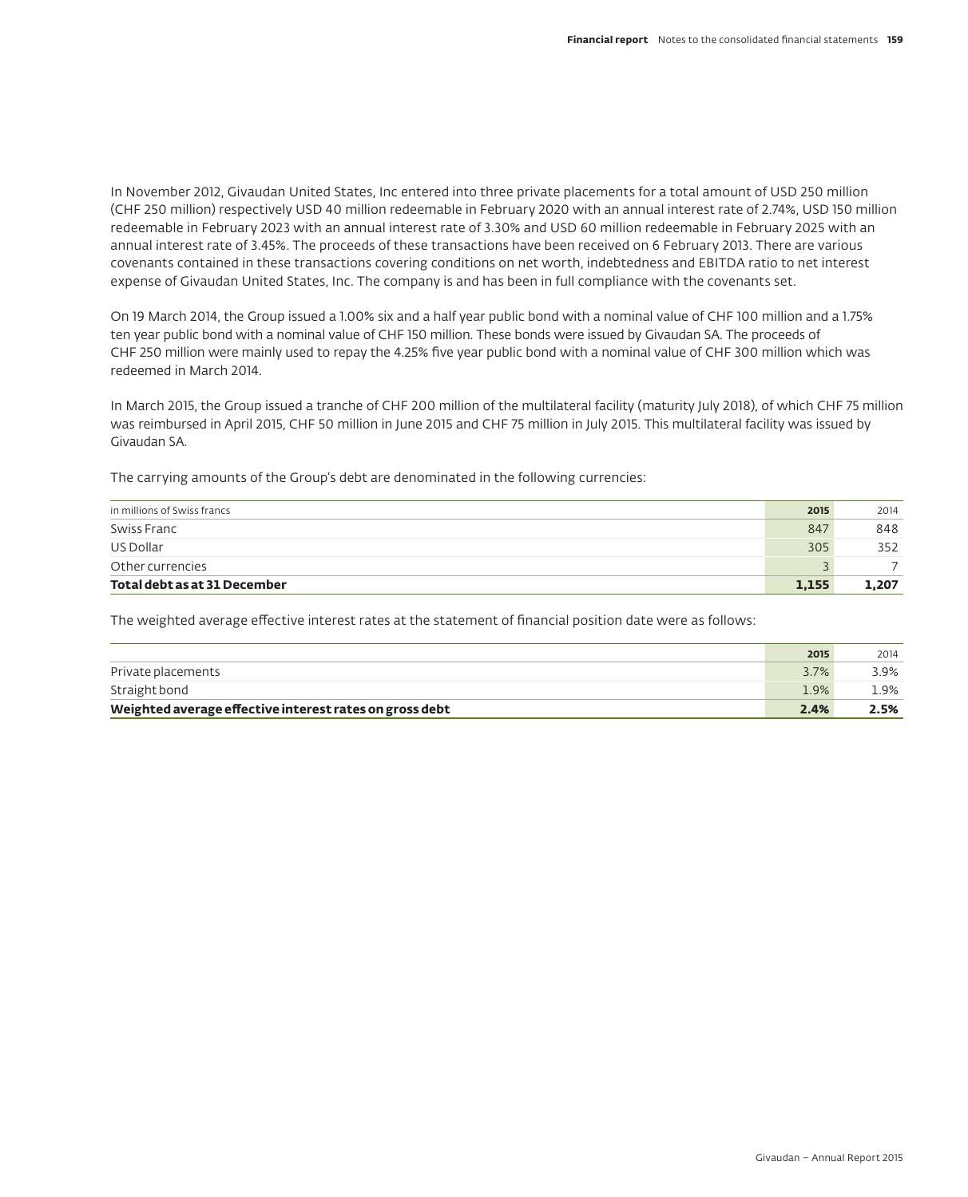In November 2012, Givaudan United States, Inc entered into three private placements for a total amount of USD 250 million (CHF 250 million) respectively USD 40 million redeemable in February 2020 with an annual interest rate of 2.74%, USD 150 million redeemable in February 2023 with an annual interest rate of 3.30% and USD 60 million redeemable in February 2025 with an annual interest rate of 3.45%. The proceeds of these transactions have been received on 6 February 2013. There are various covenants contained in these transactions covering conditions on net worth, indebtedness and EBITDA ratio to net interest expense of Givaudan United States, Inc. The company is and has been in full compliance with the covenants set.

On 19 March 2014, the Group issued a 1.00% six and a half year public bond with a nominal value of CHF 100 million and a 1.75% ten year public bond with a nominal value of CHF 150 million. These bonds were issued by Givaudan SA. The proceeds of CHF 250 million were mainly used to repay the 4.25% five year public bond with a nominal value of CHF 300 million which was redeemed in March 2014.

In March 2015, the Group issued a tranche of CHF 200 million of the multilateral facility (maturity July 2018), of which CHF 75 million was reimbursed in April 2015, CHF 50 million in June 2015 and CHF 75 million in July 2015. This multilateral facility was issued by Givaudan SA.

The carrying amounts of the Group's debt are denominated in the following currencies:

| in millions of Swiss francs  | 2015  | 2014  |
|------------------------------|-------|-------|
| Swiss Franc                  | 847   | 848   |
| US Dollar                    | 305   | 352   |
| Other currencies             |       |       |
| Total debt as at 31 December | 1,155 | 1.207 |

The weighted average effective interest rates at the statement of financial position date were as follows:

|                                                         | 2015 | 2014 |
|---------------------------------------------------------|------|------|
| Private placements                                      | 3.7% | 3.9% |
| Straight bond                                           | 1.9% | 1.9% |
| Weighted average effective interest rates on gross debt | 2.4% | 2.5% |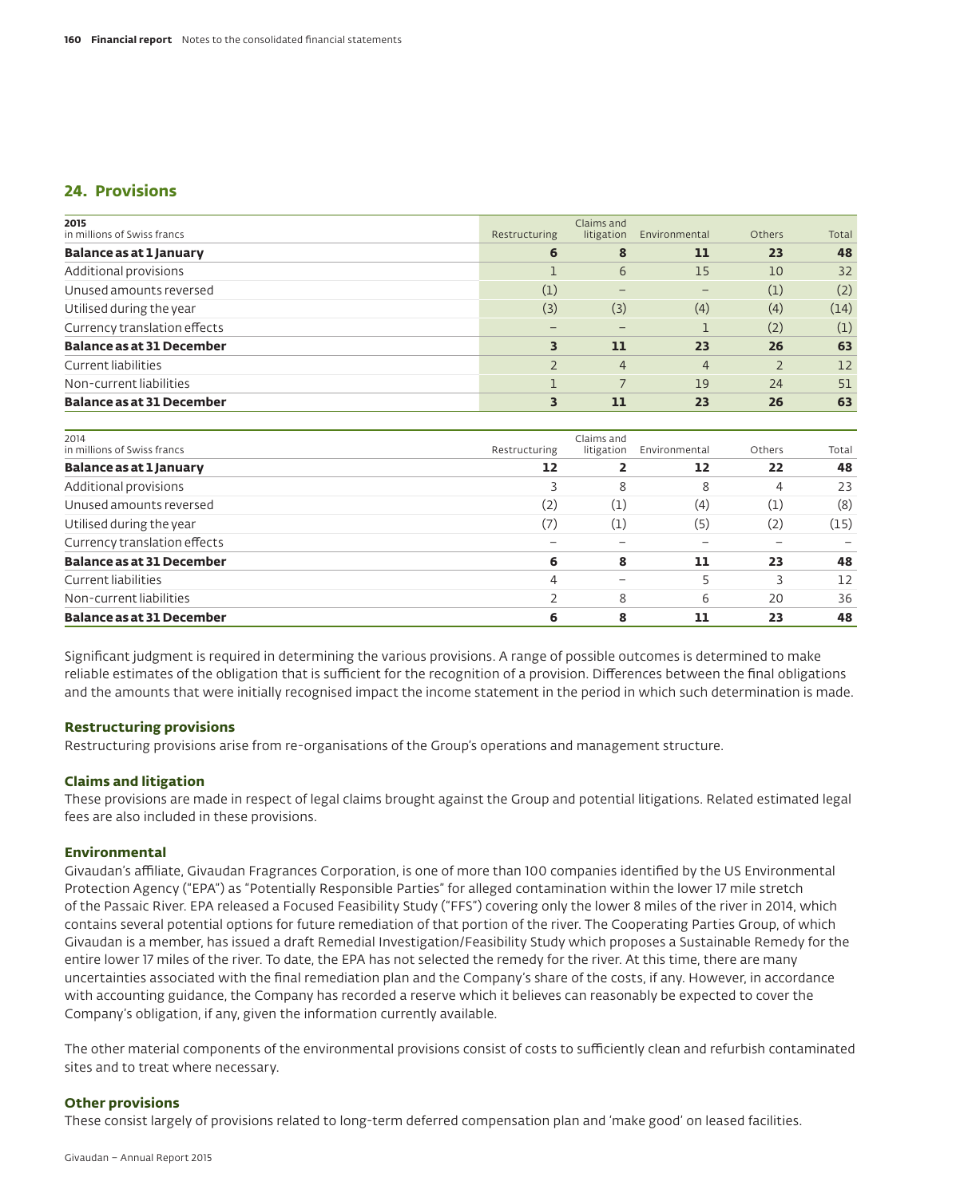# **24. Provisions**

|                | Claims and               |                   |               |        |
|----------------|--------------------------|-------------------|---------------|--------|
|                |                          |                   |               | Total  |
| 6              | 8                        | 11                | 23            | 48     |
|                | 6                        | 15                | 10            | 32     |
| (1)            | $\overline{\phantom{m}}$ | $\qquad \qquad -$ | (1)           | (2)    |
| (3)            | (3)                      | (4)               | (4)           | (14)   |
|                |                          |                   | (2)           | (1)    |
|                | 11                       | 23                | 26            | 63     |
| $\overline{2}$ | $\overline{4}$           | $\overline{4}$    |               | 12     |
|                |                          | 19                | 24            | 51     |
|                | 11                       | 23                | 26            | 63     |
|                | Restructuring            | litigation        | Environmental | Others |

| 2014<br>in millions of Swiss francs | Restructuring | Claims and<br>litigation | Environmental | Others | Total |
|-------------------------------------|---------------|--------------------------|---------------|--------|-------|
| Balance as at 1 January             | 12            |                          | 12            | 22     | 48    |
| Additional provisions               | ς             | 8                        | 8             | 4      | 23    |
| Unused amounts reversed             | (2)           | (1)                      | (4)           | (1)    | (8)   |
| Utilised during the year            | (7)           | (1)                      | (5)           | (2)    | (15)  |
| Currency translation effects        |               |                          |               |        |       |
| <b>Balance as at 31 December</b>    | 6             | 8                        | 11            | 23     | 48    |
| Current liabilities                 | 4             |                          |               |        | 12    |
| Non-current liabilities             |               | 8                        | 6             | 20     | 36    |
| <b>Balance as at 31 December</b>    | 6             | 8                        | 11            | 23     | 48    |

Significant judgment is required in determining the various provisions. A range of possible outcomes is determined to make reliable estimates of the obligation that is sufficient for the recognition of a provision. Differences between the final obligations and the amounts that were initially recognised impact the income statement in the period in which such determination is made.

#### **Restructuring provisions**

Restructuring provisions arise from re-organisations of the Group's operations and management structure.

#### **Claims and litigation**

These provisions are made in respect of legal claims brought against the Group and potential litigations. Related estimated legal fees are also included in these provisions.

#### **Environmental**

Givaudan's affiliate, Givaudan Fragrances Corporation, is one of more than 100 companies identified by the US Environmental Protection Agency ("EPA") as "Potentially Responsible Parties" for alleged contamination within the lower 17 mile stretch of the Passaic River. EPA released a Focused Feasibility Study ("FFS") covering only the lower 8 miles of the river in 2014, which contains several potential options for future remediation of that portion of the river. The Cooperating Parties Group, of which Givaudan is a member, has issued a draft Remedial Investigation/Feasibility Study which proposes a Sustainable Remedy for the entire lower 17 miles of the river. To date, the EPA has not selected the remedy for the river. At this time, there are many uncertainties associated with the final remediation plan and the Company's share of the costs, if any. However, in accordance with accounting guidance, the Company has recorded a reserve which it believes can reasonably be expected to cover the Company's obligation, if any, given the information currently available.

The other material components of the environmental provisions consist of costs to sufficiently clean and refurbish contaminated sites and to treat where necessary.

# **Other provisions**

These consist largely of provisions related to long-term deferred compensation plan and 'make good' on leased facilities.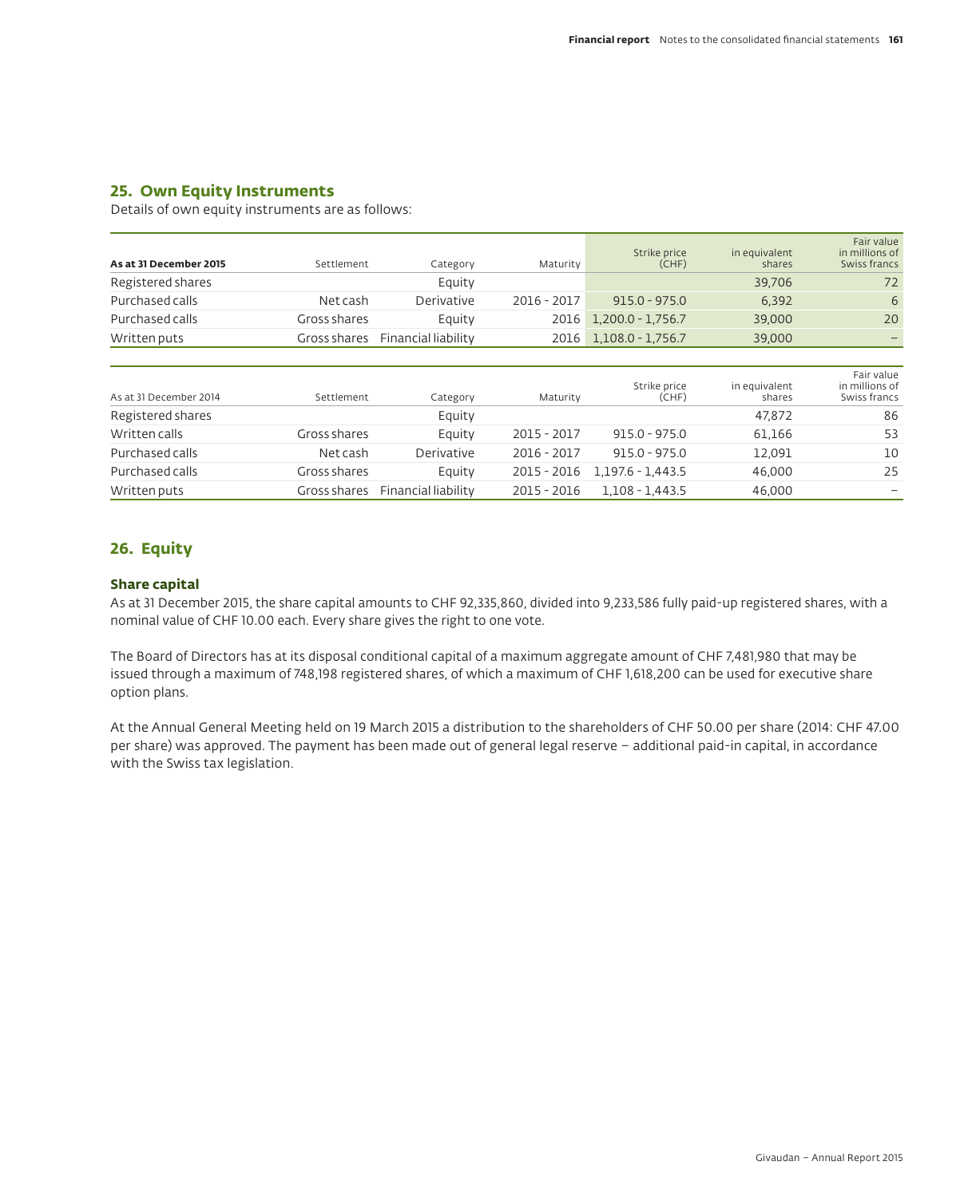# **25. Own Equity Instruments**

Details of own equity instruments are as follows:

| As at 31 December 2015 | Settlement   | Category            | Maturity      | Strike price<br>(CHF) | in equivalent<br>shares | Fair value<br>in millions of<br>Swiss francs |
|------------------------|--------------|---------------------|---------------|-----------------------|-------------------------|----------------------------------------------|
| Registered shares      |              | Equity              |               |                       | 39,706                  | 72                                           |
| Purchased calls        | Net cash     | Derivative          | 2016 - 2017   | $915.0 - 975.0$       | 6,392                   | 6                                            |
| Purchased calls        | Gross shares | Equity              | 2016          | $1.200.0 - 1.756.7$   | 39,000                  | 20                                           |
| Written puts           | Gross shares | Financial liability | 2016          | $1.108.0 - 1.756.7$   | 39,000                  |                                              |
|                        |              |                     |               |                       |                         |                                              |
| As at 31 December 2014 | Settlement   | Category            | Maturity      | Strike price<br>(CHF) | in equivalent<br>shares | Fair value<br>in millions of<br>Swiss francs |
| Registered shares      |              | Equity              |               |                       | 47,872                  | 86                                           |
| Written calls          | Gross shares | Equity              | $2015 - 2017$ | $915.0 - 975.0$       | 61,166                  | 53                                           |
| Purchased calls        | Net cash     | Derivative          | $2016 - 2017$ | $915.0 - 975.0$       | 12,091                  | 10                                           |
| Purchased calls        | Gross shares | Equity              | 2015 - 2016   | 1,197.6 - 1,443.5     | 46.000                  | 25                                           |
| Written puts           | Gross shares | Financial liability | 2015 - 2016   | $1,108 - 1,443.5$     | 46,000                  |                                              |

# **26. Equity**

# **Share capital**

As at 31 December 2015, the share capital amounts to CHF 92,335,860, divided into 9,233,586 fully paid-up registered shares, with a nominal value of CHF 10.00 each. Every share gives the right to one vote.

The Board of Directors has at its disposal conditional capital of a maximum aggregate amount of CHF 7,481,980 that may be issued through a maximum of 748,198 registered shares, of which a maximum of CHF 1,618,200 can be used for executive share option plans.

At the Annual General Meeting held on 19 March 2015 a distribution to the shareholders of CHF 50.00 per share (2014: CHF 47.00 per share) was approved. The payment has been made out of general legal reserve – additional paid-in capital, in accordance with the Swiss tax legislation.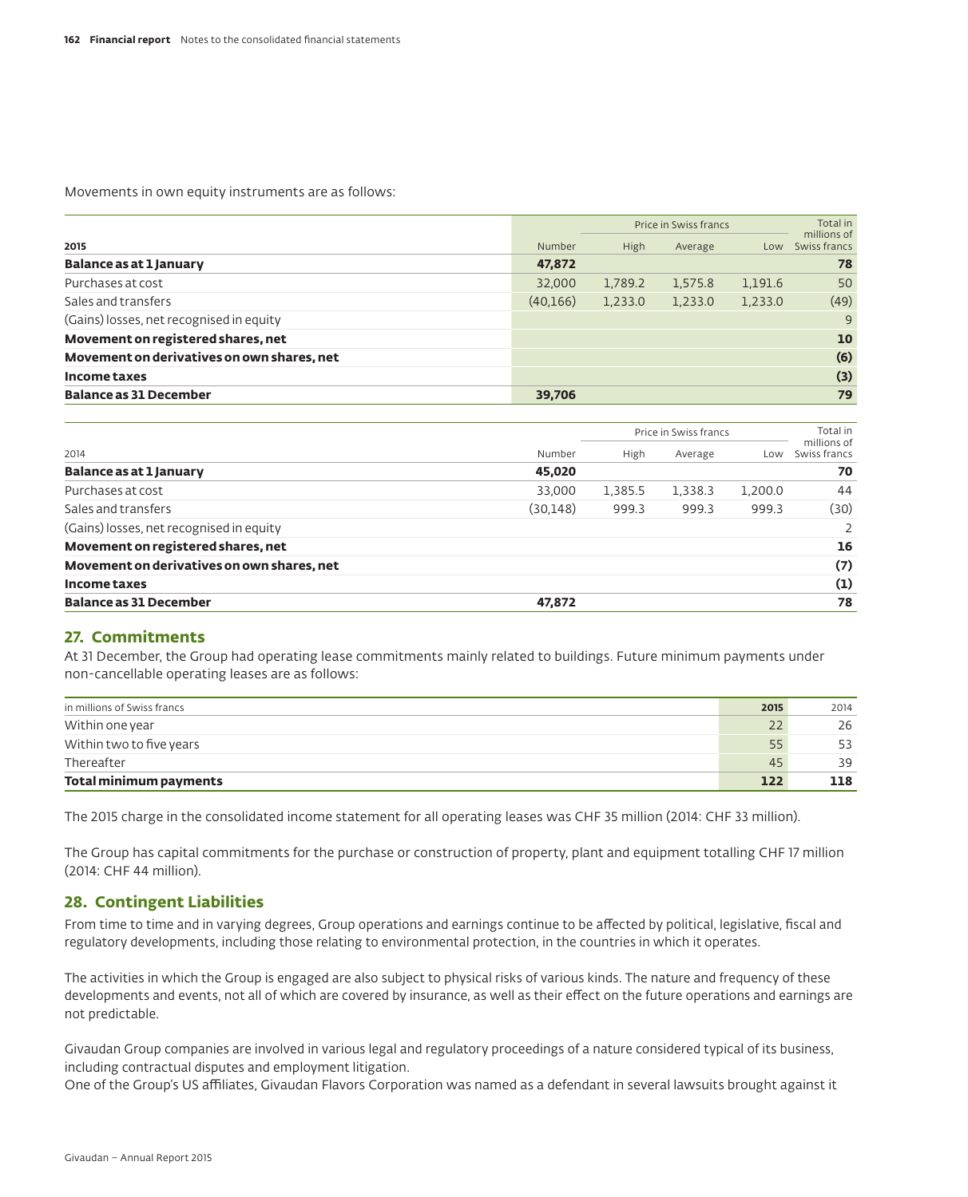Movements in own equity instruments are as follows:

|                                            |           | Price in Swiss francs |         |         | Total in<br>millions of |  |
|--------------------------------------------|-----------|-----------------------|---------|---------|-------------------------|--|
| 2015                                       | Number    | <b>High</b>           | Average | Low     | Swiss francs            |  |
| Balance as at 1 January                    | 47,872    |                       |         |         | 78                      |  |
| Purchases at cost                          | 32,000    | 1,789.2               | 1,575.8 | 1,191.6 | 50                      |  |
| Sales and transfers                        | (40, 166) | 1,233.0               | 1,233.0 | 1,233.0 | (49)                    |  |
| (Gains) losses, net recognised in equity   |           |                       |         |         | 9                       |  |
| Movement on registered shares, net         |           |                       |         |         | 10                      |  |
| Movement on derivatives on own shares, net |           |                       |         |         | (6)                     |  |
| Income taxes                               |           |                       |         |         | (3)                     |  |
| <b>Balance as 31 December</b>              | 39,706    |                       |         |         | 79                      |  |

|                                            |          | Price in Swiss francs |         |         | Total in<br>millions of |
|--------------------------------------------|----------|-----------------------|---------|---------|-------------------------|
| 2014                                       | Number   | High                  | Average | Low     | Swiss francs            |
| Balance as at 1 January                    | 45,020   |                       |         |         | 70                      |
| Purchases at cost                          | 33,000   | 1,385.5               | 1,338.3 | 1,200.0 | 44                      |
| Sales and transfers                        | (30,148) | 999.3                 | 999.3   | 999.3   | (30)                    |
| (Gains) losses, net recognised in equity   |          |                       |         |         |                         |
| Movement on registered shares, net         |          |                       |         |         | 16                      |
| Movement on derivatives on own shares, net |          |                       |         |         | (7)                     |
| Income taxes                               |          |                       |         |         | (1)                     |
| <b>Balance as 31 December</b>              | 47,872   |                       |         |         | 78                      |

# **27. Commitments**

At 31 December, the Group had operating lease commitments mainly related to buildings. Future minimum payments under non-cancellable operating leases are as follows:

| in millions of Swiss francs | 2015 | 2014 |
|-----------------------------|------|------|
| Within one year             |      | 26   |
| Within two to five years    | 55   | 53   |
| Thereafter                  | 45   | 39   |
| Total minimum payments      | 122  | 118  |

The 2015 charge in the consolidated income statement for all operating leases was CHF 35 million (2014: CHF 33 million).

The Group has capital commitments for the purchase or construction of property, plant and equipment totalling CHF 17 million (2014: CHF 44 million).

# **28. Contingent Liabilities**

From time to time and in varying degrees, Group operations and earnings continue to be affected by political, legislative, fiscal and regulatory developments, including those relating to environmental protection, in the countries in which it operates.

The activities in which the Group is engaged are also subject to physical risks of various kinds. The nature and frequency of these developments and events, not all of which are covered by insurance, as well as their effect on the future operations and earnings are not predictable.

Givaudan Group companies are involved in various legal and regulatory proceedings of a nature considered typical of its business, including contractual disputes and employment litigation.

One of the Group's US affiliates, Givaudan Flavors Corporation was named as a defendant in several lawsuits brought against it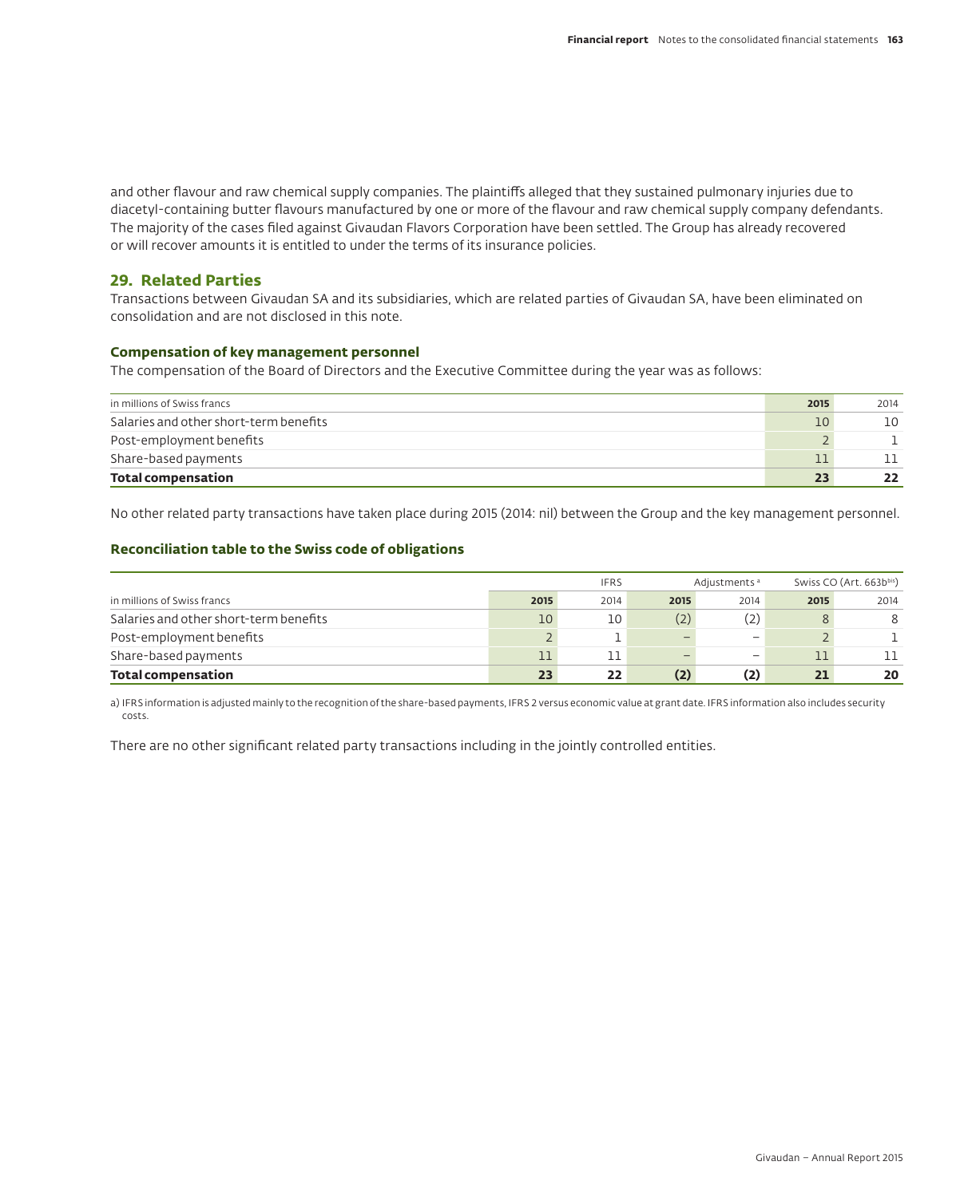and other flavour and raw chemical supply companies. The plaintiffs alleged that they sustained pulmonary injuries due to diacetyl-containing butter flavours manufactured by one or more of the flavour and raw chemical supply company defendants. The majority of the cases filed against Givaudan Flavors Corporation have been settled. The Group has already recovered or will recover amounts it is entitled to under the terms of its insurance policies.

# **29. Related Parties**

Transactions between Givaudan SA and its subsidiaries, which are related parties of Givaudan SA, have been eliminated on consolidation and are not disclosed in this note.

# **Compensation of key management personnel**

The compensation of the Board of Directors and the Executive Committee during the year was as follows:

| <b>Total compensation</b>              | 23   | 22   |
|----------------------------------------|------|------|
| Share-based payments                   |      |      |
| Post-employment benefits               |      |      |
| Salaries and other short-term benefits | 10   | 10   |
| in millions of Swiss francs            | 2015 | 2014 |

No other related party transactions have taken place during 2015 (2014: nil) between the Group and the key management personnel.

# **Reconciliation table to the Swiss code of obligations**

|                                        |                 | <b>IFRS</b> |                          | Adiustments <sup>a</sup> |      | Swiss CO (Art. 663bbis) |  |
|----------------------------------------|-----------------|-------------|--------------------------|--------------------------|------|-------------------------|--|
| in millions of Swiss francs            | 2015            | 2014        | 2015                     | 2014                     | 2015 | 2014                    |  |
| Salaries and other short-term benefits | 10 <sup>°</sup> | 10          | (2)                      | (2)                      |      | 8                       |  |
| Post-employment benefits               |                 |             | $\overline{\phantom{a}}$ | $\overline{\phantom{a}}$ |      |                         |  |
| Share-based payments                   |                 |             | -                        | $\overline{\phantom{a}}$ |      | 11                      |  |
| <b>Total compensation</b>              | 23              | 22          | (2)                      | (2)                      | 21   | 20                      |  |

a) IFRS information is adjusted mainly to the recognition of the share-based payments, IFRS 2 versus economic value at grant date. IFRS information also includes security costs.

There are no other significant related party transactions including in the jointly controlled entities.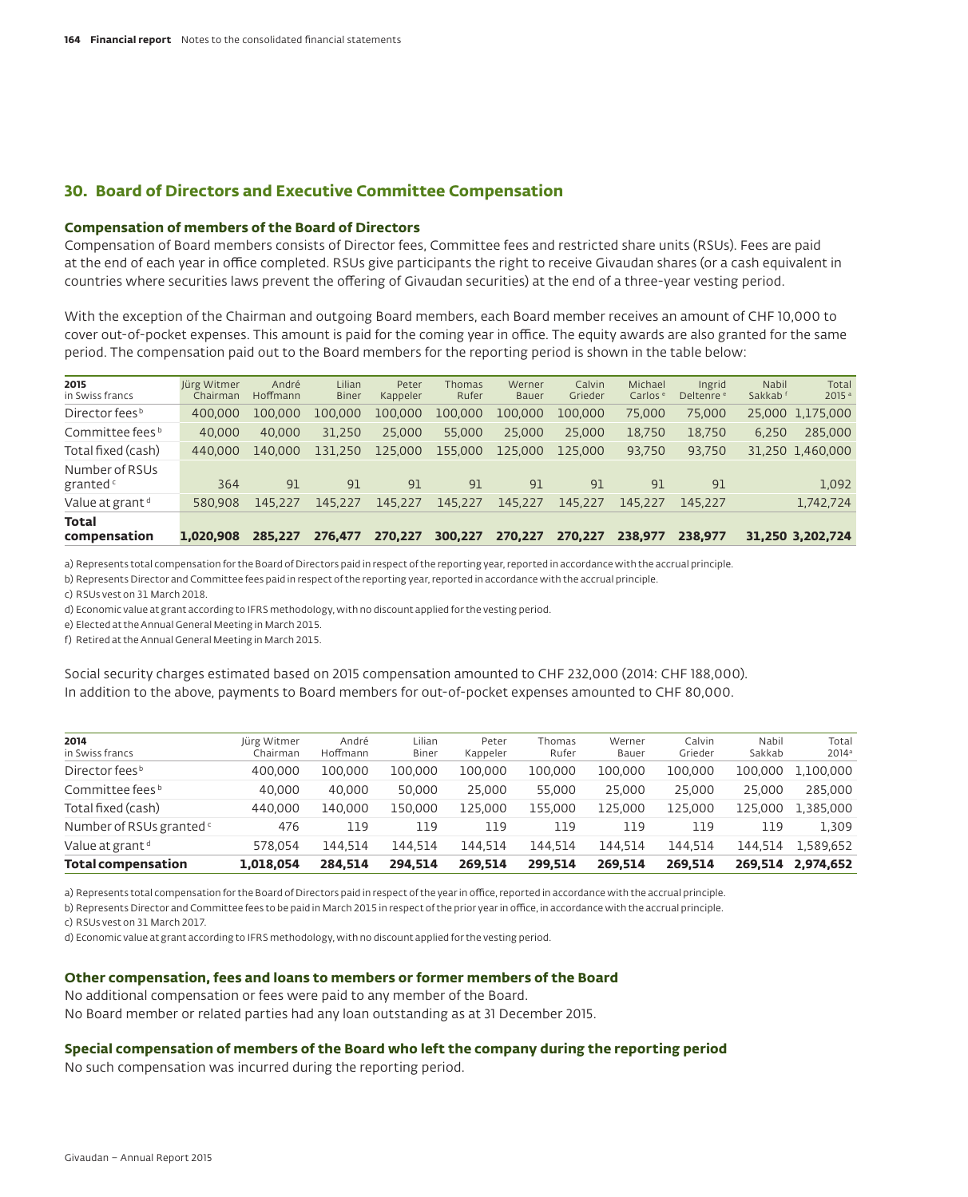# **30. Board of Directors and Executive Committee Compensation**

#### **Compensation of members of the Board of Directors**

Compensation of Board members consists of Director fees, Committee fees and restricted share units (RSUs). Fees are paid at the end of each year in office completed. RSUs give participants the right to receive Givaudan shares (or a cash equivalent in countries where securities laws prevent the offering of Givaudan securities) at the end of a three-year vesting period.

With the exception of the Chairman and outgoing Board members, each Board member receives an amount of CHF 10,000 to cover out-of-pocket expenses. This amount is paid for the coming year in office. The equity awards are also granted for the same period. The compensation paid out to the Board members for the reporting period is shown in the table below:

| 2015<br>in Swiss francs                | Jürg Witmer<br>Chairman | André<br>Hoffmann | Lilian<br><b>Biner</b> | Peter<br>Kappeler | Thomas<br>Rufer | Werner<br>Bauer | Calvin<br>Grieder | Michael<br>Carlos <sup>e</sup> | Ingrid<br>Deltenre <sup>e</sup> | Nabil<br>Sakkab <sup>f</sup> | Total<br>2015 <sup>a</sup> |
|----------------------------------------|-------------------------|-------------------|------------------------|-------------------|-----------------|-----------------|-------------------|--------------------------------|---------------------------------|------------------------------|----------------------------|
| Director fees <sup>b</sup>             | 400,000                 | 100.000           | 100.000                | 100.000           | 100.000         | 100,000         | 100.000           | 75,000                         | 75,000                          |                              | 25,000 1,175,000           |
| Committee fees b                       | 40,000                  | 40,000            | 31.250                 | 25.000            | 55,000          | 25,000          | 25,000            | 18.750                         | 18.750                          | 6.250                        | 285,000                    |
| Total fixed (cash)                     | 440,000                 | 140,000           | 131.250                | 125,000           | 155,000         | 125,000         | 125,000           | 93.750                         | 93.750                          |                              | 31,250 1,460,000           |
| Number of RSUs<br>granted <sup>c</sup> | 364                     | 91                | 91                     | 91                | 91              | 91              | 91                | 91                             | 91                              |                              | 1,092                      |
| Value at grant <sup>d</sup>            | 580.908                 | 145.227           | 145.227                | 145.227           | 145.227         | 145.227         | 145.227           | 145.227                        | 145.227                         |                              | 1,742,724                  |
| <b>Total</b><br>compensation           | 1.020.908               | 285.227           | 276.477                | 270.227           | 300.227         | 270.227         | 270.227           | 238.977                        | 238.977                         |                              | 31,250 3,202,724           |

a) Represents total compensation for the Board of Directors paid in respect of the reporting year, reported in accordance with the accrual principle.

b) Represents Director and Committee fees paid in respect of the reporting year, reported in accordance with the accrual principle.

c) RSUs vest on 31 March 2018.

d) Economic value at grant according to IFRS methodology, with no discount applied for the vesting period.

e) Elected at the Annual General Meeting in March 2015.

f) Retired at the Annual General Meeting in March 2015.

Social security charges estimated based on 2015 compensation amounted to CHF 232,000 (2014: CHF 188,000). In addition to the above, payments to Board members for out-of-pocket expenses amounted to CHF 80,000.

| Total compensation          | 1.018.054               | 284.514           | 294.514         | 269.514           | 299.514         | 269.514         | 269.514           | 269.514         | 2,974,652                  |
|-----------------------------|-------------------------|-------------------|-----------------|-------------------|-----------------|-----------------|-------------------|-----------------|----------------------------|
| Value at grant <sup>d</sup> | 578.054                 | 144.514           | 144.514         | 144,514           | 144.514         | 144.514         | 144.514           | 144.514         | 1,589,652                  |
| Number of RSUs granted c    | 476                     | 119               | 119             | 119               | 119             | 119             | 119               | 119             | 1.309                      |
| Total fixed (cash)          | 440.000                 | 140.000           | 150,000         | 125.000           | 155,000         | 125.000         | 125.000           | 125.000         | 1.385.000                  |
| Committee fees b            | 40.000                  | 40.000            | 50,000          | 25,000            | 55,000          | 25,000          | 25,000            | 25,000          | 285,000                    |
| Director fees <sup>b</sup>  | 400.000                 | 100.000           | 100.000         | 100.000           | 100.000         | 100.000         | 100.000           | 100.000         | 1.100.000                  |
| 2014<br>in Swiss francs     | Jürg Witmer<br>Chairman | André<br>Hoffmann | Lilian<br>Biner | Peter<br>Kappeler | Thomas<br>Rufer | Werner<br>Bauer | Calvin<br>Grieder | Nabil<br>Sakkab | Total<br>2014 <sup>a</sup> |

a) Represents total compensation for the Board of Directors paid in respect of the year in office, reported in accordance with the accrual principle. b) Represents Director and Committee fees to be paid in March 2015 in respect of the prior year in office, in accordance with the accrual principle.

c) RSUs vest on 31 March 2017.

d) Economic value at grant according to IFRS methodology, with no discount applied for the vesting period.

#### **Other compensation, fees and loans to members or former members of the Board**

No additional compensation or fees were paid to any member of the Board.

No Board member or related parties had any loan outstanding as at 31 December 2015.

# **Special compensation of members of the Board who left the company during the reporting period**

No such compensation was incurred during the reporting period.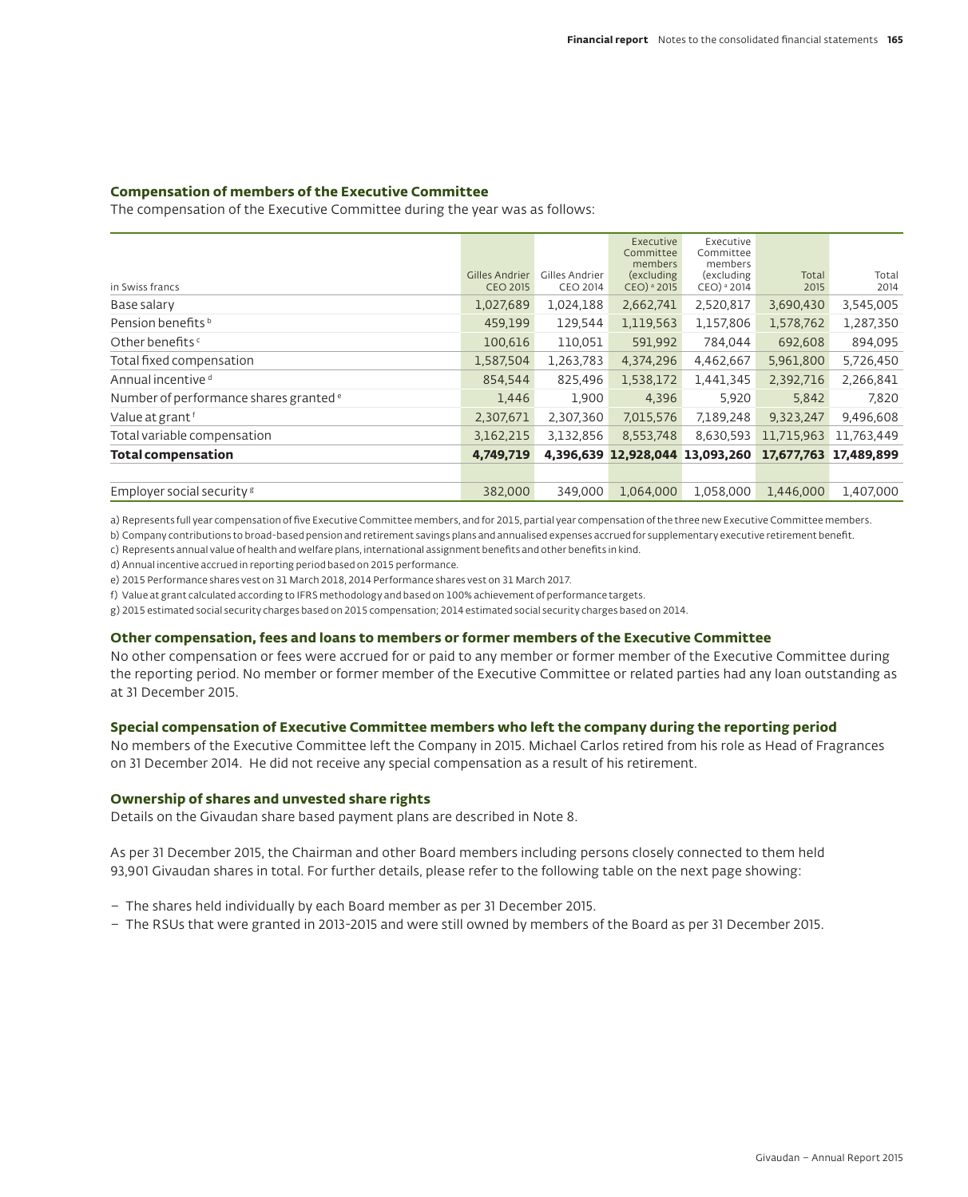#### **Compensation of members of the Executive Committee**

The compensation of the Executive Committee during the year was as follows:

| in Swiss francs                                   | Gilles Andrier<br>CEO 2015 | Gilles Andrier<br>CEO 2014 | Executive<br>Committee<br>members<br>(excluding<br>CEO) <sup>a</sup> 2015 | Executive<br>Committee<br>members<br>(excluding<br>CEO) <sup>a</sup> 2014 | Total<br>2015 | Total<br>2014         |
|---------------------------------------------------|----------------------------|----------------------------|---------------------------------------------------------------------------|---------------------------------------------------------------------------|---------------|-----------------------|
| Base salary                                       | 1,027,689                  | 1,024,188                  | 2,662,741                                                                 | 2,520,817                                                                 | 3,690,430     | 3,545,005             |
| Pension benefits b                                | 459,199                    | 129,544                    | 1,119,563                                                                 | 1,157,806                                                                 | 1,578,762     | 1,287,350             |
| Other benefits <sup>c</sup>                       | 100,616                    | 110,051                    | 591,992                                                                   | 784,044                                                                   | 692,608       | 894,095               |
| Total fixed compensation                          | 1,587,504                  | 1,263,783                  | 4,374,296                                                                 | 4,462,667                                                                 | 5,961,800     | 5,726,450             |
| Annual incentive <sup>d</sup>                     | 854,544                    | 825,496                    | 1,538,172                                                                 | 1,441,345                                                                 | 2,392,716     | 2,266,841             |
| Number of performance shares granted <sup>e</sup> | 1,446                      | 1,900                      | 4,396                                                                     | 5,920                                                                     | 5,842         | 7,820                 |
| Value at grant f                                  | 2,307,671                  | 2,307,360                  | 7,015,576                                                                 | 7,189,248                                                                 | 9,323,247     | 9,496,608             |
| Total variable compensation                       | 3,162,215                  | 3,132,856                  | 8,553,748                                                                 | 8,630,593                                                                 | 11,715,963    | 11,763,449            |
| <b>Total compensation</b>                         | 4,749,719                  |                            |                                                                           | 4,396,639 12,928,044 13,093,260                                           |               | 17,677,763 17,489,899 |
|                                                   |                            |                            |                                                                           |                                                                           |               |                       |
| Employer social security 8                        | 382,000                    | 349.000                    | 1.064.000                                                                 | 1.058.000                                                                 | 1.446.000     | 1.407.000             |

a) Represents full year compensation of five Executive Committee members, and for 2015, partial year compensation of the three new Executive Committee members.

b) Company contributions to broad-based pension and retirement savings plans and annualised expenses accrued for supplementary executive retirement benefit.

c) Represents annual value of health and welfare plans, international assignment benefits and other benefits in kind.

d) Annual incentive accrued in reporting period based on 2015 performance.

e) 2015 Performance shares vest on 31 March 2018, 2014 Performance shares vest on 31 March 2017.

f) Value at grant calculated according to IFRS methodology and based on 100% achievement of performance targets.

g) 2015 estimated social security charges based on 2015 compensation; 2014 estimated social security charges based on 2014.

#### **Other compensation, fees and loans to members or former members of the Executive Committee**

No other compensation or fees were accrued for or paid to any member or former member of the Executive Committee during the reporting period. No member or former member of the Executive Committee or related parties had any loan outstanding as at 31 December 2015.

#### **Special compensation of Executive Committee members who left the company during the reporting period**

No members of the Executive Committee left the Company in 2015. Michael Carlos retired from his role as Head of Fragrances on 31 December 2014. He did not receive any special compensation as a result of his retirement.

#### **Ownership of shares and unvested share rights**

Details on the Givaudan share based payment plans are described in Note 8.

As per 31 December 2015, the Chairman and other Board members including persons closely connected to them held 93,901 Givaudan shares in total. For further details, please refer to the following table on the next page showing:

- The shares held individually by each Board member as per 31 December 2015.
- The RSUs that were granted in 2013-2015 and were still owned by members of the Board as per 31 December 2015.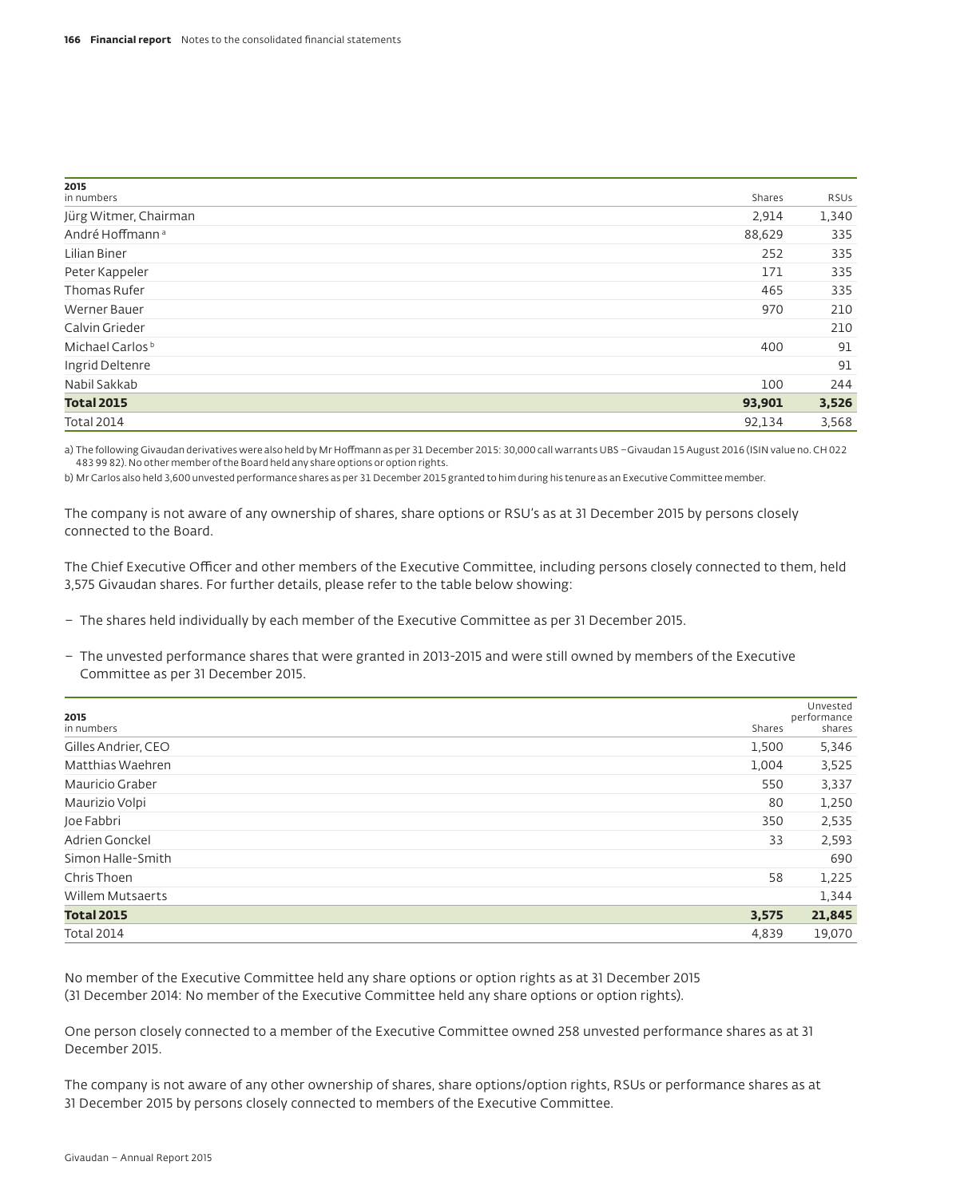| 2015<br>in numbers          | Shares | RSUs  |
|-----------------------------|--------|-------|
| Jürg Witmer, Chairman       | 2,914  | 1,340 |
| André Hoffmann <sup>a</sup> | 88,629 | 335   |
| Lilian Biner                | 252    | 335   |
| Peter Kappeler              | 171    | 335   |
| Thomas Rufer                | 465    | 335   |
| Werner Bauer                | 970    | 210   |
| Calvin Grieder              |        | 210   |
| Michael Carlos <sup>b</sup> | 400    | 91    |
| Ingrid Deltenre             |        | 91    |
| Nabil Sakkab                | 100    | 244   |
| <b>Total 2015</b>           | 93,901 | 3,526 |
| <b>Total 2014</b>           | 92,134 | 3,568 |

a) The following Givaudan derivatives were also held by Mr Hoffmann as per 31 December 2015: 30,000 call warrants UBS –Givaudan 15 August 2016 (ISIN value no. CH 022 483 99 82). No other member of the Board held any share options or option rights.

b) Mr Carlos also held 3,600 unvested performance shares as per 31 December 2015 granted to him during his tenure as an Executive Committee member.

The company is not aware of any ownership of shares, share options or RSU's as at 31 December 2015 by persons closely connected to the Board.

The Chief Executive Officer and other members of the Executive Committee, including persons closely connected to them, held 3,575 Givaudan shares. For further details, please refer to the table below showing:

- The shares held individually by each member of the Executive Committee as per 31 December 2015.
- The unvested performance shares that were granted in 2013-2015 and were still owned by members of the Executive Committee as per 31 December 2015.

| 2015<br>in numbers  | Shares | Unvested<br>performance<br>shares |
|---------------------|--------|-----------------------------------|
| Gilles Andrier, CEO | 1,500  | 5,346                             |
| Matthias Waehren    | 1,004  | 3,525                             |
| Mauricio Graber     | 550    | 3,337                             |
| Maurizio Volpi      | 80     | 1,250                             |
| Joe Fabbri          | 350    | 2,535                             |
| Adrien Gonckel      | 33     | 2,593                             |
| Simon Halle-Smith   |        | 690                               |
| Chris Thoen         | 58     | 1,225                             |
| Willem Mutsaerts    |        | 1,344                             |
| <b>Total 2015</b>   | 3,575  | 21,845                            |
| <b>Total 2014</b>   | 4,839  | 19,070                            |

No member of the Executive Committee held any share options or option rights as at 31 December 2015 (31 December 2014: No member of the Executive Committee held any share options or option rights).

One person closely connected to a member of the Executive Committee owned 258 unvested performance shares as at 31 December 2015.

The company is not aware of any other ownership of shares, share options/option rights, RSUs or performance shares as at 31 December 2015 by persons closely connected to members of the Executive Committee.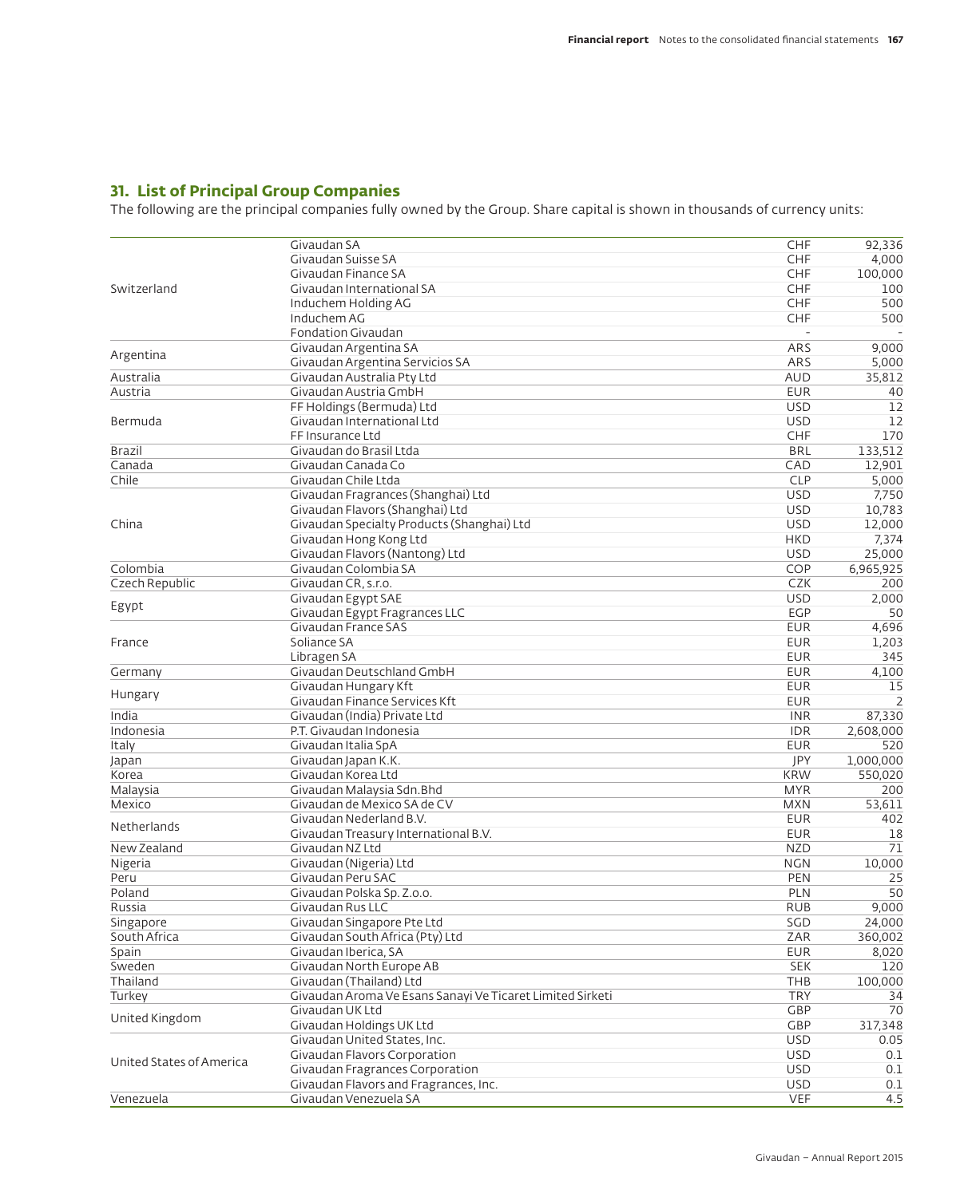# **31. List of Principal Group Companies**

The following are the principal companies fully owned by the Group. Share capital is shown in thousands of currency units:

|                          | Givaudan SA                                               | CHF        | 92,336    |
|--------------------------|-----------------------------------------------------------|------------|-----------|
|                          | Givaudan Suisse SA                                        | <b>CHF</b> | 4,000     |
|                          | Givaudan Finance SA                                       | <b>CHF</b> | 100,000   |
| Switzerland              | Givaudan International SA                                 | <b>CHF</b> | 100       |
|                          | Induchem Holding AG                                       | <b>CHF</b> | 500       |
|                          | Induchem AG                                               | <b>CHF</b> | 500       |
|                          | Fondation Givaudan                                        |            |           |
|                          | Givaudan Argentina SA                                     | <b>ARS</b> | 9,000     |
| Argentina                | Givaudan Argentina Servicios SA                           | <b>ARS</b> | 5,000     |
| Australia                | Givaudan Australia Pty Ltd                                | <b>AUD</b> | 35,812    |
| Austria                  | Givaudan Austria GmbH                                     | <b>EUR</b> | 40        |
|                          | FF Holdings (Bermuda) Ltd                                 | <b>USD</b> | 12        |
| Bermuda                  | Givaudan International Ltd                                | <b>USD</b> | 12        |
|                          | FF Insurance Ltd                                          | CHF        | 170       |
| Brazil                   | Givaudan do Brasil Ltda                                   | <b>BRL</b> | 133,512   |
| Canada                   | Givaudan Canada Co                                        | CAD        | 12,901    |
| Chile                    | Givaudan Chile Ltda                                       | <b>CLP</b> | 5,000     |
|                          |                                                           | <b>USD</b> |           |
|                          | Givaudan Fragrances (Shanghai) Ltd                        |            | 7,750     |
|                          | Givaudan Flavors (Shanghai) Ltd                           | <b>USD</b> | 10,783    |
| China                    | Givaudan Specialty Products (Shanghai) Ltd                | <b>USD</b> | 12,000    |
|                          | Givaudan Hong Kong Ltd                                    | <b>HKD</b> | 7,374     |
|                          | Givaudan Flavors (Nantong) Ltd                            | <b>USD</b> | 25,000    |
| Colombia                 | Givaudan Colombia SA                                      | COP        | 6,965,925 |
| Czech Republic           | Givaudan CR, s.r.o.                                       | <b>CZK</b> | 200       |
| Egypt                    | Givaudan Egypt SAE                                        | <b>USD</b> | 2,000     |
|                          | Givaudan Egypt Fragrances LLC                             | <b>EGP</b> | 50        |
|                          | Givaudan France SAS                                       | <b>EUR</b> | 4,696     |
| France                   | Soliance SA                                               | <b>EUR</b> | 1,203     |
|                          | Libragen SA                                               | <b>EUR</b> | 345       |
| Germany                  | Givaudan Deutschland GmbH                                 | <b>EUR</b> | 4,100     |
| Hungary                  | Givaudan Hungary Kft                                      | <b>EUR</b> | 15        |
|                          | Givaudan Finance Services Kft                             | <b>EUR</b> | 2         |
| India                    | Givaudan (India) Private Ltd                              | <b>INR</b> | 87,330    |
| Indonesia                | P.T. Givaudan Indonesia                                   | <b>IDR</b> | 2,608,000 |
| Italy                    | Givaudan Italia SpA                                       | <b>EUR</b> | 520       |
| Japan                    | Givaudan Japan K.K.                                       | JPY        | 1,000,000 |
| Korea                    | Givaudan Korea Ltd                                        | <b>KRW</b> | 550,020   |
| Malaysia                 | Givaudan Malaysia Sdn. Bhd                                | <b>MYR</b> | 200       |
| Mexico                   | Givaudan de Mexico SA de CV                               | <b>MXN</b> | 53,611    |
| Netherlands              | Givaudan Nederland B.V.                                   | <b>EUR</b> | 402       |
|                          | Givaudan Treasury International B.V.                      | <b>EUR</b> | 18        |
| New Zealand              | Givaudan NZ Ltd                                           | <b>NZD</b> | 71        |
| Nigeria                  | Givaudan (Nigeria) Ltd                                    | <b>NGN</b> | 10,000    |
| Peru                     | Givaudan Peru SAC                                         | <b>PEN</b> | 25        |
| Poland                   | Givaudan Polska Sp. Z.o.o.                                | <b>PLN</b> | 50        |
| Russia                   | Givaudan Rus LLC                                          | <b>RUB</b> | 9,000     |
| Singapore                | Givaudan Singapore Pte Ltd                                | SGD        | 24.000    |
| South Africa             | Givaudan South Africa (Pty) Ltd                           | ZAR        | 360,002   |
| Spain                    | Givaudan Iberica, SA                                      | <b>EUR</b> | 8,020     |
| Sweden                   | Givaudan North Europe AB                                  | <b>SEK</b> | 120       |
| Thailand                 | Givaudan (Thailand) Ltd                                   | THB        | 100,000   |
| Turkey                   | Givaudan Aroma Ve Esans Sanayi Ve Ticaret Limited Sirketi | <b>TRY</b> | 34        |
|                          | Givaudan UK Ltd                                           | GBP        | 70        |
| United Kingdom           | Givaudan Holdings UK Ltd                                  | GBP        | 317,348   |
|                          | Givaudan United States, Inc.                              | <b>USD</b> | 0.05      |
|                          | Givaudan Flavors Corporation                              | USD        | 0.1       |
| United States of America | Givaudan Fragrances Corporation                           | USD        | 0.1       |
|                          | Givaudan Flavors and Fragrances, Inc.                     | USD        | 0.1       |
| Venezuela                | Givaudan Venezuela SA                                     | <b>VEF</b> | 4.5       |
|                          |                                                           |            |           |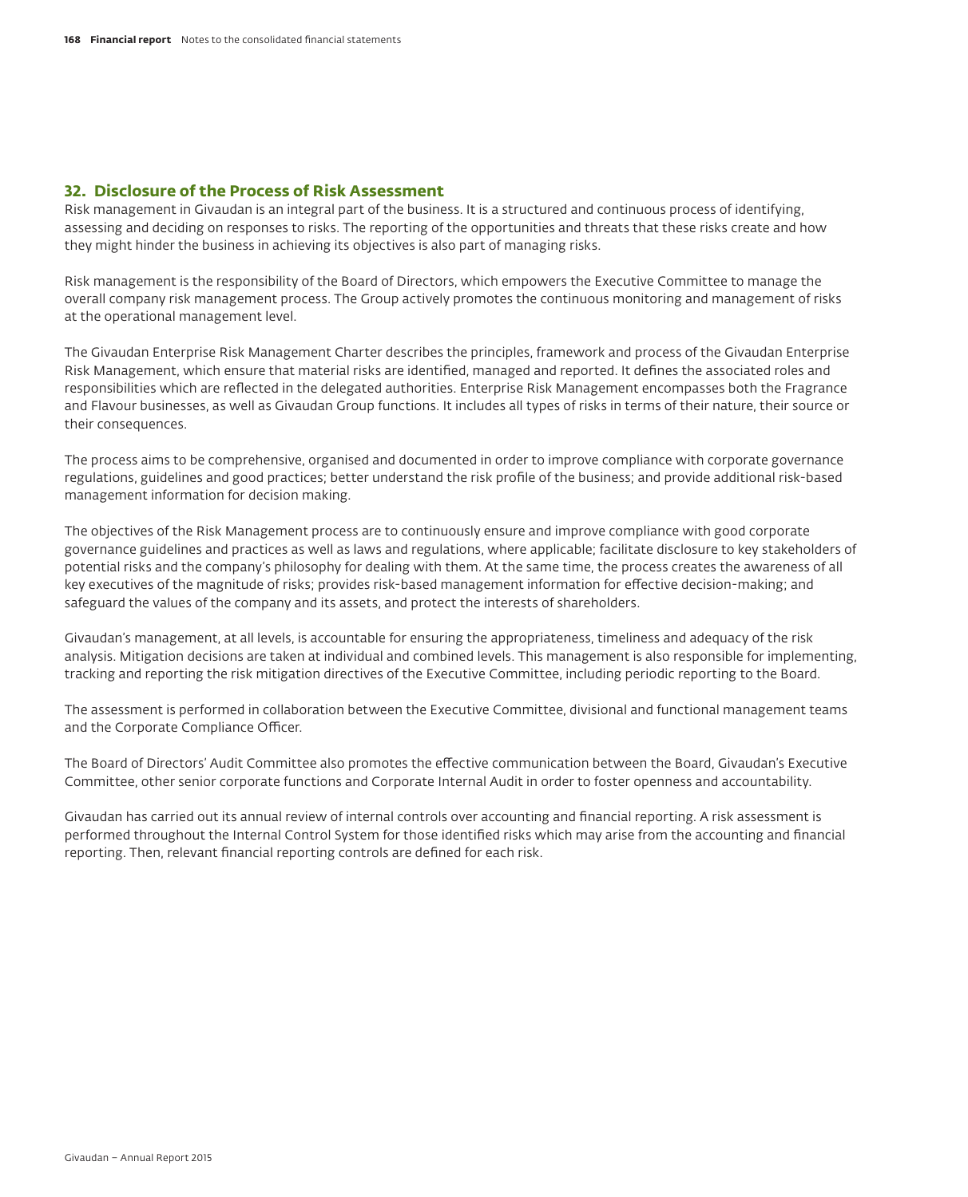# **32. Disclosure of the Process of Risk Assessment**

Risk management in Givaudan is an integral part of the business. It is a structured and continuous process of identifying, assessing and deciding on responses to risks. The reporting of the opportunities and threats that these risks create and how they might hinder the business in achieving its objectives is also part of managing risks.

Risk management is the responsibility of the Board of Directors, which empowers the Executive Committee to manage the overall company risk management process. The Group actively promotes the continuous monitoring and management of risks at the operational management level.

The Givaudan Enterprise Risk Management Charter describes the principles, framework and process of the Givaudan Enterprise Risk Management, which ensure that material risks are identified, managed and reported. It defines the associated roles and responsibilities which are reflected in the delegated authorities. Enterprise Risk Management encompasses both the Fragrance and Flavour businesses, as well as Givaudan Group functions. It includes all types of risks in terms of their nature, their source or their consequences.

The process aims to be comprehensive, organised and documented in order to improve compliance with corporate governance regulations, guidelines and good practices; better understand the risk profile of the business; and provide additional risk-based management information for decision making.

The objectives of the Risk Management process are to continuously ensure and improve compliance with good corporate governance guidelines and practices as well as laws and regulations, where applicable; facilitate disclosure to key stakeholders of potential risks and the company's philosophy for dealing with them. At the same time, the process creates the awareness of all key executives of the magnitude of risks; provides risk-based management information for effective decision-making; and safeguard the values of the company and its assets, and protect the interests of shareholders.

Givaudan's management, at all levels, is accountable for ensuring the appropriateness, timeliness and adequacy of the risk analysis. Mitigation decisions are taken at individual and combined levels. This management is also responsible for implementing, tracking and reporting the risk mitigation directives of the Executive Committee, including periodic reporting to the Board.

The assessment is performed in collaboration between the Executive Committee, divisional and functional management teams and the Corporate Compliance Officer.

The Board of Directors' Audit Committee also promotes the effective communication between the Board, Givaudan's Executive Committee, other senior corporate functions and Corporate Internal Audit in order to foster openness and accountability.

Givaudan has carried out its annual review of internal controls over accounting and financial reporting. A risk assessment is performed throughout the Internal Control System for those identified risks which may arise from the accounting and financial reporting. Then, relevant financial reporting controls are defined for each risk.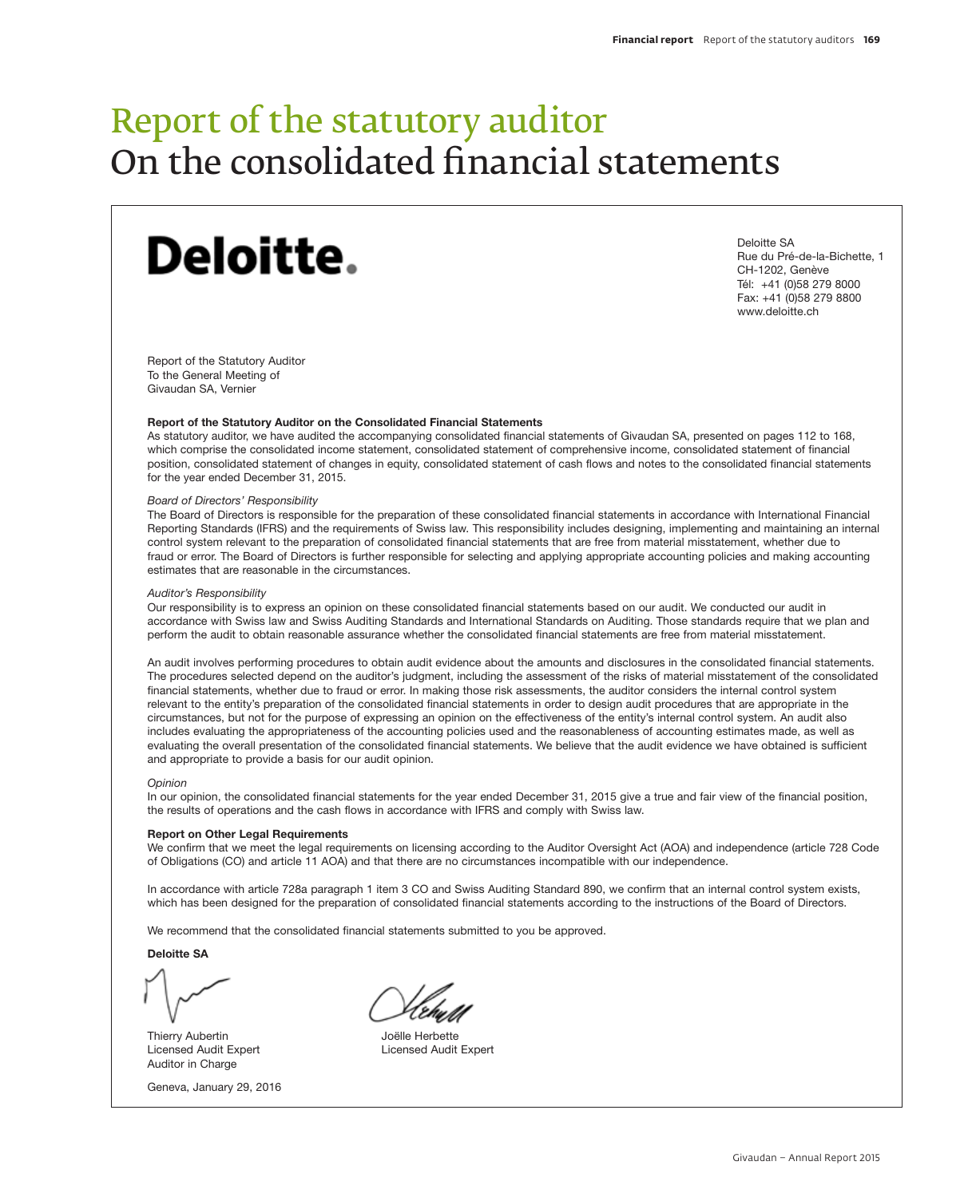# Report of the statutory auditor On the consolidated financial statements

# Deloitte.

Deloitte SA Rue du Pré-de-la-Bichette, 1 CH-1202, Genève Tél: +41 (0)58 279 8000 Fax: +41 (0)58 279 8800 www.deloitte.ch

Report of the Statutory Auditor To the General Meeting of Givaudan SA, Vernier

#### Report of the Statutory Auditor on the Consolidated Financial Statements

As statutory auditor, we have audited the accompanying consolidated financial statements of Givaudan SA, presented on pages 112 to 168, which comprise the consolidated income statement, consolidated statement of comprehensive income, consolidated statement of financial position, consolidated statement of changes in equity, consolidated statement of cash flows and notes to the consolidated financial statements for the year ended December 31, 2015.

#### *Board of Directors' Responsibility*

The Board of Directors is responsible for the preparation of these consolidated financial statements in accordance with International Financial Reporting Standards (IFRS) and the requirements of Swiss law. This responsibility includes designing, implementing and maintaining an internal control system relevant to the preparation of consolidated financial statements that are free from material misstatement, whether due to fraud or error. The Board of Directors is further responsible for selecting and applying appropriate accounting policies and making accounting estimates that are reasonable in the circumstances.

#### *Auditor's Responsibility*

Our responsibility is to express an opinion on these consolidated financial statements based on our audit. We conducted our audit in accordance with Swiss law and Swiss Auditing Standards and International Standards on Auditing. Those standards require that we plan and perform the audit to obtain reasonable assurance whether the consolidated financial statements are free from material misstatement.

An audit involves performing procedures to obtain audit evidence about the amounts and disclosures in the consolidated financial statements. The procedures selected depend on the auditor's judgment, including the assessment of the risks of material misstatement of the consolidated financial statements, whether due to fraud or error. In making those risk assessments, the auditor considers the internal control system relevant to the entity's preparation of the consolidated financial statements in order to design audit procedures that are appropriate in the circumstances, but not for the purpose of expressing an opinion on the effectiveness of the entity's internal control system. An audit also includes evaluating the appropriateness of the accounting policies used and the reasonableness of accounting estimates made, as well as evaluating the overall presentation of the consolidated financial statements. We believe that the audit evidence we have obtained is sufficient and appropriate to provide a basis for our audit opinion.

#### *Opinion*

In our opinion, the consolidated financial statements for the year ended December 31, 2015 give a true and fair view of the financial position, the results of operations and the cash flows in accordance with IFRS and comply with Swiss law.

#### Report on Other Legal Requirements

We confirm that we meet the legal requirements on licensing according to the Auditor Oversight Act (AOA) and independence (article 728 Code of Obligations (CO) and article 11 AOA) and that there are no circumstances incompatible with our independence.

In accordance with article 728a paragraph 1 item 3 CO and Swiss Auditing Standard 890, we confirm that an internal control system exists, which has been designed for the preparation of consolidated financial statements according to the instructions of the Board of Directors.

We recommend that the consolidated financial statements submitted to you be approved.

Deloitte SA

Licensed Audit Expert Licensed Audit Expert Auditor in Charge

Geneva, January 29, 2016

Thierry Aubertin<br>
Licensed Audit Expert<br>
Licensed Audit Expert<br>
Licensed Audit Expert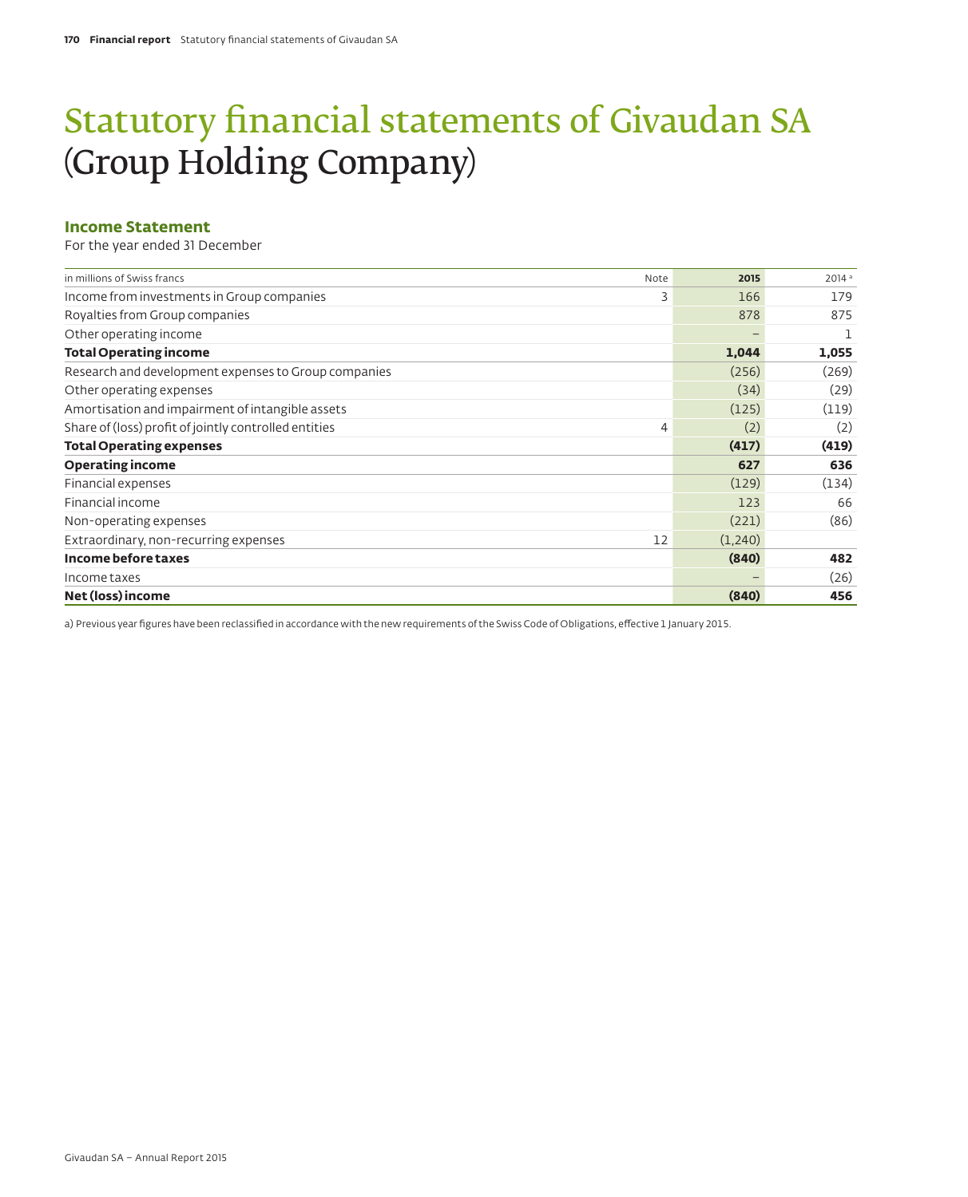# Statutory financial statements of Givaudan SA (Group Holding Company)

# **Income Statement**

For the year ended 31 December

| Note | 2015    | 2014 <sup>a</sup> |
|------|---------|-------------------|
| 3    | 166     | 179               |
|      | 878     | 875               |
|      |         |                   |
|      | 1,044   | 1,055             |
|      | (256)   | (269)             |
|      | (34)    | (29)              |
|      | (125)   | (119)             |
| 4    | (2)     | (2)               |
|      | (417)   | (419)             |
|      | 627     | 636               |
|      | (129)   | (134)             |
|      | 123     | 66                |
|      | (221)   | (86)              |
| 12   | (1,240) |                   |
|      | (840)   | 482               |
|      |         | (26)              |
|      | (840)   | 456               |
|      |         |                   |

a) Previous year figures have been reclassified in accordance with the new requirements of the Swiss Code of Obligations, effective 1 January 2015.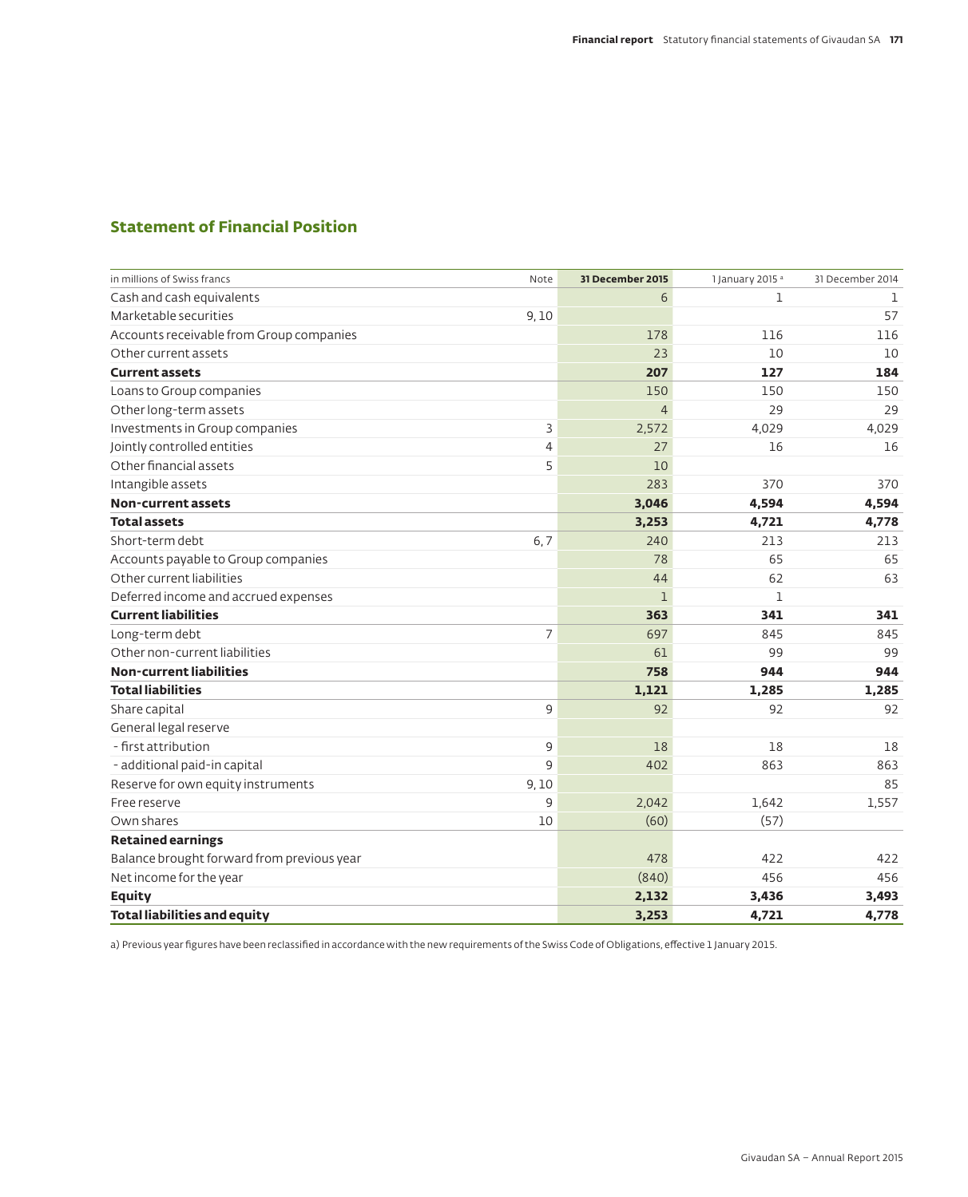# **Statement of Financial Position**

| Note<br>31 December 2015<br>Cash and cash equivalents<br>6<br>1<br>$\mathbb{1}$<br>Marketable securities<br>9,10<br>57<br>Accounts receivable from Group companies<br>178<br>116<br>116<br>23<br>10<br>10<br>Other current assets<br>207<br>127<br>184<br><b>Current assets</b><br>150<br>150<br>Loans to Group companies<br>150<br>29<br>Other long-term assets<br>$\overline{4}$<br>29<br>4,029<br>Investments in Group companies<br>3<br>2,572<br>4,029<br>Jointly controlled entities<br>4<br>27<br>16<br>16<br>Other financial assets<br>5<br>10<br>Intangible assets<br>283<br>370<br>370<br><b>Non-current assets</b><br>3,046<br>4,594<br>4,594<br><b>Total assets</b><br>4,721<br>3,253<br>4,778<br>6, 7<br>240<br>Short-term debt<br>213<br>213<br>65<br>Accounts payable to Group companies<br>78<br>65<br>Other current liabilities<br>44<br>62<br>63<br>Deferred income and accrued expenses<br>$\mathbf{1}$<br>$\mathbf{1}$<br><b>Current liabilities</b><br>363<br>341<br>341<br>$\overline{7}$<br>Long-term debt<br>697<br>845<br>845<br>Other non-current liabilities<br>61<br>99<br>99<br><b>Non-current liabilities</b><br>758<br>944<br>944<br><b>Total liabilities</b><br>1,121<br>1,285<br>1,285<br>9<br>Share capital<br>92<br>92<br>92<br>General legal reserve<br>- first attribution<br>9<br>18<br>18<br>18<br>- additional paid-in capital<br>9<br>402<br>863<br>863<br>Reserve for own equity instruments<br>9,10<br>85<br>9<br>2,042<br>1,642<br>1,557<br>Free reserve<br>(60)<br>10<br>(57)<br>Own shares<br><b>Retained earnings</b><br>Balance brought forward from previous year<br>478<br>422<br>422<br>Net income for the year<br>(840)<br>456<br>456<br>Equity<br>2,132<br>3,436<br>3,493<br><b>Total liabilities and equity</b><br>3,253<br>4,721<br>4,778 |                             |  |                  |                  |
|-------------------------------------------------------------------------------------------------------------------------------------------------------------------------------------------------------------------------------------------------------------------------------------------------------------------------------------------------------------------------------------------------------------------------------------------------------------------------------------------------------------------------------------------------------------------------------------------------------------------------------------------------------------------------------------------------------------------------------------------------------------------------------------------------------------------------------------------------------------------------------------------------------------------------------------------------------------------------------------------------------------------------------------------------------------------------------------------------------------------------------------------------------------------------------------------------------------------------------------------------------------------------------------------------------------------------------------------------------------------------------------------------------------------------------------------------------------------------------------------------------------------------------------------------------------------------------------------------------------------------------------------------------------------------------------------------------------------------------------------------------------------------------------------------|-----------------------------|--|------------------|------------------|
|                                                                                                                                                                                                                                                                                                                                                                                                                                                                                                                                                                                                                                                                                                                                                                                                                                                                                                                                                                                                                                                                                                                                                                                                                                                                                                                                                                                                                                                                                                                                                                                                                                                                                                                                                                                                 | in millions of Swiss francs |  | 1 January 2015 a | 31 December 2014 |
|                                                                                                                                                                                                                                                                                                                                                                                                                                                                                                                                                                                                                                                                                                                                                                                                                                                                                                                                                                                                                                                                                                                                                                                                                                                                                                                                                                                                                                                                                                                                                                                                                                                                                                                                                                                                 |                             |  |                  |                  |
|                                                                                                                                                                                                                                                                                                                                                                                                                                                                                                                                                                                                                                                                                                                                                                                                                                                                                                                                                                                                                                                                                                                                                                                                                                                                                                                                                                                                                                                                                                                                                                                                                                                                                                                                                                                                 |                             |  |                  |                  |
|                                                                                                                                                                                                                                                                                                                                                                                                                                                                                                                                                                                                                                                                                                                                                                                                                                                                                                                                                                                                                                                                                                                                                                                                                                                                                                                                                                                                                                                                                                                                                                                                                                                                                                                                                                                                 |                             |  |                  |                  |
|                                                                                                                                                                                                                                                                                                                                                                                                                                                                                                                                                                                                                                                                                                                                                                                                                                                                                                                                                                                                                                                                                                                                                                                                                                                                                                                                                                                                                                                                                                                                                                                                                                                                                                                                                                                                 |                             |  |                  |                  |
|                                                                                                                                                                                                                                                                                                                                                                                                                                                                                                                                                                                                                                                                                                                                                                                                                                                                                                                                                                                                                                                                                                                                                                                                                                                                                                                                                                                                                                                                                                                                                                                                                                                                                                                                                                                                 |                             |  |                  |                  |
|                                                                                                                                                                                                                                                                                                                                                                                                                                                                                                                                                                                                                                                                                                                                                                                                                                                                                                                                                                                                                                                                                                                                                                                                                                                                                                                                                                                                                                                                                                                                                                                                                                                                                                                                                                                                 |                             |  |                  |                  |
|                                                                                                                                                                                                                                                                                                                                                                                                                                                                                                                                                                                                                                                                                                                                                                                                                                                                                                                                                                                                                                                                                                                                                                                                                                                                                                                                                                                                                                                                                                                                                                                                                                                                                                                                                                                                 |                             |  |                  |                  |
|                                                                                                                                                                                                                                                                                                                                                                                                                                                                                                                                                                                                                                                                                                                                                                                                                                                                                                                                                                                                                                                                                                                                                                                                                                                                                                                                                                                                                                                                                                                                                                                                                                                                                                                                                                                                 |                             |  |                  |                  |
|                                                                                                                                                                                                                                                                                                                                                                                                                                                                                                                                                                                                                                                                                                                                                                                                                                                                                                                                                                                                                                                                                                                                                                                                                                                                                                                                                                                                                                                                                                                                                                                                                                                                                                                                                                                                 |                             |  |                  |                  |
|                                                                                                                                                                                                                                                                                                                                                                                                                                                                                                                                                                                                                                                                                                                                                                                                                                                                                                                                                                                                                                                                                                                                                                                                                                                                                                                                                                                                                                                                                                                                                                                                                                                                                                                                                                                                 |                             |  |                  |                  |
|                                                                                                                                                                                                                                                                                                                                                                                                                                                                                                                                                                                                                                                                                                                                                                                                                                                                                                                                                                                                                                                                                                                                                                                                                                                                                                                                                                                                                                                                                                                                                                                                                                                                                                                                                                                                 |                             |  |                  |                  |
|                                                                                                                                                                                                                                                                                                                                                                                                                                                                                                                                                                                                                                                                                                                                                                                                                                                                                                                                                                                                                                                                                                                                                                                                                                                                                                                                                                                                                                                                                                                                                                                                                                                                                                                                                                                                 |                             |  |                  |                  |
|                                                                                                                                                                                                                                                                                                                                                                                                                                                                                                                                                                                                                                                                                                                                                                                                                                                                                                                                                                                                                                                                                                                                                                                                                                                                                                                                                                                                                                                                                                                                                                                                                                                                                                                                                                                                 |                             |  |                  |                  |
|                                                                                                                                                                                                                                                                                                                                                                                                                                                                                                                                                                                                                                                                                                                                                                                                                                                                                                                                                                                                                                                                                                                                                                                                                                                                                                                                                                                                                                                                                                                                                                                                                                                                                                                                                                                                 |                             |  |                  |                  |
|                                                                                                                                                                                                                                                                                                                                                                                                                                                                                                                                                                                                                                                                                                                                                                                                                                                                                                                                                                                                                                                                                                                                                                                                                                                                                                                                                                                                                                                                                                                                                                                                                                                                                                                                                                                                 |                             |  |                  |                  |
|                                                                                                                                                                                                                                                                                                                                                                                                                                                                                                                                                                                                                                                                                                                                                                                                                                                                                                                                                                                                                                                                                                                                                                                                                                                                                                                                                                                                                                                                                                                                                                                                                                                                                                                                                                                                 |                             |  |                  |                  |
|                                                                                                                                                                                                                                                                                                                                                                                                                                                                                                                                                                                                                                                                                                                                                                                                                                                                                                                                                                                                                                                                                                                                                                                                                                                                                                                                                                                                                                                                                                                                                                                                                                                                                                                                                                                                 |                             |  |                  |                  |
|                                                                                                                                                                                                                                                                                                                                                                                                                                                                                                                                                                                                                                                                                                                                                                                                                                                                                                                                                                                                                                                                                                                                                                                                                                                                                                                                                                                                                                                                                                                                                                                                                                                                                                                                                                                                 |                             |  |                  |                  |
|                                                                                                                                                                                                                                                                                                                                                                                                                                                                                                                                                                                                                                                                                                                                                                                                                                                                                                                                                                                                                                                                                                                                                                                                                                                                                                                                                                                                                                                                                                                                                                                                                                                                                                                                                                                                 |                             |  |                  |                  |
|                                                                                                                                                                                                                                                                                                                                                                                                                                                                                                                                                                                                                                                                                                                                                                                                                                                                                                                                                                                                                                                                                                                                                                                                                                                                                                                                                                                                                                                                                                                                                                                                                                                                                                                                                                                                 |                             |  |                  |                  |
|                                                                                                                                                                                                                                                                                                                                                                                                                                                                                                                                                                                                                                                                                                                                                                                                                                                                                                                                                                                                                                                                                                                                                                                                                                                                                                                                                                                                                                                                                                                                                                                                                                                                                                                                                                                                 |                             |  |                  |                  |
|                                                                                                                                                                                                                                                                                                                                                                                                                                                                                                                                                                                                                                                                                                                                                                                                                                                                                                                                                                                                                                                                                                                                                                                                                                                                                                                                                                                                                                                                                                                                                                                                                                                                                                                                                                                                 |                             |  |                  |                  |
|                                                                                                                                                                                                                                                                                                                                                                                                                                                                                                                                                                                                                                                                                                                                                                                                                                                                                                                                                                                                                                                                                                                                                                                                                                                                                                                                                                                                                                                                                                                                                                                                                                                                                                                                                                                                 |                             |  |                  |                  |
|                                                                                                                                                                                                                                                                                                                                                                                                                                                                                                                                                                                                                                                                                                                                                                                                                                                                                                                                                                                                                                                                                                                                                                                                                                                                                                                                                                                                                                                                                                                                                                                                                                                                                                                                                                                                 |                             |  |                  |                  |
|                                                                                                                                                                                                                                                                                                                                                                                                                                                                                                                                                                                                                                                                                                                                                                                                                                                                                                                                                                                                                                                                                                                                                                                                                                                                                                                                                                                                                                                                                                                                                                                                                                                                                                                                                                                                 |                             |  |                  |                  |
|                                                                                                                                                                                                                                                                                                                                                                                                                                                                                                                                                                                                                                                                                                                                                                                                                                                                                                                                                                                                                                                                                                                                                                                                                                                                                                                                                                                                                                                                                                                                                                                                                                                                                                                                                                                                 |                             |  |                  |                  |
|                                                                                                                                                                                                                                                                                                                                                                                                                                                                                                                                                                                                                                                                                                                                                                                                                                                                                                                                                                                                                                                                                                                                                                                                                                                                                                                                                                                                                                                                                                                                                                                                                                                                                                                                                                                                 |                             |  |                  |                  |
|                                                                                                                                                                                                                                                                                                                                                                                                                                                                                                                                                                                                                                                                                                                                                                                                                                                                                                                                                                                                                                                                                                                                                                                                                                                                                                                                                                                                                                                                                                                                                                                                                                                                                                                                                                                                 |                             |  |                  |                  |
|                                                                                                                                                                                                                                                                                                                                                                                                                                                                                                                                                                                                                                                                                                                                                                                                                                                                                                                                                                                                                                                                                                                                                                                                                                                                                                                                                                                                                                                                                                                                                                                                                                                                                                                                                                                                 |                             |  |                  |                  |
|                                                                                                                                                                                                                                                                                                                                                                                                                                                                                                                                                                                                                                                                                                                                                                                                                                                                                                                                                                                                                                                                                                                                                                                                                                                                                                                                                                                                                                                                                                                                                                                                                                                                                                                                                                                                 |                             |  |                  |                  |
|                                                                                                                                                                                                                                                                                                                                                                                                                                                                                                                                                                                                                                                                                                                                                                                                                                                                                                                                                                                                                                                                                                                                                                                                                                                                                                                                                                                                                                                                                                                                                                                                                                                                                                                                                                                                 |                             |  |                  |                  |
|                                                                                                                                                                                                                                                                                                                                                                                                                                                                                                                                                                                                                                                                                                                                                                                                                                                                                                                                                                                                                                                                                                                                                                                                                                                                                                                                                                                                                                                                                                                                                                                                                                                                                                                                                                                                 |                             |  |                  |                  |
|                                                                                                                                                                                                                                                                                                                                                                                                                                                                                                                                                                                                                                                                                                                                                                                                                                                                                                                                                                                                                                                                                                                                                                                                                                                                                                                                                                                                                                                                                                                                                                                                                                                                                                                                                                                                 |                             |  |                  |                  |
|                                                                                                                                                                                                                                                                                                                                                                                                                                                                                                                                                                                                                                                                                                                                                                                                                                                                                                                                                                                                                                                                                                                                                                                                                                                                                                                                                                                                                                                                                                                                                                                                                                                                                                                                                                                                 |                             |  |                  |                  |

a) Previous year figures have been reclassified in accordance with the new requirements of the Swiss Code of Obligations, effective 1 January 2015.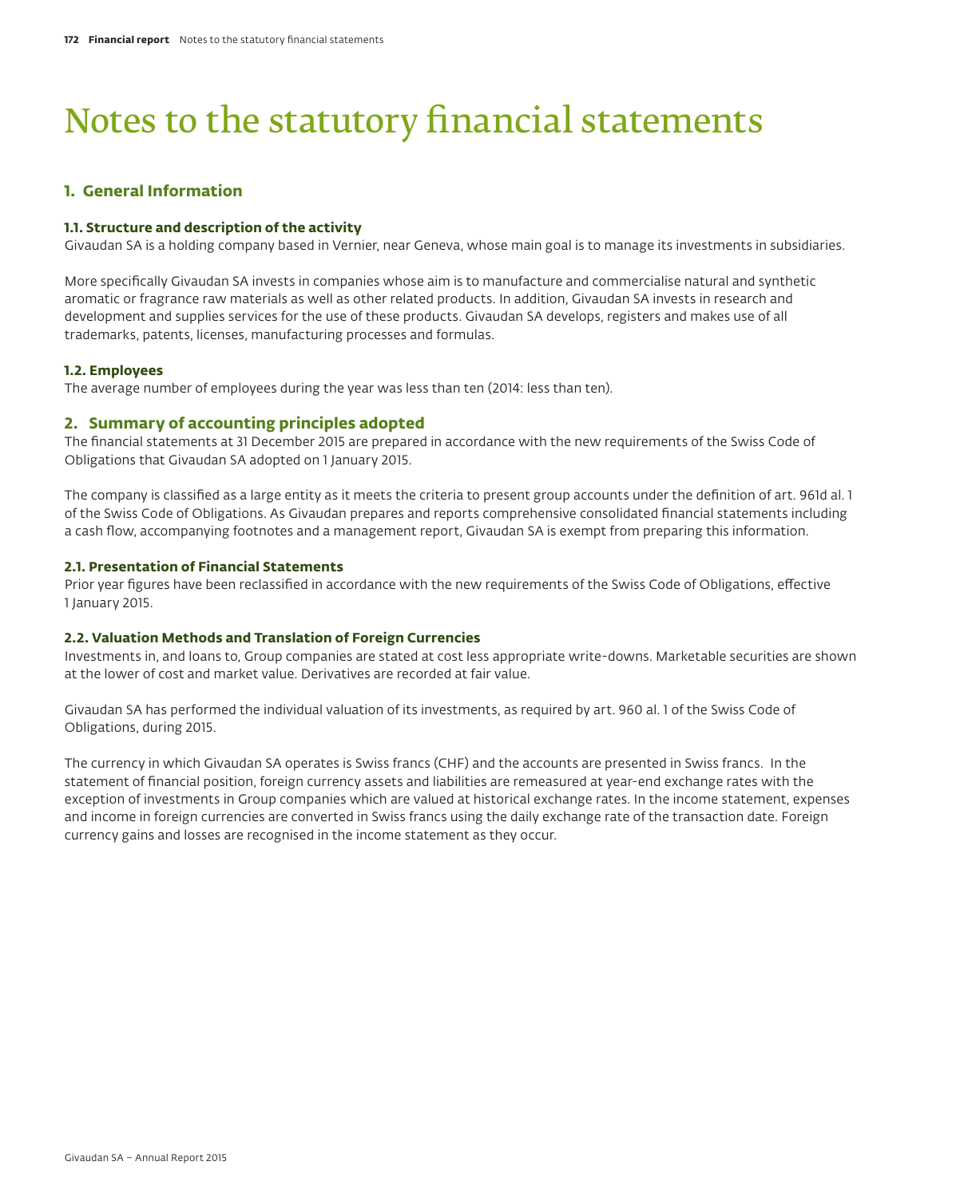# Notes to the statutory financial statements

# **1. General Information**

# **1.1. Structure and description of the activity**

Givaudan SA is a holding company based in Vernier, near Geneva, whose main goal is to manage its investments in subsidiaries.

More specifically Givaudan SA invests in companies whose aim is to manufacture and commercialise natural and synthetic aromatic or fragrance raw materials as well as other related products. In addition, Givaudan SA invests in research and development and supplies services for the use of these products. Givaudan SA develops, registers and makes use of all trademarks, patents, licenses, manufacturing processes and formulas.

# **1.2. Employees**

The average number of employees during the year was less than ten (2014: less than ten).

# **2. Summary of accounting principles adopted**

The financial statements at 31 December 2015 are prepared in accordance with the new requirements of the Swiss Code of Obligations that Givaudan SA adopted on 1 January 2015.

The company is classified as a large entity as it meets the criteria to present group accounts under the definition of art. 961d al. 1 of the Swiss Code of Obligations. As Givaudan prepares and reports comprehensive consolidated financial statements including a cash flow, accompanying footnotes and a management report, Givaudan SA is exempt from preparing this information.

#### **2.1. Presentation of Financial Statements**

Prior year figures have been reclassified in accordance with the new requirements of the Swiss Code of Obligations, effective 1 January 2015.

# **2.2. Valuation Methods and Translation of Foreign Currencies**

Investments in, and loans to, Group companies are stated at cost less appropriate write-downs. Marketable securities are shown at the lower of cost and market value. Derivatives are recorded at fair value.

Givaudan SA has performed the individual valuation of its investments, as required by art. 960 al. 1 of the Swiss Code of Obligations, during 2015.

The currency in which Givaudan SA operates is Swiss francs (CHF) and the accounts are presented in Swiss francs. In the statement of financial position, foreign currency assets and liabilities are remeasured at year-end exchange rates with the exception of investments in Group companies which are valued at historical exchange rates. In the income statement, expenses and income in foreign currencies are converted in Swiss francs using the daily exchange rate of the transaction date. Foreign currency gains and losses are recognised in the income statement as they occur.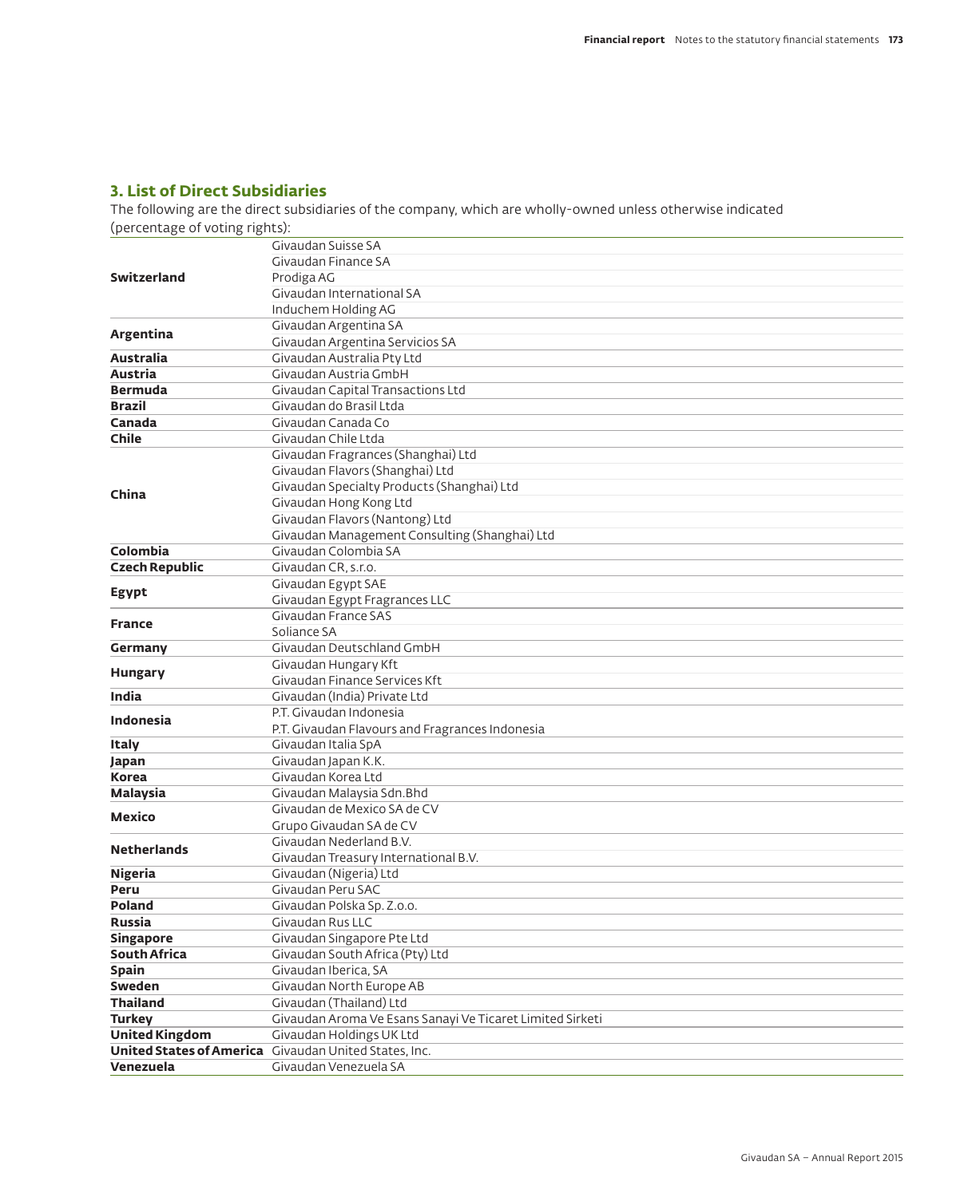# **3. List of Direct Subsidiaries**

The following are the direct subsidiaries of the company, which are wholly-owned unless otherwise indicated (percentage of voting rights):

|                       | Givaudan Suisse SA                                        |
|-----------------------|-----------------------------------------------------------|
|                       | Givaudan Finance SA                                       |
| Switzerland           | Prodiga AG                                                |
|                       | Givaudan International SA                                 |
|                       | Induchem Holding AG                                       |
|                       | Givaudan Argentina SA                                     |
| Argentina             | Givaudan Argentina Servicios SA                           |
| <b>Australia</b>      | Givaudan Australia Pty Ltd                                |
| Austria               | Givaudan Austria GmbH                                     |
| <b>Bermuda</b>        | Givaudan Capital Transactions Ltd                         |
| <b>Brazil</b>         | Givaudan do Brasil Ltda                                   |
| Canada                | Givaudan Canada Co                                        |
| Chile                 | Givaudan Chile Ltda                                       |
|                       | Givaudan Fragrances (Shanghai) Ltd                        |
|                       | Givaudan Flavors (Shanghai) Ltd                           |
| China                 | Givaudan Specialty Products (Shanghai) Ltd                |
|                       | Givaudan Hong Kong Ltd                                    |
|                       | Givaudan Flavors (Nantong) Ltd                            |
|                       | Givaudan Management Consulting (Shanghai) Ltd             |
| Colombia              | Givaudan Colombia SA                                      |
| <b>Czech Republic</b> | Givaudan CR, s.r.o.                                       |
|                       | Givaudan Egypt SAE                                        |
| Egypt                 | Givaudan Egypt Fragrances LLC                             |
| <b>France</b>         | Givaudan France SAS                                       |
|                       | Soliance SA                                               |
| Germany               | Givaudan Deutschland GmbH                                 |
| <b>Hungary</b>        | Givaudan Hungary Kft                                      |
|                       | Givaudan Finance Services Kft                             |
| India                 | Givaudan (India) Private Ltd                              |
| Indonesia             | P.T. Givaudan Indonesia                                   |
|                       | P.T. Givaudan Flavours and Fragrances Indonesia           |
| <b>Italy</b>          | Givaudan Italia SpA                                       |
| Japan                 | Givaudan Japan K.K.                                       |
| <b>Korea</b>          | Givaudan Korea Ltd                                        |
| Malaysia              | Givaudan Malaysia Sdn.Bhd                                 |
| Mexico                | Givaudan de Mexico SA de CV                               |
|                       | Grupo Givaudan SA de CV                                   |
| <b>Netherlands</b>    | Givaudan Nederland B.V.                                   |
|                       | Givaudan Treasury International B.V.                      |
| <b>Nigeria</b>        | Givaudan (Nigeria) Ltd                                    |
| Peru                  | Givaudan Peru SAC                                         |
| <b>Poland</b>         | Givaudan Polska Sp. Z.o.o.                                |
| <b>Russia</b>         | Givaudan Rus LLC                                          |
| <b>Singapore</b>      | Givaudan Singapore Pte Ltd                                |
| South Africa          | Givaudan South Africa (Pty) Ltd                           |
| Spain                 | Givaudan Iberica, SA                                      |
| Sweden                | Givaudan North Europe AB                                  |
| <b>Thailand</b>       | Givaudan (Thailand) Ltd                                   |
| <b>Turkey</b>         | Givaudan Aroma Ve Esans Sanayi Ve Ticaret Limited Sirketi |
| <b>United Kingdom</b> | Givaudan Holdings UK Ltd                                  |
|                       | United States of America Givaudan United States, Inc.     |
| Venezuela             | Givaudan Venezuela SA                                     |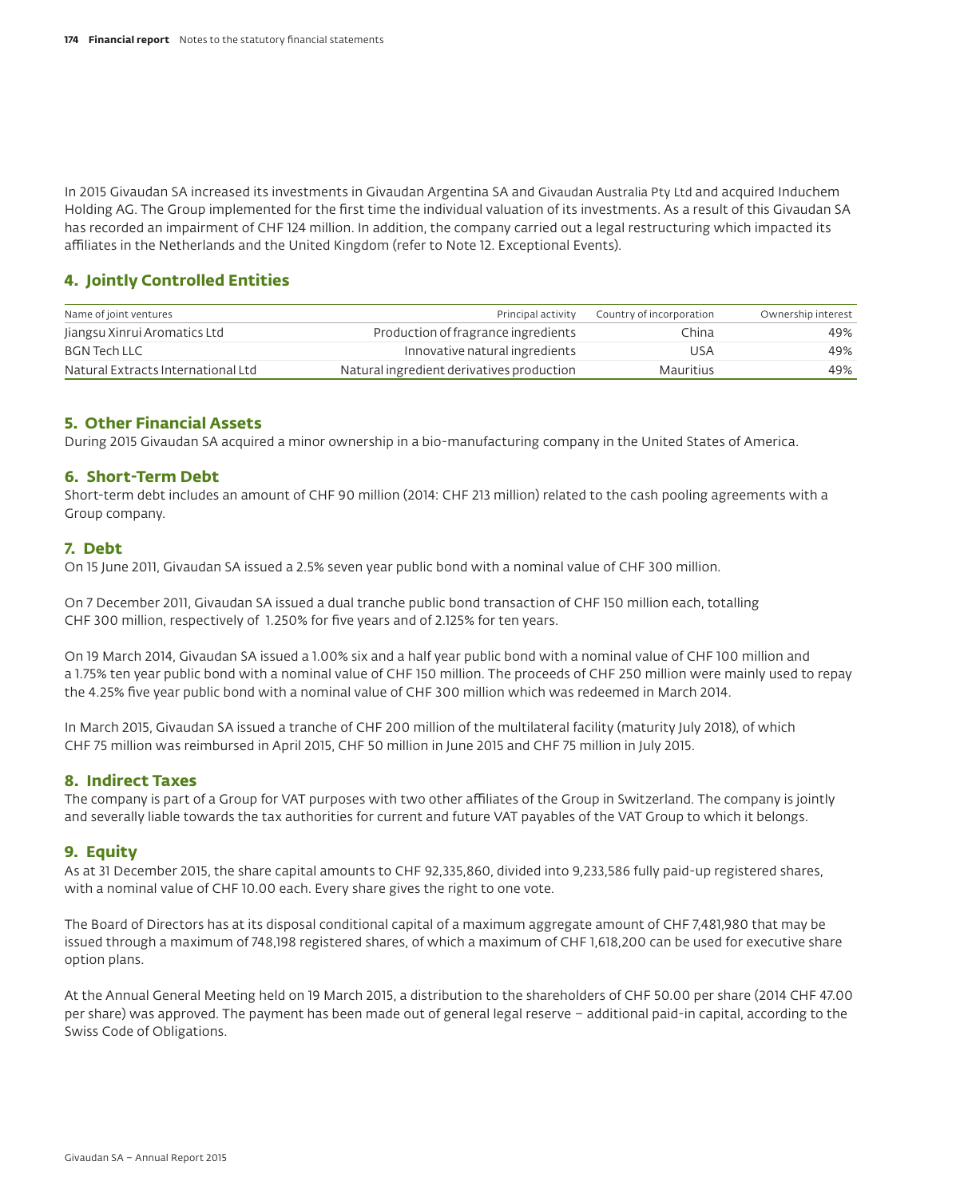In 2015 Givaudan SA increased its investments in Givaudan Argentina SA and Givaudan Australia Pty Ltd and acquired Induchem Holding AG. The Group implemented for the first time the individual valuation of its investments. As a result of this Givaudan SA has recorded an impairment of CHF 124 million. In addition, the company carried out a legal restructuring which impacted its affiliates in the Netherlands and the United Kingdom (refer to Note 12. Exceptional Events).

# **4. Jointly Controlled Entities**

| Name of joint ventures             | Principal activity                        | Country of incorporation | Ownership interest |
|------------------------------------|-------------------------------------------|--------------------------|--------------------|
| Jiangsu Xinrui Aromatics Ltd       | Production of fragrance ingredients       | China                    | 49%                |
| BGN Tech LLC                       | Innovative natural ingredients            | <b>USA</b>               | 49%                |
| Natural Extracts International Ltd | Natural ingredient derivatives production | Mauritius                | 49%                |

# **5. Other Financial Assets**

During 2015 Givaudan SA acquired a minor ownership in a bio-manufacturing company in the United States of America.

# **6. Short-Term Debt**

Short-term debt includes an amount of CHF 90 million (2014: CHF 213 million) related to the cash pooling agreements with a Group company.

# **7. Debt**

On 15 June 2011, Givaudan SA issued a 2.5% seven year public bond with a nominal value of CHF 300 million.

On 7 December 2011, Givaudan SA issued a dual tranche public bond transaction of CHF 150 million each, totalling CHF 300 million, respectively of 1.250% for five years and of 2.125% for ten years.

On 19 March 2014, Givaudan SA issued a 1.00% six and a half year public bond with a nominal value of CHF 100 million and a 1.75% ten year public bond with a nominal value of CHF 150 million. The proceeds of CHF 250 million were mainly used to repay the 4.25% five year public bond with a nominal value of CHF 300 million which was redeemed in March 2014.

In March 2015, Givaudan SA issued a tranche of CHF 200 million of the multilateral facility (maturity July 2018), of which CHF 75 million was reimbursed in April 2015, CHF 50 million in June 2015 and CHF 75 million in July 2015.

# **8. Indirect Taxes**

The company is part of a Group for VAT purposes with two other affiliates of the Group in Switzerland. The company is jointly and severally liable towards the tax authorities for current and future VAT payables of the VAT Group to which it belongs.

# **9. Equity**

As at 31 December 2015, the share capital amounts to CHF 92,335,860, divided into 9,233,586 fully paid-up registered shares, with a nominal value of CHF 10.00 each. Every share gives the right to one vote.

The Board of Directors has at its disposal conditional capital of a maximum aggregate amount of CHF 7,481,980 that may be issued through a maximum of 748,198 registered shares, of which a maximum of CHF 1,618,200 can be used for executive share option plans.

At the Annual General Meeting held on 19 March 2015, a distribution to the shareholders of CHF 50.00 per share (2014 CHF 47.00 per share) was approved. The payment has been made out of general legal reserve – additional paid-in capital, according to the Swiss Code of Obligations.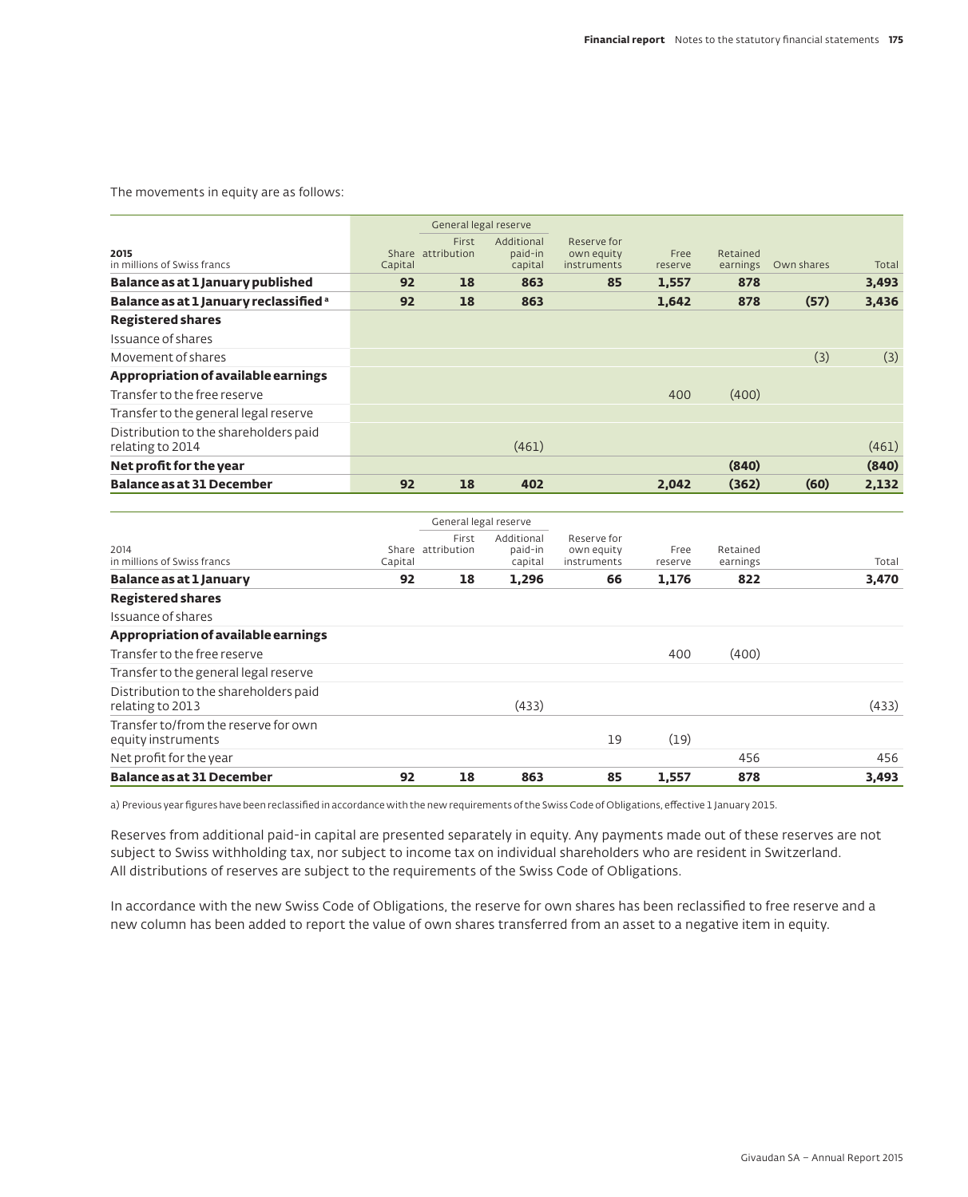The movements in equity are as follows:

|                                                           |         | General legal reserve             |                                  |                                          |                 |                      |            |       |
|-----------------------------------------------------------|---------|-----------------------------------|----------------------------------|------------------------------------------|-----------------|----------------------|------------|-------|
| 2015<br>in millions of Swiss francs                       | Capital | <b>First</b><br>Share attribution | Additional<br>paid-in<br>capital | Reserve for<br>own equity<br>instruments | Free<br>reserve | Retained<br>earnings | Own shares | Total |
| Balance as at 1 January published                         | 92      | 18                                | 863                              | 85                                       | 1,557           | 878                  |            | 3,493 |
| Balance as at 1 January reclassified a                    | 92      | 18                                | 863                              |                                          | 1,642           | 878                  | (57)       | 3,436 |
| <b>Registered shares</b>                                  |         |                                   |                                  |                                          |                 |                      |            |       |
| Issuance of shares                                        |         |                                   |                                  |                                          |                 |                      |            |       |
| Movement of shares                                        |         |                                   |                                  |                                          |                 |                      | (3)        | (3)   |
| Appropriation of available earnings                       |         |                                   |                                  |                                          |                 |                      |            |       |
| Transfer to the free reserve                              |         |                                   |                                  |                                          | 400             | (400)                |            |       |
| Transfer to the general legal reserve                     |         |                                   |                                  |                                          |                 |                      |            |       |
| Distribution to the shareholders paid<br>relating to 2014 |         |                                   | (461)                            |                                          |                 |                      |            | (461) |
| Net profit for the year                                   |         |                                   |                                  |                                          |                 | (840)                |            | (840) |
| <b>Balance as at 31 December</b>                          | 92      | 18                                | 402                              |                                          | 2.042           | (362)                | (60)       | 2,132 |

|                                                            |         | General legal reserve      |                                  |                                          |                 |                      |       |
|------------------------------------------------------------|---------|----------------------------|----------------------------------|------------------------------------------|-----------------|----------------------|-------|
| 2014<br>in millions of Swiss francs                        | Capital | First<br>Share attribution | Additional<br>paid-in<br>capital | Reserve for<br>own equity<br>instruments | Free<br>reserve | Retained<br>earnings | Total |
| Balance as at 1 January                                    | 92      | 18                         | 1,296                            | 66                                       | 1,176           | 822                  | 3,470 |
| <b>Registered shares</b>                                   |         |                            |                                  |                                          |                 |                      |       |
| Issuance of shares                                         |         |                            |                                  |                                          |                 |                      |       |
| Appropriation of available earnings                        |         |                            |                                  |                                          |                 |                      |       |
| Transfer to the free reserve                               |         |                            |                                  |                                          | 400             | (400)                |       |
| Transfer to the general legal reserve                      |         |                            |                                  |                                          |                 |                      |       |
| Distribution to the shareholders paid<br>relating to 2013  |         |                            | (433)                            |                                          |                 |                      | (433) |
| Transfer to/from the reserve for own<br>equity instruments |         |                            |                                  | 19                                       | (19)            |                      |       |
| Net profit for the year                                    |         |                            |                                  |                                          |                 | 456                  | 456   |
| <b>Balance as at 31 December</b>                           | 92      | 18                         | 863                              | 85                                       | 1,557           | 878                  | 3,493 |

a) Previous year figures have been reclassified in accordance with the new requirements of the Swiss Code of Obligations, effective 1 January 2015.

Reserves from additional paid-in capital are presented separately in equity. Any payments made out of these reserves are not subject to Swiss withholding tax, nor subject to income tax on individual shareholders who are resident in Switzerland. All distributions of reserves are subject to the requirements of the Swiss Code of Obligations.

In accordance with the new Swiss Code of Obligations, the reserve for own shares has been reclassified to free reserve and a new column has been added to report the value of own shares transferred from an asset to a negative item in equity.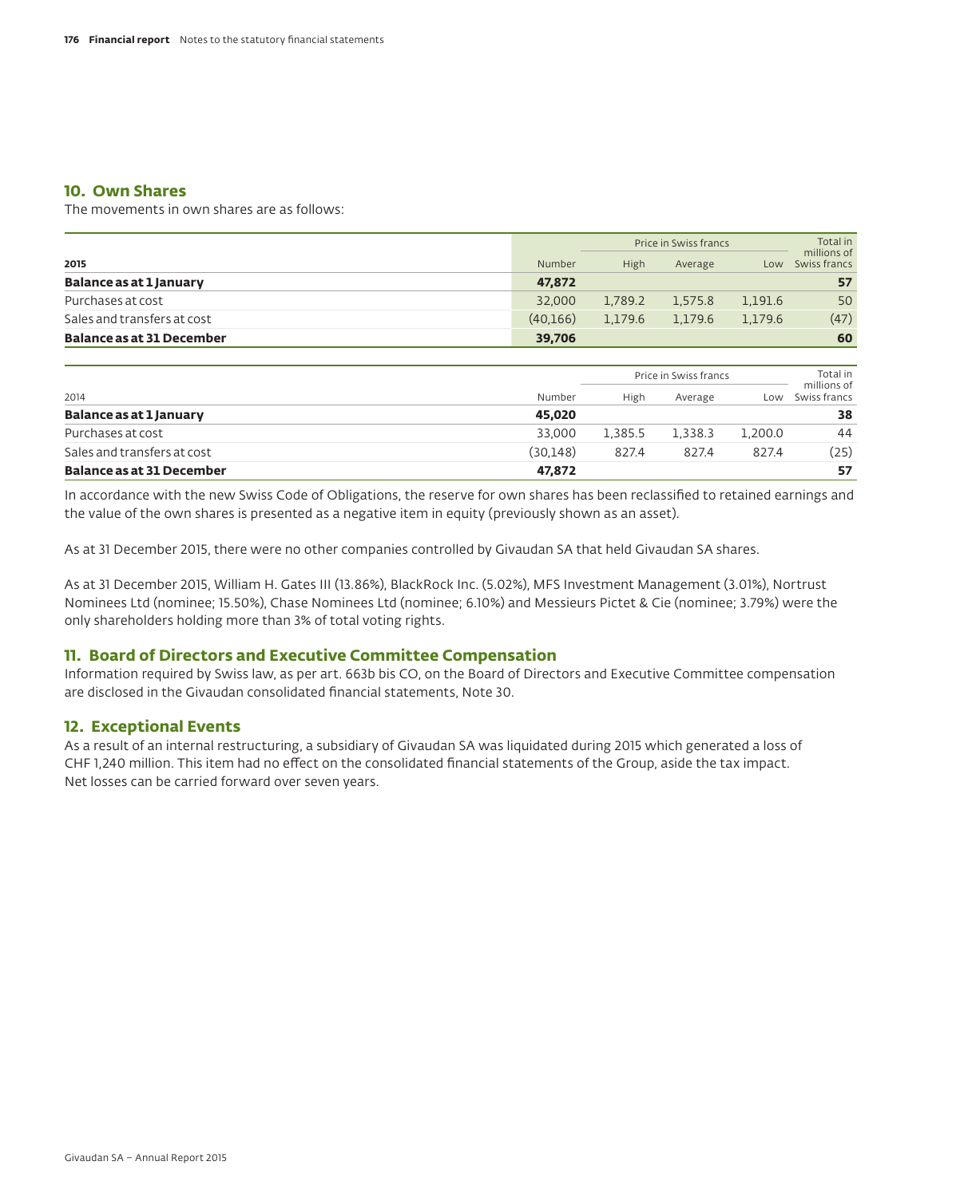# **10. Own Shares**

The movements in own shares are as follows:

|                             |          | Price in Swiss francs |         |         | Total in<br>millions of |  |
|-----------------------------|----------|-----------------------|---------|---------|-------------------------|--|
| 2015                        | Number   | High                  | Average | Low     | Swiss francs            |  |
| Balance as at 1 January     | 47.872   |                       |         |         | 57                      |  |
| Purchases at cost           | 32,000   | 1.789.2               | 1.575.8 | 1.191.6 | 50                      |  |
| Sales and transfers at cost | (40.166) | 1.179.6               | 1.179.6 | 1.179.6 | (47)                    |  |
| Balance as at 31 December   | 39,706   |                       |         |         | 60                      |  |

|                             |          | Price in Swiss francs |         |         | Total in                    |
|-----------------------------|----------|-----------------------|---------|---------|-----------------------------|
| 2014                        | Number   | High                  | Average | LOW     | millions of<br>Swiss francs |
| Balance as at 1 January     | 45.020   |                       |         |         | 38                          |
| Purchases at cost           | 33,000   | 1.385.5               | 1.338.3 | 1.200.0 | 44                          |
| Sales and transfers at cost | (30.148) | 827.4                 | 827.4   | 827.4   | (25)                        |
| Balance as at 31 December   | 47,872   |                       |         |         | 57                          |

In accordance with the new Swiss Code of Obligations, the reserve for own shares has been reclassified to retained earnings and the value of the own shares is presented as a negative item in equity (previously shown as an asset).

As at 31 December 2015, there were no other companies controlled by Givaudan SA that held Givaudan SA shares.

As at 31 December 2015, William H. Gates III (13.86%), BlackRock Inc. (5.02%), MFS Investment Management (3.01%), Nortrust Nominees Ltd (nominee; 15.50%), Chase Nominees Ltd (nominee; 6.10%) and Messieurs Pictet & Cie (nominee; 3.79%) were the only shareholders holding more than 3% of total voting rights.

# **11. Board of Directors and Executive Committee Compensation**

Information required by Swiss law, as per art. 663b bis CO, on the Board of Directors and Executive Committee compensation are disclosed in the Givaudan consolidated financial statements, Note 30.

# **12. Exceptional Events**

As a result of an internal restructuring, a subsidiary of Givaudan SA was liquidated during 2015 which generated a loss of CHF 1,240 million. This item had no effect on the consolidated financial statements of the Group, aside the tax impact. Net losses can be carried forward over seven years.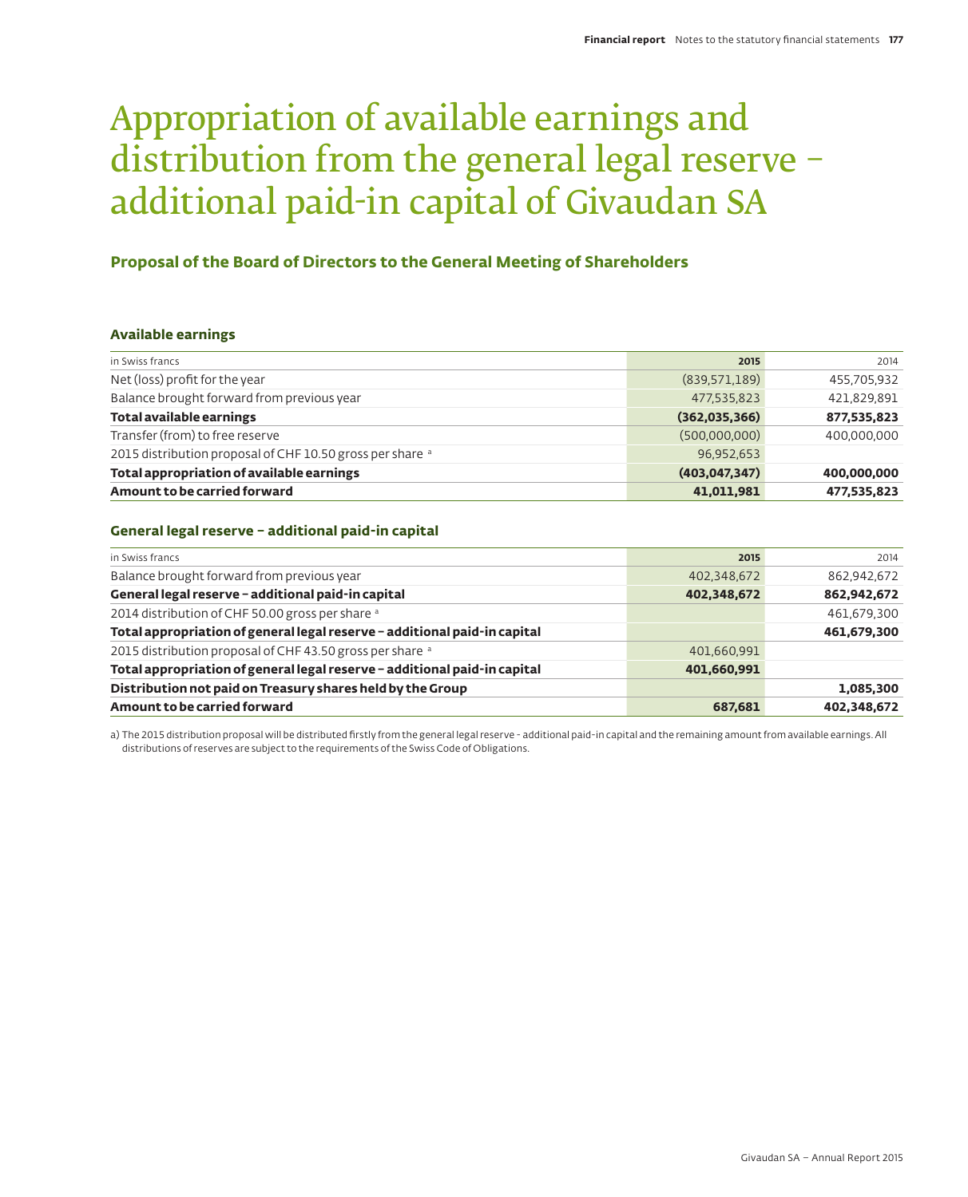# Appropriation of available earnings and distribution from the general legal reserve – additional paid-in capital of Givaudan SA

# **Proposal of the Board of Directors to the General Meeting of Shareholders**

# **Available earnings**

| in Swiss francs                                           | 2015            | 2014        |
|-----------------------------------------------------------|-----------------|-------------|
| Net (loss) profit for the year                            | (839,571,189)   | 455,705,932 |
| Balance brought forward from previous year                | 477,535,823     | 421,829,891 |
| <b>Total available earnings</b>                           | (362, 035, 366) | 877,535,823 |
| Transfer (from) to free reserve                           | (500,000,000)   | 400,000,000 |
| 2015 distribution proposal of CHF 10.50 gross per share a | 96,952,653      |             |
| Total appropriation of available earnings                 | (403, 047, 347) | 400,000,000 |
| Amount to be carried forward                              | 41,011,981      | 477,535,823 |

# **General legal reserve – additional paid-in capital**

| in Swiss francs                                                           | 2015        | 2014        |
|---------------------------------------------------------------------------|-------------|-------------|
| Balance brought forward from previous year                                | 402,348,672 | 862,942,672 |
| General legal reserve - additional paid-in capital                        | 402,348,672 | 862,942,672 |
| 2014 distribution of CHF 50.00 gross per share a                          |             | 461,679,300 |
| Total appropriation of general legal reserve - additional paid-in capital |             | 461,679,300 |
| 2015 distribution proposal of CHF 43.50 gross per share a                 | 401,660,991 |             |
| Total appropriation of general legal reserve - additional paid-in capital | 401,660,991 |             |
| Distribution not paid on Treasury shares held by the Group                |             | 1,085,300   |
| Amount to be carried forward                                              | 687,681     | 402,348,672 |

a) The 2015 distribution proposal will be distributed firstly from the general legal reserve - additional paid-in capital and the remaining amount from available earnings. All distributions of reserves are subject to the requirements of the Swiss Code of Obligations.